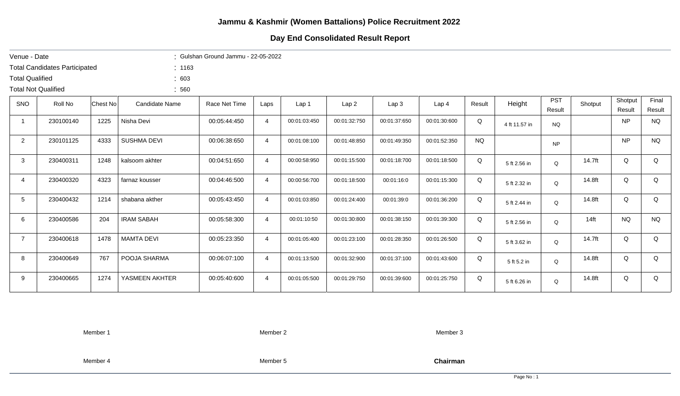## **Day End Consolidated Result Report**

| Venue - Date               |                                      |                 |                    | : Gulshan Ground Jammu - $22-05-2022$ |                |                  |              |              |                  |           |               |                      |         |                   |                 |
|----------------------------|--------------------------------------|-----------------|--------------------|---------------------------------------|----------------|------------------|--------------|--------------|------------------|-----------|---------------|----------------------|---------|-------------------|-----------------|
|                            | <b>Total Candidates Participated</b> |                 | : 1163             |                                       |                |                  |              |              |                  |           |               |                      |         |                   |                 |
| <b>Total Qualified</b>     |                                      |                 | : 603              |                                       |                |                  |              |              |                  |           |               |                      |         |                   |                 |
| <b>Total Not Qualified</b> |                                      |                 | :560               |                                       |                |                  |              |              |                  |           |               |                      |         |                   |                 |
| <b>SNO</b>                 | Roll No                              | <b>Chest No</b> | Candidate Name     | Race Net Time                         | Laps           | Lap <sub>1</sub> | Lap2         | Lap3         | Lap <sub>4</sub> | Result    | Height        | <b>PST</b><br>Result | Shotput | Shotput<br>Result | Final<br>Result |
| $\mathbf 1$                | 230100140                            | 1225            | Nisha Devi         | 00:05:44:450                          | 4              | 00:01:03:450     | 00:01:32:750 | 00:01:37:650 | 00:01:30:600     | Q         | 4 ft 11.57 in | <b>NQ</b>            |         | <b>NP</b>         | <b>NQ</b>       |
| $\overline{2}$             | 230101125                            | 4333            | <b>SUSHMA DEVI</b> | 00:06:38:650                          | 4              | 00:01:08:100     | 00:01:48:850 | 00:01:49:350 | 00:01:52:350     | <b>NQ</b> |               | <b>NP</b>            |         | <b>NP</b>         | <b>NQ</b>       |
| 3                          | 230400311                            | 1248            | kalsoom akhter     | 00:04:51:650                          | 4              | 00:00:58:950     | 00:01:15:500 | 00:01:18:700 | 00:01:18:500     | Q         | 5 ft 2.56 in  | Q                    | 14.7ft  | Q                 | Q               |
| 4                          | 230400320                            | 4323            | farnaz kousser     | 00:04:46:500                          | $\overline{4}$ | 00:00:56:700     | 00:01:18:500 | 00:01:16:0   | 00:01:15:300     | Q         | 5 ft 2.32 in  | Q                    | 14.8ft  | Q                 | Q               |
| 5 <sup>5</sup>             | 230400432                            | 1214            | shabana akther     | 00:05:43:450                          | 4              | 00:01:03:850     | 00:01:24:400 | 00:01:39:0   | 00:01:36:200     | Q         | 5 ft 2.44 in  | $\Omega$             | 14.8ft  | Q                 | Q               |
| 6                          | 230400586                            | 204             | <b>IRAM SABAH</b>  | 00:05:58:300                          | $\overline{4}$ | 00:01:10:50      | 00:01:30:800 | 00:01:38:150 | 00:01:39:300     | Q         | 5 ft 2.56 in  | Q                    | $14$ ft | <b>NQ</b>         | <b>NQ</b>       |
| $\overline{7}$             | 230400618                            | 1478            | <b>MAMTA DEVI</b>  | 00:05:23:350                          | 4              | 00:01:05:400     | 00:01:23:100 | 00:01:28:350 | 00:01:26:500     | Q         | 5 ft 3.62 in  | Q                    | 14.7ft  | Q                 | Q               |
| 8                          | 230400649                            | 767             | POOJA SHARMA       | 00:06:07:100                          | 4              | 00:01:13:500     | 00:01:32:900 | 00:01:37:100 | 00:01:43:600     | Q         | 5 ft 5.2 in   | Q                    | 14.8ft  | Q                 | Q               |
| 9                          | 230400665                            | 1274            | YASMEEN AKHTER     | 00:05:40:600                          | 4              | 00:01:05:500     | 00:01:29:750 | 00:01:39:600 | 00:01:25:750     | Q         | 5 ft 6.26 in  | Q                    | 14.8ft  | Q                 | Q               |

Member 1 Member 2 Member 3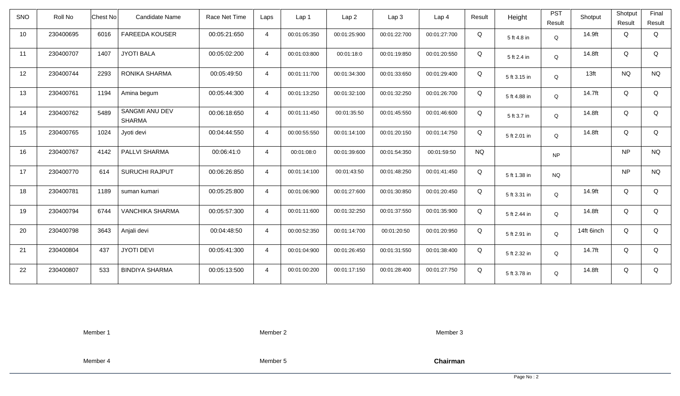| <b>SNO</b> | Roll No   | <b>Chest No</b> | Candidate Name                         | Race Net Time | Laps           | Lap 1        | Lap <sub>2</sub> | Lap <sub>3</sub> | Lap <sub>4</sub> | Result    | Height       | <b>PST</b><br>Result | Shotput          | Shotput<br>Result | Final<br>Result |
|------------|-----------|-----------------|----------------------------------------|---------------|----------------|--------------|------------------|------------------|------------------|-----------|--------------|----------------------|------------------|-------------------|-----------------|
| 10         | 230400695 | 6016            | <b>FAREEDA KOUSER</b>                  | 00:05:21:650  | $\overline{4}$ | 00:01:05:350 | 00:01:25:900     | 00:01:22:700     | 00:01:27:700     | Q         | 5 ft 4.8 in  | Q                    | 14.9ft           | Q                 | Q               |
| 11         | 230400707 | 1407            | <b>JYOTI BALA</b>                      | 00:05:02:200  | $\overline{4}$ | 00:01:03:800 | 00:01:18:0       | 00:01:19:850     | 00:01:20:550     | Q         | 5 ft 2.4 in  | Q                    | 14.8ft           | Q                 | Q               |
| 12         | 230400744 | 2293            | RONIKA SHARMA                          | 00:05:49:50   | $\overline{4}$ | 00:01:11:700 | 00:01:34:300     | 00:01:33:650     | 00:01:29:400     | Q         | 5 ft 3.15 in | Q                    | 13 <sub>ft</sub> | <b>NQ</b>         | <b>NQ</b>       |
| 13         | 230400761 | 1194            | Amina begum                            | 00:05:44:300  | $\overline{4}$ | 00:01:13:250 | 00:01:32:100     | 00:01:32:250     | 00:01:26:700     | Q         | 5 ft 4.88 in | Q                    | 14.7ft           | Q                 | Q               |
| 14         | 230400762 | 5489            | <b>SANGMI ANU DEV</b><br><b>SHARMA</b> | 00:06:18:650  | $\overline{4}$ | 00:01:11:450 | 00:01:35:50      | 00:01:45:550     | 00:01:46:600     | Q         | 5 ft 3.7 in  | Q                    | 14.8ft           | Q                 | Q               |
| 15         | 230400765 | 1024            | Jyoti devi                             | 00:04:44:550  | $\overline{4}$ | 00:00:55:550 | 00:01:14:100     | 00:01:20:150     | 00:01:14:750     | Q         | 5 ft 2.01 in | Q                    | 14.8ft           | Q                 | Q               |
| 16         | 230400767 | 4142            | PALLVI SHARMA                          | 00:06:41:0    | $\overline{4}$ | 00:01:08:0   | 00:01:39:600     | 00:01:54:350     | 00:01:59:50      | <b>NQ</b> |              | <b>NP</b>            |                  | <b>NP</b>         | <b>NQ</b>       |
| 17         | 230400770 | 614             | <b>SURUCHI RAJPUT</b>                  | 00:06:26:850  | $\overline{4}$ | 00:01:14:100 | 00:01:43:50      | 00:01:48:250     | 00:01:41:450     | Q         | 5 ft 1.38 in | <b>NQ</b>            |                  | <b>NP</b>         | <b>NQ</b>       |
| 18         | 230400781 | 1189            | suman kumari                           | 00:05:25:800  | $\overline{4}$ | 00:01:06:900 | 00:01:27:600     | 00:01:30:850     | 00:01:20:450     | Q         | 5 ft 3.31 in | Q                    | 14.9ft           | Q                 | Q               |
| 19         | 230400794 | 6744            | <b>VANCHIKA SHARMA</b>                 | 00:05:57:300  | $\overline{4}$ | 00:01:11:600 | 00:01:32:250     | 00:01:37:550     | 00:01:35:900     | Q         | 5 ft 2.44 in | Q                    | 14.8ft           | Q                 | Q               |
| 20         | 230400798 | 3643            | Anjali devi                            | 00:04:48:50   | $\overline{4}$ | 00:00:52:350 | 00:01:14:700     | 00:01:20:50      | 00:01:20:950     | Q         | 5 ft 2.91 in | Q                    | 14ft 6inch       | Q                 | Q               |
| 21         | 230400804 | 437             | <b>JYOTI DEVI</b>                      | 00:05:41:300  | $\overline{4}$ | 00:01:04:900 | 00:01:26:450     | 00:01:31:550     | 00:01:38:400     | Q         | 5 ft 2.32 in | Q                    | 14.7ft           | Q                 | Q               |
| 22         | 230400807 | 533             | <b>BINDIYA SHARMA</b>                  | 00:05:13:500  | $\overline{4}$ | 00:01:00:200 | 00:01:17:150     | 00:01:28:400     | 00:01:27:750     | Q         | 5 ft 3.78 in | Q                    | 14.8ft           | Q                 | Q               |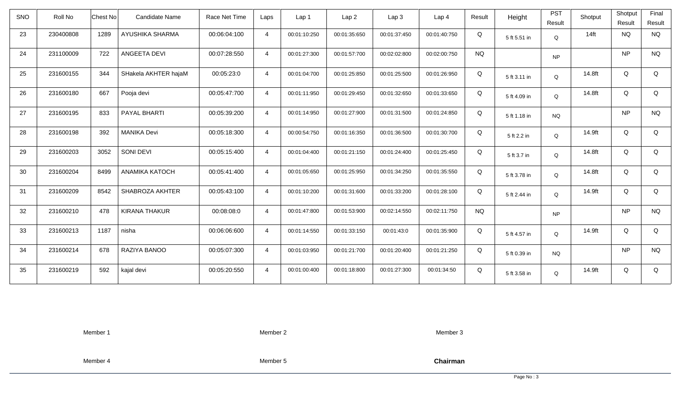| SNO | Roll No   | Chest No | Candidate Name        | Race Net Time | Laps           | Lap 1        | Lap <sub>2</sub> | Lap 3        | Lap <sub>4</sub> | Result    | Height       | <b>PST</b><br>Result | Shotput          | Shotput<br>Result | Final<br>Result |
|-----|-----------|----------|-----------------------|---------------|----------------|--------------|------------------|--------------|------------------|-----------|--------------|----------------------|------------------|-------------------|-----------------|
| 23  | 230400808 | 1289     | AYUSHIKA SHARMA       | 00:06:04:100  | $\overline{4}$ | 00:01:10:250 | 00:01:35:650     | 00:01:37:450 | 00:01:40:750     | Q         | 5 ft 5.51 in | Q                    | 14 <sub>ft</sub> | <b>NQ</b>         | <b>NQ</b>       |
| 24  | 231100009 | 722      | ANGEETA DEVI          | 00:07:28:550  | $\overline{4}$ | 00:01:27:300 | 00:01:57:700     | 00:02:02:800 | 00:02:00:750     | <b>NQ</b> |              | <b>NP</b>            |                  | <b>NP</b>         | <b>NQ</b>       |
| 25  | 231600155 | 344      | SHakela AKHTER hajaM  | 00:05:23:0    | $\overline{4}$ | 00:01:04:700 | 00:01:25:850     | 00:01:25:500 | 00:01:26:950     | Q         | 5 ft 3.11 in | Q                    | 14.8ft           | Q                 | Q               |
| 26  | 231600180 | 667      | Pooja devi            | 00:05:47:700  | $\overline{4}$ | 00:01:11:950 | 00:01:29:450     | 00:01:32:650 | 00:01:33:650     | Q         | 5 ft 4.09 in | Q                    | 14.8ft           | Q                 | Q               |
| 27  | 231600195 | 833      | PAYAL BHARTI          | 00:05:39:200  | $\overline{4}$ | 00:01:14:950 | 00:01:27:900     | 00:01:31:500 | 00:01:24:850     | Q         | 5 ft 1.18 in | <b>NQ</b>            |                  | <b>NP</b>         | <b>NQ</b>       |
| 28  | 231600198 | 392      | <b>MANIKA Devi</b>    | 00:05:18:300  | $\overline{4}$ | 00:00:54:750 | 00:01:16:350     | 00:01:36:500 | 00:01:30:700     | Q         | 5 ft 2.2 in  | Q                    | 14.9ft           | Q                 | Q               |
| 29  | 231600203 | 3052     | SONI DEVI             | 00:05:15:400  | $\overline{4}$ | 00:01:04:400 | 00:01:21:150     | 00:01:24:400 | 00:01:25:450     | Q         | 5 ft 3.7 in  | Q                    | 14.8ft           | Q                 | Q               |
| 30  | 231600204 | 8499     | <b>ANAMIKA KATOCH</b> | 00:05:41:400  | $\overline{4}$ | 00:01:05:650 | 00:01:25:950     | 00:01:34:250 | 00:01:35:550     | Q         | 5 ft 3.78 in | Q                    | 14.8ft           | Q                 | Q               |
| 31  | 231600209 | 8542     | SHABROZA AKHTER       | 00:05:43:100  | $\overline{4}$ | 00:01:10:200 | 00:01:31:600     | 00:01:33:200 | 00:01:28:100     | Q         | 5 ft 2.44 in | $\Omega$             | 14.9ft           | Q                 | Q               |
| 32  | 231600210 | 478      | <b>KIRANA THAKUR</b>  | 00:08:08:0    | $\overline{4}$ | 00:01:47:800 | 00:01:53:900     | 00:02:14:550 | 00:02:11:750     | <b>NQ</b> |              | <b>NP</b>            |                  | <b>NP</b>         | <b>NQ</b>       |
| 33  | 231600213 | 1187     | nisha                 | 00:06:06:600  | $\overline{4}$ | 00:01:14:550 | 00:01:33:150     | 00:01:43:0   | 00:01:35:900     | Q         | 5 ft 4.57 in | Q                    | 14.9ft           | Q                 | Q               |
| 34  | 231600214 | 678      | RAZIYA BANOO          | 00:05:07:300  | $\overline{4}$ | 00:01:03:950 | 00:01:21:700     | 00:01:20:400 | 00:01:21:250     | Q         | 5 ft 0.39 in | <b>NQ</b>            |                  | <b>NP</b>         | <b>NQ</b>       |
| 35  | 231600219 | 592      | kajal devi            | 00:05:20:550  | $\overline{4}$ | 00:01:00:400 | 00:01:18:800     | 00:01:27:300 | 00:01:34:50      | Q         | 5 ft 3.58 in | Q                    | 14.9ft           | Q                 | Q               |

Member 2

Member 3

Member 4

Member 5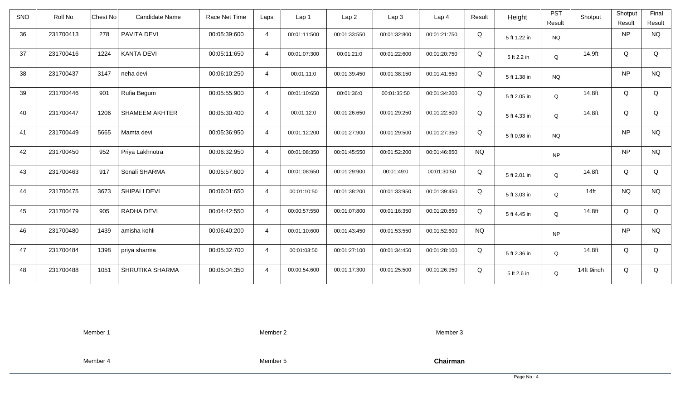| <b>SNO</b> | Roll No   | Candidate Name<br>Chest No    | Race Net Time | Laps           | Lap 1        | Lap2         | Lap 3        | Lap <sub>4</sub> | Result    | Height       | <b>PST</b> | Shotput    | Shotput   | Final     |
|------------|-----------|-------------------------------|---------------|----------------|--------------|--------------|--------------|------------------|-----------|--------------|------------|------------|-----------|-----------|
|            |           |                               |               |                |              |              |              |                  |           |              | Result     |            | Result    | Result    |
| 36         | 231700413 | 278<br>PAVITA DEVI            | 00:05:39:600  | $\overline{4}$ | 00:01:11:500 | 00:01:33:550 | 00:01:32:800 | 00:01:21:750     | Q         | 5 ft 1.22 in | <b>NQ</b>  |            | NP        | <b>NQ</b> |
| 37         | 231700416 | <b>KANTA DEVI</b><br>1224     | 00:05:11:650  | $\overline{4}$ | 00:01:07:300 | 00:01:21:0   | 00:01:22:600 | 00:01:20:750     | Q         | 5 ft 2.2 in  | Q          | 14.9ft     | Q         | Q         |
| 38         | 231700437 | 3147<br>neha devi             | 00:06:10:250  | $\overline{4}$ | 00:01:11:0   | 00:01:39:450 | 00:01:38:150 | 00:01:41:650     | Q         | 5 ft 1.38 in | <b>NQ</b>  |            | <b>NP</b> | <b>NQ</b> |
| 39         | 231700446 | 901<br>Rufia Begum            | 00:05:55:900  | $\overline{4}$ | 00:01:10:650 | 00:01:36:0   | 00:01:35:50  | 00:01:34:200     | Q         | 5 ft 2.05 in | Q          | 14.8ft     | Q         | Q         |
| 40         | 231700447 | 1206<br><b>SHAMEEM AKHTER</b> | 00:05:30:400  | $\overline{4}$ | 00:01:12:0   | 00:01:26:650 | 00:01:29:250 | 00:01:22:500     | Q         | 5 ft 4.33 in | Q          | 14.8ft     | Q         | Q         |
| 41         | 231700449 | 5665<br>Mamta devi            | 00:05:36:950  | $\overline{4}$ | 00:01:12:200 | 00:01:27:900 | 00:01:29:500 | 00:01:27:350     | Q         | 5 ft 0.98 in | <b>NQ</b>  |            | <b>NP</b> | <b>NQ</b> |
| 42         | 231700450 | 952<br>Priya Lakhnotra        | 00:06:32:950  | $\overline{4}$ | 00:01:08:350 | 00:01:45:550 | 00:01:52:200 | 00:01:46:850     | <b>NQ</b> |              | <b>NP</b>  |            | NP        | <b>NQ</b> |
| 43         | 231700463 | Sonali SHARMA<br>917          | 00:05:57:600  | $\overline{4}$ | 00:01:08:650 | 00:01:29:900 | 00:01:49:0   | 00:01:30:50      | Q         | 5 ft 2.01 in | Q          | 14.8ft     | Q         | Q         |
| 44         | 231700475 | 3673<br>SHIPALI DEVI          | 00:06:01:650  | $\overline{4}$ | 00:01:10:50  | 00:01:38:200 | 00:01:33:950 | 00:01:39:450     | Q         | 5 ft 3.03 in | Q          | $14$ ft    | <b>NQ</b> | <b>NQ</b> |
| 45         | 231700479 | 905<br>RADHA DEVI             | 00:04:42:550  | $\overline{4}$ | 00:00:57:550 | 00:01:07:800 | 00:01:16:350 | 00:01:20:850     | Q         | 5 ft 4.45 in | Q          | 14.8ft     | Q         | Q         |
| 46         | 231700480 | 1439<br>amisha kohli          | 00:06:40:200  | $\overline{4}$ | 00:01:10:600 | 00:01:43:450 | 00:01:53:550 | 00:01:52:600     | <b>NQ</b> |              | <b>NP</b>  |            | NP        | <b>NQ</b> |
| 47         | 231700484 | 1398<br>priya sharma          | 00:05:32:700  | $\overline{4}$ | 00:01:03:50  | 00:01:27:100 | 00:01:34:450 | 00:01:28:100     | Q         | 5 ft 2.36 in | Q          | 14.8ft     | Q         | Q         |
| 48         | 231700488 | 1051<br>SHRUTIKA SHARMA       | 00:05:04:350  | $\overline{4}$ | 00:00:54:600 | 00:01:17:300 | 00:01:25:500 | 00:01:26:950     | Q         | 5 ft 2.6 in  | Q          | 14ft 9inch | Q         | Q         |

Member 2

Member 3

Member 4

Member 5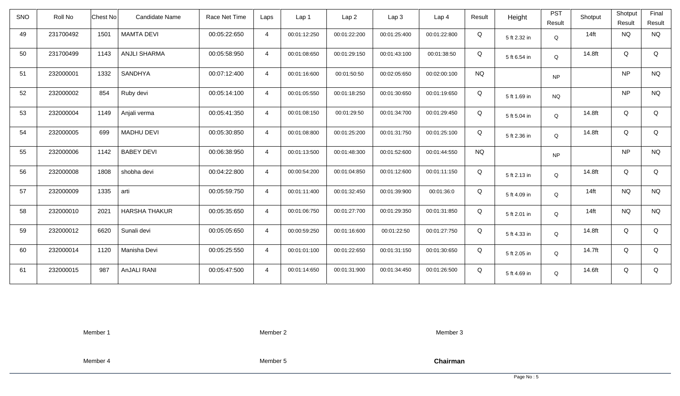| SNO | Roll No   | Chest No | <b>Candidate Name</b> | Race Net Time | Laps           | Lap 1        | Lap <sub>2</sub> | Lap <sub>3</sub> | Lap <sub>4</sub> | Result    | Height       | <b>PST</b><br>Result | Shotput | Shotput<br>Result | Final<br>Result |
|-----|-----------|----------|-----------------------|---------------|----------------|--------------|------------------|------------------|------------------|-----------|--------------|----------------------|---------|-------------------|-----------------|
| 49  | 231700492 | 1501     | <b>MAMTA DEVI</b>     | 00:05:22:650  | $\overline{4}$ | 00:01:12:250 | 00:01:22:200     | 00:01:25:400     | 00:01:22:800     | Q         | 5 ft 2.32 in | Q                    | $14$ ft | <b>NQ</b>         | <b>NQ</b>       |
| 50  | 231700499 | 1143     | <b>ANJLI SHARMA</b>   | 00:05:58:950  | $\overline{4}$ | 00:01:08:650 | 00:01:29:150     | 00:01:43:100     | 00:01:38:50      | Q         | 5 ft 6.54 in | Q                    | 14.8ft  | Q                 | Q               |
| 51  | 232000001 | 1332     | SANDHYA               | 00:07:12:400  | $\overline{4}$ | 00:01:16:600 | 00:01:50:50      | 00:02:05:650     | 00:02:00:100     | <b>NQ</b> |              | <b>NP</b>            |         | <b>NP</b>         | <b>NQ</b>       |
| 52  | 232000002 | 854      | Ruby devi             | 00:05:14:100  | $\overline{4}$ | 00:01:05:550 | 00:01:18:250     | 00:01:30:650     | 00:01:19:650     | Q         | 5 ft 1.69 in | <b>NQ</b>            |         | <b>NP</b>         | <b>NQ</b>       |
| 53  | 232000004 | 1149     | Anjali verma          | 00:05:41:350  | $\overline{4}$ | 00:01:08:150 | 00:01:29:50      | 00:01:34:700     | 00:01:29:450     | Q         | 5 ft 5.04 in | Q                    | 14.8ft  | Q                 | Q               |
| 54  | 232000005 | 699      | <b>MADHU DEVI</b>     | 00:05:30:850  | $\overline{4}$ | 00:01:08:800 | 00:01:25:200     | 00:01:31:750     | 00:01:25:100     | Q         | 5 ft 2.36 in | Q                    | 14.8ft  | Q                 | Q               |
| 55  | 232000006 | 1142     | <b>BABEY DEVI</b>     | 00:06:38:950  | $\overline{4}$ | 00:01:13:500 | 00:01:48:300     | 00:01:52:600     | 00:01:44:550     | <b>NQ</b> |              | <b>NP</b>            |         | <b>NP</b>         | <b>NQ</b>       |
| 56  | 232000008 | 1808     | shobha devi           | 00:04:22:800  | $\overline{4}$ | 00:00:54:200 | 00:01:04:850     | 00:01:12:600     | 00:01:11:150     | Q         | 5 ft 2.13 in | Q                    | 14.8ft  | Q                 | Q               |
| 57  | 232000009 | 1335     | arti                  | 00:05:59:750  | $\overline{4}$ | 00:01:11:400 | 00:01:32:450     | 00:01:39:900     | 00:01:36:0       | Q         | 5 ft 4.09 in | $\mathsf Q$          | $14$ ft | <b>NQ</b>         | <b>NQ</b>       |
| 58  | 232000010 | 2021     | <b>HARSHA THAKUR</b>  | 00:05:35:650  | $\overline{4}$ | 00:01:06:750 | 00:01:27:700     | 00:01:29:350     | 00:01:31:850     | Q         | 5 ft 2.01 in | Q                    | $14$ ft | <b>NQ</b>         | <b>NQ</b>       |
| 59  | 232000012 | 6620     | Sunali devi           | 00:05:05:650  | $\overline{4}$ | 00:00:59:250 | 00:01:16:600     | 00:01:22:50      | 00:01:27:750     | Q         | 5 ft 4.33 in | Q                    | 14.8ft  | Q                 | Q               |
| 60  | 232000014 | 1120     | Manisha Devi          | 00:05:25:550  | $\overline{4}$ | 00:01:01:100 | 00:01:22:650     | 00:01:31:150     | 00:01:30:650     | Q         | 5 ft 2.05 in | Q                    | 14.7ft  | Q                 | Q               |
| 61  | 232000015 | 987      | AnJALI RANI           | 00:05:47:500  | $\overline{4}$ | 00:01:14:650 | 00:01:31:900     | 00:01:34:450     | 00:01:26:500     | Q         | 5 ft 4.69 in | Q                    | 14.6ft  | Q                 | Q               |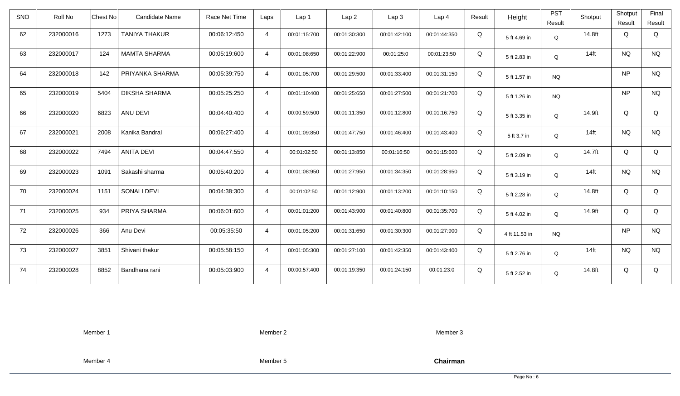| <b>SNO</b> | Roll No   | Chest No         | Candidate Name       | Race Net Time | Laps           | Lap <sub>1</sub> | Lap2         | Lap 3        | Lap <sub>4</sub> | Result | Height        | <b>PST</b> | Shotput | Shotput   | Final     |
|------------|-----------|------------------|----------------------|---------------|----------------|------------------|--------------|--------------|------------------|--------|---------------|------------|---------|-----------|-----------|
|            |           |                  |                      |               |                |                  |              |              |                  |        |               | Result     |         | Result    | Result    |
| 62         | 232000016 | 1273             | <b>TANIYA THAKUR</b> | 00:06:12:450  | $\overline{4}$ | 00:01:15:700     | 00:01:30:300 | 00:01:42:100 | 00:01:44:350     | Q      | 5 ft 4.69 in  | Q          | 14.8ft  | Q         | Q         |
| 63         | 232000017 | 124              | <b>MAMTA SHARMA</b>  | 00:05:19:600  | $\overline{4}$ | 00:01:08:650     | 00:01:22:900 | 00:01:25:0   | 00:01:23:50      | Q      | 5 ft 2.83 in  | Q          | $14$ ft | <b>NQ</b> | <b>NQ</b> |
| 64         | 232000018 | 142              | PRIYANKA SHARMA      | 00:05:39:750  | $\overline{4}$ | 00:01:05:700     | 00:01:29:500 | 00:01:33:400 | 00:01:31:150     | Q      | 5 ft 1.57 in  | <b>NQ</b>  |         | <b>NP</b> | <b>NQ</b> |
| 65         | 232000019 | 5404             | <b>DIKSHA SHARMA</b> | 00:05:25:250  | $\overline{4}$ | 00:01:10:400     | 00:01:25:650 | 00:01:27:500 | 00:01:21:700     | Q      | 5 ft 1.26 in  | <b>NQ</b>  |         | NP        | <b>NQ</b> |
| 66         | 232000020 | ANU DEVI<br>6823 |                      | 00:04:40:400  | $\overline{4}$ | 00:00:59:500     | 00:01:11:350 | 00:01:12:800 | 00:01:16:750     | Q      | 5 ft 3.35 in  | Q          | 14.9ft  | Q         | Q         |
| 67         | 232000021 | 2008             | Kanika Bandral       | 00:06:27:400  | $\overline{4}$ | 00:01:09:850     | 00:01:47:750 | 00:01:46:400 | 00:01:43:400     | Q      | 5 ft 3.7 in   | Q          | $14$ ft | <b>NQ</b> | <b>NQ</b> |
| 68         | 232000022 | 7494             | <b>ANITA DEVI</b>    | 00:04:47:550  | $\overline{4}$ | 00:01:02:50      | 00:01:13:850 | 00:01:16:50  | 00:01:15:600     | Q      | 5 ft 2.09 in  | Q          | 14.7ft  | Q         | Q         |
| 69         | 232000023 | 1091             | Sakashi sharma       | 00:05:40:200  | $\overline{4}$ | 00:01:08:950     | 00:01:27:950 | 00:01:34:350 | 00:01:28:950     | Q      | 5 ft 3.19 in  | Q          | $14$ ft | <b>NQ</b> | <b>NQ</b> |
| 70         | 232000024 | 1151             | <b>SONALI DEVI</b>   | 00:04:38:300  | $\overline{4}$ | 00:01:02:50      | 00:01:12:900 | 00:01:13:200 | 00:01:10:150     | Q      | 5 ft 2.28 in  | Q          | 14.8ft  | Q         | Q         |
| 71         | 232000025 | 934              | PRIYA SHARMA         | 00:06:01:600  | $\overline{4}$ | 00:01:01:200     | 00:01:43:900 | 00:01:40:800 | 00:01:35:700     | Q      | 5 ft 4.02 in  | Q          | 14.9ft  | Q         | Q         |
| 72         | 232000026 | 366<br>Anu Devi  |                      | 00:05:35:50   | $\overline{4}$ | 00:01:05:200     | 00:01:31:650 | 00:01:30:300 | 00:01:27:900     | Q      | 4 ft 11.53 in | <b>NQ</b>  |         | NP        | <b>NQ</b> |
| 73         | 232000027 | 3851             | Shivani thakur       | 00:05:58:150  | $\overline{4}$ | 00:01:05:300     | 00:01:27:100 | 00:01:42:350 | 00:01:43:400     | Q      | 5 ft 2.76 in  | Q          | $14$ ft | <b>NQ</b> | <b>NQ</b> |
| 74         | 232000028 | 8852             | Bandhana rani        | 00:05:03:900  | $\overline{4}$ | 00:00:57:400     | 00:01:19:350 | 00:01:24:150 | 00:01:23:0       | Q      | 5 ft 2.52 in  | Q          | 14.8ft  | Q         | Q         |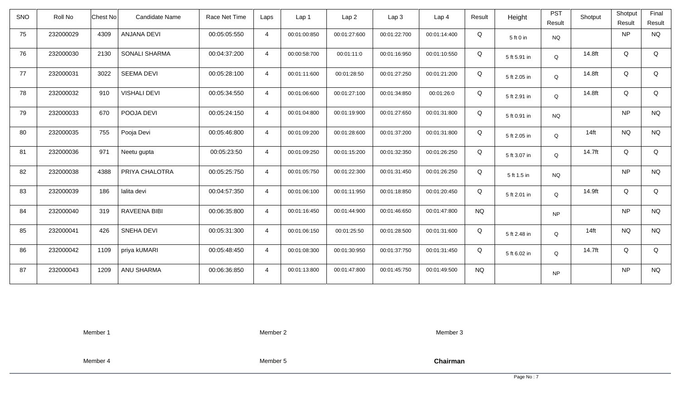| SNO | Roll No   | Chest No | Candidate Name      | Race Net Time | Laps           | Lap 1        | Lap <sub>2</sub> | Lap <sub>3</sub> | Lap <sub>4</sub> | Result    | Height       | <b>PST</b><br>Result | Shotput | Shotput<br>Result | Final<br>Result |
|-----|-----------|----------|---------------------|---------------|----------------|--------------|------------------|------------------|------------------|-----------|--------------|----------------------|---------|-------------------|-----------------|
| 75  | 232000029 | 4309     | ANJANA DEVI         | 00:05:05:550  | $\overline{4}$ | 00:01:00:850 | 00:01:27:600     | 00:01:22:700     | 00:01:14:400     | Q         | 5 ft 0 in    | <b>NQ</b>            |         | NP                | <b>NQ</b>       |
| 76  | 232000030 | 2130     | SONALI SHARMA       | 00:04:37:200  | $\overline{4}$ | 00:00:58:700 | 00:01:11:0       | 00:01:16:950     | 00:01:10:550     | Q         | 5 ft 5.91 in | Q                    | 14.8ft  | Q                 | Q               |
| 77  | 232000031 | 3022     | <b>SEEMA DEVI</b>   | 00:05:28:100  | $\overline{4}$ | 00:01:11:600 | 00:01:28:50      | 00:01:27:250     | 00:01:21:200     | Q         | 5 ft 2.05 in | Q                    | 14.8ft  | Q                 | Q               |
| 78  | 232000032 | 910      | <b>VISHALI DEVI</b> | 00:05:34:550  | $\overline{4}$ | 00:01:06:600 | 00:01:27:100     | 00:01:34:850     | 00:01:26:0       | Q         | 5 ft 2.91 in | Q                    | 14.8ft  | Q                 | Q               |
| 79  | 232000033 | 670      | POOJA DEVI          | 00:05:24:150  | $\overline{4}$ | 00:01:04:800 | 00:01:19:900     | 00:01:27:650     | 00:01:31:800     | Q         | 5 ft 0.91 in | <b>NQ</b>            |         | <b>NP</b>         | <b>NQ</b>       |
| 80  | 232000035 | 755      | Pooja Devi          | 00:05:46:800  | $\overline{4}$ | 00:01:09:200 | 00:01:28:600     | 00:01:37:200     | 00:01:31:800     | Q         | 5 ft 2.05 in | $\Omega$             | $14$ ft | <b>NQ</b>         | <b>NQ</b>       |
| 81  | 232000036 | 971      | Neetu gupta         | 00:05:23:50   | $\overline{4}$ | 00:01:09:250 | 00:01:15:200     | 00:01:32:350     | 00:01:26:250     | Q         | 5 ft 3.07 in | Q                    | 14.7ft  | Q                 | Q               |
| 82  | 232000038 | 4388     | PRIYA CHALOTRA      | 00:05:25:750  | $\overline{4}$ | 00:01:05:750 | 00:01:22:300     | 00:01:31:450     | 00:01:26:250     | Q         | 5 ft 1.5 in  | <b>NQ</b>            |         | <b>NP</b>         | <b>NQ</b>       |
| 83  | 232000039 | 186      | lalita devi         | 00:04:57:350  | $\overline{4}$ | 00:01:06:100 | 00:01:11:950     | 00:01:18:850     | 00:01:20:450     | Q         | 5 ft 2.01 in | $\Omega$             | 14.9ft  | Q                 | Q               |
| 84  | 232000040 | 319      | <b>RAVEENA BIBI</b> | 00:06:35:800  | $\overline{4}$ | 00:01:16:450 | 00:01:44:900     | 00:01:46:650     | 00:01:47:800     | <b>NQ</b> |              | <b>NP</b>            |         | <b>NP</b>         | <b>NQ</b>       |
| 85  | 232000041 | 426      | <b>SNEHA DEVI</b>   | 00:05:31:300  | $\overline{4}$ | 00:01:06:150 | 00:01:25:50      | 00:01:28:500     | 00:01:31:600     | Q         | 5 ft 2.48 in | Q                    | $14$ ft | <b>NQ</b>         | <b>NQ</b>       |
| 86  | 232000042 | 1109     | priya kUMARI        | 00:05:48:450  | $\overline{4}$ | 00:01:08:300 | 00:01:30:950     | 00:01:37:750     | 00:01:31:450     | Q         | 5 ft 6.02 in | Q                    | 14.7ft  | Q                 | Q               |
| 87  | 232000043 | 1209     | ANU SHARMA          | 00:06:36:850  | $\overline{4}$ | 00:01:13:800 | 00:01:47:800     | 00:01:45:750     | 00:01:49:500     | <b>NQ</b> |              | <b>NP</b>            |         | <b>NP</b>         | <b>NQ</b>       |

Member 2

Member 3

Member 4

Member 5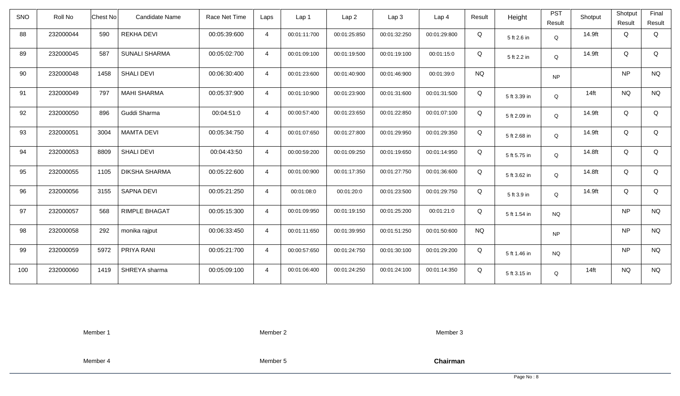| <b>SNO</b> | Roll No   | Candidate Name<br>Chest No   | Race Net Time | Laps           | Lap <sub>1</sub> | Lap2         | Lap 3        | Lap <sub>4</sub> | Result    | Height       | <b>PST</b> | Shotput | Shotput   | Final     |
|------------|-----------|------------------------------|---------------|----------------|------------------|--------------|--------------|------------------|-----------|--------------|------------|---------|-----------|-----------|
|            |           |                              |               |                |                  |              |              |                  |           |              | Result     |         | Result    | Result    |
| 88         | 232000044 | 590<br><b>REKHA DEVI</b>     | 00:05:39:600  | $\overline{4}$ | 00:01:11:700     | 00:01:25:850 | 00:01:32:250 | 00:01:29:800     | Q         | 5 ft 2.6 in  | Q          | 14.9ft  | Q         | Q         |
| 89         | 232000045 | <b>SUNALI SHARMA</b><br>587  | 00:05:02:700  | $\overline{4}$ | 00:01:09:100     | 00:01:19:500 | 00:01:19:100 | 00:01:15:0       | Q         | 5 ft 2.2 in  | Q          | 14.9ft  | Q         | Q         |
| 90         | 232000048 | <b>SHALI DEVI</b><br>1458    | 00:06:30:400  | $\overline{4}$ | 00:01:23:600     | 00:01:40:900 | 00:01:46:900 | 00:01:39:0       | <b>NQ</b> |              | <b>NP</b>  |         | <b>NP</b> | <b>NQ</b> |
| 91         | 232000049 | 797<br><b>MAHI SHARMA</b>    | 00:05:37:900  | $\overline{4}$ | 00:01:10:900     | 00:01:23:900 | 00:01:31:600 | 00:01:31:500     | Q         | 5 ft 3.39 in | Q          | $14$ ft | <b>NQ</b> | <b>NQ</b> |
| 92         | 232000050 | 896<br>Guddi Sharma          | 00:04:51:0    | $\overline{4}$ | 00:00:57:400     | 00:01:23:650 | 00:01:22:850 | 00:01:07:100     | Q         | 5 ft 2.09 in | Q          | 14.9ft  | Q         | Q         |
| 93         | 232000051 | 3004<br><b>MAMTA DEVI</b>    | 00:05:34:750  | $\overline{4}$ | 00:01:07:650     | 00:01:27:800 | 00:01:29:950 | 00:01:29:350     | Q         | 5 ft 2.68 in | Q          | 14.9ft  | Q         | Q         |
| 94         | 232000053 | 8809<br><b>SHALI DEVI</b>    | 00:04:43:50   | $\overline{4}$ | 00:00:59:200     | 00:01:09:250 | 00:01:19:650 | 00:01:14:950     | Q         | 5 ft 5.75 in | Q          | 14.8ft  | Q         | Q         |
| 95         | 232000055 | 1105<br><b>DIKSHA SHARMA</b> | 00:05:22:600  | $\overline{4}$ | 00:01:00:900     | 00:01:17:350 | 00:01:27:750 | 00:01:36:600     | Q         | 5 ft 3.62 in | Q          | 14.8ft  | Q         | Q         |
| 96         | 232000056 | <b>SAPNA DEVI</b><br>3155    | 00:05:21:250  | $\overline{4}$ | 00:01:08:0       | 00:01:20:0   | 00:01:23:500 | 00:01:29:750     | Q         | 5 ft 3.9 in  | Q          | 14.9ft  | Q         | Q         |
| 97         | 232000057 | 568<br><b>RIMPLE BHAGAT</b>  | 00:05:15:300  | $\overline{4}$ | 00:01:09:950     | 00:01:19:150 | 00:01:25:200 | 00:01:21:0       | Q         | 5 ft 1.54 in | <b>NQ</b>  |         | <b>NP</b> | <b>NQ</b> |
| 98         | 232000058 | 292<br>monika rajput         | 00:06:33:450  | $\overline{4}$ | 00:01:11:650     | 00:01:39:950 | 00:01:51:250 | 00:01:50:600     | <b>NQ</b> |              | <b>NP</b>  |         | NP        | <b>NQ</b> |
| 99         | 232000059 | PRIYA RANI<br>5972           | 00:05:21:700  | $\overline{4}$ | 00:00:57:650     | 00:01:24:750 | 00:01:30:100 | 00:01:29:200     | Q         | 5 ft 1.46 in | NQ.        |         | NP        | <b>NQ</b> |
| 100        | 232000060 | 1419<br>SHREYA sharma        | 00:05:09:100  | $\overline{4}$ | 00:01:06:400     | 00:01:24:250 | 00:01:24:100 | 00:01:14:350     | Q         | 5 ft 3.15 in | Q          | $14$ ft | <b>NQ</b> | <b>NQ</b> |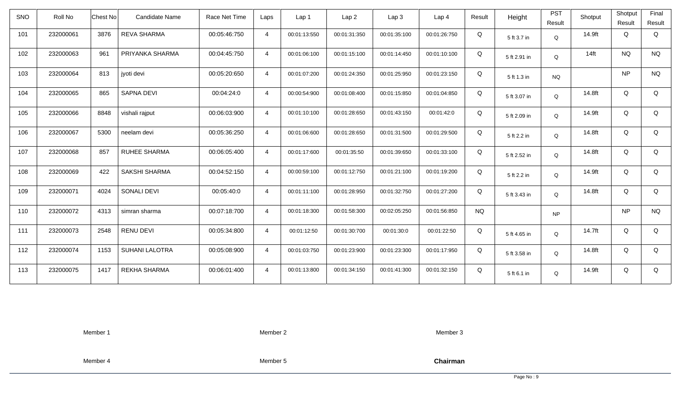| <b>SNO</b> | Roll No   | <b>Chest No</b> | Candidate Name        | Race Net Time | Laps           | Lap <sub>1</sub> | Lap <sub>2</sub> | Lap <sub>3</sub> | Lap <sub>4</sub> | Result    | Height       | <b>PST</b><br>Result | Shotput | Shotput<br>Result | Final<br>Result |
|------------|-----------|-----------------|-----------------------|---------------|----------------|------------------|------------------|------------------|------------------|-----------|--------------|----------------------|---------|-------------------|-----------------|
| 101        | 232000061 | 3876            | <b>REVA SHARMA</b>    | 00:05:46:750  | $\overline{4}$ | 00:01:13:550     | 00:01:31:350     | 00:01:35:100     | 00:01:26:750     | Q         | 5 ft 3.7 in  | Q                    | 14.9ft  | Q                 | Q               |
| 102        | 232000063 | 961             | PRIYANKA SHARMA       | 00:04:45:750  | $\overline{4}$ | 00:01:06:100     | 00:01:15:100     | 00:01:14:450     | 00:01:10:100     | Q         | 5 ft 2.91 in | Q                    | $14$ ft | <b>NQ</b>         | <b>NQ</b>       |
| 103        | 232000064 | 813             | jyoti devi            | 00:05:20:650  | $\overline{4}$ | 00:01:07:200     | 00:01:24:350     | 00:01:25:950     | 00:01:23:150     | Q         | 5 ft 1.3 in  | <b>NQ</b>            |         | <b>NP</b>         | <b>NQ</b>       |
| 104        | 232000065 | 865             | SAPNA DEVI            | 00:04:24:0    | $\overline{4}$ | 00:00:54:900     | 00:01:08:400     | 00:01:15:850     | 00:01:04:850     | Q         | 5 ft 3.07 in | Q                    | 14.8ft  | Q                 | Q               |
| 105        | 232000066 | 8848            | vishali rajput        | 00:06:03:900  | $\overline{4}$ | 00:01:10:100     | 00:01:28:650     | 00:01:43:150     | 00:01:42:0       | Q         | 5 ft 2.09 in | Q                    | 14.9ft  | Q                 | Q               |
| 106        | 232000067 | 5300            | neelam devi           | 00:05:36:250  | $\overline{4}$ | 00:01:06:600     | 00:01:28:650     | 00:01:31:500     | 00:01:29:500     | Q         | 5 ft 2.2 in  | Q                    | 14.8ft  | Q                 | Q               |
| 107        | 232000068 | 857             | <b>RUHEE SHARMA</b>   | 00:06:05:400  | $\overline{4}$ | 00:01:17:600     | 00:01:35:50      | 00:01:39:650     | 00:01:33:100     | Q         | 5 ft 2.52 in | Q                    | 14.8ft  | Q                 | Q               |
| 108        | 232000069 | 422             | <b>SAKSHI SHARMA</b>  | 00:04:52:150  | $\overline{4}$ | 00:00:59:100     | 00:01:12:750     | 00:01:21:100     | 00:01:19:200     | Q         | 5 ft 2.2 in  | Q                    | 14.9ft  | Q                 | Q               |
| 109        | 232000071 | 4024            | <b>SONALI DEVI</b>    | 00:05:40:0    | $\overline{4}$ | 00:01:11:100     | 00:01:28:950     | 00:01:32:750     | 00:01:27:200     | Q         | 5 ft 3.43 in | Q                    | 14.8ft  | Q                 | Q               |
| 110        | 232000072 | 4313            | simran sharma         | 00:07:18:700  | $\overline{4}$ | 00:01:18:300     | 00:01:58:300     | 00:02:05:250     | 00:01:56:850     | <b>NQ</b> |              | <b>NP</b>            |         | <b>NP</b>         | <b>NQ</b>       |
| 111        | 232000073 | 2548            | <b>RENU DEVI</b>      | 00:05:34:800  | $\overline{4}$ | 00:01:12:50      | 00:01:30:700     | 00:01:30:0       | 00:01:22:50      | Q         | 5 ft 4.65 in | Q                    | 14.7ft  | Q                 | Q               |
| 112        | 232000074 | 1153            | <b>SUHANI LALOTRA</b> | 00:05:08:900  | $\overline{4}$ | 00:01:03:750     | 00:01:23:900     | 00:01:23:300     | 00:01:17:950     | Q         | 5 ft 3.58 in | Q                    | 14.8ft  | Q                 | Q               |
| 113        | 232000075 | 1417            | <b>REKHA SHARMA</b>   | 00:06:01:400  | $\overline{4}$ | 00:01:13:800     | 00:01:34:150     | 00:01:41:300     | 00:01:32:150     | Q         | 5 ft 6.1 in  | Q                    | 14.9ft  | Q                 | Q               |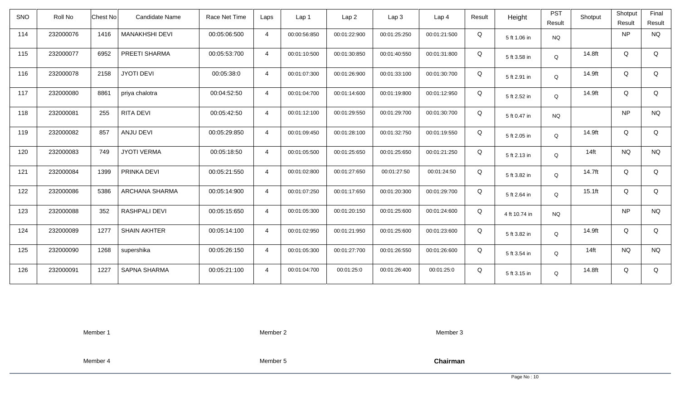| <b>SNO</b> | Roll No   | <b>Chest No</b> | Candidate Name        | Race Net Time | Laps           | Lap 1        | Lap <sub>2</sub> | Lap <sub>3</sub> | Lap <sub>4</sub> | Result | Height        | <b>PST</b><br>Result | Shotput   | Shotput<br>Result | Final<br>Result |
|------------|-----------|-----------------|-----------------------|---------------|----------------|--------------|------------------|------------------|------------------|--------|---------------|----------------------|-----------|-------------------|-----------------|
| 114        | 232000076 | 1416            | <b>MANAKHSHI DEVI</b> | 00:05:06:500  | $\overline{4}$ | 00:00:56:850 | 00:01:22:900     | 00:01:25:250     | 00:01:21:500     | Q      | 5 ft 1.06 in  | <b>NQ</b>            |           | <b>NP</b>         | <b>NQ</b>       |
| 115        | 232000077 | 6952            | PREETI SHARMA         | 00:05:53:700  | $\overline{4}$ | 00:01:10:500 | 00:01:30:850     | 00:01:40:550     | 00:01:31:800     | Q      | 5 ft 3.58 in  | Q                    | 14.8ft    | Q                 | Q               |
| 116        | 232000078 | 2158            | <b>JYOTI DEVI</b>     | 00:05:38:0    | $\overline{4}$ | 00:01:07:300 | 00:01:26:900     | 00:01:33:100     | 00:01:30:700     | Q      | 5 ft 2.91 in  | Q                    | 14.9ft    | Q                 | Q               |
| 117        | 232000080 | 8861            | priya chalotra        | 00:04:52:50   | $\overline{4}$ | 00:01:04:700 | 00:01:14:600     | 00:01:19:800     | 00:01:12:950     | Q      | 5 ft 2.52 in  | Q                    | 14.9ft    | Q                 | Q               |
| 118        | 232000081 | 255             | RITA DEVI             | 00:05:42:50   | $\overline{4}$ | 00:01:12:100 | 00:01:29:550     | 00:01:29:700     | 00:01:30:700     | Q      | 5 ft 0.47 in  | <b>NQ</b>            |           | <b>NP</b>         | <b>NQ</b>       |
| 119        | 232000082 | 857             | ANJU DEVI             | 00:05:29:850  | $\overline{4}$ | 00:01:09:450 | 00:01:28:100     | 00:01:32:750     | 00:01:19:550     | Q      | 5 ft 2.05 in  | Q                    | 14.9ft    | Q                 | Q               |
| 120        | 232000083 | 749             | <b>JYOTI VERMA</b>    | 00:05:18:50   | $\overline{4}$ | 00:01:05:500 | 00:01:25:650     | 00:01:25:650     | 00:01:21:250     | Q      | 5 ft 2.13 in  | Q                    | $14$ ft   | <b>NQ</b>         | <b>NQ</b>       |
| 121        | 232000084 | 1399            | PRINKA DEVI           | 00:05:21:550  | $\overline{4}$ | 00:01:02:800 | 00:01:27:650     | 00:01:27:50      | 00:01:24:50      | Q      | 5 ft 3.82 in  | Q                    | 14.7ft    | Q                 | Q               |
| 122        | 232000086 | 5386            | ARCHANA SHARMA        | 00:05:14:900  | $\overline{4}$ | 00:01:07:250 | 00:01:17:650     | 00:01:20:300     | 00:01:29:700     | Q      | 5 ft 2.64 in  | $\mathsf Q$          | $15.1$ ft | Q                 | Q               |
| 123        | 232000088 | 352             | <b>RASHPALI DEVI</b>  | 00:05:15:650  | $\overline{4}$ | 00:01:05:300 | 00:01:20:150     | 00:01:25:600     | 00:01:24:600     | Q      | 4 ft 10.74 in | <b>NQ</b>            |           | <b>NP</b>         | <b>NQ</b>       |
| 124        | 232000089 | 1277            | <b>SHAIN AKHTER</b>   | 00:05:14:100  | $\overline{4}$ | 00:01:02:950 | 00:01:21:950     | 00:01:25:600     | 00:01:23:600     | Q      | 5 ft 3.82 in  | Q                    | 14.9ft    | Q                 | Q               |
| 125        | 232000090 | 1268            | supershika            | 00:05:26:150  | $\overline{4}$ | 00:01:05:300 | 00:01:27:700     | 00:01:26:550     | 00:01:26:600     | Q      | 5 ft 3.54 in  | Q                    | $14$ ft   | <b>NQ</b>         | <b>NQ</b>       |
| 126        | 232000091 | 1227            | <b>SAPNA SHARMA</b>   | 00:05:21:100  | $\overline{4}$ | 00:01:04:700 | 00:01:25:0       | 00:01:26:400     | 00:01:25:0       | Q      | 5 ft 3.15 in  | Q                    | 14.8ft    | Q                 | Q               |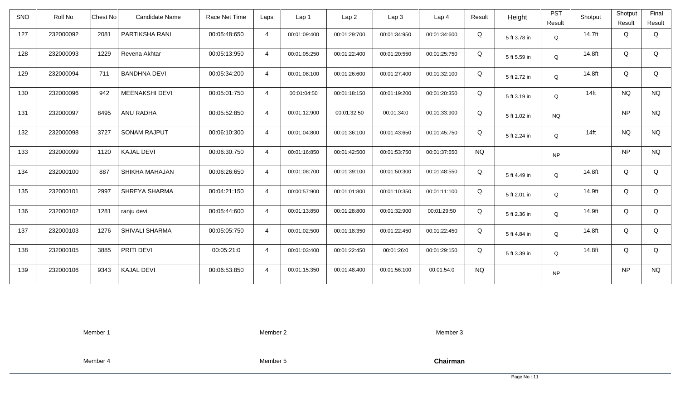| <b>SNO</b> | Roll No   | <b>Chest No</b> | Candidate Name        | Race Net Time | Laps           | Lap <sub>1</sub> | Lap <sub>2</sub> | Lap <sub>3</sub> | Lap <sub>4</sub> | Result    | Height       | <b>PST</b><br>Result | Shotput | Shotput<br>Result | Final<br>Result |
|------------|-----------|-----------------|-----------------------|---------------|----------------|------------------|------------------|------------------|------------------|-----------|--------------|----------------------|---------|-------------------|-----------------|
| 127        | 232000092 | 2081            | PARTIKSHA RANI        | 00:05:48:650  | $\overline{4}$ | 00:01:09:400     | 00:01:29:700     | 00:01:34:950     | 00:01:34:600     | Q         | 5 ft 3.78 in | Q                    | 14.7ft  | Q                 | Q               |
| 128        | 232000093 | 1229            | Revena Akhtar         | 00:05:13:950  | $\overline{4}$ | 00:01:05:250     | 00:01:22:400     | 00:01:20:550     | 00:01:25:750     | Q         | 5 ft 5.59 in | Q                    | 14.8ft  | Q                 | Q               |
| 129        | 232000094 | 711             | <b>BANDHNA DEVI</b>   | 00:05:34:200  | $\overline{4}$ | 00:01:08:100     | 00:01:26:600     | 00:01:27:400     | 00:01:32:100     | Q         | 5 ft 2.72 in | Q                    | 14.8ft  | Q                 | Q               |
| 130        | 232000096 | 942             | <b>MEENAKSHI DEVI</b> | 00:05:01:750  | $\overline{4}$ | 00:01:04:50      | 00:01:18:150     | 00:01:19:200     | 00:01:20:350     | Q         | 5 ft 3.19 in | Q                    | $14$ ft | <b>NQ</b>         | <b>NQ</b>       |
| 131        | 232000097 | 8495            | ANU RADHA             | 00:05:52:850  | $\overline{4}$ | 00:01:12:900     | 00:01:32:50      | 00:01:34:0       | 00:01:33:900     | Q         | 5 ft 1.02 in | <b>NQ</b>            |         | <b>NP</b>         | <b>NQ</b>       |
| 132        | 232000098 | 3727            | <b>SONAM RAJPUT</b>   | 00:06:10:300  | $\overline{4}$ | 00:01:04:800     | 00:01:36:100     | 00:01:43:650     | 00:01:45:750     | Q         | 5 ft 2.24 in | Q                    | $14$ ft | <b>NQ</b>         | <b>NQ</b>       |
| 133        | 232000099 | 1120            | <b>KAJAL DEVI</b>     | 00:06:30:750  | $\overline{4}$ | 00:01:16:850     | 00:01:42:500     | 00:01:53:750     | 00:01:37:650     | <b>NQ</b> |              | <b>NP</b>            |         | <b>NP</b>         | <b>NQ</b>       |
| 134        | 232000100 | 887             | SHIKHA MAHAJAN        | 00:06:26:650  | $\overline{4}$ | 00:01:08:700     | 00:01:39:100     | 00:01:50:300     | 00:01:48:550     | Q         | 5 ft 4.49 in | Q                    | 14.8ft  | Q                 | Q               |
| 135        | 232000101 | 2997            | SHREYA SHARMA         | 00:04:21:150  | $\overline{4}$ | 00:00:57:900     | 00:01:01:800     | 00:01:10:350     | 00:01:11:100     | Q         | 5 ft 2.01 in | Q                    | 14.9ft  | Q                 | Q               |
| 136        | 232000102 | 1281            | ranju devi            | 00:05:44:600  | $\overline{4}$ | 00:01:13:850     | 00:01:28:800     | 00:01:32:900     | 00:01:29:50      | Q         | 5 ft 2.36 in | Q                    | 14.9ft  | Q                 | Q               |
| 137        | 232000103 | 1276            | SHIVALI SHARMA        | 00:05:05:750  | $\overline{4}$ | 00:01:02:500     | 00:01:18:350     | 00:01:22:450     | 00:01:22:450     | Q         | 5 ft 4.84 in | Q                    | 14.8ft  | Q                 | Q               |
| 138        | 232000105 | 3885            | PRITI DEVI            | 00:05:21:0    | $\overline{4}$ | 00:01:03:400     | 00:01:22:450     | 00:01:26:0       | 00:01:29:150     | Q         | 5 ft 3.39 in | Q                    | 14.8ft  | Q                 | Q               |
| 139        | 232000106 | 9343            | <b>KAJAL DEVI</b>     | 00:06:53:850  | $\overline{4}$ | 00:01:15:350     | 00:01:48:400     | 00:01:56:100     | 00:01:54:0       | <b>NQ</b> |              | <b>NP</b>            |         | NP                | <b>NQ</b>       |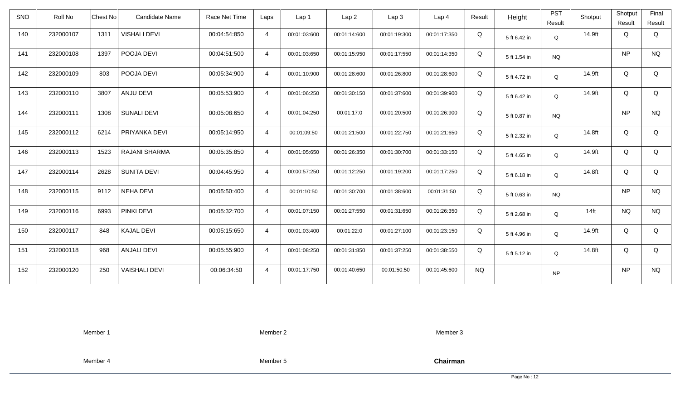| <b>SNO</b> | Roll No   | <b>Chest No</b> | Candidate Name       | Race Net Time | Laps           | Lap 1        | Lap <sub>2</sub> | Lap <sub>3</sub> | Lap <sub>4</sub> | Result    | Height       | <b>PST</b><br>Result | Shotput | Shotput<br>Result | Final<br>Result |
|------------|-----------|-----------------|----------------------|---------------|----------------|--------------|------------------|------------------|------------------|-----------|--------------|----------------------|---------|-------------------|-----------------|
| 140        | 232000107 | 1311            | <b>VISHALI DEVI</b>  | 00:04:54:850  | $\overline{4}$ | 00:01:03:600 | 00:01:14:600     | 00:01:19:300     | 00:01:17:350     | Q         | 5 ft 6.42 in | Q                    | 14.9ft  | Q                 | Q               |
| 141        | 232000108 | 1397            | POOJA DEVI           | 00:04:51:500  | $\overline{4}$ | 00:01:03:650 | 00:01:15:950     | 00:01:17:550     | 00:01:14:350     | Q         | 5 ft 1.54 in | <b>NQ</b>            |         | <b>NP</b>         | <b>NQ</b>       |
| 142        | 232000109 | 803             | POOJA DEVI           | 00:05:34:900  | $\overline{4}$ | 00:01:10:900 | 00:01:28:600     | 00:01:26:800     | 00:01:28:600     | Q         | 5 ft 4.72 in | Q                    | 14.9ft  | Q                 | Q               |
| 143        | 232000110 | 3807            | ANJU DEVI            | 00:05:53:900  | $\overline{4}$ | 00:01:06:250 | 00:01:30:150     | 00:01:37:600     | 00:01:39:900     | Q         | 5 ft 6.42 in | Q                    | 14.9ft  | Q                 | Q               |
| 144        | 232000111 | 1308            | <b>SUNALI DEVI</b>   | 00:05:08:650  | $\overline{4}$ | 00:01:04:250 | 00:01:17:0       | 00:01:20:500     | 00:01:26:900     | Q         | 5 ft 0.87 in | <b>NQ</b>            |         | <b>NP</b>         | <b>NQ</b>       |
| 145        | 232000112 | 6214            | PRIYANKA DEVI        | 00:05:14:950  | $\overline{4}$ | 00:01:09:50  | 00:01:21:500     | 00:01:22:750     | 00:01:21:650     | Q         | 5 ft 2.32 in | Q                    | 14.8ft  | Q                 | Q               |
| 146        | 232000113 | 1523            | RAJANI SHARMA        | 00:05:35:850  | $\overline{4}$ | 00:01:05:650 | 00:01:26:350     | 00:01:30:700     | 00:01:33:150     | Q         | 5 ft 4.65 in | Q                    | 14.9ft  | Q                 | Q               |
| 147        | 232000114 | 2628            | <b>SUNITA DEVI</b>   | 00:04:45:950  | $\overline{4}$ | 00:00:57:250 | 00:01:12:250     | 00:01:19:200     | 00:01:17:250     | Q         | 5 ft 6.18 in | Q                    | 14.8ft  | Q                 | Q               |
| 148        | 232000115 | 9112            | <b>NEHA DEVI</b>     | 00:05:50:400  | $\overline{4}$ | 00:01:10:50  | 00:01:30:700     | 00:01:38:600     | 00:01:31:50      | Q         | 5 ft 0.63 in | <b>NQ</b>            |         | <b>NP</b>         | <b>NQ</b>       |
| 149        | 232000116 | 6993            | PINKI DEVI           | 00:05:32:700  | $\overline{4}$ | 00:01:07:150 | 00:01:27:550     | 00:01:31:650     | 00:01:26:350     | Q         | 5 ft 2.68 in | Q                    | $14$ ft | <b>NQ</b>         | <b>NQ</b>       |
| 150        | 232000117 | 848             | <b>KAJAL DEVI</b>    | 00:05:15:650  | $\overline{4}$ | 00:01:03:400 | 00:01:22:0       | 00:01:27:100     | 00:01:23:150     | Q         | 5 ft 4.96 in | Q                    | 14.9ft  | Q                 | Q               |
| 151        | 232000118 | 968             | <b>ANJALI DEVI</b>   | 00:05:55:900  | $\overline{4}$ | 00:01:08:250 | 00:01:31:850     | 00:01:37:250     | 00:01:38:550     | Q         | 5 ft 5.12 in | Q                    | 14.8ft  | Q                 | Q               |
| 152        | 232000120 | 250             | <b>VAISHALI DEVI</b> | 00:06:34:50   | $\overline{4}$ | 00:01:17:750 | 00:01:40:650     | 00:01:50:50      | 00:01:45:600     | <b>NQ</b> |              | <b>NP</b>            |         | <b>NP</b>         | <b>NQ</b>       |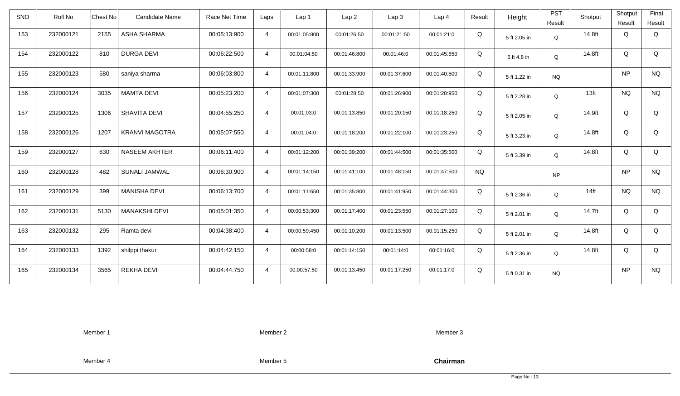| <b>SNO</b> | Roll No   | Chest No | Candidate Name        | Race Net Time | Laps           | Lap 1        | Lap <sub>2</sub> | Lap <sub>3</sub> | Lap <sub>4</sub> | Result    | Height       | <b>PST</b><br>Result | Shotput          | Shotput<br>Result | Final<br>Result |
|------------|-----------|----------|-----------------------|---------------|----------------|--------------|------------------|------------------|------------------|-----------|--------------|----------------------|------------------|-------------------|-----------------|
| 153        | 232000121 | 2155     | ASHA SHARMA           | 00:05:13:900  | $\overline{4}$ | 00:01:05:800 | 00:01:26:50      | 00:01:21:50      | 00:01:21:0       | Q         | 5 ft 2.05 in | $\mathsf Q$          | 14.8ft           | Q                 | Q               |
| 154        | 232000122 | 810      | <b>DURGA DEVI</b>     | 00:06:22:500  | $\overline{4}$ | 00:01:04:50  | 00:01:46:800     | 00:01:46:0       | 00:01:45:650     | Q         | 5 ft 4.8 in  | Q                    | 14.8ft           | Q                 | Q               |
| 155        | 232000123 | 580      | saniya sharma         | 00:06:03:800  | $\overline{4}$ | 00:01:11:800 | 00:01:33:900     | 00:01:37:600     | 00:01:40:500     | Q         | 5 ft 1.22 in | <b>NQ</b>            |                  | <b>NP</b>         | <b>NQ</b>       |
| 156        | 232000124 | 3035     | <b>MAMTA DEVI</b>     | 00:05:23:200  | $\overline{4}$ | 00:01:07:300 | 00:01:28:50      | 00:01:26:900     | 00:01:20:950     | Q         | 5 ft 2.28 in | Q                    | 13 <sub>ft</sub> | <b>NQ</b>         | <b>NQ</b>       |
| 157        | 232000125 | 1306     | SHAVITA DEVI          | 00:04:55:250  | $\overline{4}$ | 00:01:03:0   | 00:01:13:850     | 00:01:20:150     | 00:01:18:250     | Q         | 5 ft 2.05 in | Q                    | 14.9ft           | Q                 | Q               |
| 158        | 232000126 | 1207     | <b>KRANVI MAGOTRA</b> | 00:05:07:550  | $\overline{4}$ | 00:01:04:0   | 00:01:18:200     | 00:01:22:100     | 00:01:23:250     | Q         | 5 ft 3.23 in | Q                    | 14.8ft           | Q                 | Q               |
| 159        | 232000127 | 630      | <b>NASEEM AKHTER</b>  | 00:06:11:400  | $\overline{4}$ | 00:01:12:200 | 00:01:39:200     | 00:01:44:500     | 00:01:35:500     | Q         | 5 ft 3.39 in | $\mathsf Q$          | 14.8ft           | Q                 | Q               |
| 160        | 232000128 | 482      | SUNALI JAMWAL         | 00:06:30:900  | $\overline{4}$ | 00:01:14:150 | 00:01:41:100     | 00:01:48:150     | 00:01:47:500     | <b>NQ</b> |              | <b>NP</b>            |                  | <b>NP</b>         | <b>NQ</b>       |
| 161        | 232000129 | 399      | <b>MANISHA DEVI</b>   | 00:06:13:700  | $\overline{4}$ | 00:01:11:650 | 00:01:35:800     | 00:01:41:950     | 00:01:44:300     | Q         | 5 ft 2.36 in | Q                    | $14$ ft          | <b>NQ</b>         | <b>NQ</b>       |
| 162        | 232000131 | 5130     | <b>MANAKSHI DEVI</b>  | 00:05:01:350  | $\overline{4}$ | 00:00:53:300 | 00:01:17:400     | 00:01:23:550     | 00:01:27:100     | Q         | 5 ft 2.01 in | Q                    | 14.7ft           | Q                 | Q               |
| 163        | 232000132 | 295      | Ramta devi            | 00:04:38:400  | $\overline{4}$ | 00:00:59:450 | 00:01:10:200     | 00:01:13:500     | 00:01:15:250     | Q         | 5 ft 2.01 in | Q                    | 14.8ft           | Q                 | Q               |
| 164        | 232000133 | 1392     | shilppi thakur        | 00:04:42:150  | $\overline{4}$ | 00:00:58:0   | 00:01:14:150     | 00:01:14:0       | 00:01:16:0       | Q         | 5 ft 2.36 in | Q                    | 14.8ft           | Q                 | Q               |
| 165        | 232000134 | 3565     | <b>REKHA DEVI</b>     | 00:04:44:750  | $\overline{4}$ | 00:00:57:50  | 00:01:13:450     | 00:01:17:250     | 00:01:17:0       | Q         | 5 ft 0.31 in | <b>NQ</b>            |                  | <b>NP</b>         | <b>NQ</b>       |

Member 2

Member 3

Member 4

Member 5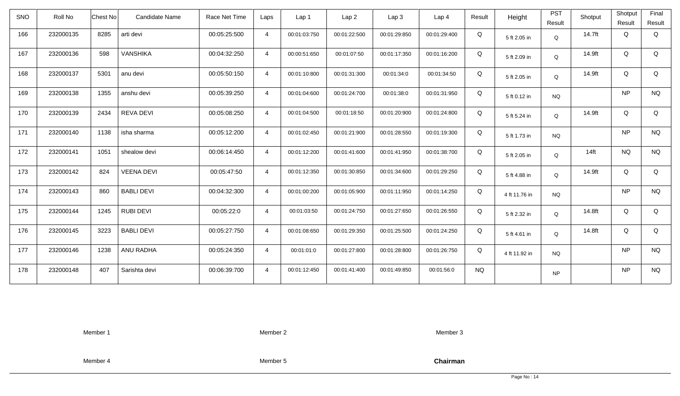| <b>SNO</b> | Roll No   | Candidate Name<br>Chest No | Race Net Time | Laps           | Lap <sub>1</sub> | Lap2         | Lap 3        | Lap <sub>4</sub> | Result    | Height        | <b>PST</b> | Shotput | Shotput   | Final     |
|------------|-----------|----------------------------|---------------|----------------|------------------|--------------|--------------|------------------|-----------|---------------|------------|---------|-----------|-----------|
|            |           |                            |               |                |                  |              |              |                  |           |               | Result     |         | Result    | Result    |
| 166        | 232000135 | 8285<br>arti devi          | 00:05:25:500  | $\overline{4}$ | 00:01:03:750     | 00:01:22:500 | 00:01:29:850 | 00:01:29:400     | Q         | 5 ft 2.05 in  | Q          | 14.7ft  | Q         | Q         |
| 167        | 232000136 | <b>VANSHIKA</b><br>598     | 00:04:32:250  | $\overline{4}$ | 00:00:51:650     | 00:01:07:50  | 00:01:17:350 | 00:01:16:200     | Q         | 5 ft 2.09 in  | Q          | 14.9ft  | Q         | Q         |
| 168        | 232000137 | 5301<br>anu devi           | 00:05:50:150  | $\overline{4}$ | 00:01:10:800     | 00:01:31:300 | 00:01:34:0   | 00:01:34:50      | Q         | 5 ft 2.05 in  | Q          | 14.9ft  | Q         | Q         |
| 169        | 232000138 | 1355<br>anshu devi         | 00:05:39:250  | $\overline{4}$ | 00:01:04:600     | 00:01:24:700 | 00:01:38:0   | 00:01:31:950     | Q         | 5 ft 0.12 in  | <b>NQ</b>  |         | NP        | <b>NQ</b> |
| 170        | 232000139 | REVA DEVI<br>2434          | 00:05:08:250  | $\overline{4}$ | 00:01:04:500     | 00:01:18:50  | 00:01:20:900 | 00:01:24:800     | Q         | 5 ft 5.24 in  | Q          | 14.9ft  | Q         | Q         |
| 171        | 232000140 | 1138<br>isha sharma        | 00:05:12:200  | $\overline{4}$ | 00:01:02:450     | 00:01:21:900 | 00:01:28:550 | 00:01:19:300     | Q         | 5 ft 1.73 in  | <b>NQ</b>  |         | NP        | <b>NQ</b> |
| 172        | 232000141 | 1051<br>shealow devi       | 00:06:14:450  | $\overline{4}$ | 00:01:12:200     | 00:01:41:600 | 00:01:41:950 | 00:01:38:700     | Q         | 5 ft 2.05 in  | Q          | $14$ ft | <b>NQ</b> | <b>NQ</b> |
| 173        | 232000142 | <b>VEENA DEVI</b><br>824   | 00:05:47:50   | $\overline{4}$ | 00:01:12:350     | 00:01:30:850 | 00:01:34:600 | 00:01:29:250     | Q         | 5 ft 4.88 in  | Q          | 14.9ft  | Q         | Q         |
| 174        | 232000143 | <b>BABLI DEVI</b><br>860   | 00:04:32:300  | $\overline{4}$ | 00:01:00:200     | 00:01:05:900 | 00:01:11:950 | 00:01:14:250     | Q         | 4 ft 11.76 in | <b>NQ</b>  |         | NP        | <b>NQ</b> |
| 175        | 232000144 | 1245<br><b>RUBI DEVI</b>   | 00:05:22:0    | $\overline{4}$ | 00:01:03:50      | 00:01:24:750 | 00:01:27:650 | 00:01:26:550     | Q         | 5 ft 2.32 in  | Q          | 14.8ft  | Q         | Q         |
| 176        | 232000145 | 3223<br><b>BABLI DEVI</b>  | 00:05:27:750  | $\overline{4}$ | 00:01:08:650     | 00:01:29:350 | 00:01:25:500 | 00:01:24:250     | Q         | 5 ft 4.61 in  | Q          | 14.8ft  | Q         | Q         |
| 177        | 232000146 | ANU RADHA<br>1238          | 00:05:24:350  | $\overline{4}$ | 00:01:01:0       | 00:01:27:800 | 00:01:28:800 | 00:01:26:750     | Q         | 4 ft 11.92 in | <b>NQ</b>  |         | <b>NP</b> | <b>NQ</b> |
| 178        | 232000148 | 407<br>Sarishta devi       | 00:06:39:700  | $\overline{4}$ | 00:01:12:450     | 00:01:41:400 | 00:01:49:850 | 00:01:56:0       | <b>NQ</b> |               | <b>NP</b>  |         | NP        | <b>NQ</b> |

Member 2

Member 3

Member 4

Member 5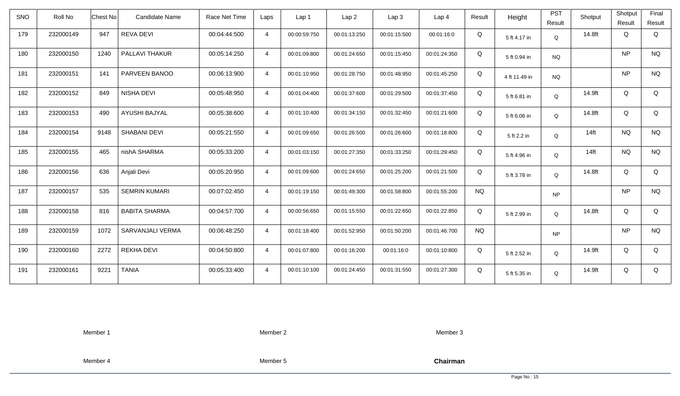| <b>SNO</b> | Roll No   | <b>Chest No</b> | Candidate Name       | Race Net Time | Laps           | Lap 1        | Lap <sub>2</sub> | Lap3         | Lap 4        | Result    | Height        | <b>PST</b><br>Result | Shotput | Shotput<br>Result | Final<br>Result |
|------------|-----------|-----------------|----------------------|---------------|----------------|--------------|------------------|--------------|--------------|-----------|---------------|----------------------|---------|-------------------|-----------------|
| 179        | 232000149 | 947             | <b>REVA DEVI</b>     | 00:04:44:500  | $\overline{4}$ | 00:00:59:750 | 00:01:13:250     | 00:01:15:500 | 00:01:16:0   | Q         | 5 ft 4.17 in  | Q                    | 14.8ft  | Q                 | Q               |
| 180        | 232000150 | 1240            | PALLAVI THAKUR       | 00:05:14:250  | $\overline{4}$ | 00:01:09:800 | 00:01:24:650     | 00:01:15:450 | 00:01:24:350 | Q         | 5 ft 0.94 in  | <b>NQ</b>            |         | <b>NP</b>         | <b>NQ</b>       |
| 181        | 232000151 | 141             | PARVEEN BANOO        | 00:06:13:900  | $\overline{4}$ | 00:01:10:950 | 00:01:28:750     | 00:01:48:950 | 00:01:45:250 | Q         | 4 ft 11.49 in | <b>NQ</b>            |         | <b>NP</b>         | <b>NQ</b>       |
| 182        | 232000152 | 849             | NISHA DEVI           | 00:05:48:950  | $\overline{4}$ | 00:01:04:400 | 00:01:37:600     | 00:01:29:500 | 00:01:37:450 | Q         | 5 ft 6.81 in  | Q                    | 14.9ft  | Q                 | Q               |
| 183        | 232000153 | 490             | AYUSHI BAJYAL        | 00:05:38:600  | $\overline{4}$ | 00:01:10:400 | 00:01:34:150     | 00:01:32:450 | 00:01:21:600 | Q         | 5 ft 6.06 in  | Q                    | 14.8ft  | Q                 | Q               |
| 184        | 232000154 | 9148            | <b>SHABANI DEVI</b>  | 00:05:21:550  | $\overline{4}$ | 00:01:09:650 | 00:01:26:500     | 00:01:26:600 | 00:01:18:800 | Q         | 5 ft 2.2 in   | $\mathsf Q$          | $14$ ft | <b>NQ</b>         | <b>NQ</b>       |
| 185        | 232000155 | 465             | nishA SHARMA         | 00:05:33:200  | $\overline{4}$ | 00:01:03:150 | 00:01:27:350     | 00:01:33:250 | 00:01:29:450 | Q         | 5 ft 4.96 in  | Q                    | $14$ ft | <b>NQ</b>         | <b>NQ</b>       |
| 186        | 232000156 | 636             | Anjali Devi          | 00:05:20:950  | $\overline{4}$ | 00:01:09:600 | 00:01:24:650     | 00:01:25:200 | 00:01:21:500 | Q         | 5 ft 3.78 in  | Q                    | 14.8ft  | Q                 | Q               |
| 187        | 232000157 | 535             | <b>SEMRIN KUMARI</b> | 00:07:02:450  | $\overline{4}$ | 00:01:19:150 | 00:01:49:300     | 00:01:58:800 | 00:01:55:200 | <b>NQ</b> |               | <b>NP</b>            |         | <b>NP</b>         | <b>NQ</b>       |
| 188        | 232000158 | 816             | <b>BABITA SHARMA</b> | 00:04:57:700  | $\overline{4}$ | 00:00:56:650 | 00:01:15:550     | 00:01:22:650 | 00:01:22:850 | Q         | 5 ft 2.99 in  | Q                    | 14.8ft  | Q                 | Q               |
| 189        | 232000159 | 1072            | SARVANJALI VERMA     | 00:06:48:250  | $\overline{4}$ | 00:01:18:400 | 00:01:52:950     | 00:01:50:200 | 00:01:46:700 | <b>NQ</b> |               | <b>NP</b>            |         | <b>NP</b>         | <b>NQ</b>       |
| 190        | 232000160 | 2272            | <b>REKHA DEVI</b>    | 00:04:50:800  | $\overline{4}$ | 00:01:07:800 | 00:01:16:200     | 00:01:16:0   | 00:01:10:800 | Q         | 5 ft 2.52 in  | Q                    | 14.9ft  | Q                 | Q               |
| 191        | 232000161 | 9221            | <b>TANIA</b>         | 00:05:33:400  | $\overline{4}$ | 00:01:10:100 | 00:01:24:450     | 00:01:31:550 | 00:01:27:300 | Q         | 5 ft 5.35 in  | Q                    | 14.9ft  | Q                 | Q               |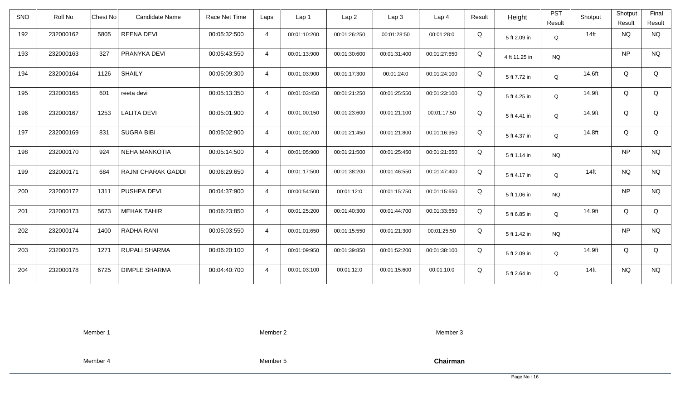| <b>SNO</b> | Roll No   | <b>Chest No</b> | Candidate Name       | Race Net Time | Laps           | Lap <sub>1</sub> | Lap <sub>2</sub> | Lap <sub>3</sub> | Lap <sub>4</sub> | Result | Height        | <b>PST</b><br>Result | Shotput | Shotput<br>Result | Final<br>Result |
|------------|-----------|-----------------|----------------------|---------------|----------------|------------------|------------------|------------------|------------------|--------|---------------|----------------------|---------|-------------------|-----------------|
| 192        | 232000162 | 5805            | <b>REENA DEVI</b>    | 00:05:32:500  | $\overline{4}$ | 00:01:10:200     | 00:01:26:250     | 00:01:28:50      | 00:01:28:0       | Q      | 5 ft 2.09 in  | Q                    | $14$ ft | <b>NQ</b>         | <b>NQ</b>       |
| 193        | 232000163 | 327             | PRANYKA DEVI         | 00:05:43:550  | $\overline{4}$ | 00:01:13:900     | 00:01:30:600     | 00:01:31:400     | 00:01:27:650     | Q      | 4 ft 11.25 in | <b>NQ</b>            |         | <b>NP</b>         | <b>NQ</b>       |
| 194        | 232000164 | 1126            | <b>SHAILY</b>        | 00:05:09:300  | $\overline{4}$ | 00:01:03:900     | 00:01:17:300     | 00:01:24:0       | 00:01:24:100     | Q      | 5 ft 7.72 in  | Q                    | 14.6ft  | Q                 | Q               |
| 195        | 232000165 | 601             | reeta devi           | 00:05:13:350  | $\overline{4}$ | 00:01:03:450     | 00:01:21:250     | 00:01:25:550     | 00:01:23:100     | Q      | 5 ft 4.25 in  | Q                    | 14.9ft  | Q                 | Q               |
| 196        | 232000167 | 1253            | <b>LALITA DEVI</b>   | 00:05:01:900  | $\overline{4}$ | 00:01:00:150     | 00:01:23:600     | 00:01:21:100     | 00:01:17:50      | Q      | 5 ft 4.41 in  | Q                    | 14.9ft  | Q                 | Q               |
| 197        | 232000169 | 831             | <b>SUGRA BIBI</b>    | 00:05:02:900  | $\overline{4}$ | 00:01:02:700     | 00:01:21:450     | 00:01:21:800     | 00:01:16:950     | Q      | 5 ft 4.37 in  | Q                    | 14.8ft  | Q                 | Q               |
| 198        | 232000170 | 924             | <b>NEHA MANKOTIA</b> | 00:05:14:500  | $\overline{4}$ | 00:01:05:900     | 00:01:21:500     | 00:01:25:450     | 00:01:21:650     | Q      | 5 ft 1.14 in  | <b>NQ</b>            |         | <b>NP</b>         | <b>NQ</b>       |
| 199        | 232000171 | 684             | RAJNI CHARAK GADDI   | 00:06:29:650  | $\overline{4}$ | 00:01:17:500     | 00:01:38:200     | 00:01:46:550     | 00:01:47:400     | Q      | 5 ft 4.17 in  | Q                    | $14$ ft | <b>NQ</b>         | <b>NQ</b>       |
| 200        | 232000172 | 1311            | PUSHPA DEVI          | 00:04:37:900  | $\overline{4}$ | 00:00:54:500     | 00:01:12:0       | 00:01:15:750     | 00:01:15:650     | Q      | 5 ft 1.06 in  | <b>NQ</b>            |         | <b>NP</b>         | <b>NQ</b>       |
| 201        | 232000173 | 5673            | <b>MEHAK TAHIR</b>   | 00:06:23:850  | $\overline{4}$ | 00:01:25:200     | 00:01:40:300     | 00:01:44:700     | 00:01:33:650     | Q      | 5 ft 6.85 in  | Q                    | 14.9ft  | Q                 | Q               |
| 202        | 232000174 | 1400            | <b>RADHA RANI</b>    | 00:05:03:550  | $\overline{4}$ | 00:01:01:650     | 00:01:15:550     | 00:01:21:300     | 00:01:25:50      | Q      | 5 ft 1.42 in  | <b>NQ</b>            |         | <b>NP</b>         | <b>NQ</b>       |
| 203        | 232000175 | 1271            | RUPALI SHARMA        | 00:06:20:100  | $\overline{4}$ | 00:01:09:950     | 00:01:39:850     | 00:01:52:200     | 00:01:38:100     | Q      | 5 ft 2.09 in  | Q                    | 14.9ft  | Q                 | Q               |
| 204        | 232000178 | 6725            | <b>DIMPLE SHARMA</b> | 00:04:40:700  | $\overline{4}$ | 00:01:03:100     | 00:01:12:0       | 00:01:15:600     | 00:01:10:0       | Q      | 5 ft 2.64 in  | Q                    | $14$ ft | <b>NQ</b>         | <b>NQ</b>       |

Member 2

Member 3

Member 4

Member 5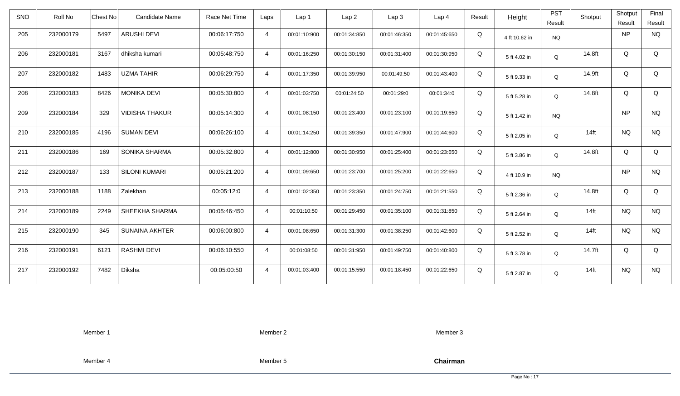| <b>SNO</b> | Roll No   | Chest No<br><b>Candidate Name</b> | Race Net Time | Laps           | Lap 1        | Lap <sub>2</sub> | Lap3         | Lap <sub>4</sub> | Result | Height        | <b>PST</b><br>Result | Shotput | Shotput<br>Result | Final<br>Result |
|------------|-----------|-----------------------------------|---------------|----------------|--------------|------------------|--------------|------------------|--------|---------------|----------------------|---------|-------------------|-----------------|
| 205        | 232000179 | 5497<br><b>ARUSHI DEVI</b>        | 00:06:17:750  | $\overline{4}$ | 00:01:10:900 | 00:01:34:850     | 00:01:46:350 | 00:01:45:650     | Q      | 4 ft 10.62 in | <b>NQ</b>            |         | <b>NP</b>         | <b>NQ</b>       |
| 206        | 232000181 | 3167<br>dhiksha kumari            | 00:05:48:750  | $\overline{4}$ | 00:01:16:250 | 00:01:30:150     | 00:01:31:400 | 00:01:30:950     | Q      | 5 ft 4.02 in  | Q                    | 14.8ft  | Q                 | Q               |
| 207        | 232000182 | <b>UZMA TAHIR</b><br>1483         | 00:06:29:750  | $\overline{4}$ | 00:01:17:350 | 00:01:39:950     | 00:01:49:50  | 00:01:43:400     | Q      | 5 ft 9.33 in  | Q                    | 14.9ft  | Q                 | Q               |
| 208        | 232000183 | 8426<br><b>MONIKA DEVI</b>        | 00:05:30:800  | $\overline{4}$ | 00:01:03:750 | 00:01:24:50      | 00:01:29:0   | 00:01:34:0       | Q      | 5 ft 5.28 in  | Q                    | 14.8ft  | Q                 | Q               |
| 209        | 232000184 | 329<br><b>VIDISHA THAKUR</b>      | 00:05:14:300  | $\overline{4}$ | 00:01:08:150 | 00:01:23:400     | 00:01:23:100 | 00:01:19:650     | Q      | 5 ft 1.42 in  | <b>NQ</b>            |         | <b>NP</b>         | <b>NQ</b>       |
| 210        | 232000185 | 4196<br><b>SUMAN DEVI</b>         | 00:06:26:100  | $\overline{4}$ | 00:01:14:250 | 00:01:39:350     | 00:01:47:900 | 00:01:44:600     | Q      | 5 ft 2.05 in  | Q                    | $14$ ft | <b>NQ</b>         | <b>NQ</b>       |
| 211        | 232000186 | 169<br>SONIKA SHARMA              | 00:05:32:800  | $\overline{4}$ | 00:01:12:800 | 00:01:30:950     | 00:01:25:400 | 00:01:23:650     | Q      | 5 ft 3.86 in  | Q                    | 14.8ft  | Q                 | Q               |
| 212        | 232000187 | 133<br><b>SILONI KUMARI</b>       | 00:05:21:200  | $\overline{4}$ | 00:01:09:650 | 00:01:23:700     | 00:01:25:200 | 00:01:22:650     | Q      | 4 ft 10.9 in  | <b>NQ</b>            |         | <b>NP</b>         | <b>NQ</b>       |
| 213        | 232000188 | 1188<br>Zalekhan                  | 00:05:12:0    | $\overline{4}$ | 00:01:02:350 | 00:01:23:350     | 00:01:24:750 | 00:01:21:550     | Q      | 5 ft 2.36 in  | Q                    | 14.8ft  | Q                 | Q               |
| 214        | 232000189 | 2249<br>SHEEKHA SHARMA            | 00:05:46:450  | $\overline{4}$ | 00:01:10:50  | 00:01:29:450     | 00:01:35:100 | 00:01:31:850     | Q      | 5 ft 2.64 in  | Q                    | $14$ ft | <b>NQ</b>         | <b>NQ</b>       |
| 215        | 232000190 | 345<br><b>SUNAINA AKHTER</b>      | 00:06:00:800  | $\overline{4}$ | 00:01:08:650 | 00:01:31:300     | 00:01:38:250 | 00:01:42:600     | Q      | 5 ft 2.52 in  | Q                    | $14$ ft | <b>NQ</b>         | <b>NQ</b>       |
| 216        | 232000191 | <b>RASHMI DEVI</b><br>6121        | 00:06:10:550  | $\overline{4}$ | 00:01:08:50  | 00:01:31:950     | 00:01:49:750 | 00:01:40:800     | Q      | 5 ft 3.78 in  | Q                    | 14.7ft  | Q                 | Q               |
| 217        | 232000192 | 7482<br>Diksha                    | 00:05:00:50   | $\overline{4}$ | 00:01:03:400 | 00:01:15:550     | 00:01:18:450 | 00:01:22:650     | Q      | 5 ft 2.87 in  | Q                    | $14$ ft | <b>NQ</b>         | <b>NQ</b>       |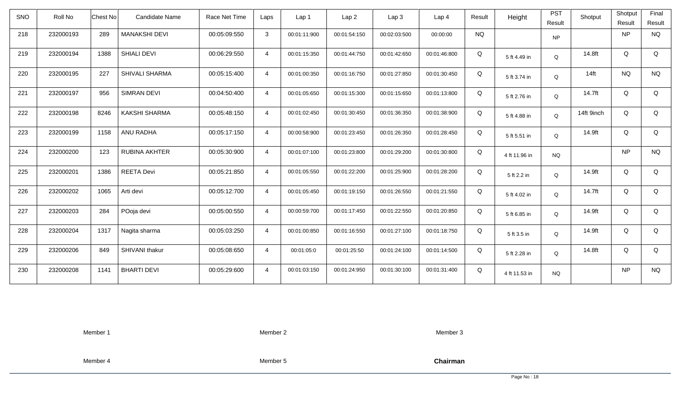| <b>SNO</b> | Roll No   | <b>Chest No</b> | Candidate Name        | Race Net Time | Laps           | Lap 1        | Lap <sub>2</sub> | Lap <sub>3</sub> | Lap <sub>4</sub> | Result    | Height        | <b>PST</b><br>Result | Shotput    | Shotput<br>Result | Final<br>Result |
|------------|-----------|-----------------|-----------------------|---------------|----------------|--------------|------------------|------------------|------------------|-----------|---------------|----------------------|------------|-------------------|-----------------|
| 218        | 232000193 | 289             | <b>MANAKSHI DEVI</b>  | 00:05:09:550  | 3              | 00:01:11:900 | 00:01:54:150     | 00:02:03:500     | 00:00:00         | <b>NQ</b> |               | <b>NP</b>            |            | <b>NP</b>         | <b>NQ</b>       |
| 219        | 232000194 | 1388            | <b>SHIALI DEVI</b>    | 00:06:29:550  | $\overline{4}$ | 00:01:15:350 | 00:01:44:750     | 00:01:42:650     | 00:01:46:800     | Q         | 5 ft 4.49 in  | Q                    | 14.8ft     | Q                 | Q               |
| 220        | 232000195 | 227             | <b>SHIVALI SHARMA</b> | 00:05:15:400  | $\overline{4}$ | 00:01:00:350 | 00:01:16:750     | 00:01:27:850     | 00:01:30:450     | Q         | 5 ft 3.74 in  | Q                    | $14$ ft    | <b>NQ</b>         | <b>NQ</b>       |
| 221        | 232000197 | 956             | <b>SIMRAN DEVI</b>    | 00:04:50:400  | $\overline{4}$ | 00:01:05:650 | 00:01:15:300     | 00:01:15:650     | 00:01:13:800     | Q         | 5 ft 2.76 in  | Q                    | 14.7ft     | Q                 | Q               |
| 222        | 232000198 | 8246            | <b>KAKSHI SHARMA</b>  | 00:05:48:150  | $\overline{4}$ | 00:01:02:450 | 00:01:30:450     | 00:01:36:350     | 00:01:38:900     | Q         | 5 ft 4.88 in  | Q                    | 14ft 9inch | Q                 | Q               |
| 223        | 232000199 | 1158            | ANU RADHA             | 00:05:17:150  | $\overline{4}$ | 00:00:58:900 | 00:01:23:450     | 00:01:26:350     | 00:01:28:450     | Q         | 5 ft 5.51 in  | Q                    | 14.9ft     | Q                 | Q               |
| 224        | 232000200 | 123             | <b>RUBINA AKHTER</b>  | 00:05:30:900  | $\overline{4}$ | 00:01:07:100 | 00:01:23:800     | 00:01:29:200     | 00:01:30:800     | Q         | 4 ft 11.96 in | <b>NQ</b>            |            | <b>NP</b>         | <b>NQ</b>       |
| 225        | 232000201 | 1386            | <b>REETA Devi</b>     | 00:05:21:850  | $\overline{4}$ | 00:01:05:550 | 00:01:22:200     | 00:01:25:900     | 00:01:28:200     | Q         | 5 ft 2.2 in   | Q                    | 14.9ft     | Q                 | Q               |
| 226        | 232000202 | 1065            | Arti devi             | 00:05:12:700  | $\overline{4}$ | 00:01:05:450 | 00:01:19:150     | 00:01:26:550     | 00:01:21:550     | Q         | 5 ft 4.02 in  | $\mathsf Q$          | 14.7ft     | Q                 | Q               |
| 227        | 232000203 | 284             | POoja devi            | 00:05:00:550  | $\overline{4}$ | 00:00:59:700 | 00:01:17:450     | 00:01:22:550     | 00:01:20:850     | Q         | 5 ft 6.85 in  | Q                    | 14.9ft     | Q                 | Q               |
| 228        | 232000204 | 1317            | Nagita sharma         | 00:05:03:250  | $\overline{4}$ | 00:01:00:850 | 00:01:16:550     | 00:01:27:100     | 00:01:18:750     | Q         | 5 ft 3.5 in   | Q                    | 14.9ft     | Q                 | Q               |
| 229        | 232000206 | 849             | SHIVANI thakur        | 00:05:08:650  | $\overline{4}$ | 00:01:05:0   | 00:01:25:50      | 00:01:24:100     | 00:01:14:500     | Q         | 5 ft 2.28 in  | Q                    | 14.8ft     | Q                 | Q               |
| 230        | 232000208 | 1141            | <b>BHARTI DEVI</b>    | 00:05:29:600  | $\overline{4}$ | 00:01:03:150 | 00:01:24:950     | 00:01:30:100     | 00:01:31:400     | Q         | 4 ft 11.53 in | <b>NQ</b>            |            | <b>NP</b>         | <b>NQ</b>       |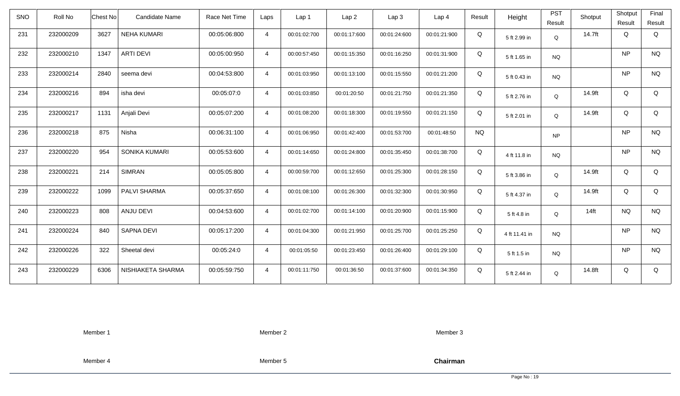| SNO | Roll No   | Chest No | Candidate Name     | Race Net Time | Laps           | Lap <sub>1</sub> | Lap <sub>2</sub> | Lap <sub>3</sub> | Lap <sub>4</sub> | Result    | Height        | <b>PST</b><br>Result | Shotput | Shotput<br>Result | Final<br>Result |
|-----|-----------|----------|--------------------|---------------|----------------|------------------|------------------|------------------|------------------|-----------|---------------|----------------------|---------|-------------------|-----------------|
| 231 | 232000209 | 3627     | <b>NEHA KUMARI</b> | 00:05:06:800  | $\overline{4}$ | 00:01:02:700     | 00:01:17:600     | 00:01:24:600     | 00:01:21:900     | Q         | 5 ft 2.99 in  | Q                    | 14.7ft  | Q                 | Q               |
| 232 | 232000210 | 1347     | <b>ARTI DEVI</b>   | 00:05:00:950  | $\overline{4}$ | 00:00:57:450     | 00:01:15:350     | 00:01:16:250     | 00:01:31:900     | Q         | 5 ft 1.65 in  | <b>NQ</b>            |         | <b>NP</b>         | <b>NQ</b>       |
| 233 | 232000214 | 2840     | seema devi         | 00:04:53:800  | $\overline{4}$ | 00:01:03:950     | 00:01:13:100     | 00:01:15:550     | 00:01:21:200     | Q         | 5 ft 0.43 in  | <b>NQ</b>            |         | <b>NP</b>         | <b>NQ</b>       |
| 234 | 232000216 | 894      | isha devi          | 00:05:07:0    | $\overline{4}$ | 00:01:03:850     | 00:01:20:50      | 00:01:21:750     | 00:01:21:350     | Q         | 5 ft 2.76 in  | Q                    | 14.9ft  | Q                 | Q               |
| 235 | 232000217 | 1131     | Anjali Devi        | 00:05:07:200  | $\overline{4}$ | 00:01:08:200     | 00:01:18:300     | 00:01:19:550     | 00:01:21:150     | Q         | 5 ft 2.01 in  | Q                    | 14.9ft  | Q                 | Q               |
| 236 | 232000218 | 875      | Nisha              | 00:06:31:100  | $\overline{4}$ | 00:01:06:950     | 00:01:42:400     | 00:01:53:700     | 00:01:48:50      | <b>NQ</b> |               | <b>NP</b>            |         | <b>NP</b>         | <b>NQ</b>       |
| 237 | 232000220 | 954      | SONIKA KUMARI      | 00:05:53:600  | $\overline{4}$ | 00:01:14:650     | 00:01:24:800     | 00:01:35:450     | 00:01:38:700     | Q         | 4 ft 11.8 in  | <b>NQ</b>            |         | <b>NP</b>         | <b>NQ</b>       |
| 238 | 232000221 | 214      | <b>SIMRAN</b>      | 00:05:05:800  | $\overline{4}$ | 00:00:59:700     | 00:01:12:650     | 00:01:25:300     | 00:01:28:150     | Q         | 5 ft 3.86 in  | Q                    | 14.9ft  | Q                 | Q               |
| 239 | 232000222 | 1099     | PALVI SHARMA       | 00:05:37:650  | $\overline{4}$ | 00:01:08:100     | 00:01:26:300     | 00:01:32:300     | 00:01:30:950     | Q         | 5 ft 4.37 in  | Q                    | 14.9ft  | Q                 | Q               |
| 240 | 232000223 | 808      | ANJU DEVI          | 00:04:53:600  | $\overline{4}$ | 00:01:02:700     | 00:01:14:100     | 00:01:20:900     | 00:01:15:900     | Q         | 5 ft 4.8 in   | Q                    | $14$ ft | <b>NQ</b>         | <b>NQ</b>       |
| 241 | 232000224 | 840      | <b>SAPNA DEVI</b>  | 00:05:17:200  | $\overline{4}$ | 00:01:04:300     | 00:01:21:950     | 00:01:25:700     | 00:01:25:250     | Q         | 4 ft 11.41 in | <b>NQ</b>            |         | <b>NP</b>         | <b>NQ</b>       |
| 242 | 232000226 | 322      | Sheetal devi       | 00:05:24:0    | $\overline{4}$ | 00:01:05:50      | 00:01:23:450     | 00:01:26:400     | 00:01:29:100     | Q         | 5 ft 1.5 in   | NQ.                  |         | <b>NP</b>         | <b>NQ</b>       |
| 243 | 232000229 | 6306     | NISHIAKETA SHARMA  | 00:05:59:750  | $\overline{4}$ | 00:01:11:750     | 00:01:36:50      | 00:01:37:600     | 00:01:34:350     | Q         | 5 ft 2.44 in  | Q                    | 14.8ft  | Q                 | Q               |

Member 2

Member 3

Member 4

Member 5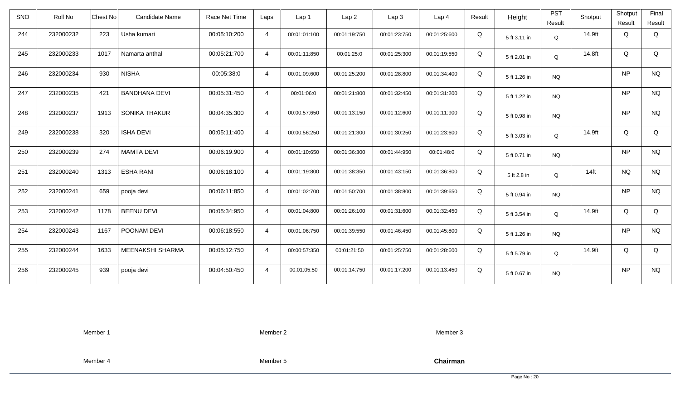| <b>SNO</b> | Roll No   | Chest No | Candidate Name       | Race Net Time | Laps           | Lap 1        | Lap <sub>2</sub> | Lap3         | Lap 4        | Result | Height       | <b>PST</b><br>Result | Shotput | Shotput<br>Result | Final<br>Result |
|------------|-----------|----------|----------------------|---------------|----------------|--------------|------------------|--------------|--------------|--------|--------------|----------------------|---------|-------------------|-----------------|
| 244        | 232000232 | 223      | Usha kumari          | 00:05:10:200  | $\overline{4}$ | 00:01:01:100 | 00:01:19:750     | 00:01:23:750 | 00:01:25:600 | Q      | 5 ft 3.11 in | Q                    | 14.9ft  | Q                 | Q               |
| 245        | 232000233 | 1017     | Namarta anthal       | 00:05:21:700  | $\overline{4}$ | 00:01:11:850 | 00:01:25:0       | 00:01:25:300 | 00:01:19:550 | Q      | 5 ft 2.01 in | Q                    | 14.8ft  | Q                 | Q               |
| 246        | 232000234 | 930      | <b>NISHA</b>         | 00:05:38:0    | $\overline{4}$ | 00:01:09:600 | 00:01:25:200     | 00:01:28:800 | 00:01:34:400 | Q      | 5 ft 1.26 in | <b>NQ</b>            |         | <b>NP</b>         | <b>NQ</b>       |
| 247        | 232000235 | 421      | <b>BANDHANA DEVI</b> | 00:05:31:450  | $\overline{4}$ | 00:01:06:0   | 00:01:21:800     | 00:01:32:450 | 00:01:31:200 | Q      | 5 ft 1.22 in | <b>NQ</b>            |         | <b>NP</b>         | <b>NQ</b>       |
| 248        | 232000237 | 1913     | <b>SONIKA THAKUR</b> | 00:04:35:300  | $\overline{4}$ | 00:00:57:650 | 00:01:13:150     | 00:01:12:600 | 00:01:11:900 | Q      | 5 ft 0.98 in | NQ                   |         | <b>NP</b>         | <b>NQ</b>       |
| 249        | 232000238 | 320      | <b>ISHA DEVI</b>     | 00:05:11:400  | $\overline{4}$ | 00:00:56:250 | 00:01:21:300     | 00:01:30:250 | 00:01:23:600 | Q      | 5 ft 3.03 in | $\mathsf Q$          | 14.9ft  | Q                 | Q               |
| 250        | 232000239 | 274      | <b>MAMTA DEVI</b>    | 00:06:19:900  | $\overline{4}$ | 00:01:10:650 | 00:01:36:300     | 00:01:44:950 | 00:01:48:0   | Q      | 5 ft 0.71 in | <b>NQ</b>            |         | <b>NP</b>         | <b>NQ</b>       |
| 251        | 232000240 | 1313     | <b>ESHA RANI</b>     | 00:06:18:100  | $\overline{4}$ | 00:01:19:800 | 00:01:38:350     | 00:01:43:150 | 00:01:36:800 | Q      | 5 ft 2.8 in  | Q                    | $14$ ft | <b>NQ</b>         | <b>NQ</b>       |
| 252        | 232000241 | 659      | pooja devi           | 00:06:11:850  | $\overline{4}$ | 00:01:02:700 | 00:01:50:700     | 00:01:38:800 | 00:01:39:650 | Q      | 5 ft 0.94 in | <b>NQ</b>            |         | <b>NP</b>         | <b>NQ</b>       |
| 253        | 232000242 | 1178     | <b>BEENU DEVI</b>    | 00:05:34:950  | $\overline{4}$ | 00:01:04:800 | 00:01:26:100     | 00:01:31:600 | 00:01:32:450 | Q      | 5 ft 3.54 in | Q                    | 14.9ft  | Q                 | Q               |
| 254        | 232000243 | 1167     | POONAM DEVI          | 00:06:18:550  | $\overline{4}$ | 00:01:06:750 | 00:01:39:550     | 00:01:46:450 | 00:01:45:800 | Q      | 5 ft 1.26 in | <b>NQ</b>            |         | <b>NP</b>         | <b>NQ</b>       |
| 255        | 232000244 | 1633     | MEENAKSHI SHARMA     | 00:05:12:750  | $\overline{4}$ | 00:00:57:350 | 00:01:21:50      | 00:01:25:750 | 00:01:28:600 | Q      | 5 ft 5.79 in | Q                    | 14.9ft  | Q                 | Q               |
| 256        | 232000245 | 939      | pooja devi           | 00:04:50:450  | $\overline{4}$ | 00:01:05:50  | 00:01:14:750     | 00:01:17:200 | 00:01:13:450 | Q      | 5 ft 0.67 in | <b>NQ</b>            |         | <b>NP</b>         | <b>NQ</b>       |

Member 2

Member 3

Member 4

Member 5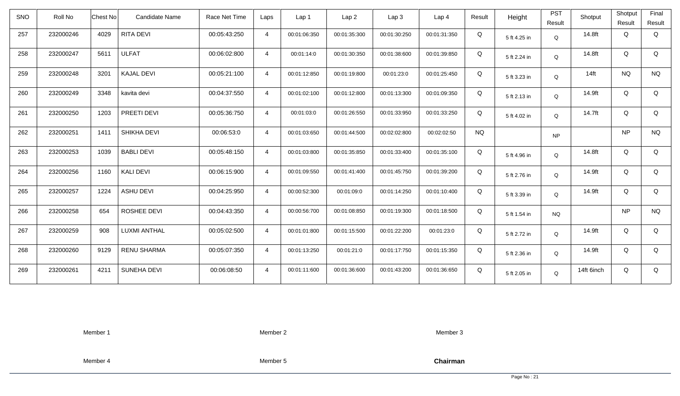| <b>SNO</b> | Roll No   | <b>Chest No</b> | Candidate Name     | Race Net Time | Laps           | Lap <sub>1</sub> | Lap <sub>2</sub> | Lap <sub>3</sub> | Lap <sub>4</sub> | Result    | Height       | <b>PST</b><br>Result | Shotput    | Shotput<br>Result | Final<br>Result |
|------------|-----------|-----------------|--------------------|---------------|----------------|------------------|------------------|------------------|------------------|-----------|--------------|----------------------|------------|-------------------|-----------------|
| 257        | 232000246 | 4029            | RITA DEVI          | 00:05:43:250  | $\overline{4}$ | 00:01:06:350     | 00:01:35:300     | 00:01:30:250     | 00:01:31:350     | Q         | 5 ft 4.25 in | Q                    | 14.8ft     | Q                 | Q               |
| 258        | 232000247 | 5611            | <b>ULFAT</b>       | 00:06:02:800  | $\overline{4}$ | 00:01:14:0       | 00:01:30:350     | 00:01:38:600     | 00:01:39:850     | Q         | 5 ft 2.24 in | Q                    | 14.8ft     | Q                 | Q               |
| 259        | 232000248 | 3201            | <b>KAJAL DEVI</b>  | 00:05:21:100  | $\overline{4}$ | 00:01:12:850     | 00:01:19:800     | 00:01:23:0       | 00:01:25:450     | Q         | 5 ft 3.23 in | Q                    | $14$ ft    | <b>NQ</b>         | <b>NQ</b>       |
| 260        | 232000249 | 3348            | kavita devi        | 00:04:37:550  | $\overline{4}$ | 00:01:02:100     | 00:01:12:800     | 00:01:13:300     | 00:01:09:350     | Q         | 5 ft 2.13 in | Q                    | 14.9ft     | Q                 | Q               |
| 261        | 232000250 | 1203            | PREETI DEVI        | 00:05:36:750  | $\overline{4}$ | 00:01:03:0       | 00:01:26:550     | 00:01:33:950     | 00:01:33:250     | Q         | 5 ft 4.02 in | Q                    | 14.7ft     | Q                 | Q               |
| 262        | 232000251 | 1411            | SHIKHA DEVI        | 00:06:53:0    | $\overline{4}$ | 00:01:03:650     | 00:01:44:500     | 00:02:02:800     | 00:02:02:50      | <b>NQ</b> |              | <b>NP</b>            |            | <b>NP</b>         | <b>NQ</b>       |
| 263        | 232000253 | 1039            | <b>BABLI DEVI</b>  | 00:05:48:150  | $\overline{4}$ | 00:01:03:800     | 00:01:35:850     | 00:01:33:400     | 00:01:35:100     | Q         | 5 ft 4.96 in | Q                    | 14.8ft     | Q                 | Q               |
| 264        | 232000256 | 1160            | <b>KALI DEVI</b>   | 00:06:15:900  | $\overline{4}$ | 00:01:09:550     | 00:01:41:400     | 00:01:45:750     | 00:01:39:200     | Q         | 5 ft 2.76 in | Q                    | 14.9ft     | Q                 | Q               |
| 265        | 232000257 | 1224            | <b>ASHU DEVI</b>   | 00:04:25:950  | $\overline{4}$ | 00:00:52:300     | 00:01:09:0       | 00:01:14:250     | 00:01:10:400     | Q         | 5 ft 3.39 in | Q                    | 14.9ft     | Q                 | Q               |
| 266        | 232000258 | 654             | ROSHEE DEVI        | 00:04:43:350  | $\overline{4}$ | 00:00:56:700     | 00:01:08:850     | 00:01:19:300     | 00:01:18:500     | Q         | 5 ft 1.54 in | <b>NQ</b>            |            | <b>NP</b>         | <b>NQ</b>       |
| 267        | 232000259 | 908             | LUXMI ANTHAL       | 00:05:02:500  | $\overline{4}$ | 00:01:01:800     | 00:01:15:500     | 00:01:22:200     | 00:01:23:0       | Q         | 5 ft 2.72 in | Q                    | 14.9ft     | Q                 | Q               |
| 268        | 232000260 | 9129            | <b>RENU SHARMA</b> | 00:05:07:350  | $\overline{4}$ | 00:01:13:250     | 00:01:21:0       | 00:01:17:750     | 00:01:15:350     | Q         | 5 ft 2.36 in | Q                    | 14.9ft     | Q                 | Q               |
| 269        | 232000261 | 4211            | SUNEHA DEVI        | 00:06:08:50   | $\overline{4}$ | 00:01:11:600     | 00:01:36:600     | 00:01:43:200     | 00:01:36:650     | Q         | 5 ft 2.05 in | Q                    | 14ft 6inch | Q                 | Q               |

Member 2

Member 3

Member 4

Member 5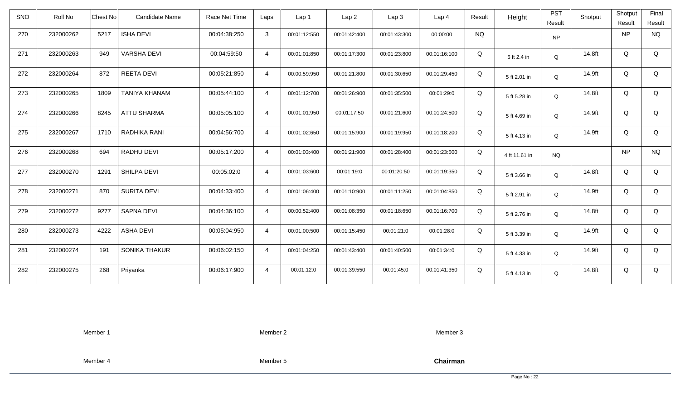| <b>SNO</b> | Roll No   | <b>Chest No</b> | <b>Candidate Name</b> | Race Net Time | Laps           | Lap <sub>1</sub> | Lap <sub>2</sub> | Lap <sub>3</sub> | Lap <sub>4</sub> | Result    | Height        | <b>PST</b><br>Result | Shotput | Shotput<br>Result | Final<br>Result |
|------------|-----------|-----------------|-----------------------|---------------|----------------|------------------|------------------|------------------|------------------|-----------|---------------|----------------------|---------|-------------------|-----------------|
| 270        | 232000262 | 5217            | <b>ISHA DEVI</b>      | 00:04:38:250  | $\mathbf{3}$   | 00:01:12:550     | 00:01:42:400     | 00:01:43:300     | 00:00:00         | <b>NQ</b> |               | <b>NP</b>            |         | <b>NP</b>         | <b>NQ</b>       |
| 271        | 232000263 | 949             | <b>VARSHA DEVI</b>    | 00:04:59:50   | $\overline{4}$ | 00:01:01:850     | 00:01:17:300     | 00:01:23:800     | 00:01:16:100     | Q         | 5 ft 2.4 in   | Q                    | 14.8ft  | Q                 | Q               |
| 272        | 232000264 | 872             | REETA DEVI            | 00:05:21:850  | $\overline{4}$ | 00:00:59:950     | 00:01:21:800     | 00:01:30:650     | 00:01:29:450     | Q         | 5 ft 2.01 in  | Q                    | 14.9ft  | Q                 | Q               |
| 273        | 232000265 | 1809            | TANIYA KHANAM         | 00:05:44:100  | $\overline{4}$ | 00:01:12:700     | 00:01:26:900     | 00:01:35:500     | 00:01:29:0       | Q         | 5 ft 5.28 in  | Q                    | 14.8ft  | Q                 | Q               |
| 274        | 232000266 | 8245            | <b>ATTU SHARMA</b>    | 00:05:05:100  | $\overline{4}$ | 00:01:01:950     | 00:01:17:50      | 00:01:21:600     | 00:01:24:500     | Q         | 5 ft 4.69 in  | Q                    | 14.9ft  | Q                 | Q               |
| 275        | 232000267 | 1710            | RADHIKA RANI          | 00:04:56:700  | $\overline{4}$ | 00:01:02:650     | 00:01:15:900     | 00:01:19:950     | 00:01:18:200     | Q         | 5 ft 4.13 in  | Q                    | 14.9ft  | Q                 | Q               |
| 276        | 232000268 | 694             | <b>RADHU DEVI</b>     | 00:05:17:200  | $\overline{4}$ | 00:01:03:400     | 00:01:21:900     | 00:01:28:400     | 00:01:23:500     | Q         | 4 ft 11.61 in | <b>NQ</b>            |         | <b>NP</b>         | <b>NQ</b>       |
| 277        | 232000270 | 1291            | <b>SHILPA DEVI</b>    | 00:05:02:0    | $\overline{4}$ | 00:01:03:600     | 00:01:19:0       | 00:01:20:50      | 00:01:19:350     | Q         | 5 ft 3.66 in  | Q                    | 14.8ft  | Q                 | Q               |
| 278        | 232000271 | 870             | <b>SURITA DEVI</b>    | 00:04:33:400  | $\overline{4}$ | 00:01:06:400     | 00:01:10:900     | 00:01:11:250     | 00:01:04:850     | Q         | 5 ft 2.91 in  | $\mathsf Q$          | 14.9ft  | Q                 | Q               |
| 279        | 232000272 | 9277            | <b>SAPNA DEVI</b>     | 00:04:36:100  | $\overline{4}$ | 00:00:52:400     | 00:01:08:350     | 00:01:18:650     | 00:01:16:700     | Q         | 5 ft 2.76 in  | Q                    | 14.8ft  | Q                 | Q               |
| 280        | 232000273 | 4222            | <b>ASHA DEVI</b>      | 00:05:04:950  | $\overline{4}$ | 00:01:00:500     | 00:01:15:450     | 00:01:21:0       | 00:01:28:0       | Q         | 5 ft 3.39 in  | Q                    | 14.9ft  | Q                 | Q               |
| 281        | 232000274 | 191             | SONIKA THAKUR         | 00:06:02:150  | $\overline{4}$ | 00:01:04:250     | 00:01:43:400     | 00:01:40:500     | 00:01:34:0       | Q         | 5 ft 4.33 in  | Q                    | 14.9ft  | Q                 | Q               |
| 282        | 232000275 | 268             | Priyanka              | 00:06:17:900  | $\overline{4}$ | 00:01:12:0       | 00:01:39:550     | 00:01:45:0       | 00:01:41:350     | Q         | 5 ft 4.13 in  | Q                    | 14.8ft  | Q                 | Q               |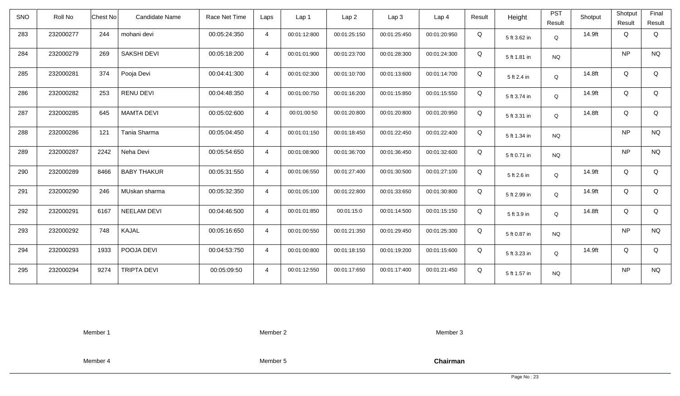| <b>SNO</b> | Roll No   | <b>Chest No</b> | Candidate Name     | Race Net Time | Laps           | Lap 1        | Lap <sub>2</sub> | Lap <sub>3</sub> | Lap <sub>4</sub> | Result | Height       | <b>PST</b><br>Result | Shotput | Shotput<br>Result | Final<br>Result |
|------------|-----------|-----------------|--------------------|---------------|----------------|--------------|------------------|------------------|------------------|--------|--------------|----------------------|---------|-------------------|-----------------|
| 283        | 232000277 | 244             | mohani devi        | 00:05:24:350  | $\overline{4}$ | 00:01:12:800 | 00:01:25:150     | 00:01:25:450     | 00:01:20:950     | Q      | 5 ft 3.62 in | Q                    | 14.9ft  | Q                 | Q               |
| 284        | 232000279 | 269             | <b>SAKSHI DEVI</b> | 00:05:18:200  | $\overline{4}$ | 00:01:01:900 | 00:01:23:700     | 00:01:28:300     | 00:01:24:300     | Q      | 5 ft 1.81 in | <b>NQ</b>            |         | <b>NP</b>         | <b>NQ</b>       |
| 285        | 232000281 | 374             | Pooja Devi         | 00:04:41:300  | $\overline{4}$ | 00:01:02:300 | 00:01:10:700     | 00:01:13:600     | 00:01:14:700     | Q      | 5 ft 2.4 in  | Q                    | 14.8ft  | Q                 | Q               |
| 286        | 232000282 | 253             | <b>RENU DEVI</b>   | 00:04:48:350  | $\overline{4}$ | 00:01:00:750 | 00:01:16:200     | 00:01:15:850     | 00:01:15:550     | Q      | 5 ft 3.74 in | Q                    | 14.9ft  | Q                 | Q               |
| 287        | 232000285 | 645             | <b>MAMTA DEVI</b>  | 00:05:02:600  | $\overline{4}$ | 00:01:00:50  | 00:01:20:800     | 00:01:20:800     | 00:01:20:950     | Q      | 5 ft 3.31 in | Q                    | 14.8ft  | Q                 | Q               |
| 288        | 232000286 | 121             | Tania Sharma       | 00:05:04:450  | $\overline{4}$ | 00:01:01:150 | 00:01:18:450     | 00:01:22:450     | 00:01:22:400     | Q      | 5 ft 1.34 in | <b>NQ</b>            |         | <b>NP</b>         | <b>NQ</b>       |
| 289        | 232000287 | 2242            | Neha Devi          | 00:05:54:650  | $\overline{4}$ | 00:01:08:900 | 00:01:36:700     | 00:01:36:450     | 00:01:32:600     | Q      | 5 ft 0.71 in | <b>NQ</b>            |         | <b>NP</b>         | <b>NQ</b>       |
| 290        | 232000289 | 8466            | <b>BABY THAKUR</b> | 00:05:31:550  | $\overline{4}$ | 00:01:06:550 | 00:01:27:400     | 00:01:30:500     | 00:01:27:100     | Q      | 5 ft 2.6 in  | Q                    | 14.9ft  | Q                 | Q               |
| 291        | 232000290 | 246             | MUskan sharma      | 00:05:32:350  | $\overline{4}$ | 00:01:05:100 | 00:01:22:800     | 00:01:33:650     | 00:01:30:800     | Q      | 5 ft 2.99 in | $\Omega$             | 14.9ft  | Q                 | Q               |
| 292        | 232000291 | 6167            | <b>NEELAM DEVI</b> | 00:04:46:500  | $\overline{4}$ | 00:01:01:850 | 00:01:15:0       | 00:01:14:500     | 00:01:15:150     | Q      | 5 ft 3.9 in  | Q                    | 14.8ft  | Q                 | Q               |
| 293        | 232000292 | 748             | KAJAL              | 00:05:16:650  | $\overline{4}$ | 00:01:00:550 | 00:01:21:350     | 00:01:29:450     | 00:01:25:300     | Q      | 5 ft 0.87 in | <b>NQ</b>            |         | <b>NP</b>         | <b>NQ</b>       |
| 294        | 232000293 | 1933            | POOJA DEVI         | 00:04:53:750  | $\overline{4}$ | 00:01:00:800 | 00:01:18:150     | 00:01:19:200     | 00:01:15:600     | Q      | 5 ft 3.23 in | Q                    | 14.9ft  | Q                 | Q               |
| 295        | 232000294 | 9274            | <b>TRIPTA DEVI</b> | 00:05:09:50   | $\overline{4}$ | 00:01:12:550 | 00:01:17:650     | 00:01:17:400     | 00:01:21:450     | Q      | 5 ft 1.57 in | <b>NQ</b>            |         | <b>NP</b>         | <b>NQ</b>       |

Member 2

Member 3

Member 4

Member 5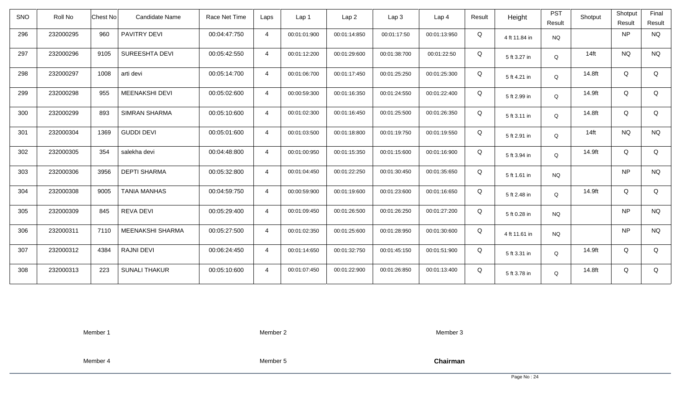| <b>SNO</b> | Roll No   | <b>Chest No</b> | <b>Candidate Name</b> | Race Net Time | Laps           | Lap 1        | Lap <sub>2</sub> | Lap3         | Lap 4        | Result | Height        | <b>PST</b><br>Result | Shotput | Shotput<br>Result | Final<br>Result |
|------------|-----------|-----------------|-----------------------|---------------|----------------|--------------|------------------|--------------|--------------|--------|---------------|----------------------|---------|-------------------|-----------------|
| 296        | 232000295 | 960             | PAVITRY DEVI          | 00:04:47:750  | $\overline{4}$ | 00:01:01:900 | 00:01:14:850     | 00:01:17:50  | 00:01:13:950 | Q      | 4 ft 11.84 in | <b>NQ</b>            |         | <b>NP</b>         | <b>NQ</b>       |
| 297        | 232000296 | 9105            | SUREESHTA DEVI        | 00:05:42:550  | $\overline{4}$ | 00:01:12:200 | 00:01:29:600     | 00:01:38:700 | 00:01:22:50  | Q      | 5 ft 3.27 in  | Q                    | $14$ ft | <b>NQ</b>         | <b>NQ</b>       |
| 298        | 232000297 | 1008            | arti devi             | 00:05:14:700  | $\overline{4}$ | 00:01:06:700 | 00:01:17:450     | 00:01:25:250 | 00:01:25:300 | Q      | 5 ft 4.21 in  | Q                    | 14.8ft  | Q                 | Q               |
| 299        | 232000298 | 955             | MEENAKSHI DEVI        | 00:05:02:600  | $\overline{4}$ | 00:00:59:300 | 00:01:16:350     | 00:01:24:550 | 00:01:22:400 | Q      | 5 ft 2.99 in  | Q                    | 14.9ft  | Q                 | Q               |
| 300        | 232000299 | 893             | <b>SIMRAN SHARMA</b>  | 00:05:10:600  | $\overline{4}$ | 00:01:02:300 | 00:01:16:450     | 00:01:25:500 | 00:01:26:350 | Q      | 5 ft 3.11 in  | Q                    | 14.8ft  | Q                 | Q               |
| 301        | 232000304 | 1369            | <b>GUDDI DEVI</b>     | 00:05:01:600  | $\overline{4}$ | 00:01:03:500 | 00:01:18:800     | 00:01:19:750 | 00:01:19:550 | Q      | 5 ft 2.91 in  | Q                    | $14$ ft | <b>NQ</b>         | <b>NQ</b>       |
| 302        | 232000305 | 354             | salekha devi          | 00:04:48:800  | $\overline{4}$ | 00:01:00:950 | 00:01:15:350     | 00:01:15:600 | 00:01:16:900 | Q      | 5 ft 3.94 in  | Q                    | 14.9ft  | Q                 | Q               |
| 303        | 232000306 | 3956            | <b>DEPTI SHARMA</b>   | 00:05:32:800  | $\overline{4}$ | 00:01:04:450 | 00:01:22:250     | 00:01:30:450 | 00:01:35:650 | Q      | 5 ft 1.61 in  | <b>NQ</b>            |         | <b>NP</b>         | <b>NQ</b>       |
| 304        | 232000308 | 9005            | <b>TANIA MANHAS</b>   | 00:04:59:750  | $\overline{4}$ | 00:00:59:900 | 00:01:19:600     | 00:01:23:600 | 00:01:16:650 | Q      | 5 ft 2.48 in  | Q                    | 14.9ft  | Q                 | Q               |
| 305        | 232000309 | 845             | REVA DEVI             | 00:05:29:400  | $\overline{4}$ | 00:01:09:450 | 00:01:26:500     | 00:01:26:250 | 00:01:27:200 | Q      | 5 ft 0.28 in  | <b>NQ</b>            |         | <b>NP</b>         | $\rm N\rm Q$    |
| 306        | 232000311 | 7110            | MEENAKSHI SHARMA      | 00:05:27:500  | $\overline{4}$ | 00:01:02:350 | 00:01:25:600     | 00:01:28:950 | 00:01:30:600 | Q      | 4 ft 11.61 in | <b>NQ</b>            |         | <b>NP</b>         | <b>NQ</b>       |
| 307        | 232000312 | 4384            | <b>RAJNI DEVI</b>     | 00:06:24:450  | $\overline{4}$ | 00:01:14:650 | 00:01:32:750     | 00:01:45:150 | 00:01:51:900 | Q      | 5 ft 3.31 in  | Q                    | 14.9ft  | Q                 | Q               |
| 308        | 232000313 | 223             | <b>SUNALI THAKUR</b>  | 00:05:10:600  | $\overline{4}$ | 00:01:07:450 | 00:01:22:900     | 00:01:26:850 | 00:01:13:400 | Q      | 5 ft 3.78 in  | Q                    | 14.8ft  | Q                 | Q               |

Member 2

Member 3

Member 4

Member 5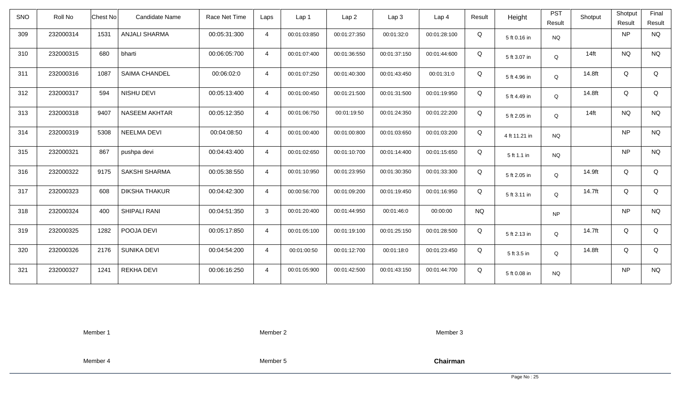| <b>SNO</b> | Roll No   | <b>Chest No</b> | Candidate Name       | Race Net Time | Laps           | Lap 1        | Lap <sub>2</sub> | Lap <sub>3</sub> | Lap <sub>4</sub> | Result    | Height        | <b>PST</b><br>Result | Shotput | Shotput<br>Result | Final<br>Result |
|------------|-----------|-----------------|----------------------|---------------|----------------|--------------|------------------|------------------|------------------|-----------|---------------|----------------------|---------|-------------------|-----------------|
| 309        | 232000314 | 1531            | <b>ANJALI SHARMA</b> | 00:05:31:300  | $\overline{4}$ | 00:01:03:850 | 00:01:27:350     | 00:01:32:0       | 00:01:28:100     | Q         | 5 ft 0.16 in  | <b>NQ</b>            |         | <b>NP</b>         | <b>NQ</b>       |
| 310        | 232000315 | 680             | bharti               | 00:06:05:700  | $\overline{4}$ | 00:01:07:400 | 00:01:36:550     | 00:01:37:150     | 00:01:44:600     | Q         | 5 ft 3.07 in  | Q                    | $14$ ft | <b>NQ</b>         | <b>NQ</b>       |
| 311        | 232000316 | 1087            | <b>SAIMA CHANDEL</b> | 00:06:02:0    | $\overline{4}$ | 00:01:07:250 | 00:01:40:300     | 00:01:43:450     | 00:01:31:0       | Q         | 5 ft 4.96 in  | Q                    | 14.8ft  | Q                 | Q               |
| 312        | 232000317 | 594             | NISHU DEVI           | 00:05:13:400  | $\overline{4}$ | 00:01:00:450 | 00:01:21:500     | 00:01:31:500     | 00:01:19:950     | Q         | 5 ft 4.49 in  | Q                    | 14.8ft  | Q                 | Q               |
| 313        | 232000318 | 9407            | <b>NASEEM AKHTAR</b> | 00:05:12:350  | $\overline{4}$ | 00:01:06:750 | 00:01:19:50      | 00:01:24:350     | 00:01:22:200     | Q         | 5 ft 2.05 in  | Q                    | $14$ ft | <b>NQ</b>         | <b>NQ</b>       |
| 314        | 232000319 | 5308            | <b>NEELMA DEVI</b>   | 00:04:08:50   | $\overline{4}$ | 00:01:00:400 | 00:01:00:800     | 00:01:03:650     | 00:01:03:200     | Q         | 4 ft 11.21 in | <b>NQ</b>            |         | <b>NP</b>         | <b>NQ</b>       |
| 315        | 232000321 | 867             | pushpa devi          | 00:04:43:400  | $\overline{4}$ | 00:01:02:650 | 00:01:10:700     | 00:01:14:400     | 00:01:15:650     | Q         | 5 ft 1.1 in   | <b>NQ</b>            |         | <b>NP</b>         | <b>NQ</b>       |
| 316        | 232000322 | 9175            | SAKSHI SHARMA        | 00:05:38:550  | $\overline{4}$ | 00:01:10:950 | 00:01:23:950     | 00:01:30:350     | 00:01:33:300     | Q         | 5 ft 2.05 in  | Q                    | 14.9ft  | Q                 | Q               |
| 317        | 232000323 | 608             | <b>DIKSHA THAKUR</b> | 00:04:42:300  | $\overline{4}$ | 00:00:56:700 | 00:01:09:200     | 00:01:19:450     | 00:01:16:950     | Q         | 5 ft 3.11 in  | Q                    | 14.7ft  | Q                 | Q               |
| 318        | 232000324 | 400             | SHIPALI RANI         | 00:04:51:350  | $\mathbf{3}$   | 00:01:20:400 | 00:01:44:950     | 00:01:46:0       | 00:00:00         | <b>NQ</b> |               | <b>NP</b>            |         | <b>NP</b>         | <b>NQ</b>       |
| 319        | 232000325 | 1282            | POOJA DEVI           | 00:05:17:850  | $\overline{4}$ | 00:01:05:100 | 00:01:19:100     | 00:01:25:150     | 00:01:28:500     | Q         | 5 ft 2.13 in  | Q                    | 14.7ft  | Q                 | Q               |
| 320        | 232000326 | 2176            | <b>SUNIKA DEVI</b>   | 00:04:54:200  | $\overline{4}$ | 00:01:00:50  | 00:01:12:700     | 00:01:18:0       | 00:01:23:450     | Q         | 5 ft 3.5 in   | Q                    | 14.8ft  | Q                 | Q               |
| 321        | 232000327 | 1241            | REKHA DEVI           | 00:06:16:250  | $\overline{4}$ | 00:01:05:900 | 00:01:42:500     | 00:01:43:150     | 00:01:44:700     | Q         | 5 ft 0.08 in  | <b>NQ</b>            |         | <b>NP</b>         | <b>NQ</b>       |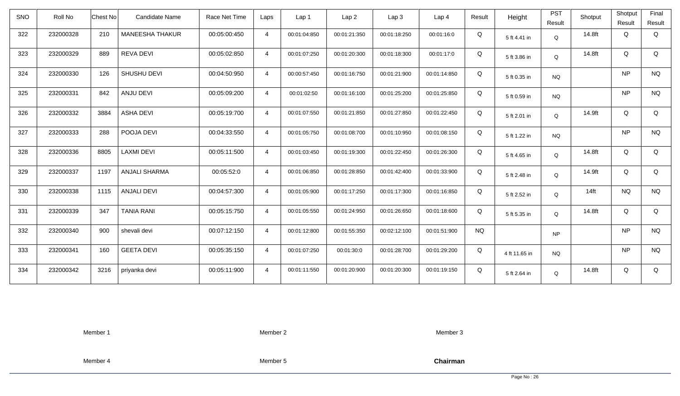| <b>SNO</b> | Roll No   | Chest No | Candidate Name         | Race Net Time | Laps           | Lap <sub>1</sub> | Lap2         | Lap 3        | Lap <sub>4</sub> | Result    | Height        | <b>PST</b> | Shotput | Shotput   | Final       |
|------------|-----------|----------|------------------------|---------------|----------------|------------------|--------------|--------------|------------------|-----------|---------------|------------|---------|-----------|-------------|
|            |           |          |                        |               |                |                  |              |              |                  |           |               | Result     |         | Result    | Result      |
| 322        | 232000328 | 210      | <b>MANEESHA THAKUR</b> | 00:05:00:450  | $\overline{4}$ | 00:01:04:850     | 00:01:21:350 | 00:01:18:250 | 00:01:16:0       | Q         | 5 ft 4.41 in  | Q          | 14.8ft  | Q         | Q           |
| 323        | 232000329 | 889      | REVA DEVI              | 00:05:02:850  | $\overline{4}$ | 00:01:07:250     | 00:01:20:300 | 00:01:18:300 | 00:01:17:0       | Q         | 5 ft 3.86 in  | Q          | 14.8ft  | Q         | Q           |
| 324        | 232000330 | 126      | SHUSHU DEVI            | 00:04:50:950  | $\overline{4}$ | 00:00:57:450     | 00:01:16:750 | 00:01:21:900 | 00:01:14:850     | Q         | 5 ft 0.35 in  | <b>NQ</b>  |         | <b>NP</b> | <b>NQ</b>   |
| 325        | 232000331 | 842      | ANJU DEVI              | 00:05:09:200  | $\overline{4}$ | 00:01:02:50      | 00:01:16:100 | 00:01:25:200 | 00:01:25:850     | Q         | 5 ft 0.59 in  | <b>NQ</b>  |         | NP        | <b>NQ</b>   |
| 326        | 232000332 | 3884     | <b>ASHA DEVI</b>       | 00:05:19:700  | $\overline{4}$ | 00:01:07:550     | 00:01:21:850 | 00:01:27:850 | 00:01:22:450     | Q         | 5 ft 2.01 in  | Q          | 14.9ft  | Q         | Q           |
| 327        | 232000333 | 288      | POOJA DEVI             | 00:04:33:550  | $\overline{4}$ | 00:01:05:750     | 00:01:08:700 | 00:01:10:950 | 00:01:08:150     | Q         | 5 ft 1.22 in  | <b>NQ</b>  |         | NP        | <b>NQ</b>   |
| 328        | 232000336 | 8805     | <b>LAXMI DEVI</b>      | 00:05:11:500  | $\overline{4}$ | 00:01:03:450     | 00:01:19:300 | 00:01:22:450 | 00:01:26:300     | Q         | 5 ft 4.65 in  | Q          | 14.8ft  | Q         | Q           |
| 329        | 232000337 | 1197     | <b>ANJALI SHARMA</b>   | 00:05:52:0    | $\overline{4}$ | 00:01:06:850     | 00:01:28:850 | 00:01:42:400 | 00:01:33:900     | Q         | 5 ft 2.48 in  | Q          | 14.9ft  | Q         | $\mathsf Q$ |
| 330        | 232000338 | 1115     | <b>ANJALI DEVI</b>     | 00:04:57:300  | $\overline{4}$ | 00:01:05:900     | 00:01:17:250 | 00:01:17:300 | 00:01:16:850     | Q         | 5 ft 2.52 in  | Q          | $14$ ft | <b>NQ</b> | <b>NQ</b>   |
| 331        | 232000339 | 347      | <b>TANIA RANI</b>      | 00:05:15:750  | $\overline{4}$ | 00:01:05:550     | 00:01:24:950 | 00:01:26:650 | 00:01:18:600     | Q         | 5 ft 5.35 in  | Q          | 14.8ft  | Q         | Q           |
| 332        | 232000340 | 900      | shevali devi           | 00:07:12:150  | $\overline{4}$ | 00:01:12:800     | 00:01:55:350 | 00:02:12:100 | 00:01:51:900     | <b>NQ</b> |               | <b>NP</b>  |         | <b>NP</b> | <b>NQ</b>   |
| 333        | 232000341 | 160      | <b>GEETA DEVI</b>      | 00:05:35:150  | $\overline{4}$ | 00:01:07:250     | 00:01:30:0   | 00:01:28:700 | 00:01:29:200     | Q         | 4 ft 11.65 in | <b>NQ</b>  |         | <b>NP</b> | <b>NQ</b>   |
| 334        | 232000342 | 3216     | priyanka devi          | 00:05:11:900  | $\overline{4}$ | 00:01:11:550     | 00:01:20:900 | 00:01:20:300 | 00:01:19:150     | Q         | 5 ft 2.64 in  | Q          | 14.8ft  | Q         | Q           |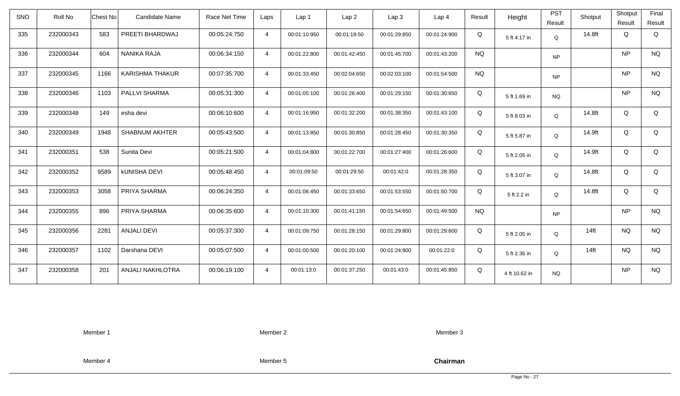| <b>SNO</b> | Roll No   | <b>Chest No</b> | Candidate Name         | Race Net Time | Laps           | Lap 1        | Lap <sub>2</sub> | Lap3         | Lap 4        | Result    | Height        | <b>PST</b><br>Result | Shotput | Shotput<br>Result | Final<br>Result |
|------------|-----------|-----------------|------------------------|---------------|----------------|--------------|------------------|--------------|--------------|-----------|---------------|----------------------|---------|-------------------|-----------------|
| 335        | 232000343 | 583             | PREETI BHARDWAJ        | 00:05:24:750  | $\overline{4}$ | 00:01:10:950 | 00:01:19:50      | 00:01:29:850 | 00:01:24:900 | Q         | 5 ft 4.17 in  | Q                    | 14.8ft  | Q                 | Q               |
| 336        | 232000344 | 604             | NANIKA RAJA            | 00:06:34:150  | $\overline{4}$ | 00:01:22:800 | 00:01:42:450     | 00:01:45:700 | 00:01:43:200 | <b>NQ</b> |               | <b>NP</b>            |         | <b>NP</b>         | <b>NQ</b>       |
| 337        | 232000345 | 1166            | <b>KARISHMA THAKUR</b> | 00:07:35:700  | $\overline{4}$ | 00:01:33:450 | 00:02:04:650     | 00:02:03:100 | 00:01:54:500 | <b>NQ</b> |               | <b>NP</b>            |         | <b>NP</b>         | <b>NQ</b>       |
| 338        | 232000346 | 1103            | PALLVI SHARMA          | 00:05:31:300  | $\overline{4}$ | 00:01:05:100 | 00:01:26:400     | 00:01:29:150 | 00:01:30:650 | Q         | 5 ft 1.69 in  | <b>NQ</b>            |         | <b>NP</b>         | <b>NQ</b>       |
| 339        | 232000348 | 149             | esha devi              | 00:06:10:600  | $\overline{4}$ | 00:01:16:950 | 00:01:32:200     | 00:01:38:350 | 00:01:43:100 | Q         | 5 ft 8.03 in  | Q                    | 14.8ft  | Q                 | Q               |
| 340        | 232000349 | 1948            | <b>SHABNUM AKHTER</b>  | 00:05:43:500  | $\overline{4}$ | 00:01:13:850 | 00:01:30:850     | 00:01:28:450 | 00:01:30:350 | Q         | 5 ft 5.87 in  | $\mathsf Q$          | 14.9ft  | Q                 | Q               |
| 341        | 232000351 | 538             | Sunita Devi            | 00:05:21:500  | $\overline{4}$ | 00:01:04:800 | 00:01:22:700     | 00:01:27:400 | 00:01:26:600 | Q         | 5 ft 2.05 in  | Q                    | 14.9ft  | Q                 | Q               |
| 342        | 232000352 | 9589            | <b>kUNISHA DEVI</b>    | 00:05:48:450  | $\overline{4}$ | 00:01:09:50  | 00:01:29:50      | 00:01:42:0   | 00:01:28:350 | Q         | 5 ft 3.07 in  | Q                    | 14.8ft  | Q                 | Q               |
| 343        | 232000353 | 3058            | PRIYA SHARMA           | 00:06:24:350  | $\overline{4}$ | 00:01:06:450 | 00:01:33:650     | 00:01:53:550 | 00:01:50:700 | Q         | 5 ft 2.2 in   | $\mathsf Q$          | 14.8ft  | Q                 | Q               |
| 344        | 232000355 | 896             | PRIYA SHARMA           | 00:06:35:600  | $\overline{4}$ | 00:01:10:300 | 00:01:41:150     | 00:01:54:650 | 00:01:49:500 | <b>NQ</b> |               | <b>NP</b>            |         | <b>NP</b>         | <b>NQ</b>       |
| 345        | 232000356 | 2281            | <b>ANJALI DEVI</b>     | 00:05:37:300  | $\overline{4}$ | 00:01:09:750 | 00:01:28:150     | 00:01:29:800 | 00:01:29:600 | Q         | 5 ft 2.05 in  | Q                    | $14$ ft | <b>NQ</b>         | <b>NQ</b>       |
| 346        | 232000357 | 1102            | Darshana DEVI          | 00:05:07:500  | $\overline{4}$ | 00:01:00:500 | 00:01:20:100     | 00:01:24:900 | 00:01:22:0   | Q         | 5 ft 2.36 in  | Q                    | $14$ ft | <b>NQ</b>         | <b>NQ</b>       |
| 347        | 232000358 | 201             | ANJALI NAKHLOTRA       | 00:06:19:100  | $\overline{4}$ | 00:01:13:0   | 00:01:37:250     | 00:01:43:0   | 00:01:45:850 | Q         | 4 ft 10.62 in | <b>NQ</b>            |         | <b>NP</b>         | <b>NQ</b>       |

Member 2

Member 3

Member 4

Member 5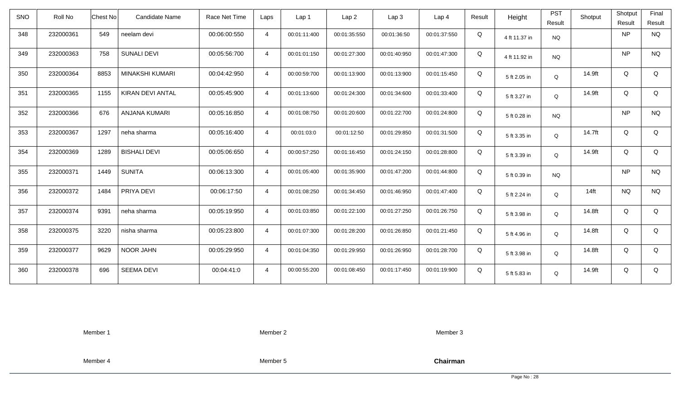| <b>SNO</b> | Roll No   | <b>Chest No</b> | <b>Candidate Name</b>   | Race Net Time | Laps           | Lap <sub>1</sub> | Lap <sub>2</sub> | Lap <sub>3</sub> | Lap <sub>4</sub> | Result | Height        | <b>PST</b><br>Result | Shotput | Shotput<br>Result | Final<br>Result |
|------------|-----------|-----------------|-------------------------|---------------|----------------|------------------|------------------|------------------|------------------|--------|---------------|----------------------|---------|-------------------|-----------------|
| 348        | 232000361 | 549             | neelam devi             | 00:06:00:550  | $\overline{4}$ | 00:01:11:400     | 00:01:35:550     | 00:01:36:50      | 00:01:37:550     | Q      | 4 ft 11.37 in | <b>NQ</b>            |         | <b>NP</b>         | <b>NQ</b>       |
| 349        | 232000363 | 758             | <b>SUNALI DEVI</b>      | 00:05:56:700  | $\overline{4}$ | 00:01:01:150     | 00:01:27:300     | 00:01:40:950     | 00:01:47:300     | Q      | 4 ft 11.92 in | <b>NQ</b>            |         | <b>NP</b>         | <b>NQ</b>       |
| 350        | 232000364 | 8853            | MINAKSHI KUMARI         | 00:04:42:950  | $\overline{4}$ | 00:00:59:700     | 00:01:13:900     | 00:01:13:900     | 00:01:15:450     | Q      | 5 ft 2.05 in  | Q                    | 14.9ft  | Q                 | Q               |
| 351        | 232000365 | 1155            | <b>KIRAN DEVI ANTAL</b> | 00:05:45:900  | $\overline{4}$ | 00:01:13:600     | 00:01:24:300     | 00:01:34:600     | 00:01:33:400     | Q      | 5 ft 3.27 in  | Q                    | 14.9ft  | Q                 | Q               |
| 352        | 232000366 | 676             | <b>ANJANA KUMARI</b>    | 00:05:16:850  | $\overline{4}$ | 00:01:08:750     | 00:01:20:600     | 00:01:22:700     | 00:01:24:800     | Q      | 5 ft 0.28 in  | <b>NQ</b>            |         | <b>NP</b>         | <b>NQ</b>       |
| 353        | 232000367 | 1297            | neha sharma             | 00:05:16:400  | $\overline{4}$ | 00:01:03:0       | 00:01:12:50      | 00:01:29:850     | 00:01:31:500     | Q      | 5 ft 3.35 in  | Q                    | 14.7ft  | Q                 | Q               |
| 354        | 232000369 | 1289            | <b>BISHALI DEVI</b>     | 00:05:06:650  | $\overline{4}$ | 00:00:57:250     | 00:01:16:450     | 00:01:24:150     | 00:01:28:800     | Q      | 5 ft 3.39 in  | Q                    | 14.9ft  | Q                 | Q               |
| 355        | 232000371 | 1449            | <b>SUNITA</b>           | 00:06:13:300  | $\overline{4}$ | 00:01:05:400     | 00:01:35:900     | 00:01:47:200     | 00:01:44:800     | Q      | 5 ft 0.39 in  | <b>NQ</b>            |         | <b>NP</b>         | <b>NQ</b>       |
| 356        | 232000372 | 1484            | PRIYA DEVI              | 00:06:17:50   | $\overline{4}$ | 00:01:08:250     | 00:01:34:450     | 00:01:46:950     | 00:01:47:400     | Q      | 5 ft 2.24 in  | Q                    | $14$ ft | <b>NQ</b>         | <b>NQ</b>       |
| 357        | 232000374 | 9391            | neha sharma             | 00:05:19:950  | $\overline{4}$ | 00:01:03:850     | 00:01:22:100     | 00:01:27:250     | 00:01:26:750     | Q      | 5 ft 3.98 in  | Q                    | 14.8ft  | Q                 | Q               |
| 358        | 232000375 | 3220            | nisha sharma            | 00:05:23:800  | $\overline{4}$ | 00:01:07:300     | 00:01:28:200     | 00:01:26:850     | 00:01:21:450     | Q      | 5 ft 4.96 in  | Q                    | 14.8ft  | Q                 | Q               |
| 359        | 232000377 | 9629            | <b>NOOR JAHN</b>        | 00:05:29:950  | $\overline{4}$ | 00:01:04:350     | 00:01:29:950     | 00:01:26:950     | 00:01:28:700     | Q      | 5 ft 3.98 in  | Q                    | 14.8ft  | Q                 | Q               |
| 360        | 232000378 | 696             | <b>SEEMA DEVI</b>       | 00:04:41:0    | $\overline{4}$ | 00:00:55:200     | 00:01:08:450     | 00:01:17:450     | 00:01:19:900     | Q      | 5 ft 5.83 in  | Q                    | 14.9ft  | Q                 | Q               |

Member 2

Member 3

Member 4

Member 5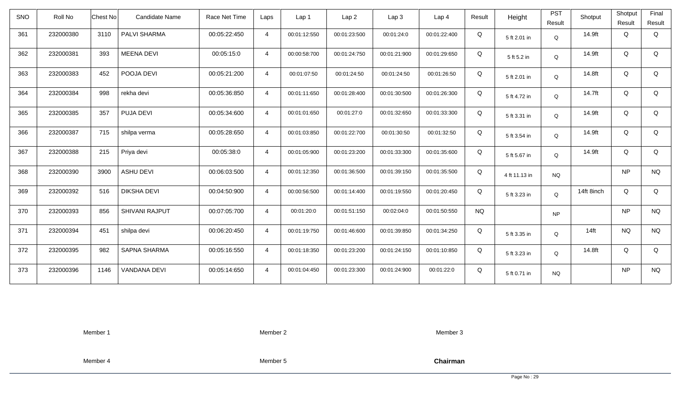| <b>SNO</b> | Roll No   | <b>Chest No</b> | Candidate Name      | Race Net Time | Laps           | Lap <sub>1</sub> | Lap <sub>2</sub> | Lap <sub>3</sub> | Lap <sub>4</sub> | Result    | Height        | <b>PST</b><br>Result | Shotput    | Shotput<br>Result | Final<br>Result |
|------------|-----------|-----------------|---------------------|---------------|----------------|------------------|------------------|------------------|------------------|-----------|---------------|----------------------|------------|-------------------|-----------------|
| 361        | 232000380 | 3110            | PALVI SHARMA        | 00:05:22:450  | $\overline{4}$ | 00:01:12:550     | 00:01:23:500     | 00:01:24:0       | 00:01:22:400     | Q         | 5 ft 2.01 in  | Q                    | 14.9ft     | Q                 | Q               |
| 362        | 232000381 | 393             | <b>MEENA DEVI</b>   | 00:05:15:0    | $\overline{4}$ | 00:00:58:700     | 00:01:24:750     | 00:01:21:900     | 00:01:29:650     | Q         | 5 ft 5.2 in   | Q                    | 14.9ft     | Q                 | Q               |
| 363        | 232000383 | 452             | POOJA DEVI          | 00:05:21:200  | $\overline{4}$ | 00:01:07:50      | 00:01:24:50      | 00:01:24:50      | 00:01:26:50      | Q         | 5 ft 2.01 in  | Q                    | 14.8ft     | Q                 | Q               |
| 364        | 232000384 | 998             | rekha devi          | 00:05:36:850  | $\overline{4}$ | 00:01:11:650     | 00:01:28:400     | 00:01:30:500     | 00:01:26:300     | Q         | 5 ft 4.72 in  | Q                    | 14.7ft     | Q                 | Q               |
| 365        | 232000385 | 357             | PUJA DEVI           | 00:05:34:600  | $\overline{4}$ | 00:01:01:650     | 00:01:27:0       | 00:01:32:650     | 00:01:33:300     | Q         | 5 ft 3.31 in  | Q                    | 14.9ft     | Q                 | Q               |
| 366        | 232000387 | 715             | shilpa verma        | 00:05:28:650  | $\overline{4}$ | 00:01:03:850     | 00:01:22:700     | 00:01:30:50      | 00:01:32:50      | Q         | 5 ft 3.54 in  | Q                    | 14.9ft     | Q                 | Q               |
| 367        | 232000388 | 215             | Priya devi          | 00:05:38:0    | $\overline{4}$ | 00:01:05:900     | 00:01:23:200     | 00:01:33:300     | 00:01:35:600     | Q         | 5 ft 5.67 in  | Q                    | 14.9ft     | Q                 | Q               |
| 368        | 232000390 | 3900            | <b>ASHU DEVI</b>    | 00:06:03:500  | $\overline{4}$ | 00:01:12:350     | 00:01:36:500     | 00:01:39:150     | 00:01:35:500     | Q         | 4 ft 11.13 in | <b>NQ</b>            |            | <b>NP</b>         | <b>NQ</b>       |
| 369        | 232000392 | 516             | <b>DIKSHA DEVI</b>  | 00:04:50:900  | $\overline{4}$ | 00:00:56:500     | 00:01:14:400     | 00:01:19:550     | 00:01:20:450     | Q         | 5 ft 3.23 in  | Q                    | 14ft 8inch | Q                 | Q               |
| 370        | 232000393 | 856             | SHIVANI RAJPUT      | 00:07:05:700  | $\overline{4}$ | 00:01:20:0       | 00:01:51:150     | 00:02:04:0       | 00:01:50:550     | <b>NQ</b> |               | <b>NP</b>            |            | NP                | <b>NQ</b>       |
| 371        | 232000394 | 451             | shilpa devi         | 00:06:20:450  | $\overline{4}$ | 00:01:19:750     | 00:01:46:600     | 00:01:39:850     | 00:01:34:250     | Q         | 5 ft 3.35 in  | Q                    | $14$ ft    | <b>NQ</b>         | <b>NQ</b>       |
| 372        | 232000395 | 982             | <b>SAPNA SHARMA</b> | 00:05:16:550  | $\overline{4}$ | 00:01:18:350     | 00:01:23:200     | 00:01:24:150     | 00:01:10:850     | Q         | 5 ft 3.23 in  | Q                    | 14.8ft     | Q                 | Q               |
| 373        | 232000396 | 1146            | VANDANA DEVI        | 00:05:14:650  | $\overline{4}$ | 00:01:04:450     | 00:01:23:300     | 00:01:24:900     | 00:01:22:0       | Q         | 5 ft 0.71 in  | <b>NQ</b>            |            | NP                | <b>NQ</b>       |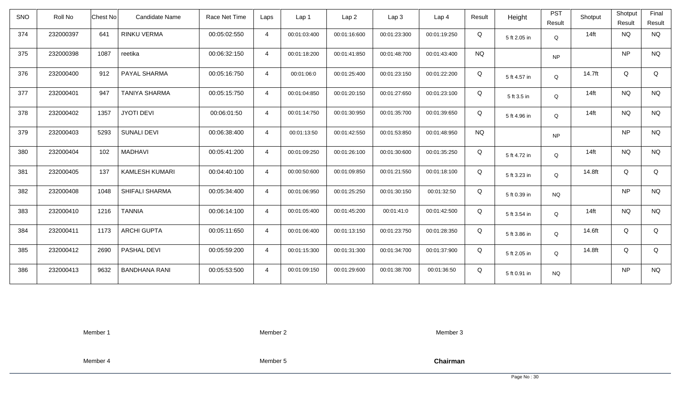| SNO | Roll No   | Chest No | <b>Candidate Name</b> | Race Net Time | Laps           | Lap <sub>1</sub> | Lap <sub>2</sub> | Lap 3        | Lap <sub>4</sub> | Result    | Height       | <b>PST</b><br>Result | Shotput | Shotput<br>Result | Final<br>Result |
|-----|-----------|----------|-----------------------|---------------|----------------|------------------|------------------|--------------|------------------|-----------|--------------|----------------------|---------|-------------------|-----------------|
| 374 | 232000397 | 641      | RINKU VERMA           | 00:05:02:550  | $\overline{4}$ | 00:01:03:400     | 00:01:16:600     | 00:01:23:300 | 00:01:19:250     | Q         | 5 ft 2.05 in | Q                    | $14$ ft | <b>NQ</b>         | <b>NQ</b>       |
| 375 | 232000398 | 1087     | reetika               | 00:06:32:150  | $\overline{4}$ | 00:01:18:200     | 00:01:41:850     | 00:01:48:700 | 00:01:43:400     | <b>NQ</b> |              | <b>NP</b>            |         | <b>NP</b>         | <b>NQ</b>       |
| 376 | 232000400 | 912      | PAYAL SHARMA          | 00:05:16:750  | $\overline{4}$ | 00:01:06:0       | 00:01:25:400     | 00:01:23:150 | 00:01:22:200     | Q         | 5 ft 4.57 in | Q                    | 14.7ft  | Q                 | Q               |
| 377 | 232000401 | 947      | <b>TANIYA SHARMA</b>  | 00:05:15:750  | $\overline{4}$ | 00:01:04:850     | 00:01:20:150     | 00:01:27:650 | 00:01:23:100     | Q         | 5 ft 3.5 in  | Q                    | $14$ ft | <b>NQ</b>         | <b>NQ</b>       |
| 378 | 232000402 | 1357     | <b>JYOTI DEVI</b>     | 00:06:01:50   | $\overline{4}$ | 00:01:14:750     | 00:01:30:950     | 00:01:35:700 | 00:01:39:650     | Q         | 5 ft 4.96 in | Q                    | $14$ ft | <b>NQ</b>         | <b>NQ</b>       |
| 379 | 232000403 | 5293     | <b>SUNALI DEVI</b>    | 00:06:38:400  | $\overline{4}$ | 00:01:13:50      | 00:01:42:550     | 00:01:53:850 | 00:01:48:950     | <b>NQ</b> |              | <b>NP</b>            |         | <b>NP</b>         | <b>NQ</b>       |
| 380 | 232000404 | 102      | <b>MADHAVI</b>        | 00:05:41:200  | $\overline{4}$ | 00:01:09:250     | 00:01:26:100     | 00:01:30:600 | 00:01:35:250     | Q         | 5 ft 4.72 in | Q                    | $14$ ft | <b>NQ</b>         | <b>NQ</b>       |
| 381 | 232000405 | 137      | <b>KAMLESH KUMARI</b> | 00:04:40:100  | $\overline{4}$ | 00:00:50:600     | 00:01:09:850     | 00:01:21:550 | 00:01:18:100     | Q         | 5 ft 3.23 in | Q                    | 14.8ft  | Q                 | Q               |
| 382 | 232000408 | 1048     | <b>SHIFALI SHARMA</b> | 00:05:34:400  | $\overline{4}$ | 00:01:06:950     | 00:01:25:250     | 00:01:30:150 | 00:01:32:50      | Q         | 5 ft 0.39 in | <b>NQ</b>            |         | <b>NP</b>         | <b>NQ</b>       |
| 383 | 232000410 | 1216     | <b>TANNIA</b>         | 00:06:14:100  | $\overline{4}$ | 00:01:05:400     | 00:01:45:200     | 00:01:41:0   | 00:01:42:500     | Q         | 5 ft 3.54 in | Q                    | $14$ ft | <b>NQ</b>         | <b>NQ</b>       |
| 384 | 232000411 | 1173     | <b>ARCHI GUPTA</b>    | 00:05:11:650  | $\overline{4}$ | 00:01:06:400     | 00:01:13:150     | 00:01:23:750 | 00:01:28:350     | Q         | 5 ft 3.86 in | Q                    | 14.6ft  | Q                 | Q               |
| 385 | 232000412 | 2690     | PASHAL DEVI           | 00:05:59:200  | $\overline{4}$ | 00:01:15:300     | 00:01:31:300     | 00:01:34:700 | 00:01:37:900     | Q         | 5 ft 2.05 in | Q                    | 14.8ft  | Q                 | Q               |
| 386 | 232000413 | 9632     | <b>BANDHANA RANI</b>  | 00:05:53:500  | $\overline{4}$ | 00:01:09:150     | 00:01:29:600     | 00:01:38:700 | 00:01:36:50      | Q         | 5 ft 0.91 in | <b>NQ</b>            |         | <b>NP</b>         | <b>NQ</b>       |

Member 2

Member 3

Member 4

Member 5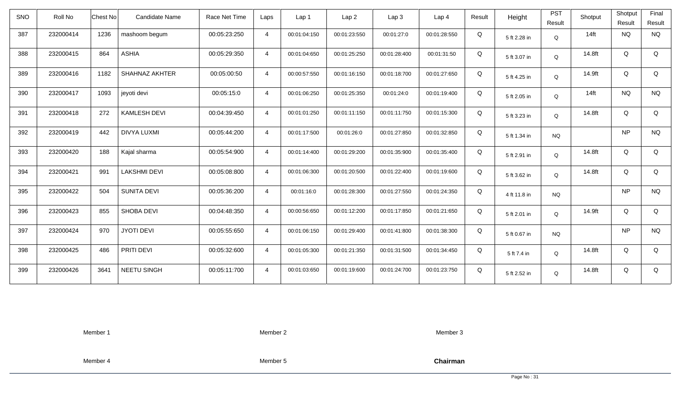| <b>SNO</b> | Roll No   | Chest No                      | Candidate Name | Race Net Time | Laps           | Lap 1        | Lap <sub>2</sub> | Lap3         | Lap <sub>4</sub> | Result | Height       | <b>PST</b><br>Result | Shotput | Shotput<br>Result | Final<br>Result |
|------------|-----------|-------------------------------|----------------|---------------|----------------|--------------|------------------|--------------|------------------|--------|--------------|----------------------|---------|-------------------|-----------------|
| 387        | 232000414 | 1236<br>mashoom begum         |                | 00:05:23:250  | $\overline{4}$ | 00:01:04:150 | 00:01:23:550     | 00:01:27:0   | 00:01:28:550     | Q      | 5 ft 2.28 in | $\mathsf Q$          | $14$ ft | <b>NQ</b>         | <b>NQ</b>       |
| 388        | 232000415 | <b>ASHIA</b><br>864           |                | 00:05:29:350  | $\overline{4}$ | 00:01:04:650 | 00:01:25:250     | 00:01:28:400 | 00:01:31:50      | Q      | 5 ft 3.07 in | Q                    | 14.8ft  | Q                 | Q               |
| 389        | 232000416 | 1182<br><b>SHAHNAZ AKHTER</b> |                | 00:05:00:50   | $\overline{4}$ | 00:00:57:550 | 00:01:16:150     | 00:01:18:700 | 00:01:27:650     | Q      | 5 ft 4.25 in | Q                    | 14.9ft  | Q                 | Q               |
| 390        | 232000417 | 1093<br>jeyoti devi           |                | 00:05:15:0    | $\overline{4}$ | 00:01:06:250 | 00:01:25:350     | 00:01:24:0   | 00:01:19:400     | Q      | 5 ft 2.05 in | Q                    | $14$ ft | <b>NQ</b>         | <b>NQ</b>       |
| 391        | 232000418 | <b>KAMLESH DEVI</b><br>272    |                | 00:04:39:450  | $\overline{4}$ | 00:01:01:250 | 00:01:11:150     | 00:01:11:750 | 00:01:15:300     | Q      | 5 ft 3.23 in | Q                    | 14.8ft  | Q                 | Q               |
| 392        | 232000419 | <b>DIVYA LUXMI</b><br>442     |                | 00:05:44:200  | $\overline{4}$ | 00:01:17:500 | 00:01:26:0       | 00:01:27:850 | 00:01:32:850     | Q      | 5 ft 1.34 in | <b>NQ</b>            |         | <b>NP</b>         | <b>NQ</b>       |
| 393        | 232000420 | 188<br>Kajal sharma           |                | 00:05:54:900  | $\overline{4}$ | 00:01:14:400 | 00:01:29:200     | 00:01:35:900 | 00:01:35:400     | Q      | 5 ft 2.91 in | Q                    | 14.8ft  | Q                 | Q               |
| 394        | 232000421 | 991<br><b>LAKSHMI DEVI</b>    |                | 00:05:08:800  | $\overline{4}$ | 00:01:06:300 | 00:01:20:500     | 00:01:22:400 | 00:01:19:600     | Q      | 5 ft 3.62 in | Q                    | 14.8ft  | Q                 | Q               |
| 395        | 232000422 | 504<br><b>SUNITA DEVI</b>     |                | 00:05:36:200  | $\overline{4}$ | 00:01:16:0   | 00:01:28:300     | 00:01:27:550 | 00:01:24:350     | Q      | 4 ft 11.8 in | <b>NQ</b>            |         | <b>NP</b>         | <b>NQ</b>       |
| 396        | 232000423 | 855<br>SHOBA DEVI             |                | 00:04:48:350  | $\overline{4}$ | 00:00:56:650 | 00:01:12:200     | 00:01:17:850 | 00:01:21:650     | Q      | 5 ft 2.01 in | Q                    | 14.9ft  | Q                 | Q               |
| 397        | 232000424 | 970<br><b>JYOTI DEVI</b>      |                | 00:05:55:650  | $\overline{4}$ | 00:01:06:150 | 00:01:29:400     | 00:01:41:800 | 00:01:38:300     | Q      | 5 ft 0.67 in | <b>NQ</b>            |         | <b>NP</b>         | <b>NQ</b>       |
| 398        | 232000425 | 486<br>PRITI DEVI             |                | 00:05:32:600  | $\overline{4}$ | 00:01:05:300 | 00:01:21:350     | 00:01:31:500 | 00:01:34:450     | Q      | 5 ft 7.4 in  | Q                    | 14.8ft  | Q                 | Q               |
| 399        | 232000426 | 3641<br>NEETU SINGH           |                | 00:05:11:700  | $\overline{4}$ | 00:01:03:650 | 00:01:19:600     | 00:01:24:700 | 00:01:23:750     | Q      | 5 ft 2.52 in | Q                    | 14.8ft  | Q                 | Q               |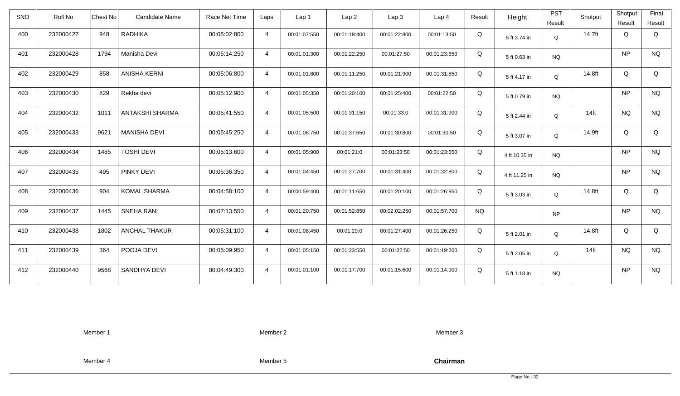| <b>SNO</b> | Roll No   | Chest No<br><b>Candidate Name</b> | Race Net Time | Laps           | Lap 1        | Lap <sub>2</sub> | Lap3         | Lap <sub>4</sub> | Result    | Height        | <b>PST</b><br>Result | Shotput | Shotput<br>Result | Final<br>Result |
|------------|-----------|-----------------------------------|---------------|----------------|--------------|------------------|--------------|------------------|-----------|---------------|----------------------|---------|-------------------|-----------------|
| 400        | 232000427 | 948<br><b>RADHIKA</b>             | 00:05:02:800  | $\overline{4}$ | 00:01:07:550 | 00:01:19:400     | 00:01:22:800 | 00:01:13:50      | Q         | 5 ft 3.74 in  | Q                    | 14.7ft  | Q                 | Q               |
| 401        | 232000428 | Manisha Devi<br>1794              | 00:05:14:250  | $\overline{4}$ | 00:01:01:300 | 00:01:22:250     | 00:01:27:50  | 00:01:23:650     | Q         | 5 ft 0.63 in  | <b>NQ</b>            |         | <b>NP</b>         | <b>NQ</b>       |
| 402        | 232000429 | 858<br><b>ANISHA KERNI</b>        | 00:05:06:800  | $\overline{4}$ | 00:01:01:800 | 00:01:11:250     | 00:01:21:900 | 00:01:31:850     | Q         | 5 ft 4.17 in  | Q                    | 14.8ft  | Q                 | Q               |
| 403        | 232000430 | 829<br>Rekha devi                 | 00:05:12:900  | $\overline{4}$ | 00:01:05:350 | 00:01:20:100     | 00:01:25:400 | 00:01:22:50      | Q         | 5 ft 0.79 in  | <b>NQ</b>            |         | <b>NP</b>         | <b>NQ</b>       |
| 404        | 232000432 | 1011<br><b>ANTAKSHI SHARMA</b>    | 00:05:41:550  | $\overline{4}$ | 00:01:05:500 | 00:01:31:150     | 00:01:33:0   | 00:01:31:900     | Q         | 5 ft 2.44 in  | Q                    | $14$ ft | <b>NQ</b>         | <b>NQ</b>       |
| 405        | 232000433 | 9621<br><b>MANISHA DEVI</b>       | 00:05:45:250  | $\overline{4}$ | 00:01:06:750 | 00:01:37:650     | 00:01:30:800 | 00:01:30:50      | Q         | 5 ft 3.07 in  | Q                    | 14.9ft  | Q                 | Q               |
| 406        | 232000434 | 1485<br><b>TOSHI DEVI</b>         | 00:05:13:600  | $\overline{4}$ | 00:01:05:900 | 00:01:21:0       | 00:01:23:50  | 00:01:23:650     | Q         | 4 ft 10.35 in | <b>NQ</b>            |         | <b>NP</b>         | <b>NQ</b>       |
| 407        | 232000435 | 495<br>PINKY DEVI                 | 00:05:36:350  | $\overline{4}$ | 00:01:04:450 | 00:01:27:700     | 00:01:31:400 | 00:01:32:800     | Q         | 4 ft 11.25 in | <b>NQ</b>            |         | <b>NP</b>         | <b>NQ</b>       |
| 408        | 232000436 | <b>KOMAL SHARMA</b><br>904        | 00:04:58:100  | $\overline{4}$ | 00:00:59:400 | 00:01:11:650     | 00:01:20:100 | 00:01:26:950     | Q         | 5 ft 3.03 in  | Q                    | 14.8ft  | Q                 | Q               |
| 409        | 232000437 | 1445<br><b>SNEHA RANI</b>         | 00:07:13:550  | $\overline{4}$ | 00:01:20:750 | 00:01:52:850     | 00:02:02:250 | 00:01:57:700     | <b>NQ</b> |               | <b>NP</b>            |         | <b>NP</b>         | <b>NQ</b>       |
| 410        | 232000438 | 1802<br><b>ANCHAL THAKUR</b>      | 00:05:31:100  | $\overline{4}$ | 00:01:08:450 | 00:01:29:0       | 00:01:27:400 | 00:01:26:250     | Q         | 5 ft 2.01 in  | Q                    | 14.8ft  | Q                 | Q               |
| 411        | 232000439 | POOJA DEVI<br>364                 | 00:05:09:950  | $\overline{4}$ | 00:01:05:150 | 00:01:23:550     | 00:01:22:50  | 00:01:19:200     | Q         | 5 ft 2.05 in  | Q                    | $14$ ft | <b>NQ</b>         | <b>NQ</b>       |
| 412        | 232000440 | 9568<br>SANDHYA DEVI              | 00:04:49:300  | $\overline{4}$ | 00:01:01:100 | 00:01:17:700     | 00:01:15:600 | 00:01:14:900     | Q         | 5 ft 1.18 in  | <b>NQ</b>            |         | <b>NP</b>         | <b>NQ</b>       |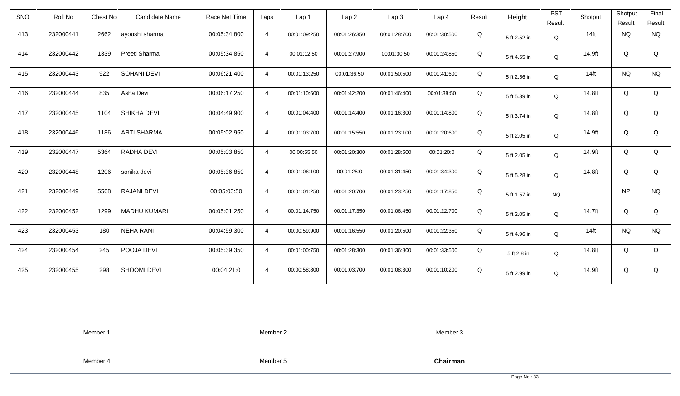| <b>SNO</b> | Roll No   | <b>Chest No</b> | Candidate Name      | Race Net Time | Laps           | Lap 1        | Lap <sub>2</sub> | Lap <sub>3</sub> | Lap <sub>4</sub> | Result | Height       | <b>PST</b><br>Result | Shotput | Shotput<br>Result | Final<br>Result |
|------------|-----------|-----------------|---------------------|---------------|----------------|--------------|------------------|------------------|------------------|--------|--------------|----------------------|---------|-------------------|-----------------|
| 413        | 232000441 | 2662            | ayoushi sharma      | 00:05:34:800  | $\overline{4}$ | 00:01:09:250 | 00:01:26:350     | 00:01:28:700     | 00:01:30:500     | Q      | 5 ft 2.52 in | Q                    | $14$ ft | <b>NQ</b>         | <b>NQ</b>       |
| 414        | 232000442 | 1339            | Preeti Sharma       | 00:05:34:850  | $\overline{4}$ | 00:01:12:50  | 00:01:27:900     | 00:01:30:50      | 00:01:24:850     | Q      | 5 ft 4.65 in | Q                    | 14.9ft  | Q                 | Q               |
| 415        | 232000443 | 922             | SOHANI DEVI         | 00:06:21:400  | $\overline{4}$ | 00:01:13:250 | 00:01:36:50      | 00:01:50:500     | 00:01:41:600     | Q      | 5 ft 2.56 in | Q                    | $14$ ft | <b>NQ</b>         | <b>NQ</b>       |
| 416        | 232000444 | 835             | Asha Devi           | 00:06:17:250  | $\overline{4}$ | 00:01:10:600 | 00:01:42:200     | 00:01:46:400     | 00:01:38:50      | Q      | 5 ft 5.39 in | Q                    | 14.8ft  | Q                 | Q               |
| 417        | 232000445 | 1104            | SHIKHA DEVI         | 00:04:49:900  | $\overline{4}$ | 00:01:04:400 | 00:01:14:400     | 00:01:16:300     | 00:01:14:800     | Q      | 5 ft 3.74 in | Q                    | 14.8ft  | Q                 | Q               |
| 418        | 232000446 | 1186            | <b>ARTI SHARMA</b>  | 00:05:02:950  | $\overline{4}$ | 00:01:03:700 | 00:01:15:550     | 00:01:23:100     | 00:01:20:600     | Q      | 5 ft 2.05 in | Q                    | 14.9ft  | Q                 | Q               |
| 419        | 232000447 | 5364            | RADHA DEVI          | 00:05:03:850  | $\overline{4}$ | 00:00:55:50  | 00:01:20:300     | 00:01:28:500     | 00:01:20:0       | Q      | 5 ft 2.05 in | Q                    | 14.9ft  | Q                 | Q               |
| 420        | 232000448 | 1206            | sonika devi         | 00:05:36:850  | $\overline{4}$ | 00:01:06:100 | 00:01:25:0       | 00:01:31:450     | 00:01:34:300     | Q      | 5 ft 5.28 in | Q                    | 14.8ft  | Q                 | Q               |
| 421        | 232000449 | 5568            | <b>RAJANI DEVI</b>  | 00:05:03:50   | $\overline{4}$ | 00:01:01:250 | 00:01:20:700     | 00:01:23:250     | 00:01:17:850     | Q      | 5 ft 1.57 in | <b>NQ</b>            |         | <b>NP</b>         | <b>NQ</b>       |
| 422        | 232000452 | 1299            | <b>MADHU KUMARI</b> | 00:05:01:250  | $\overline{4}$ | 00:01:14:750 | 00:01:17:350     | 00:01:06:450     | 00:01:22:700     | Q      | 5 ft 2.05 in | Q                    | 14.7ft  | Q                 | Q               |
| 423        | 232000453 | 180             | <b>NEHA RANI</b>    | 00:04:59:300  | $\overline{4}$ | 00:00:59:900 | 00:01:16:550     | 00:01:20:500     | 00:01:22:350     | Q      | 5 ft 4.96 in | Q                    | $14$ ft | <b>NQ</b>         | <b>NQ</b>       |
| 424        | 232000454 | 245             | POOJA DEVI          | 00:05:39:350  | $\overline{4}$ | 00:01:00:750 | 00:01:28:300     | 00:01:36:800     | 00:01:33:500     | Q      | 5 ft 2.8 in  | Q                    | 14.8ft  | Q                 | Q               |
| 425        | 232000455 | 298             | SHOOMI DEVI         | 00:04:21:0    | $\overline{4}$ | 00:00:58:800 | 00:01:03:700     | 00:01:08:300     | 00:01:10:200     | Q      | 5 ft 2.99 in | Q                    | 14.9ft  | Q                 | Q               |

Member 2

Member 3

Member 4

Member 5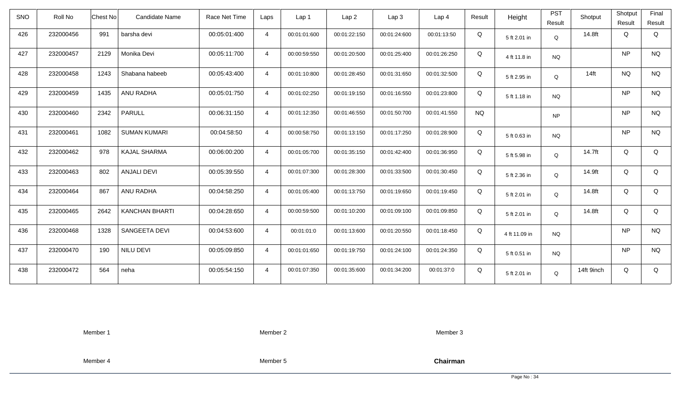| <b>SNO</b> | Roll No   | <b>Candidate Name</b><br>Chest No | Race Net Time | Laps           | Lap <sub>1</sub> | Lap2         | Lap 3        | Lap <sub>4</sub> | Result    | Height        | <b>PST</b> | Shotput    | Shotput   | Final       |
|------------|-----------|-----------------------------------|---------------|----------------|------------------|--------------|--------------|------------------|-----------|---------------|------------|------------|-----------|-------------|
|            |           |                                   |               |                |                  |              |              |                  |           |               | Result     |            | Result    | Result      |
| 426        | 232000456 | 991<br>barsha devi                | 00:05:01:400  | $\overline{4}$ | 00:01:01:600     | 00:01:22:150 | 00:01:24:600 | 00:01:13:50      | Q         | 5 ft 2.01 in  | Q          | 14.8ft     | Q         | Q           |
| 427        | 232000457 | Monika Devi<br>2129               | 00:05:11:700  | $\overline{4}$ | 00:00:59:550     | 00:01:20:500 | 00:01:25:400 | 00:01:26:250     | Q         | 4 ft 11.8 in  | <b>NQ</b>  |            | NP        | <b>NQ</b>   |
| 428        | 232000458 | 1243<br>Shabana habeeb            | 00:05:43:400  | $\overline{4}$ | 00:01:10:800     | 00:01:28:450 | 00:01:31:650 | 00:01:32:500     | Q         | 5 ft 2.95 in  | Q          | $14$ ft    | <b>NQ</b> | <b>NQ</b>   |
| 429        | 232000459 | 1435<br>ANU RADHA                 | 00:05:01:750  | $\overline{4}$ | 00:01:02:250     | 00:01:19:150 | 00:01:16:550 | 00:01:23:800     | Q         | 5 ft 1.18 in  | <b>NQ</b>  |            | NP        | <b>NQ</b>   |
| 430        | 232000460 | <b>PARULL</b><br>2342             | 00:06:31:150  | $\overline{4}$ | 00:01:12:350     | 00:01:46:550 | 00:01:50:700 | 00:01:41:550     | <b>NQ</b> |               | <b>NP</b>  |            | <b>NP</b> | <b>NQ</b>   |
| 431        | 232000461 | 1082<br><b>SUMAN KUMARI</b>       | 00:04:58:50   | $\overline{4}$ | 00:00:58:750     | 00:01:13:150 | 00:01:17:250 | 00:01:28:900     | Q         | 5 ft 0.63 in  | <b>NQ</b>  |            | NP        | <b>NQ</b>   |
| 432        | 232000462 | 978<br>KAJAL SHARMA               | 00:06:00:200  | $\overline{4}$ | 00:01:05:700     | 00:01:35:150 | 00:01:42:400 | 00:01:36:950     | Q         | 5 ft 5.98 in  | Q          | 14.7ft     | Q         | Q           |
| 433        | 232000463 | 802<br><b>ANJALI DEVI</b>         | 00:05:39:550  | $\overline{4}$ | 00:01:07:300     | 00:01:28:300 | 00:01:33:500 | 00:01:30:450     | Q         | 5 ft 2.36 in  | Q          | 14.9ft     | Q         | $\mathsf Q$ |
| 434        | 232000464 | 867<br>ANU RADHA                  | 00:04:58:250  | $\overline{4}$ | 00:01:05:400     | 00:01:13:750 | 00:01:19:650 | 00:01:19:450     | Q         | 5 ft 2.01 in  | Q          | 14.8ft     | Q         | Q           |
| 435        | 232000465 | 2642<br><b>KANCHAN BHARTI</b>     | 00:04:28:650  | $\overline{4}$ | 00:00:59:500     | 00:01:10:200 | 00:01:09:100 | 00:01:09:850     | Q         | 5 ft 2.01 in  | Q          | 14.8ft     | Q         | Q           |
| 436        | 232000468 | SANGEETA DEVI<br>1328             | 00:04:53:600  | $\overline{4}$ | 00:01:01:0       | 00:01:13:600 | 00:01:20:550 | 00:01:18:450     | Q         | 4 ft 11.09 in | <b>NQ</b>  |            | <b>NP</b> | <b>NQ</b>   |
| 437        | 232000470 | NILU DEVI<br>190                  | 00:05:09:850  | $\overline{4}$ | 00:01:01:650     | 00:01:19:750 | 00:01:24:100 | 00:01:24:350     | Q         | 5 ft 0.51 in  | <b>NQ</b>  |            | NP        | <b>NQ</b>   |
| 438        | 232000472 | 564<br>neha                       | 00:05:54:150  | $\overline{4}$ | 00:01:07:350     | 00:01:35:600 | 00:01:34:200 | 00:01:37:0       | Q         | 5 ft 2.01 in  | Q          | 14ft 9inch | Q         | Q           |

Member 2

Member 3

Member 4

Member 5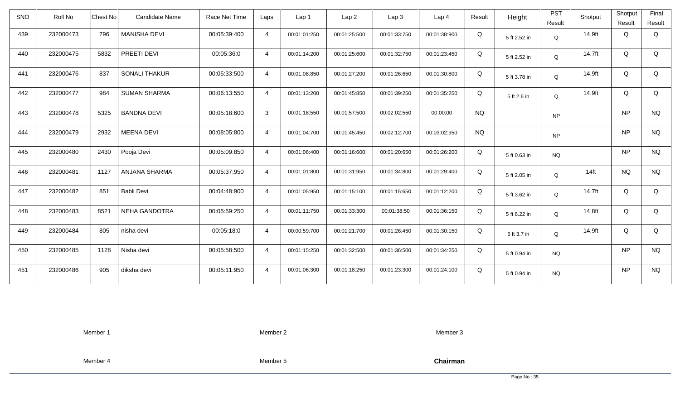| <b>SNO</b> | Roll No   | Chest No | Candidate Name       | Race Net Time | Laps           | Lap 1        | Lap <sub>2</sub> | Lap3         | Lap 4        | Result    | Height       | <b>PST</b><br>Result | Shotput          | Shotput<br>Result | Final<br>Result |
|------------|-----------|----------|----------------------|---------------|----------------|--------------|------------------|--------------|--------------|-----------|--------------|----------------------|------------------|-------------------|-----------------|
| 439        | 232000473 | 796      | <b>MANISHA DEVI</b>  | 00:05:39:400  | $\overline{4}$ | 00:01:01:250 | 00:01:25:500     | 00:01:33:750 | 00:01:38:900 | Q         | 5 ft 2.52 in | Q                    | 14.9ft           | Q                 | Q               |
| 440        | 232000475 | 5832     | PREETI DEVI          | 00:05:36:0    | $\overline{4}$ | 00:01:14:200 | 00:01:25:600     | 00:01:32:750 | 00:01:23:450 | Q         | 5 ft 2.52 in | Q                    | 14.7ft           | Q                 | Q               |
| 441        | 232000476 | 837      | <b>SONALI THAKUR</b> | 00:05:33:500  | $\overline{4}$ | 00:01:08:850 | 00:01:27:200     | 00:01:26:650 | 00:01:30:800 | Q         | 5 ft 3.78 in | Q                    | 14.9ft           | Q                 | Q               |
| 442        | 232000477 | 984      | <b>SUMAN SHARMA</b>  | 00:06:13:550  | $\overline{4}$ | 00:01:13:200 | 00:01:45:850     | 00:01:39:250 | 00:01:35:250 | Q         | 5 ft 2.6 in  | Q                    | 14.9ft           | Q                 | Q               |
| 443        | 232000478 | 5325     | <b>BANDNA DEVI</b>   | 00:05:18:600  | $\mathbf{3}$   | 00:01:18:550 | 00:01:57:500     | 00:02:02:550 | 00:00:00     | <b>NQ</b> |              | <b>NP</b>            |                  | <b>NP</b>         | <b>NQ</b>       |
| 444        | 232000479 | 2932     | <b>MEENA DEVI</b>    | 00:08:05:800  | $\overline{4}$ | 00:01:04:700 | 00:01:45:450     | 00:02:12:700 | 00:03:02:950 | <b>NQ</b> |              | <b>NP</b>            |                  | <b>NP</b>         | <b>NQ</b>       |
| 445        | 232000480 | 2430     | Pooja Devi           | 00:05:09:850  | $\overline{4}$ | 00:01:06:400 | 00:01:16:600     | 00:01:20:650 | 00:01:26:200 | Q         | 5 ft 0.63 in | <b>NQ</b>            |                  | <b>NP</b>         | <b>NQ</b>       |
| 446        | 232000481 | 1127     | ANJANA SHARMA        | 00:05:37:950  | $\overline{4}$ | 00:01:01:800 | 00:01:31:950     | 00:01:34:800 | 00:01:29:400 | Q         | 5 ft 2.05 in | Q                    | 14 <sub>ft</sub> | <b>NQ</b>         | <b>NQ</b>       |
| 447        | 232000482 | 851      | Babli Devi           | 00:04:48:900  | $\overline{4}$ | 00:01:05:950 | 00:01:15:100     | 00:01:15:650 | 00:01:12:200 | Q         | 5 ft 3.62 in | Q                    | 14.7ft           | Q                 | Q               |
| 448        | 232000483 | 8521     | NEHA GANDOTRA        | 00:05:59:250  | $\overline{4}$ | 00:01:11:750 | 00:01:33:300     | 00:01:38:50  | 00:01:36:150 | Q         | 5 ft 6.22 in | Q                    | 14.8ft           | Q                 | Q               |
| 449        | 232000484 | 805      | nisha devi           | 00:05:18:0    | $\overline{4}$ | 00:00:59:700 | 00:01:21:700     | 00:01:26:450 | 00:01:30:150 | Q         | 5 ft 3.7 in  | Q                    | 14.9ft           | Q                 | Q               |
| 450        | 232000485 | 1128     | Nisha devi           | 00:05:58:500  | $\overline{4}$ | 00:01:15:250 | 00:01:32:500     | 00:01:36:500 | 00:01:34:250 | Q         | 5 ft 0.94 in | <b>NQ</b>            |                  | <b>NP</b>         | <b>NQ</b>       |
| 451        | 232000486 | 905      | diksha devi          | 00:05:11:950  | $\overline{4}$ | 00:01:06:300 | 00:01:18:250     | 00:01:23:300 | 00:01:24:100 | Q         | 5 ft 0.94 in | <b>NQ</b>            |                  | <b>NP</b>         | <b>NQ</b>       |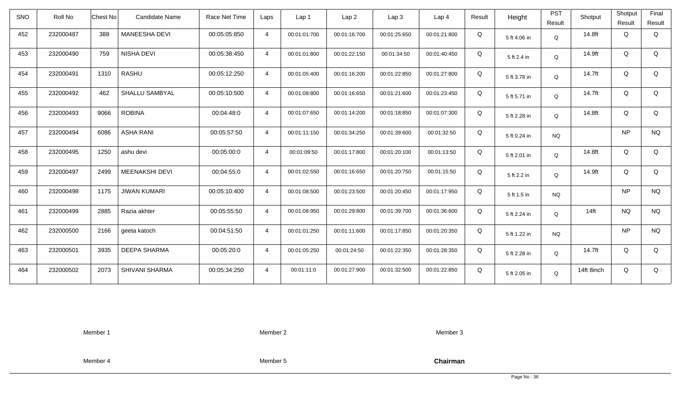| <b>SNO</b> | Roll No   | Candidate Name<br>Chest No  | Race Net Time | Laps           | Lap <sub>1</sub> | Lap2         | Lap 3        | Lap <sub>4</sub> | Result | Height       | <b>PST</b> | Shotput    | Shotput   | Final       |
|------------|-----------|-----------------------------|---------------|----------------|------------------|--------------|--------------|------------------|--------|--------------|------------|------------|-----------|-------------|
|            |           |                             |               |                |                  |              |              |                  |        |              | Result     |            | Result    | Result      |
| 452        | 232000487 | 388<br>MANEESHA DEVI        | 00:05:05:850  | $\overline{4}$ | 00:01:01:700     | 00:01:16:700 | 00:01:25:650 | 00:01:21:800     | Q      | 5 ft 4.06 in | Q          | 14.8ft     | Q         | Q           |
| 453        | 232000490 | NISHA DEVI<br>759           | 00:05:38:450  | $\overline{4}$ | 00:01:01:800     | 00:01:22:150 | 00:01:34:50  | 00:01:40:450     | Q      | 5 ft 2.4 in  | Q          | 14.9ft     | Q         | Q           |
| 454        | 232000491 | <b>RASHU</b><br>1310        | 00:05:12:250  | $\overline{4}$ | 00:01:05:400     | 00:01:16:200 | 00:01:22:850 | 00:01:27:800     | Q      | 5 ft 3.78 in | Q          | 14.7ft     | Q         | Q           |
| 455        | 232000492 | 462<br>SHALLU SAMBYAL       | 00:05:10:500  | $\overline{4}$ | 00:01:08:800     | 00:01:16:650 | 00:01:21:600 | 00:01:23:450     | Q      | 5 ft 5.71 in | Q          | 14.7ft     | Q         | Q           |
| 456        | 232000493 | <b>ROBINA</b><br>9066       | 00:04:48:0    | $\overline{4}$ | 00:01:07:650     | 00:01:14:200 | 00:01:18:850 | 00:01:07:300     | Q      | 5 ft 2.28 in | Q          | 14.8ft     | Q         | Q           |
| 457        | 232000494 | <b>ASHA RANI</b><br>6086    | 00:05:57:50   | $\overline{4}$ | 00:01:11:150     | 00:01:34:250 | 00:01:39:600 | 00:01:32:50      | Q      | 5 ft 0.24 in | <b>NQ</b>  |            | NP        | <b>NQ</b>   |
| 458        | 232000495 | 1250<br>ashu devi           | 00:05:00:0    | $\overline{4}$ | 00:01:09:50      | 00:01:17:800 | 00:01:20:100 | 00:01:13:50      | Q      | 5 ft 2.01 in | Q          | 14.8ft     | Q         | Q           |
| 459        | 232000497 | MEENAKSHI DEVI<br>2499      | 00:04:55:0    | $\overline{4}$ | 00:01:02:550     | 00:01:16:650 | 00:01:20:750 | 00:01:15:50      | Q      | 5 ft 2.2 in  | Q          | 14.9ft     | Q         | $\mathsf Q$ |
| 460        | 232000498 | 1175<br><b>JIWAN KUMARI</b> | 00:05:10:400  | $\overline{4}$ | 00:01:08:500     | 00:01:23:500 | 00:01:20:450 | 00:01:17:950     | Q      | 5 ft 1.5 in  | <b>NQ</b>  |            | NP        | <b>NQ</b>   |
| 461        | 232000499 | 2885<br>Razia akhter        | 00:05:55:50   | $\overline{4}$ | 00:01:08:950     | 00:01:29:800 | 00:01:39:700 | 00:01:36:600     | Q      | 5 ft 2.24 in | Q          | $14$ ft    | <b>NQ</b> | <b>NQ</b>   |
| 462        | 232000500 | 2166<br>geeta katoch        | 00:04:51:50   | $\overline{4}$ | 00:01:01:250     | 00:01:11:600 | 00:01:17:850 | 00:01:20:350     | Q      | 5 ft 1.22 in | <b>NQ</b>  |            | NP        | <b>NQ</b>   |
| 463        | 232000501 | <b>DEEPA SHARMA</b><br>3935 | 00:05:20:0    | $\overline{4}$ | 00:01:05:250     | 00:01:24:50  | 00:01:22:350 | 00:01:28:350     | Q      | 5 ft 2.28 in | Q          | 14.7ft     | Q         | Q           |
| 464        | 232000502 | 2073<br>SHIVANI SHARMA      | 00:05:34:250  | $\overline{4}$ | 00:01:11:0       | 00:01:27:900 | 00:01:32:500 | 00:01:22:850     | Q      | 5 ft 2.05 in | Q          | 14ft 8inch | Q         | Q           |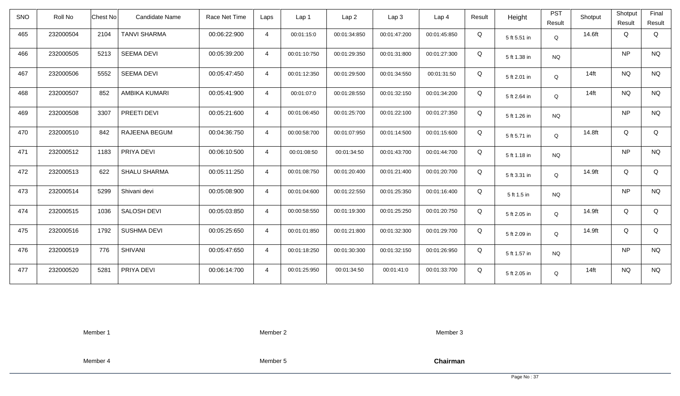| <b>SNO</b> | Roll No   | <b>Chest No</b> | Candidate Name      | Race Net Time | Laps           | Lap <sub>1</sub> | Lap <sub>2</sub> | Lap <sub>3</sub> | Lap <sub>4</sub> | Result | Height       | <b>PST</b><br>Result | Shotput | Shotput<br>Result | Final<br>Result |
|------------|-----------|-----------------|---------------------|---------------|----------------|------------------|------------------|------------------|------------------|--------|--------------|----------------------|---------|-------------------|-----------------|
| 465        | 232000504 | 2104            | <b>TANVI SHARMA</b> | 00:06:22:900  | $\overline{4}$ | 00:01:15:0       | 00:01:34:850     | 00:01:47:200     | 00:01:45:850     | Q      | 5 ft 5.51 in | Q                    | 14.6ft  | Q                 | Q               |
| 466        | 232000505 | 5213            | <b>SEEMA DEVI</b>   | 00:05:39:200  | $\overline{4}$ | 00:01:10:750     | 00:01:29:350     | 00:01:31:800     | 00:01:27:300     | Q      | 5 ft 1.38 in | <b>NQ</b>            |         | <b>NP</b>         | <b>NQ</b>       |
| 467        | 232000506 | 5552            | <b>SEEMA DEVI</b>   | 00:05:47:450  | $\overline{4}$ | 00:01:12:350     | 00:01:29:500     | 00:01:34:550     | 00:01:31:50      | Q      | 5 ft 2.01 in | Q                    | $14$ ft | <b>NQ</b>         | <b>NQ</b>       |
| 468        | 232000507 | 852             | AMBIKA KUMARI       | 00:05:41:900  | $\overline{4}$ | 00:01:07:0       | 00:01:28:550     | 00:01:32:150     | 00:01:34:200     | Q      | 5 ft 2.64 in | Q                    | $14$ ft | <b>NQ</b>         | <b>NQ</b>       |
| 469        | 232000508 | 3307            | PREETI DEVI         | 00:05:21:600  | $\overline{4}$ | 00:01:06:450     | 00:01:25:700     | 00:01:22:100     | 00:01:27:350     | Q      | 5 ft 1.26 in | <b>NQ</b>            |         | <b>NP</b>         | <b>NQ</b>       |
| 470        | 232000510 | 842             | RAJEENA BEGUM       | 00:04:36:750  | $\overline{4}$ | 00:00:58:700     | 00:01:07:950     | 00:01:14:500     | 00:01:15:600     | Q      | 5 ft 5.71 in | Q                    | 14.8ft  | Q                 | Q               |
| 471        | 232000512 | 1183            | PRIYA DEVI          | 00:06:10:500  | $\overline{4}$ | 00:01:08:50      | 00:01:34:50      | 00:01:43:700     | 00:01:44:700     | Q      | 5 ft 1.18 in | <b>NQ</b>            |         | <b>NP</b>         | <b>NQ</b>       |
| 472        | 232000513 | 622             | <b>SHALU SHARMA</b> | 00:05:11:250  | $\overline{4}$ | 00:01:08:750     | 00:01:20:400     | 00:01:21:400     | 00:01:20:700     | Q      | 5 ft 3.31 in | Q                    | 14.9ft  | Q                 | Q               |
| 473        | 232000514 | 5299            | Shivani devi        | 00:05:08:900  | $\overline{4}$ | 00:01:04:600     | 00:01:22:550     | 00:01:25:350     | 00:01:16:400     | Q      | 5 ft 1.5 in  | <b>NQ</b>            |         | <b>NP</b>         | <b>NQ</b>       |
| 474        | 232000515 | 1036            | SALOSH DEVI         | 00:05:03:850  | $\overline{4}$ | 00:00:58:550     | 00:01:19:300     | 00:01:25:250     | 00:01:20:750     | Q      | 5 ft 2.05 in | Q                    | 14.9ft  | Q                 | Q               |
| 475        | 232000516 | 1792            | <b>SUSHMA DEVI</b>  | 00:05:25:650  | $\overline{4}$ | 00:01:01:850     | 00:01:21:800     | 00:01:32:300     | 00:01:29:700     | Q      | 5 ft 2.09 in | Q                    | 14.9ft  | Q                 | Q               |
| 476        | 232000519 | 776             | <b>SHIVANI</b>      | 00:05:47:650  | $\overline{4}$ | 00:01:18:250     | 00:01:30:300     | 00:01:32:150     | 00:01:26:950     | Q      | 5 ft 1.57 in | <b>NQ</b>            |         | <b>NP</b>         | <b>NQ</b>       |
| 477        | 232000520 | 5281            | PRIYA DEVI          | 00:06:14:700  | $\overline{4}$ | 00:01:25:950     | 00:01:34:50      | 00:01:41:0       | 00:01:33:700     | Q      | 5 ft 2.05 in | Q                    | $14$ ft | <b>NQ</b>         | <b>NQ</b>       |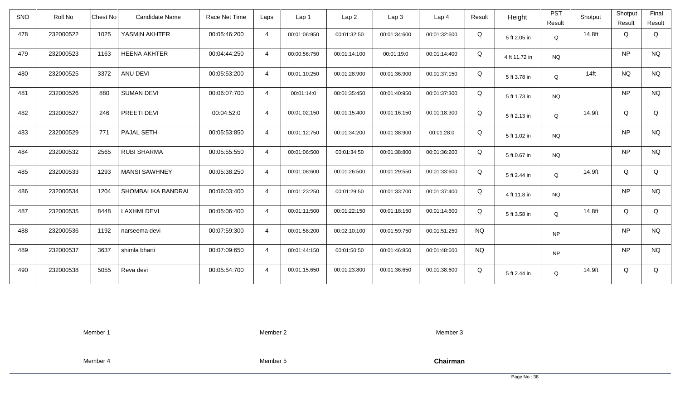| <b>SNO</b> | Roll No   | Chest No | <b>Candidate Name</b> | Race Net Time | Laps           | Lap <sub>1</sub> | Lap2         | Lap 3        | Lap <sub>4</sub> | Result    | Height        | <b>PST</b> | Shotput | Shotput   | Final     |
|------------|-----------|----------|-----------------------|---------------|----------------|------------------|--------------|--------------|------------------|-----------|---------------|------------|---------|-----------|-----------|
|            |           |          |                       |               |                |                  |              |              |                  |           |               | Result     |         | Result    | Result    |
| 478        | 232000522 | 1025     | YASMIN AKHTER         | 00:05:46:200  | $\overline{4}$ | 00:01:06:950     | 00:01:32:50  | 00:01:34:600 | 00:01:32:600     | Q         | 5 ft 2.05 in  | Q          | 14.8ft  | Q         | Q         |
| 479        | 232000523 | 1163     | <b>HEENA AKHTER</b>   | 00:04:44:250  | $\overline{4}$ | 00:00:56:750     | 00:01:14:100 | 00:01:19:0   | 00:01:14:400     | Q         | 4 ft 11.72 in | <b>NQ</b>  |         | NP        | <b>NQ</b> |
| 480        | 232000525 | 3372     | ANU DEVI              | 00:05:53:200  | $\overline{4}$ | 00:01:10:250     | 00:01:28:900 | 00:01:36:900 | 00:01:37:150     | Q         | 5 ft 3.78 in  | Q          | $14$ ft | <b>NQ</b> | <b>NQ</b> |
| 481        | 232000526 | 880      | <b>SUMAN DEVI</b>     | 00:06:07:700  | $\overline{4}$ | 00:01:14:0       | 00:01:35:450 | 00:01:40:950 | 00:01:37:300     | Q         | 5 ft 1.73 in  | <b>NQ</b>  |         | NP        | <b>NQ</b> |
| 482        | 232000527 | 246      | PREETI DEVI           | 00:04:52:0    | $\overline{4}$ | 00:01:02:150     | 00:01:15:400 | 00:01:16:150 | 00:01:18:300     | Q         | 5 ft 2.13 in  | Q          | 14.9ft  | Q         | Q         |
| 483        | 232000529 | 771      | PAJAL SETH            | 00:05:53:850  | $\overline{4}$ | 00:01:12:750     | 00:01:34:200 | 00:01:38:900 | 00:01:28:0       | Q         | 5 ft 1.02 in  | <b>NQ</b>  |         | NP        | <b>NQ</b> |
| 484        | 232000532 | 2565     | <b>RUBI SHARMA</b>    | 00:05:55:550  | $\overline{4}$ | 00:01:06:500     | 00:01:34:50  | 00:01:38:800 | 00:01:36:200     | Q         | 5 ft 0.67 in  | <b>NQ</b>  |         | NP        | <b>NQ</b> |
| 485        | 232000533 | 1293     | <b>MANSI SAWHNEY</b>  | 00:05:38:250  | $\overline{4}$ | 00:01:08:600     | 00:01:26:500 | 00:01:29:550 | 00:01:33:600     | Q         | 5 ft 2.44 in  | Q          | 14.9ft  | Q         | Q         |
| 486        | 232000534 | 1204     | SHOMBALIKA BANDRAL    | 00:06:03:400  | $\overline{4}$ | 00:01:23:250     | 00:01:29:50  | 00:01:33:700 | 00:01:37:400     | Q         | 4 ft 11.8 in  | <b>NQ</b>  |         | NP        | <b>NQ</b> |
| 487        | 232000535 | 8448     | <b>LAXHMI DEVI</b>    | 00:05:06:400  | $\overline{4}$ | 00:01:11:500     | 00:01:22:150 | 00:01:18:150 | 00:01:14:600     | Q         | 5 ft 3.58 in  | Q          | 14.8ft  | Q         | Q         |
| 488        | 232000536 | 1192     | narseema devi         | 00:07:59:300  | $\overline{4}$ | 00:01:58:200     | 00:02:10:100 | 00:01:59:750 | 00:01:51:250     | <b>NQ</b> |               | <b>NP</b>  |         | NP        | <b>NQ</b> |
| 489        | 232000537 | 3637     | shimla bharti         | 00:07:09:650  | $\overline{4}$ | 00:01:44:150     | 00:01:50:50  | 00:01:46:850 | 00:01:48:600     | <b>NQ</b> |               | <b>NP</b>  |         | NP        | <b>NQ</b> |
| 490        | 232000538 | 5055     | Reva devi             | 00:05:54:700  | $\overline{4}$ | 00:01:15:650     | 00:01:23:800 | 00:01:36:650 | 00:01:38:600     | Q         | 5 ft 2.44 in  | Q          | 14.9ft  | Q         | Q         |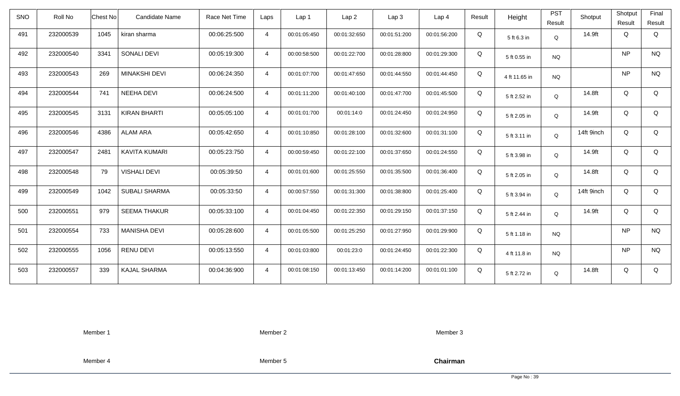| <b>SNO</b> | Roll No   | Chest No<br><b>Candidate Name</b> | Race Net Time | Laps           | Lap 1        | Lap <sub>2</sub> | Lap3         | Lap <sub>4</sub> | Result | Height        | <b>PST</b><br>Result | Shotput    | Shotput<br>Result | Final<br>Result |
|------------|-----------|-----------------------------------|---------------|----------------|--------------|------------------|--------------|------------------|--------|---------------|----------------------|------------|-------------------|-----------------|
| 491        | 232000539 | 1045<br>kiran sharma              | 00:06:25:500  | $\overline{4}$ | 00:01:05:450 | 00:01:32:650     | 00:01:51:200 | 00:01:56:200     | Q      | 5 ft 6.3 in   | Q                    | 14.9ft     | Q                 | Q               |
| 492        | 232000540 | <b>SONALI DEVI</b><br>3341        | 00:05:19:300  | $\overline{4}$ | 00:00:58:500 | 00:01:22:700     | 00:01:28:800 | 00:01:29:300     | Q      | 5 ft 0.55 in  | <b>NQ</b>            |            | <b>NP</b>         | <b>NQ</b>       |
| 493        | 232000543 | 269<br><b>MINAKSHI DEVI</b>       | 00:06:24:350  | $\overline{4}$ | 00:01:07:700 | 00:01:47:650     | 00:01:44:550 | 00:01:44:450     | Q      | 4 ft 11.65 in | <b>NQ</b>            |            | <b>NP</b>         | <b>NQ</b>       |
| 494        | 232000544 | 741<br><b>NEEHA DEVI</b>          | 00:06:24:500  | $\overline{4}$ | 00:01:11:200 | 00:01:40:100     | 00:01:47:700 | 00:01:45:500     | Q      | 5 ft 2.52 in  | Q                    | 14.8ft     | Q                 | Q               |
| 495        | 232000545 | 3131<br><b>KIRAN BHARTI</b>       | 00:05:05:100  | $\overline{4}$ | 00:01:01:700 | 00:01:14:0       | 00:01:24:450 | 00:01:24:950     | Q      | 5 ft 2.05 in  | Q                    | 14.9ft     | Q                 | Q               |
| 496        | 232000546 | <b>ALAM ARA</b><br>4386           | 00:05:42:650  | $\overline{4}$ | 00:01:10:850 | 00:01:28:100     | 00:01:32:600 | 00:01:31:100     | Q      | 5 ft 3.11 in  | Q                    | 14ft 9inch | Q                 | Q               |
| 497        | 232000547 | 2481<br><b>KAVITA KUMARI</b>      | 00:05:23:750  | $\overline{4}$ | 00:00:59:450 | 00:01:22:100     | 00:01:37:650 | 00:01:24:550     | Q      | 5 ft 3.98 in  | Q                    | 14.9ft     | Q                 | Q               |
| 498        | 232000548 | 79<br><b>VISHALI DEVI</b>         | 00:05:39:50   | $\overline{4}$ | 00:01:01:600 | 00:01:25:550     | 00:01:35:500 | 00:01:36:400     | Q      | 5 ft 2.05 in  | Q                    | 14.8ft     | Q                 | Q               |
| 499        | 232000549 | <b>SUBALI SHARMA</b><br>1042      | 00:05:33:50   | $\overline{4}$ | 00:00:57:550 | 00:01:31:300     | 00:01:38:800 | 00:01:25:400     | Q      | 5 ft 3.94 in  | $\mathsf Q$          | 14ft 9inch | Q                 | Q               |
| 500        | 232000551 | 979<br><b>SEEMA THAKUR</b>        | 00:05:33:100  | $\overline{4}$ | 00:01:04:450 | 00:01:22:350     | 00:01:29:150 | 00:01:37:150     | Q      | 5 ft 2.44 in  | Q                    | 14.9ft     | Q                 | Q               |
| 501        | 232000554 | <b>MANISHA DEVI</b><br>733        | 00:05:28:600  | $\overline{4}$ | 00:01:05:500 | 00:01:25:250     | 00:01:27:950 | 00:01:29:900     | Q      | 5 ft 1.18 in  | <b>NQ</b>            |            | <b>NP</b>         | <b>NQ</b>       |
| 502        | 232000555 | 1056<br><b>RENU DEVI</b>          | 00:05:13:550  | $\overline{4}$ | 00:01:03:800 | 00:01:23:0       | 00:01:24:450 | 00:01:22:300     | Q      | 4 ft 11.8 in  | <b>NQ</b>            |            | <b>NP</b>         | <b>NQ</b>       |
| 503        | 232000557 | 339<br>KAJAL SHARMA               | 00:04:36:900  | $\overline{4}$ | 00:01:08:150 | 00:01:13:450     | 00:01:14:200 | 00:01:01:100     | Q      | 5 ft 2.72 in  | Q                    | 14.8ft     | Q                 | Q               |

Member 2

Member 3

Member 4

Member 5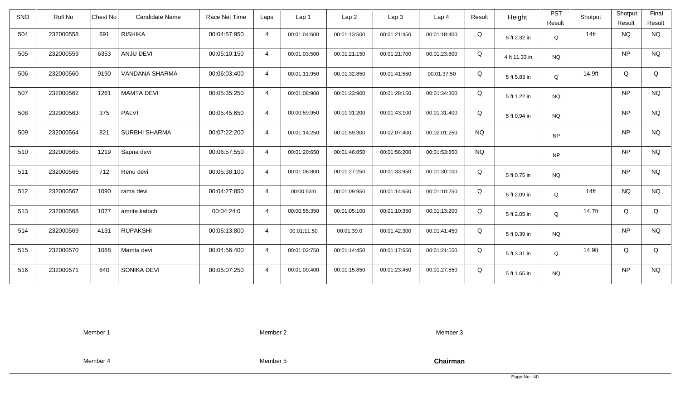| <b>SNO</b> | Roll No   | <b>Chest No</b> | Candidate Name       | Race Net Time | Laps           | Lap 1        | Lap <sub>2</sub> | Lap3         | Lap 4        | Result    | Height        | <b>PST</b><br>Result | Shotput | Shotput<br>Result | Final<br>Result |
|------------|-----------|-----------------|----------------------|---------------|----------------|--------------|------------------|--------------|--------------|-----------|---------------|----------------------|---------|-------------------|-----------------|
| 504        | 232000558 | 691             | <b>RISHIKA</b>       | 00:04:57:950  | $\overline{4}$ | 00:01:04:600 | 00:01:13:500     | 00:01:21:450 | 00:01:18:400 | Q         | 5 ft 2.32 in  | Q                    | $14$ ft | <b>NQ</b>         | <b>NQ</b>       |
| 505        | 232000559 | 6353            | ANJU DEVI            | 00:05:10:150  | $\overline{4}$ | 00:01:03:500 | 00:01:21:150     | 00:01:21:700 | 00:01:23:800 | Q         | 4 ft 11.33 in | <b>NQ</b>            |         | <b>NP</b>         | <b>NQ</b>       |
| 506        | 232000560 | 9190            | VANDANA SHARMA       | 00:06:03:400  | $\overline{4}$ | 00:01:11:950 | 00:01:32:850     | 00:01:41:550 | 00:01:37:50  | Q         | 5 ft 5.83 in  | Q                    | 14.9ft  | Q                 | Q               |
| 507        | 232000562 | 1261            | <b>MAMTA DEVI</b>    | 00:05:35:250  | $\overline{4}$ | 00:01:08:900 | 00:01:23:900     | 00:01:28:150 | 00:01:34:300 | Q         | 5 ft 1.22 in  | <b>NQ</b>            |         | <b>NP</b>         | <b>NQ</b>       |
| 508        | 232000563 | 375             | PALVI                | 00:05:45:650  | $\overline{4}$ | 00:00:59:950 | 00:01:31:200     | 00:01:43:100 | 00:01:31:400 | Q         | 5 ft 0.94 in  | NQ                   |         | <b>NP</b>         | <b>NQ</b>       |
| 509        | 232000564 | 821             | <b>SURBHI SHARMA</b> | 00:07:22:200  | $\overline{4}$ | 00:01:14:250 | 00:01:59:300     | 00:02:07:400 | 00:02:01:250 | <b>NQ</b> |               | <b>NP</b>            |         | <b>NP</b>         | <b>NQ</b>       |
| 510        | 232000565 | 1219            | Sapna devi           | 00:06:57:550  | $\overline{4}$ | 00:01:20:650 | 00:01:46:850     | 00:01:56:200 | 00:01:53:850 | <b>NQ</b> |               | <b>NP</b>            |         | <b>NP</b>         | <b>NQ</b>       |
| 511        | 232000566 | 712             | Renu devi            | 00:05:38:100  | $\overline{4}$ | 00:01:06:800 | 00:01:27:250     | 00:01:33:950 | 00:01:30:100 | Q         | 5 ft 0.75 in  | <b>NQ</b>            |         | <b>NP</b>         | <b>NQ</b>       |
| 512        | 232000567 | 1090            | rama devi            | 00:04:27:850  | $\overline{4}$ | 00:00:53:0   | 00:01:09:950     | 00:01:14:650 | 00:01:10:250 | Q         | 5 ft 2.09 in  | $\mathsf Q$          | $14$ ft | <b>NQ</b>         | <b>NQ</b>       |
| 513        | 232000568 | 1077            | amrita katoch        | 00:04:24:0    | $\overline{4}$ | 00:00:55:350 | 00:01:05:100     | 00:01:10:350 | 00:01:13:200 | Q         | 5 ft 2.05 in  | Q                    | 14.7ft  | Q                 | Q               |
| 514        | 232000569 | 4131            | <b>RUPAKSHI</b>      | 00:06:13:800  | $\overline{4}$ | 00:01:11:50  | 00:01:39:0       | 00:01:42:300 | 00:01:41:450 | Q         | 5 ft 0.39 in  | <b>NQ</b>            |         | <b>NP</b>         | <b>NQ</b>       |
| 515        | 232000570 | 1068            | Mamta devi           | 00:04:56:400  | $\overline{4}$ | 00:01:02:750 | 00:01:14:450     | 00:01:17:650 | 00:01:21:550 | Q         | 5 ft 3.31 in  | Q                    | 14.9ft  | Q                 | Q               |
| 516        | 232000571 | 640             | SONIKA DEVI          | 00:05:07:250  | $\overline{4}$ | 00:01:00:400 | 00:01:15:850     | 00:01:23:450 | 00:01:27:550 | Q         | 5 ft 1.65 in  | <b>NQ</b>            |         | <b>NP</b>         | <b>NQ</b>       |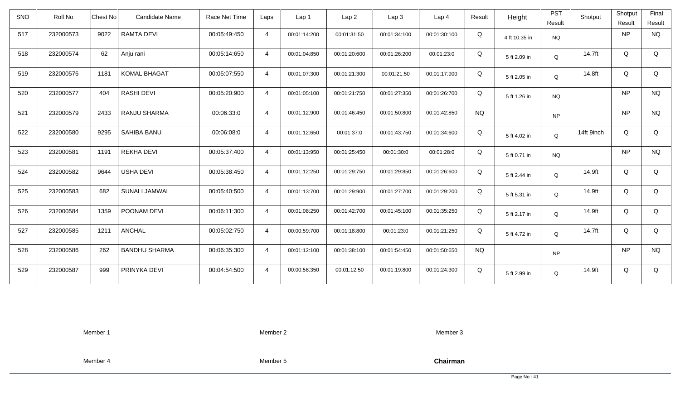| <b>SNO</b> | Roll No   | <b>Candidate Name</b><br>Chest No | Race Net Time | Laps           | Lap <sub>1</sub> | Lap2         | Lap 3        | Lap <sub>4</sub> | Result    | Height        | <b>PST</b><br>Result | Shotput    | Shotput<br>Result | Final<br>Result |
|------------|-----------|-----------------------------------|---------------|----------------|------------------|--------------|--------------|------------------|-----------|---------------|----------------------|------------|-------------------|-----------------|
| 517        | 232000573 | 9022<br><b>RAMTA DEVI</b>         | 00:05:49:450  | $\overline{4}$ | 00:01:14:200     | 00:01:31:50  | 00:01:34:100 | 00:01:30:100     | Q         | 4 ft 10.35 in | <b>NQ</b>            |            | NP                | <b>NQ</b>       |
| 518        | 232000574 | 62<br>Anju rani                   | 00:05:14:650  | $\overline{4}$ | 00:01:04:850     | 00:01:20:600 | 00:01:26:200 | 00:01:23:0       | Q         | 5 ft 2.09 in  | Q                    | 14.7ft     | Q                 | Q               |
| 519        | 232000576 | <b>KOMAL BHAGAT</b><br>1181       | 00:05:07:550  | $\overline{4}$ | 00:01:07:300     | 00:01:21:300 | 00:01:21:50  | 00:01:17:900     | Q         | 5 ft 2.05 in  | Q                    | 14.8ft     | Q                 | Q               |
| 520        | 232000577 | 404<br>RASHI DEVI                 | 00:05:20:900  | $\overline{4}$ | 00:01:05:100     | 00:01:21:750 | 00:01:27:350 | 00:01:26:700     | Q         | 5 ft 1.26 in  | <b>NQ</b>            |            | NP                | <b>NQ</b>       |
| 521        | 232000579 | 2433<br>RANJU SHARMA              | 00:06:33:0    | $\overline{4}$ | 00:01:12:900     | 00:01:46:450 | 00:01:50:800 | 00:01:42:850     | <b>NQ</b> |               | <b>NP</b>            |            | <b>NP</b>         | <b>NQ</b>       |
| 522        | 232000580 | 9295<br>SAHIBA BANU               | 00:06:08:0    | $\overline{4}$ | 00:01:12:650     | 00:01:37:0   | 00:01:43:750 | 00:01:34:600     | Q         | 5 ft 4.02 in  | Q                    | 14ft 9inch | Q                 | Q               |
| 523        | 232000581 | 1191<br><b>REKHA DEVI</b>         | 00:05:37:400  | $\overline{4}$ | 00:01:13:950     | 00:01:25:450 | 00:01:30:0   | 00:01:28:0       | Q         | 5 ft 0.71 in  | <b>NQ</b>            |            | NP                | <b>NQ</b>       |
| 524        | 232000582 | <b>USHA DEVI</b><br>9644          | 00:05:38:450  | $\overline{4}$ | 00:01:12:250     | 00:01:29:750 | 00:01:29:850 | 00:01:26:600     | Q         | 5 ft 2.44 in  | Q                    | 14.9ft     | Q                 | Q               |
| 525        | 232000583 | 682<br>SUNALI JAMWAL              | 00:05:40:500  | $\overline{4}$ | 00:01:13:700     | 00:01:29:900 | 00:01:27:700 | 00:01:29:200     | Q         | 5 ft 5.31 in  | Q                    | 14.9ft     | Q                 | Q               |
| 526        | 232000584 | 1359<br>POONAM DEVI               | 00:06:11:300  | $\overline{4}$ | 00:01:08:250     | 00:01:42:700 | 00:01:45:100 | 00:01:35:250     | Q         | 5 ft 2.17 in  | Q                    | 14.9ft     | Q                 | Q               |
| 527        | 232000585 | <b>ANCHAL</b><br>1211             | 00:05:02:750  | $\overline{4}$ | 00:00:59:700     | 00:01:18:800 | 00:01:23:0   | 00:01:21:250     | Q         | 5 ft 4.72 in  | Q                    | 14.7ft     | Q                 | Q               |
| 528        | 232000586 | 262<br><b>BANDHU SHARMA</b>       | 00:06:35:300  | $\overline{4}$ | 00:01:12:100     | 00:01:38:100 | 00:01:54:450 | 00:01:50:650     | <b>NQ</b> |               | <b>NP</b>            |            | NP                | <b>NQ</b>       |
| 529        | 232000587 | 999<br>PRINYKA DEVI               | 00:04:54:500  | $\overline{4}$ | 00:00:58:350     | 00:01:12:50  | 00:01:19:800 | 00:01:24:300     | Q         | 5 ft 2.99 in  | Q                    | 14.9ft     | Q                 | Q               |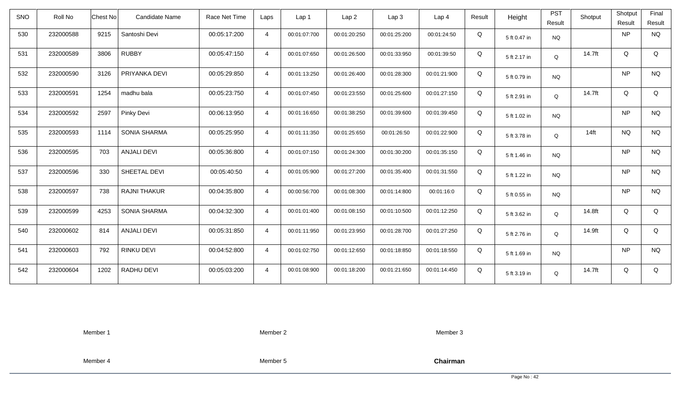| <b>SNO</b> | Roll No   | <b>Chest No</b> | Candidate Name      | Race Net Time | Laps           | Lap 1        | Lap <sub>2</sub> | Lap <sub>3</sub> | Lap <sub>4</sub> | Result | Height       | <b>PST</b><br>Result | Shotput | Shotput<br>Result | Final<br>Result |
|------------|-----------|-----------------|---------------------|---------------|----------------|--------------|------------------|------------------|------------------|--------|--------------|----------------------|---------|-------------------|-----------------|
| 530        | 232000588 | 9215            | Santoshi Devi       | 00:05:17:200  | $\overline{4}$ | 00:01:07:700 | 00:01:20:250     | 00:01:25:200     | 00:01:24:50      | Q      | 5 ft 0.47 in | <b>NQ</b>            |         | <b>NP</b>         | <b>NQ</b>       |
| 531        | 232000589 | 3806            | <b>RUBBY</b>        | 00:05:47:150  | $\overline{4}$ | 00:01:07:650 | 00:01:26:500     | 00:01:33:950     | 00:01:39:50      | Q      | 5 ft 2.17 in | Q                    | 14.7ft  | Q                 | Q               |
| 532        | 232000590 | 3126            | PRIYANKA DEVI       | 00:05:29:850  | $\overline{4}$ | 00:01:13:250 | 00:01:26:400     | 00:01:28:300     | 00:01:21:900     | Q      | 5 ft 0.79 in | <b>NQ</b>            |         | <b>NP</b>         | <b>NQ</b>       |
| 533        | 232000591 | 1254            | madhu bala          | 00:05:23:750  | $\overline{4}$ | 00:01:07:450 | 00:01:23:550     | 00:01:25:600     | 00:01:27:150     | Q      | 5 ft 2.91 in | Q                    | 14.7ft  | Q                 | Q               |
| 534        | 232000592 | 2597            | Pinky Devi          | 00:06:13:950  | $\overline{4}$ | 00:01:16:650 | 00:01:38:250     | 00:01:39:600     | 00:01:39:450     | Q      | 5 ft 1.02 in | <b>NQ</b>            |         | <b>NP</b>         | <b>NQ</b>       |
| 535        | 232000593 | 1114            | <b>SONIA SHARMA</b> | 00:05:25:950  | $\overline{4}$ | 00:01:11:350 | 00:01:25:650     | 00:01:26:50      | 00:01:22:900     | Q      | 5 ft 3.78 in | Q                    | $14$ ft | <b>NQ</b>         | <b>NQ</b>       |
| 536        | 232000595 | 703             | <b>ANJALI DEVI</b>  | 00:05:36:800  | $\overline{4}$ | 00:01:07:150 | 00:01:24:300     | 00:01:30:200     | 00:01:35:150     | Q      | 5 ft 1.46 in | <b>NQ</b>            |         | <b>NP</b>         | <b>NQ</b>       |
| 537        | 232000596 | 330             | SHEETAL DEVI        | 00:05:40:50   | $\overline{4}$ | 00:01:05:900 | 00:01:27:200     | 00:01:35:400     | 00:01:31:550     | Q      | 5 ft 1.22 in | <b>NQ</b>            |         | <b>NP</b>         | <b>NQ</b>       |
| 538        | 232000597 | 738             | <b>RAJNI THAKUR</b> | 00:04:35:800  | $\overline{4}$ | 00:00:56:700 | 00:01:08:300     | 00:01:14:800     | 00:01:16:0       | Q      | 5 ft 0.55 in | <b>NQ</b>            |         | <b>NP</b>         | <b>NQ</b>       |
| 539        | 232000599 | 4253            | <b>SONIA SHARMA</b> | 00:04:32:300  | $\overline{4}$ | 00:01:01:400 | 00:01:08:150     | 00:01:10:500     | 00:01:12:250     | Q      | 5 ft 3.62 in | Q                    | 14.8ft  | Q                 | Q               |
| 540        | 232000602 | 814             | <b>ANJALI DEVI</b>  | 00:05:31:850  | $\overline{4}$ | 00:01:11:950 | 00:01:23:950     | 00:01:28:700     | 00:01:27:250     | Q      | 5 ft 2.76 in | Q                    | 14.9ft  | Q                 | Q               |
| 541        | 232000603 | 792             | <b>RINKU DEVI</b>   | 00:04:52:800  | $\overline{4}$ | 00:01:02:750 | 00:01:12:650     | 00:01:18:850     | 00:01:18:550     | Q      | 5 ft 1.69 in | <b>NQ</b>            |         | <b>NP</b>         | <b>NQ</b>       |
| 542        | 232000604 | 1202            | RADHU DEVI          | 00:05:03:200  | $\overline{4}$ | 00:01:08:900 | 00:01:18:200     | 00:01:21:650     | 00:01:14:450     | Q      | 5 ft 3.19 in | Q                    | 14.7ft  | Q                 | Q               |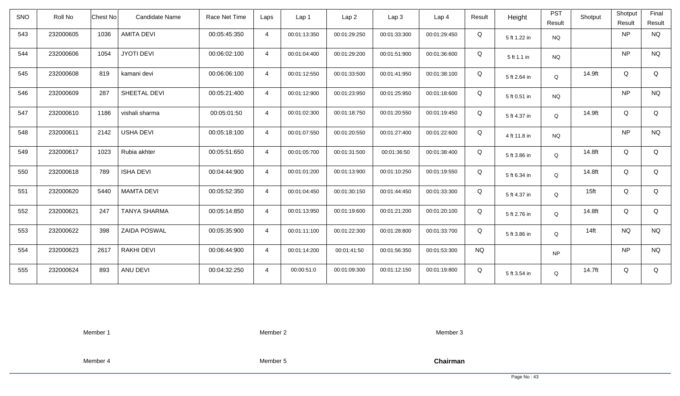| SNO | Roll No   | Chest No | <b>Candidate Name</b> | Race Net Time | Laps           | Lap <sub>1</sub> | Lap <sub>2</sub> | Lap <sub>3</sub> | Lap <sub>4</sub> | Result    | Height       | <b>PST</b><br>Result | Shotput          | Shotput<br>Result | Final<br>Result |
|-----|-----------|----------|-----------------------|---------------|----------------|------------------|------------------|------------------|------------------|-----------|--------------|----------------------|------------------|-------------------|-----------------|
| 543 | 232000605 | 1036     | <b>AMITA DEVI</b>     | 00:05:45:350  | $\overline{4}$ | 00:01:13:350     | 00:01:29:250     | 00:01:33:300     | 00:01:29:450     | Q         | 5 ft 1.22 in | <b>NQ</b>            |                  | <b>NP</b>         | <b>NQ</b>       |
| 544 | 232000606 | 1054     | <b>JYOTI DEVI</b>     | 00:06:02:100  | $\overline{4}$ | 00:01:04:400     | 00:01:29:200     | 00:01:51:900     | 00:01:36:600     | Q         | 5 ft 1.1 in  | <b>NQ</b>            |                  | <b>NP</b>         | <b>NQ</b>       |
| 545 | 232000608 | 819      | kamani devi           | 00:06:06:100  | $\overline{4}$ | 00:01:12:550     | 00:01:33:500     | 00:01:41:950     | 00:01:38:100     | Q         | 5 ft 2.64 in | Q                    | 14.9ft           | Q                 | Q               |
| 546 | 232000609 | 287      | SHEETAL DEVI          | 00:05:21:400  | $\overline{4}$ | 00:01:12:900     | 00:01:23:950     | 00:01:25:950     | 00:01:18:600     | Q         | 5 ft 0.51 in | <b>NQ</b>            |                  | <b>NP</b>         | <b>NQ</b>       |
| 547 | 232000610 | 1186     | vishali sharma        | 00:05:01:50   | $\overline{4}$ | 00:01:02:300     | 00:01:18:750     | 00:01:20:550     | 00:01:19:450     | Q         | 5 ft 4.37 in | Q                    | 14.9ft           | Q                 | Q               |
| 548 | 232000611 | 2142     | <b>USHA DEVI</b>      | 00:05:18:100  | $\overline{4}$ | 00:01:07:550     | 00:01:20:550     | 00:01:27:400     | 00:01:22:600     | Q         | 4 ft 11.8 in | <b>NQ</b>            |                  | <b>NP</b>         | <b>NQ</b>       |
| 549 | 232000617 | 1023     | Rubia akhter          | 00:05:51:650  | $\overline{4}$ | 00:01:05:700     | 00:01:31:500     | 00:01:36:50      | 00:01:38:400     | Q         | 5 ft 3.86 in | Q                    | 14.8ft           | Q                 | Q               |
| 550 | 232000618 | 789      | <b>ISHA DEVI</b>      | 00:04:44:900  | $\overline{4}$ | 00:01:01:200     | 00:01:13:900     | 00:01:10:250     | 00:01:19:550     | Q         | 5 ft 6.34 in | Q                    | 14.8ft           | Q                 | Q               |
| 551 | 232000620 | 5440     | <b>MAMTA DEVI</b>     | 00:05:52:350  | $\overline{4}$ | 00:01:04:450     | 00:01:30:150     | 00:01:44:450     | 00:01:33:300     | Q         | 5 ft 4.37 in | Q                    | 15 <sub>ft</sub> | Q                 | Q               |
| 552 | 232000621 | 247      | <b>TANYA SHARMA</b>   | 00:05:14:850  | $\overline{4}$ | 00:01:13:950     | 00:01:19:600     | 00:01:21:200     | 00:01:20:100     | Q         | 5 ft 2.76 in | Q                    | 14.8ft           | Q                 | Q               |
| 553 | 232000622 | 398      | <b>ZAIDA POSWAL</b>   | 00:05:35:900  | $\overline{4}$ | 00:01:11:100     | 00:01:22:300     | 00:01:28:800     | 00:01:33:700     | Q         | 5 ft 3.86 in | Q                    | $14$ ft          | <b>NQ</b>         | <b>NQ</b>       |
| 554 | 232000623 | 2617     | <b>RAKHI DEVI</b>     | 00:06:44:900  | $\overline{4}$ | 00:01:14:200     | 00:01:41:50      | 00:01:56:350     | 00:01:53:300     | <b>NQ</b> |              | <b>NP</b>            |                  | <b>NP</b>         | <b>NQ</b>       |
| 555 | 232000624 | 893      | ANU DEVI              | 00:04:32:250  | $\overline{4}$ | 00:00:51:0       | 00:01:09:300     | 00:01:12:150     | 00:01:19:800     | Q         | 5 ft 3.54 in | Q                    | 14.7ft           | Q                 | Q               |

Member 2

Member 3

Member 4

Member 5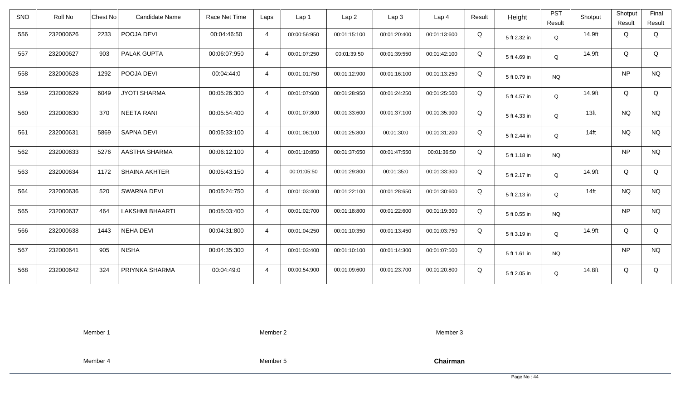| <b>SNO</b> | Roll No   | <b>Candidate Name</b><br><b>Chest No</b> | Race Net Time | Laps           | Lap 1        | Lap <sub>2</sub> | Lap3         | Lap 4        | Result | Height       | <b>PST</b><br>Result | Shotput          | Shotput<br>Result | Final<br>Result |
|------------|-----------|------------------------------------------|---------------|----------------|--------------|------------------|--------------|--------------|--------|--------------|----------------------|------------------|-------------------|-----------------|
| 556        | 232000626 | 2233<br>POOJA DEVI                       | 00:04:46:50   | $\overline{4}$ | 00:00:56:950 | 00:01:15:100     | 00:01:20:400 | 00:01:13:600 | Q      | 5 ft 2.32 in | Q                    | 14.9ft           | Q                 | Q               |
| 557        | 232000627 | PALAK GUPTA<br>903                       | 00:06:07:950  | $\overline{4}$ | 00:01:07:250 | 00:01:39:50      | 00:01:39:550 | 00:01:42:100 | Q      | 5 ft 4.69 in | Q                    | 14.9ft           | Q                 | Q               |
| 558        | 232000628 | 1292<br>POOJA DEVI                       | 00:04:44:0    | $\overline{4}$ | 00:01:01:750 | 00:01:12:900     | 00:01:16:100 | 00:01:13:250 | Q      | 5 ft 0.79 in | <b>NQ</b>            |                  | <b>NP</b>         | <b>NQ</b>       |
| 559        | 232000629 | 6049<br><b>JYOTI SHARMA</b>              | 00:05:26:300  | $\overline{4}$ | 00:01:07:600 | 00:01:28:950     | 00:01:24:250 | 00:01:25:500 | Q      | 5 ft 4.57 in | Q                    | 14.9ft           | Q                 | Q               |
| 560        | 232000630 | <b>NEETA RANI</b><br>370                 | 00:05:54:400  | $\overline{4}$ | 00:01:07:800 | 00:01:33:600     | 00:01:37:100 | 00:01:35:900 | Q      | 5 ft 4.33 in | Q                    | 13 <sub>ft</sub> | <b>NQ</b>         | <b>NQ</b>       |
| 561        | 232000631 | 5869<br>SAPNA DEVI                       | 00:05:33:100  | $\overline{4}$ | 00:01:06:100 | 00:01:25:800     | 00:01:30:0   | 00:01:31:200 | Q      | 5 ft 2.44 in | Q                    | $14$ ft          | <b>NQ</b>         | <b>NQ</b>       |
| 562        | 232000633 | 5276<br>AASTHA SHARMA                    | 00:06:12:100  | $\overline{4}$ | 00:01:10:850 | 00:01:37:650     | 00:01:47:550 | 00:01:36:50  | Q      | 5 ft 1.18 in | <b>NQ</b>            |                  | <b>NP</b>         | <b>NQ</b>       |
| 563        | 232000634 | 1172<br><b>SHAINA AKHTER</b>             | 00:05:43:150  | $\overline{4}$ | 00:01:05:50  | 00:01:29:800     | 00:01:35:0   | 00:01:33:300 | Q      | 5 ft 2.17 in | Q                    | 14.9ft           | Q                 | Q               |
| 564        | 232000636 | 520<br><b>SWARNA DEVI</b>                | 00:05:24:750  | $\overline{4}$ | 00:01:03:400 | 00:01:22:100     | 00:01:28:650 | 00:01:30:600 | Q      | 5 ft 2.13 in | Q                    | $14$ ft          | <b>NQ</b>         | <b>NQ</b>       |
| 565        | 232000637 | 464<br><b>LAKSHMI BHAARTI</b>            | 00:05:03:400  | $\overline{4}$ | 00:01:02:700 | 00:01:18:800     | 00:01:22:600 | 00:01:19:300 | Q      | 5 ft 0.55 in | <b>NQ</b>            |                  | <b>NP</b>         | $\rm N\rm Q$    |
| 566        | 232000638 | <b>NEHA DEVI</b><br>1443                 | 00:04:31:800  | $\overline{4}$ | 00:01:04:250 | 00:01:10:350     | 00:01:13:450 | 00:01:03:750 | Q      | 5 ft 3.19 in | Q                    | 14.9ft           | Q                 | Q               |
| 567        | 232000641 | 905<br><b>NISHA</b>                      | 00:04:35:300  | $\overline{4}$ | 00:01:03:400 | 00:01:10:100     | 00:01:14:300 | 00:01:07:500 | Q      | 5 ft 1.61 in | NQ.                  |                  | <b>NP</b>         | <b>NQ</b>       |
| 568        | 232000642 | 324<br>PRIYNKA SHARMA                    | 00:04:49:0    | $\overline{4}$ | 00:00:54:900 | 00:01:09:600     | 00:01:23:700 | 00:01:20:800 | Q      | 5 ft 2.05 in | Q                    | 14.8ft           | Q                 | Q               |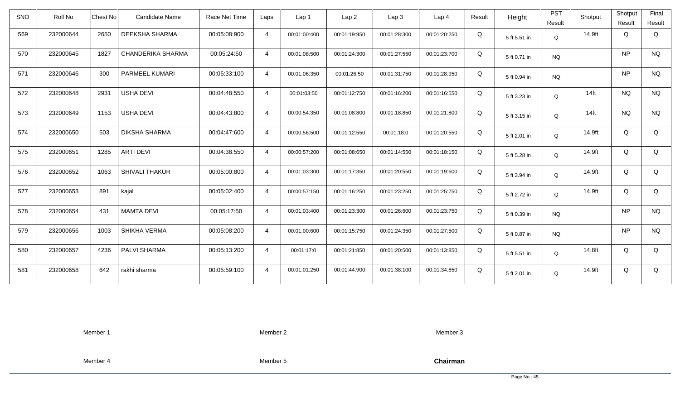| <b>SNO</b> | Roll No   | Chest No                 | <b>Candidate Name</b> | Race Net Time | Laps           | Lap <sub>1</sub> | Lap2         | Lap 3        | Lap <sub>4</sub> | Result | Height       | <b>PST</b> | Shotput          | Shotput   | Final     |
|------------|-----------|--------------------------|-----------------------|---------------|----------------|------------------|--------------|--------------|------------------|--------|--------------|------------|------------------|-----------|-----------|
|            |           |                          |                       |               |                |                  |              |              |                  |        |              | Result     |                  | Result    | Result    |
| 569        | 232000644 | 2650                     | DEEKSHA SHARMA        | 00:05:08:900  | $\overline{4}$ | 00:01:00:400     | 00:01:19:950 | 00:01:28:300 | 00:01:20:250     | Q      | 5 ft 5.51 in | Q          | 14.9ft           | Q         | Q         |
| 570        | 232000645 | 1827                     | CHANDERIKA SHARMA     | 00:05:24:50   | $\overline{4}$ | 00:01:08:500     | 00:01:24:300 | 00:01:27:550 | 00:01:23:700     | Q      | 5 ft 0.71 in | <b>NQ</b>  |                  | NP        | <b>NQ</b> |
| 571        | 232000646 | 300                      | PARMEEL KUMARI        | 00:05:33:100  | $\overline{4}$ | 00:01:06:350     | 00:01:26:50  | 00:01:31:750 | 00:01:28:950     | Q      | 5 ft 0.94 in | <b>NQ</b>  |                  | <b>NP</b> | <b>NQ</b> |
| 572        | 232000648 | 2931<br><b>USHA DEVI</b> |                       | 00:04:48:550  | $\overline{4}$ | 00:01:03:50      | 00:01:12:750 | 00:01:16:200 | 00:01:16:550     | Q      | 5 ft 3.23 in | Q          | $14$ ft          | <b>NQ</b> | <b>NQ</b> |
| 573        | 232000649 | <b>USHA DEVI</b><br>1153 |                       | 00:04:43:800  | $\overline{4}$ | 00:00:54:350     | 00:01:08:800 | 00:01:18:850 | 00:01:21:800     | Q      | 5 ft 3.15 in | Q          | 14 <sub>ft</sub> | <b>NQ</b> | <b>NQ</b> |
| 574        | 232000650 | 503                      | DIKSHA SHARMA         | 00:04:47:600  | $\overline{4}$ | 00:00:56:500     | 00:01:12:550 | 00:01:18:0   | 00:01:20:550     | Q      | 5 ft 2.01 in | Q          | 14.9ft           | Q         | Q         |
| 575        | 232000651 | 1285<br><b>ARTI DEVI</b> |                       | 00:04:38:550  | $\overline{4}$ | 00:00:57:200     | 00:01:08:650 | 00:01:14:550 | 00:01:18:150     | Q      | 5 ft 5.28 in | Q          | 14.9ft           | Q         | Q         |
| 576        | 232000652 | 1063                     | <b>SHIVALI THAKUR</b> | 00:05:00:800  | $\overline{4}$ | 00:01:03:300     | 00:01:17:350 | 00:01:20:550 | 00:01:19:600     | Q      | 5 ft 3.94 in | Q          | 14.9ft           | Q         | Q         |
| 577        | 232000653 | 891<br>kajal             |                       | 00:05:02:400  | $\overline{4}$ | 00:00:57:150     | 00:01:16:250 | 00:01:23:250 | 00:01:25:750     | Q      | 5 ft 2.72 in | Q          | 14.9ft           | Q         | Q         |
| 578        | 232000654 | 431<br><b>MAMTA DEVI</b> |                       | 00:05:17:50   | $\overline{4}$ | 00:01:03:400     | 00:01:23:300 | 00:01:26:600 | 00:01:23:750     | Q      | 5 ft 0.39 in | <b>NQ</b>  |                  | <b>NP</b> | <b>NQ</b> |
| 579        | 232000656 | 1003<br>SHIKHA VERMA     |                       | 00:05:08:200  | $\overline{4}$ | 00:01:00:600     | 00:01:15:750 | 00:01:24:350 | 00:01:27:500     | Q      | 5 ft 0.87 in | <b>NQ</b>  |                  | NP        | <b>NQ</b> |
| 580        | 232000657 | 4236<br>PALVI SHARMA     |                       | 00:05:13:200  | $\overline{4}$ | 00:01:17:0       | 00:01:21:850 | 00:01:20:500 | 00:01:13:850     | Q      | 5 ft 5.51 in | Q          | 14.8ft           | Q         | Q         |
| 581        | 232000658 | 642<br>rakhi sharma      |                       | 00:05:59:100  | $\overline{4}$ | 00:01:01:250     | 00:01:44:900 | 00:01:38:100 | 00:01:34:850     | Q      | 5 ft 2.01 in | Q          | 14.9ft           | Q         | Q         |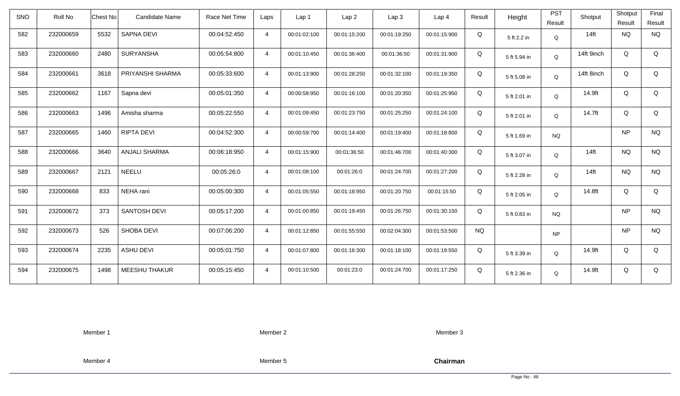| <b>SNO</b> | Roll No   | <b>Chest No</b> | <b>Candidate Name</b> | Race Net Time | Laps           | Lap <sub>1</sub> | Lap <sub>2</sub> | Lap <sub>3</sub> | Lap <sub>4</sub> | Result    | Height       | <b>PST</b><br>Result | Shotput    | Shotput<br>Result | Final<br>Result |
|------------|-----------|-----------------|-----------------------|---------------|----------------|------------------|------------------|------------------|------------------|-----------|--------------|----------------------|------------|-------------------|-----------------|
| 582        | 232000659 | 5532            | SAPNA DEVI            | 00:04:52:450  | $\overline{4}$ | 00:01:02:100     | 00:01:15:200     | 00:01:19:250     | 00:01:15:900     | Q         | 5 ft 2.2 in  | Q                    | $14$ ft    | <b>NQ</b>         | <b>NQ</b>       |
| 583        | 232000660 | 2480            | <b>SURYANSHA</b>      | 00:05:54:800  | $\overline{4}$ | 00:01:10:450     | 00:01:36:400     | 00:01:36:50      | 00:01:31:900     | Q         | 5 ft 5.94 in | Q                    | 14ft 9inch | Q                 | Q               |
| 584        | 232000661 | 3618            | PRIYANSHI SHARMA      | 00:05:33:600  | $\overline{4}$ | 00:01:13:900     | 00:01:28:250     | 00:01:32:100     | 00:01:19:350     | Q         | 5 ft 5.08 in | Q                    | 14ft 8inch | Q                 | Q               |
| 585        | 232000662 | 1167            | Sapna devi            | 00:05:01:350  | $\overline{4}$ | 00:00:58:950     | 00:01:16:100     | 00:01:20:350     | 00:01:25:950     | Q         | 5 ft 2.01 in | Q                    | 14.9ft     | Q                 | Q               |
| 586        | 232000663 | 1496            | Amisha sharma         | 00:05:22:550  | $\overline{4}$ | 00:01:09:450     | 00:01:23:750     | 00:01:25:250     | 00:01:24:100     | Q         | 5 ft 2.01 in | Q                    | 14.7ft     | Q                 | Q               |
| 587        | 232000665 | 1460            | RIPTA DEVI            | 00:04:52:300  | $\overline{4}$ | 00:00:59:700     | 00:01:14:400     | 00:01:19:400     | 00:01:18:800     | Q         | 5 ft 1.69 in | <b>NQ</b>            |            | <b>NP</b>         | <b>NQ</b>       |
| 588        | 232000666 | 3640            | ANJALI SHARMA         | 00:06:18:950  | $\overline{4}$ | 00:01:15:900     | 00:01:36:50      | 00:01:46:700     | 00:01:40:300     | Q         | 5 ft 3.07 in | Q                    | $14$ ft    | <b>NQ</b>         | <b>NQ</b>       |
| 589        | 232000667 | 2121            | <b>NEELU</b>          | 00:05:26:0    | $\overline{4}$ | 00:01:08:100     | 00:01:26:0       | 00:01:24:700     | 00:01:27:200     | Q         | 5 ft 2.28 in | Q                    | $14$ ft    | <b>NQ</b>         | <b>NQ</b>       |
| 590        | 232000668 | 833             | NEHA rani             | 00:05:00:300  | $\overline{4}$ | 00:01:05:550     | 00:01:18:950     | 00:01:20:750     | 00:01:15:50      | Q         | 5 ft 2.05 in | Q                    | 14.8ft     | Q                 | Q               |
| 591        | 232000672 | 373             | <b>SANTOSH DEVI</b>   | 00:05:17:200  | $\overline{4}$ | 00:01:00:850     | 00:01:19:450     | 00:01:26:750     | 00:01:30:150     | Q         | 5 ft 0.83 in | <b>NQ</b>            |            | <b>NP</b>         | <b>NQ</b>       |
| 592        | 232000673 | 526             | <b>SHOBA DEVI</b>     | 00:07:06:200  | $\overline{4}$ | 00:01:12:850     | 00:01:55:550     | 00:02:04:300     | 00:01:53:500     | <b>NQ</b> |              | <b>NP</b>            |            | <b>NP</b>         | <b>NQ</b>       |
| 593        | 232000674 | 2235            | <b>ASHU DEVI</b>      | 00:05:01:750  | $\overline{4}$ | 00:01:07:800     | 00:01:16:300     | 00:01:18:100     | 00:01:19:550     | Q         | 5 ft 3.39 in | Q                    | 14.9ft     | Q                 | Q               |
| 594        | 232000675 | 1498            | <b>MEESHU THAKUR</b>  | 00:05:15:450  | $\overline{4}$ | 00:01:10:500     | 00:01:23:0       | 00:01:24:700     | 00:01:17:250     | Q         | 5 ft 2.36 in | Q                    | 14.9ft     | Q                 | Q               |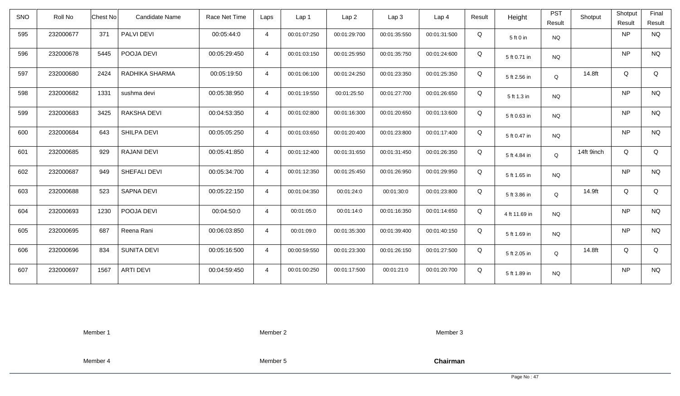| <b>SNO</b> | Roll No   | <b>Chest No</b> | Candidate Name     | Race Net Time | Laps           | Lap <sub>1</sub> | Lap <sub>2</sub> | Lap <sub>3</sub> | Lap <sub>4</sub> | Result | Height        | <b>PST</b><br>Result | Shotput    | Shotput<br>Result | Final<br>Result |
|------------|-----------|-----------------|--------------------|---------------|----------------|------------------|------------------|------------------|------------------|--------|---------------|----------------------|------------|-------------------|-----------------|
| 595        | 232000677 | 371             | PALVI DEVI         | 00:05:44:0    | $\overline{4}$ | 00:01:07:250     | 00:01:29:700     | 00:01:35:550     | 00:01:31:500     | Q      | 5 ft 0 in     | <b>NQ</b>            |            | <b>NP</b>         | <b>NQ</b>       |
| 596        | 232000678 | 5445            | POOJA DEVI         | 00:05:29:450  | $\overline{4}$ | 00:01:03:150     | 00:01:25:950     | 00:01:35:750     | 00:01:24:600     | Q      | 5 ft 0.71 in  | <b>NQ</b>            |            | <b>NP</b>         | <b>NQ</b>       |
| 597        | 232000680 | 2424            | RADHIKA SHARMA     | 00:05:19:50   | $\overline{4}$ | 00:01:06:100     | 00:01:24:250     | 00:01:23:350     | 00:01:25:350     | Q      | 5 ft 2.56 in  | Q                    | 14.8ft     | Q                 | Q               |
| 598        | 232000682 | 1331            | sushma devi        | 00:05:38:950  | $\overline{4}$ | 00:01:19:550     | 00:01:25:50      | 00:01:27:700     | 00:01:26:650     | Q      | 5 ft 1.3 in   | <b>NQ</b>            |            | <b>NP</b>         | <b>NQ</b>       |
| 599        | 232000683 | 3425            | RAKSHA DEVI        | 00:04:53:350  | $\overline{4}$ | 00:01:02:800     | 00:01:16:300     | 00:01:20:650     | 00:01:13:600     | Q      | 5 ft 0.63 in  | <b>NQ</b>            |            | <b>NP</b>         | <b>NQ</b>       |
| 600        | 232000684 | 643             | SHILPA DEVI        | 00:05:05:250  | $\overline{4}$ | 00:01:03:650     | 00:01:20:400     | 00:01:23:800     | 00:01:17:400     | Q      | 5 ft 0.47 in  | <b>NQ</b>            |            | <b>NP</b>         | <b>NQ</b>       |
| 601        | 232000685 | 929             | <b>RAJANI DEVI</b> | 00:05:41:850  | $\overline{4}$ | 00:01:12:400     | 00:01:31:650     | 00:01:31:450     | 00:01:26:350     | Q      | 5 ft 4.84 in  | Q                    | 14ft 9inch | Q                 | Q               |
| 602        | 232000687 | 949             | SHEFALI DEVI       | 00:05:34:700  | $\overline{4}$ | 00:01:12:350     | 00:01:25:450     | 00:01:26:950     | 00:01:29:950     | Q      | 5 ft 1.65 in  | <b>NQ</b>            |            | <b>NP</b>         | <b>NQ</b>       |
| 603        | 232000688 | 523             | SAPNA DEVI         | 00:05:22:150  | $\overline{4}$ | 00:01:04:350     | 00:01:24:0       | 00:01:30:0       | 00:01:23:800     | Q      | 5 ft 3.86 in  | Q                    | 14.9ft     | Q                 | Q               |
| 604        | 232000693 | 1230            | POOJA DEVI         | 00:04:50:0    | $\overline{4}$ | 00:01:05:0       | 00:01:14:0       | 00:01:16:350     | 00:01:14:650     | Q      | 4 ft 11.69 in | <b>NQ</b>            |            | <b>NP</b>         | <b>NQ</b>       |
| 605        | 232000695 | 687             | Reena Rani         | 00:06:03:850  | $\overline{4}$ | 00:01:09:0       | 00:01:35:300     | 00:01:39:400     | 00:01:40:150     | Q      | 5 ft 1.69 in  | <b>NQ</b>            |            | <b>NP</b>         | <b>NQ</b>       |
| 606        | 232000696 | 834             | <b>SUNITA DEVI</b> | 00:05:16:500  | $\overline{4}$ | 00:00:59:550     | 00:01:23:300     | 00:01:26:150     | 00:01:27:500     | Q      | 5 ft 2.05 in  | Q                    | 14.8ft     | Q                 | Q               |
| 607        | 232000697 | 1567            | <b>ARTI DEVI</b>   | 00:04:59:450  | $\overline{4}$ | 00:01:00:250     | 00:01:17:500     | 00:01:21:0       | 00:01:20:700     | Q      | 5 ft 1.89 in  | <b>NQ</b>            |            | <b>NP</b>         | <b>NQ</b>       |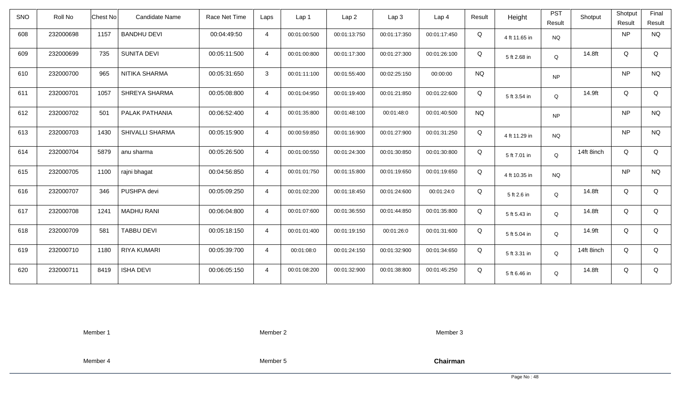| <b>SNO</b> | Roll No   | Chest No<br><b>Candidate Name</b> | Race Net Time | Laps           | Lap 1        | Lap <sub>2</sub> | Lap3         | Lap <sub>4</sub> | Result    | Height        | <b>PST</b><br>Result | Shotput    | Shotput<br>Result | Final<br>Result |
|------------|-----------|-----------------------------------|---------------|----------------|--------------|------------------|--------------|------------------|-----------|---------------|----------------------|------------|-------------------|-----------------|
| 608        | 232000698 | <b>BANDHU DEVI</b><br>1157        | 00:04:49:50   | $\overline{4}$ | 00:01:00:500 | 00:01:13:750     | 00:01:17:350 | 00:01:17:450     | Q         | 4 ft 11.65 in | <b>NQ</b>            |            | <b>NP</b>         | <b>NQ</b>       |
| 609        | 232000699 | <b>SUNITA DEVI</b><br>735         | 00:05:11:500  | $\overline{4}$ | 00:01:00:800 | 00:01:17:300     | 00:01:27:300 | 00:01:26:100     | Q         | 5 ft 2.68 in  | Q                    | 14.8ft     | Q                 | Q               |
| 610        | 232000700 | 965<br>NITIKA SHARMA              | 00:05:31:650  | 3              | 00:01:11:100 | 00:01:55:400     | 00:02:25:150 | 00:00:00         | <b>NQ</b> |               | <b>NP</b>            |            | <b>NP</b>         | <b>NQ</b>       |
| 611        | 232000701 | 1057<br>SHREYA SHARMA             | 00:05:08:800  | $\overline{4}$ | 00:01:04:950 | 00:01:19:400     | 00:01:21:850 | 00:01:22:600     | Q         | 5 ft 3.54 in  | Q                    | 14.9ft     | Q                 | Q               |
| 612        | 232000702 | PALAK PATHANIA<br>501             | 00:06:52:400  | $\overline{4}$ | 00:01:35:800 | 00:01:48:100     | 00:01:48:0   | 00:01:40:500     | <b>NQ</b> |               | <b>NP</b>            |            | <b>NP</b>         | <b>NQ</b>       |
| 613        | 232000703 | <b>SHIVALLI SHARMA</b><br>1430    | 00:05:15:900  | $\overline{4}$ | 00:00:59:850 | 00:01:16:900     | 00:01:27:900 | 00:01:31:250     | Q         | 4 ft 11.29 in | <b>NQ</b>            |            | <b>NP</b>         | <b>NQ</b>       |
| 614        | 232000704 | 5879<br>anu sharma                | 00:05:26:500  | $\overline{4}$ | 00:01:00:550 | 00:01:24:300     | 00:01:30:850 | 00:01:30:800     | Q         | 5 ft 7.01 in  | Q                    | 14ft 8inch | Q                 | Q               |
| 615        | 232000705 | 1100<br>rajni bhagat              | 00:04:56:850  | $\overline{4}$ | 00:01:01:750 | 00:01:15:800     | 00:01:19:650 | 00:01:19:650     | Q         | 4 ft 10.35 in | <b>NQ</b>            |            | <b>NP</b>         | <b>NQ</b>       |
| 616        | 232000707 | PUSHPA devi<br>346                | 00:05:09:250  | $\overline{4}$ | 00:01:02:200 | 00:01:18:450     | 00:01:24:600 | 00:01:24:0       | Q         | 5 ft 2.6 in   | $\mathsf Q$          | 14.8ft     | Q                 | Q               |
| 617        | 232000708 | 1241<br><b>MADHU RANI</b>         | 00:06:04:800  | $\overline{4}$ | 00:01:07:600 | 00:01:36:550     | 00:01:44:850 | 00:01:35:800     | Q         | 5 ft 5.43 in  | Q                    | 14.8ft     | Q                 | Q               |
| 618        | 232000709 | <b>TABBU DEVI</b><br>581          | 00:05:18:150  | $\overline{4}$ | 00:01:01:400 | 00:01:19:150     | 00:01:26:0   | 00:01:31:600     | Q         | 5 ft 5.04 in  | Q                    | 14.9ft     | Q                 | Q               |
| 619        | 232000710 | <b>RIYA KUMARI</b><br>1180        | 00:05:39:700  | $\overline{4}$ | 00:01:08:0   | 00:01:24:150     | 00:01:32:900 | 00:01:34:650     | Q         | 5 ft 3.31 in  | Q                    | 14ft 8inch | Q                 | Q               |
| 620        | 232000711 | 8419<br><b>ISHA DEVI</b>          | 00:06:05:150  | $\overline{4}$ | 00:01:08:200 | 00:01:32:900     | 00:01:38:800 | 00:01:45:250     | Q         | 5 ft 6.46 in  | Q                    | 14.8ft     | Q                 | Q               |

Member 2

Member 3

Member 4

Member 5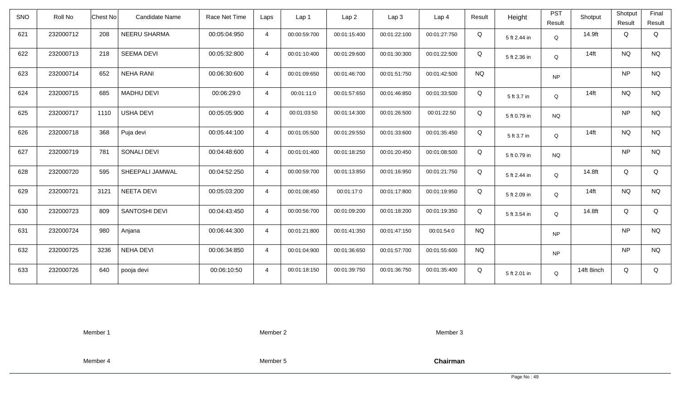| <b>SNO</b> | Roll No   | Candidate Name<br>Chest No  | Race Net Time | Laps           | Lap <sub>1</sub> | Lap2         | Lap 3        | Lap <sub>4</sub> | Result    | Height       | <b>PST</b><br>Result | Shotput    | Shotput<br>Result | Final<br>Result |
|------------|-----------|-----------------------------|---------------|----------------|------------------|--------------|--------------|------------------|-----------|--------------|----------------------|------------|-------------------|-----------------|
|            |           |                             |               |                |                  |              |              |                  |           |              |                      |            |                   |                 |
| 621        | 232000712 | 208<br>NEERU SHARMA         | 00:05:04:950  | $\overline{4}$ | 00:00:59:700     | 00:01:15:400 | 00:01:22:100 | 00:01:27:750     | Q         | 5 ft 2.44 in | Q                    | 14.9ft     | Q                 | Q               |
| 622        | 232000713 | <b>SEEMA DEVI</b><br>218    | 00:05:32:800  | $\overline{4}$ | 00:01:10:400     | 00:01:29:600 | 00:01:30:300 | 00:01:22:500     | Q         | 5 ft 2.36 in | Q                    | $14$ ft    | <b>NQ</b>         | <b>NQ</b>       |
| 623        | 232000714 | <b>NEHA RANI</b><br>652     | 00:06:30:600  | $\overline{4}$ | 00:01:09:650     | 00:01:46:700 | 00:01:51:750 | 00:01:42:500     | <b>NQ</b> |              | <b>NP</b>            |            | <b>NP</b>         | <b>NQ</b>       |
| 624        | 232000715 | 685<br><b>MADHU DEVI</b>    | 00:06:29:0    | $\overline{4}$ | 00:01:11:0       | 00:01:57:650 | 00:01:46:850 | 00:01:33:500     | Q         | 5 ft 3.7 in  | Q                    | $14$ ft    | <b>NQ</b>         | <b>NQ</b>       |
| 625        | 232000717 | <b>USHA DEVI</b><br>1110    | 00:05:05:900  | $\overline{4}$ | 00:01:03:50      | 00:01:14:300 | 00:01:26:500 | 00:01:22:50      | Q         | 5 ft 0.79 in | <b>NQ</b>            |            | <b>NP</b>         | <b>NQ</b>       |
| 626        | 232000718 | 368<br>Puja devi            | 00:05:44:100  | $\overline{4}$ | 00:01:05:500     | 00:01:29:550 | 00:01:33:600 | 00:01:35:450     | Q         | 5 ft 3.7 in  | Q                    | $14$ ft    | <b>NQ</b>         | <b>NQ</b>       |
| 627        | 232000719 | 781<br><b>SONALI DEVI</b>   | 00:04:48:600  | $\overline{4}$ | 00:01:01:400     | 00:01:18:250 | 00:01:20:450 | 00:01:08:500     | Q         | 5 ft 0.79 in | <b>NQ</b>            |            | NP                | <b>NQ</b>       |
| 628        | 232000720 | SHEEPALI JAMWAL<br>595      | 00:04:52:250  | $\overline{4}$ | 00:00:59:700     | 00:01:13:850 | 00:01:16:950 | 00:01:21:750     | Q         | 5 ft 2.44 in | Q                    | 14.8ft     | Q                 | Q               |
| 629        | 232000721 | NEETA DEVI<br>3121          | 00:05:03:200  | $\overline{4}$ | 00:01:08:450     | 00:01:17:0   | 00:01:17:800 | 00:01:19:950     | Q         | 5 ft 2.09 in | Q                    | $14$ ft    | <b>NQ</b>         | <b>NQ</b>       |
| 630        | 232000723 | 809<br><b>SANTOSHI DEVI</b> | 00:04:43:450  | $\overline{4}$ | 00:00:56:700     | 00:01:09:200 | 00:01:18:200 | 00:01:19:350     | Q         | 5 ft 3.54 in | Q                    | 14.8ft     | Q                 | Q               |
| 631        | 232000724 | 980<br>Anjana               | 00:06:44:300  | $\overline{4}$ | 00:01:21:800     | 00:01:41:350 | 00:01:47:150 | 00:01:54:0       | <b>NQ</b> |              | <b>NP</b>            |            | <b>NP</b>         | <b>NQ</b>       |
| 632        | 232000725 | 3236<br><b>NEHA DEVI</b>    | 00:06:34:850  | $\overline{4}$ | 00:01:04:900     | 00:01:36:650 | 00:01:57:700 | 00:01:55:600     | <b>NQ</b> |              | <b>NP</b>            |            | <b>NP</b>         | <b>NQ</b>       |
| 633        | 232000726 | 640<br>pooja devi           | 00:06:10:50   | $\overline{4}$ | 00:01:18:150     | 00:01:39:750 | 00:01:36:750 | 00:01:35:400     | Q         | 5 ft 2.01 in | Q                    | 14ft 8inch | Q                 | Q               |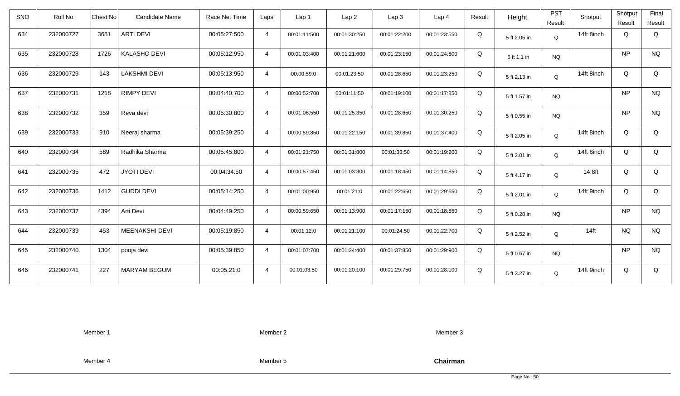| <b>SNO</b> | Roll No   | <b>Chest No</b> | Candidate Name      | Race Net Time | Laps           | Lap 1        | Lap <sub>2</sub> | Lap <sub>3</sub> | Lap <sub>4</sub> | Result | Height       | <b>PST</b><br>Result | Shotput    | Shotput<br>Result | Final<br>Result |
|------------|-----------|-----------------|---------------------|---------------|----------------|--------------|------------------|------------------|------------------|--------|--------------|----------------------|------------|-------------------|-----------------|
| 634        | 232000727 | 3651            | <b>ARTI DEVI</b>    | 00:05:27:500  | $\overline{4}$ | 00:01:11:500 | 00:01:30:250     | 00:01:22:200     | 00:01:23:550     | Q      | 5 ft 2.05 in | Q                    | 14ft 8inch | Q                 | Q               |
| 635        | 232000728 | 1726            | <b>KALASHO DEVI</b> | 00:05:12:950  | $\overline{4}$ | 00:01:03:400 | 00:01:21:600     | 00:01:23:150     | 00:01:24:800     | Q      | 5 ft 1.1 in  | <b>NQ</b>            |            | <b>NP</b>         | <b>NQ</b>       |
| 636        | 232000729 | 143             | <b>LAKSHMI DEVI</b> | 00:05:13:950  | $\overline{4}$ | 00:00:59:0   | 00:01:23:50      | 00:01:28:650     | 00:01:23:250     | Q      | 5 ft 2.13 in | Q                    | 14ft 8inch | Q                 | Q               |
| 637        | 232000731 | 1218            | <b>RIMPY DEVI</b>   | 00:04:40:700  | $\overline{4}$ | 00:00:52:700 | 00:01:11:50      | 00:01:19:100     | 00:01:17:850     | Q      | 5 ft 1.57 in | <b>NQ</b>            |            | <b>NP</b>         | <b>NQ</b>       |
| 638        | 232000732 | 359             | Reva devi           | 00:05:30:800  | $\overline{4}$ | 00:01:06:550 | 00:01:25:350     | 00:01:28:650     | 00:01:30:250     | Q      | 5 ft 0.55 in | <b>NQ</b>            |            | <b>NP</b>         | <b>NQ</b>       |
| 639        | 232000733 | 910             | Neeraj sharma       | 00:05:39:250  | $\overline{4}$ | 00:00:59:850 | 00:01:22:150     | 00:01:39:850     | 00:01:37:400     | Q      | 5 ft 2.05 in | Q                    | 14ft 8inch | Q                 | Q               |
| 640        | 232000734 | 589             | Radhika Sharma      | 00:05:45:800  | $\overline{4}$ | 00:01:21:750 | 00:01:31:800     | 00:01:33:50      | 00:01:19:200     | Q      | 5 ft 2.01 in | Q                    | 14ft 8inch | Q                 | Q               |
| 641        | 232000735 | 472             | <b>JYOTI DEVI</b>   | 00:04:34:50   | $\overline{4}$ | 00:00:57:450 | 00:01:03:300     | 00:01:18:450     | 00:01:14:850     | Q      | 5 ft 4.17 in | Q                    | 14.8ft     | Q                 | Q               |
| 642        | 232000736 | 1412            | <b>GUDDI DEVI</b>   | 00:05:14:250  | $\overline{4}$ | 00:01:00:950 | 00:01:21:0       | 00:01:22:650     | 00:01:29:650     | Q      | 5 ft 2.01 in | $\mathsf Q$          | 14ft 9inch | Q                 | Q               |
| 643        | 232000737 | 4394            | Arti Devi           | 00:04:49:250  | $\overline{4}$ | 00:00:59:650 | 00:01:13:900     | 00:01:17:150     | 00:01:18:550     | Q      | 5 ft 0.28 in | <b>NQ</b>            |            | <b>NP</b>         | <b>NQ</b>       |
| 644        | 232000739 | 453             | MEENAKSHI DEVI      | 00:05:19:850  | $\overline{4}$ | 00:01:12:0   | 00:01:21:100     | 00:01:24:50      | 00:01:22:700     | Q      | 5 ft 2.52 in | Q                    | $14$ ft    | <b>NQ</b>         | <b>NQ</b>       |
| 645        | 232000740 | 1304            | pooja devi          | 00:05:39:850  | $\overline{4}$ | 00:01:07:700 | 00:01:24:400     | 00:01:37:850     | 00:01:29:900     | Q      | 5 ft 0.67 in | <b>NQ</b>            |            | <b>NP</b>         | <b>NQ</b>       |
| 646        | 232000741 | 227             | <b>MARYAM BEGUM</b> | 00:05:21:0    | $\overline{4}$ | 00:01:03:50  | 00:01:20:100     | 00:01:29:750     | 00:01:28:100     | Q      | 5 ft 3.27 in | Q                    | 14ft 9inch | Q                 | Q               |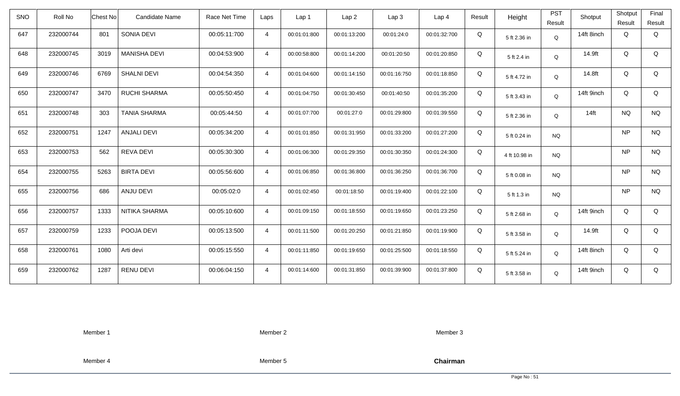| <b>SNO</b> | Roll No   | <b>Chest No</b> | Candidate Name      | Race Net Time | Laps           | Lap <sub>1</sub> | Lap <sub>2</sub> | Lap <sub>3</sub> | Lap <sub>4</sub> | Result | Height        | <b>PST</b><br>Result | Shotput    | Shotput<br>Result | Final<br>Result |
|------------|-----------|-----------------|---------------------|---------------|----------------|------------------|------------------|------------------|------------------|--------|---------------|----------------------|------------|-------------------|-----------------|
| 647        | 232000744 | 801             | SONIA DEVI          | 00:05:11:700  | $\overline{4}$ | 00:01:01:800     | 00:01:13:200     | 00:01:24:0       | 00:01:32:700     | Q      | 5 ft 2.36 in  | Q                    | 14ft 8inch | Q                 | Q               |
| 648        | 232000745 | 3019            | <b>MANISHA DEVI</b> | 00:04:53:900  | $\overline{4}$ | 00:00:58:800     | 00:01:14:200     | 00:01:20:50      | 00:01:20:850     | Q      | 5 ft 2.4 in   | Q                    | 14.9ft     | Q                 | Q               |
| 649        | 232000746 | 6769            | <b>SHALNI DEVI</b>  | 00:04:54:350  | $\overline{4}$ | 00:01:04:600     | 00:01:14:150     | 00:01:16:750     | 00:01:18:850     | Q      | 5 ft 4.72 in  | Q                    | 14.8ft     | Q                 | Q               |
| 650        | 232000747 | 3470            | <b>RUCHI SHARMA</b> | 00:05:50:450  | $\overline{4}$ | 00:01:04:750     | 00:01:30:450     | 00:01:40:50      | 00:01:35:200     | Q      | 5 ft 3.43 in  | Q                    | 14ft 9inch | Q                 | Q               |
| 651        | 232000748 | 303             | <b>TANIA SHARMA</b> | 00:05:44:50   | $\overline{4}$ | 00:01:07:700     | 00:01:27:0       | 00:01:29:800     | 00:01:39:550     | Q      | 5 ft 2.36 in  | Q                    | $14$ ft    | <b>NQ</b>         | <b>NQ</b>       |
| 652        | 232000751 | 1247            | ANJALI DEVI         | 00:05:34:200  | $\overline{4}$ | 00:01:01:850     | 00:01:31:950     | 00:01:33:200     | 00:01:27:200     | Q      | 5 ft 0.24 in  | <b>NQ</b>            |            | <b>NP</b>         | <b>NQ</b>       |
| 653        | 232000753 | 562             | <b>REVA DEVI</b>    | 00:05:30:300  | $\overline{4}$ | 00:01:06:300     | 00:01:29:350     | 00:01:30:350     | 00:01:24:300     | Q      | 4 ft 10.98 in | NQ.                  |            | <b>NP</b>         | <b>NQ</b>       |
| 654        | 232000755 | 5263            | <b>BIRTA DEVI</b>   | 00:05:56:600  | $\overline{4}$ | 00:01:06:850     | 00:01:36:800     | 00:01:36:250     | 00:01:36:700     | Q      | 5 ft 0.08 in  | <b>NQ</b>            |            | <b>NP</b>         | <b>NQ</b>       |
| 655        | 232000756 | 686             | ANJU DEVI           | 00:05:02:0    | $\overline{4}$ | 00:01:02:450     | 00:01:18:50      | 00:01:19:400     | 00:01:22:100     | Q      | 5 ft 1.3 in   | <b>NQ</b>            |            | <b>NP</b>         | <b>NQ</b>       |
| 656        | 232000757 | 1333            | NITIKA SHARMA       | 00:05:10:600  | $\overline{4}$ | 00:01:09:150     | 00:01:18:550     | 00:01:19:650     | 00:01:23:250     | Q      | 5 ft 2.68 in  | Q                    | 14ft 9inch | Q                 | Q               |
| 657        | 232000759 | 1233            | POOJA DEVI          | 00:05:13:500  | $\overline{4}$ | 00:01:11:500     | 00:01:20:250     | 00:01:21:850     | 00:01:19:900     | Q      | 5 ft 3.58 in  | Q                    | 14.9ft     | Q                 | Q               |
| 658        | 232000761 | 1080            | Arti devi           | 00:05:15:550  | $\overline{4}$ | 00:01:11:850     | 00:01:19:650     | 00:01:25:500     | 00:01:18:550     | Q      | 5 ft 5.24 in  | Q                    | 14ft 8inch | Q                 | Q               |
| 659        | 232000762 | 1287            | <b>RENU DEVI</b>    | 00:06:04:150  | $\overline{4}$ | 00:01:14:600     | 00:01:31:850     | 00:01:39:900     | 00:01:37:800     | Q      | 5 ft 3.58 in  | Q                    | 14ft 9inch | Q                 | Q               |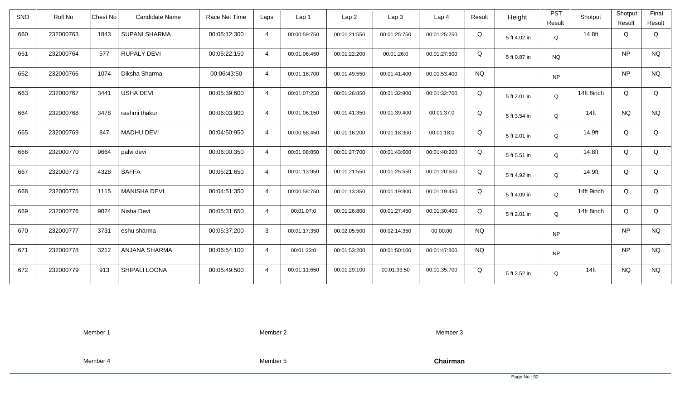| <b>SNO</b> | Roll No   | <b>Chest No</b> | Candidate Name       | Race Net Time | Laps           | Lap <sub>1</sub> | Lap <sub>2</sub> | Lap <sub>3</sub> | Lap <sub>4</sub> | Result    | Height       | <b>PST</b><br>Result | Shotput    | Shotput<br>Result | Final<br>Result |
|------------|-----------|-----------------|----------------------|---------------|----------------|------------------|------------------|------------------|------------------|-----------|--------------|----------------------|------------|-------------------|-----------------|
| 660        | 232000763 | 1843            | <b>SUPANI SHARMA</b> | 00:05:12:300  | $\overline{4}$ | 00:00:59:750     | 00:01:21:550     | 00:01:25:750     | 00:01:25:250     | Q         | 5 ft 4.02 in | Q                    | 14.8ft     | Q                 | Q               |
| 661        | 232000764 | 577             | <b>RUPALY DEVI</b>   | 00:05:22:150  | $\overline{4}$ | 00:01:06:450     | 00:01:22:200     | 00:01:26:0       | 00:01:27:500     | Q         | 5 ft 0.87 in | <b>NQ</b>            |            | <b>NP</b>         | <b>NQ</b>       |
| 662        | 232000766 | 1074            | Diksha Sharma        | 00:06:43:50   | $\overline{4}$ | 00:01:18:700     | 00:01:49:550     | 00:01:41:400     | 00:01:53:400     | <b>NQ</b> |              | <b>NP</b>            |            | <b>NP</b>         | <b>NQ</b>       |
| 663        | 232000767 | 3441            | <b>USHA DEVI</b>     | 00:05:39:600  | $\overline{4}$ | 00:01:07:250     | 00:01:26:850     | 00:01:32:800     | 00:01:32:700     | Q         | 5 ft 2.01 in | Q                    | 14ft 8inch | Q                 | Q               |
| 664        | 232000768 | 3478            | rashmi thakur        | 00:06:03:900  | $\overline{4}$ | 00:01:06:150     | 00:01:41:350     | 00:01:39:400     | 00:01:37:0       | Q         | 5 ft 3.54 in | Q                    | $14$ ft    | <b>NQ</b>         | <b>NQ</b>       |
| 665        | 232000769 | 847             | <b>MADHU DEVI</b>    | 00:04:50:950  | $\overline{4}$ | 00:00:58:450     | 00:01:16:200     | 00:01:18:300     | 00:01:18:0       | Q         | 5 ft 2.01 in | Q                    | 14.9ft     | Q                 | Q               |
| 666        | 232000770 | 9664            | palvi devi           | 00:06:00:350  | $\overline{4}$ | 00:01:08:850     | 00:01:27:700     | 00:01:43:600     | 00:01:40:200     | Q         | 5 ft 5.51 in | Q                    | 14.8ft     | Q                 | Q               |
| 667        | 232000773 | 4328            | <b>SAFFA</b>         | 00:05:21:650  | $\overline{4}$ | 00:01:13:950     | 00:01:21:550     | 00:01:25:550     | 00:01:20:600     | Q         | 5 ft 4.92 in | Q                    | 14.9ft     | Q                 | Q               |
| 668        | 232000775 | 1115            | <b>MANISHA DEVI</b>  | 00:04:51:350  | $\overline{4}$ | 00:00:58:750     | 00:01:13:350     | 00:01:19:800     | 00:01:19:450     | Q         | 5 ft 4.09 in | Q                    | 14ft 9inch | Q                 | Q               |
| 669        | 232000776 | 9024            | Nisha Devi           | 00:05:31:650  | $\overline{4}$ | 00:01:07:0       | 00:01:26:800     | 00:01:27:450     | 00:01:30:400     | Q         | 5 ft 2.01 in | Q                    | 14ft 8inch | Q                 | Q               |
| 670        | 232000777 | 3731            | eshu sharma          | 00:05:37:200  | $\mathbf{3}$   | 00:01:17:350     | 00:02:05:500     | 00:02:14:350     | 00:00:00         | <b>NQ</b> |              | <b>NP</b>            |            | <b>NP</b>         | <b>NQ</b>       |
| 671        | 232000778 | 3212            | ANJANA SHARMA        | 00:06:54:100  | $\overline{4}$ | 00:01:23:0       | 00:01:53:200     | 00:01:50:100     | 00:01:47:800     | <b>NQ</b> |              | <b>NP</b>            |            | <b>NP</b>         | <b>NQ</b>       |
| 672        | 232000779 | 913             | SHIPALI LOONA        | 00:05:49:500  | $\overline{4}$ | 00:01:11:650     | 00:01:29:100     | 00:01:33:50      | 00:01:35:700     | Q         | 5 ft 2.52 in | Q                    | $14$ ft    | <b>NQ</b>         | <b>NQ</b>       |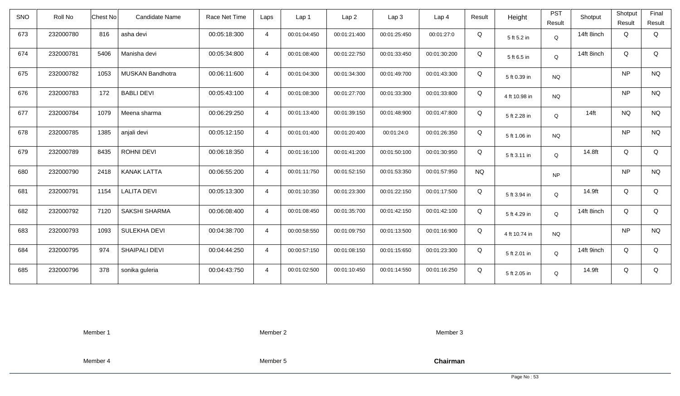| <b>SNO</b> | Roll No   | Candidate Name<br>Chest No | Race Net Time | Laps           | Lap <sub>1</sub> | Lap2         | Lap 3        | Lap <sub>4</sub> | Result    | Height        | <b>PST</b><br>Result | Shotput          | Shotput<br>Result | Final<br>Result |
|------------|-----------|----------------------------|---------------|----------------|------------------|--------------|--------------|------------------|-----------|---------------|----------------------|------------------|-------------------|-----------------|
| 673        | 232000780 | 816<br>asha devi           | 00:05:18:300  | $\overline{4}$ | 00:01:04:450     | 00:01:21:400 | 00:01:25:450 | 00:01:27:0       | Q         | 5 ft 5.2 in   | Q                    | 14ft 8inch       | Q                 | Q               |
| 674        | 232000781 | Manisha devi<br>5406       | 00:05:34:800  | $\overline{4}$ | 00:01:08:400     | 00:01:22:750 | 00:01:33:450 | 00:01:30:200     | Q         | 5 ft 6.5 in   | Q                    | 14ft 8inch       | Q                 | Q               |
| 675        | 232000782 | 1053<br>MUSKAN Bandhotra   | 00:06:11:600  | $\overline{4}$ | 00:01:04:300     | 00:01:34:300 | 00:01:49:700 | 00:01:43:300     | Q         | 5 ft 0.39 in  | <b>NQ</b>            |                  | <b>NP</b>         | <b>NQ</b>       |
| 676        | 232000783 | 172<br><b>BABLI DEVI</b>   | 00:05:43:100  | $\overline{4}$ | 00:01:08:300     | 00:01:27:700 | 00:01:33:300 | 00:01:33:800     | Q         | 4 ft 10.98 in | <b>NQ</b>            |                  | NP                | <b>NQ</b>       |
| 677        | 232000784 | 1079<br>Meena sharma       | 00:06:29:250  | $\overline{4}$ | 00:01:13:400     | 00:01:39:150 | 00:01:48:900 | 00:01:47:800     | Q         | 5 ft 2.28 in  | Q                    | 14 <sub>ft</sub> | <b>NQ</b>         | <b>NQ</b>       |
| 678        | 232000785 | 1385<br>anjali devi        | 00:05:12:150  | $\overline{4}$ | 00:01:01:400     | 00:01:20:400 | 00:01:24:0   | 00:01:26:350     | Q         | 5 ft 1.06 in  | <b>NQ</b>            |                  | NP                | <b>NQ</b>       |
| 679        | 232000789 | 8435<br><b>ROHNI DEVI</b>  | 00:06:18:350  | $\overline{4}$ | 00:01:16:100     | 00:01:41:200 | 00:01:50:100 | 00:01:30:950     | Q         | 5 ft 3.11 in  | Q                    | 14.8ft           | Q                 | Q               |
| 680        | 232000790 | <b>KANAK LATTA</b><br>2418 | 00:06:55:200  | $\overline{4}$ | 00:01:11:750     | 00:01:52:150 | 00:01:53:350 | 00:01:57:950     | <b>NQ</b> |               | <b>NP</b>            |                  | <b>NP</b>         | <b>NQ</b>       |
| 681        | 232000791 | <b>LALITA DEVI</b><br>1154 | 00:05:13:300  | $\overline{4}$ | 00:01:10:350     | 00:01:23:300 | 00:01:22:150 | 00:01:17:500     | Q         | 5 ft 3.94 in  | Q                    | 14.9ft           | Q                 | Q               |
| 682        | 232000792 | 7120<br>SAKSHI SHARMA      | 00:06:08:400  | $\overline{4}$ | 00:01:08:450     | 00:01:35:700 | 00:01:42:150 | 00:01:42:100     | Q         | 5 ft 4.29 in  | Q                    | 14ft 8inch       | Q                 | Q               |
| 683        | 232000793 | 1093<br>SULEKHA DEVI       | 00:04:38:700  | $\overline{4}$ | 00:00:58:550     | 00:01:09:750 | 00:01:13:500 | 00:01:16:900     | Q         | 4 ft 10.74 in | <b>NQ</b>            |                  | <b>NP</b>         | <b>NQ</b>       |
| 684        | 232000795 | SHAIPALI DEVI<br>974       | 00:04:44:250  | $\overline{4}$ | 00:00:57:150     | 00:01:08:150 | 00:01:15:650 | 00:01:23:300     | Q         | 5 ft 2.01 in  | Q                    | 14ft 9inch       | Q                 | Q               |
| 685        | 232000796 | 378<br>sonika guleria      | 00:04:43:750  | $\overline{4}$ | 00:01:02:500     | 00:01:10:450 | 00:01:14:550 | 00:01:16:250     | Q         | 5 ft 2.05 in  | Q                    | 14.9ft           | Q                 | Q               |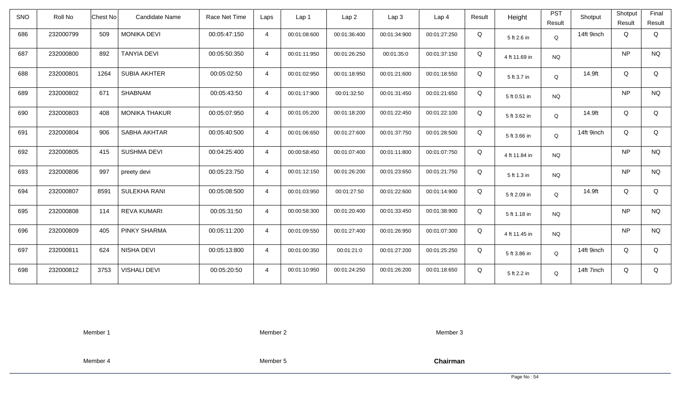| <b>SNO</b> | Roll No   | Chest No | Candidate Name       | Race Net Time | Laps           | Lap 1        | Lap <sub>2</sub> | Lap3         | Lap <sub>4</sub> | Result | Height        | <b>PST</b><br>Result | Shotput    | Shotput<br>Result | Final<br>Result |
|------------|-----------|----------|----------------------|---------------|----------------|--------------|------------------|--------------|------------------|--------|---------------|----------------------|------------|-------------------|-----------------|
| 686        | 232000799 | 509      | <b>MONIKA DEVI</b>   | 00:05:47:150  | $\overline{4}$ | 00:01:08:600 | 00:01:36:400     | 00:01:34:900 | 00:01:27:250     | Q      | 5 ft 2.6 in   | $\mathsf Q$          | 14ft 9inch | Q                 | Q               |
| 687        | 232000800 | 892      | <b>TANYIA DEVI</b>   | 00:05:50:350  | $\overline{4}$ | 00:01:11:950 | 00:01:26:250     | 00:01:35:0   | 00:01:37:150     | Q      | 4 ft 11.69 in | <b>NQ</b>            |            | <b>NP</b>         | <b>NQ</b>       |
| 688        | 232000801 | 1264     | <b>SUBIA AKHTER</b>  | 00:05:02:50   | $\overline{4}$ | 00:01:02:950 | 00:01:18:950     | 00:01:21:600 | 00:01:18:550     | Q      | 5 ft 3.7 in   | Q                    | 14.9ft     | Q                 | Q               |
| 689        | 232000802 | 671      | SHABNAM              | 00:05:43:50   | $\overline{4}$ | 00:01:17:900 | 00:01:32:50      | 00:01:31:450 | 00:01:21:650     | Q      | 5 ft 0.51 in  | <b>NQ</b>            |            | <b>NP</b>         | <b>NQ</b>       |
| 690        | 232000803 | 408      | <b>MONIKA THAKUR</b> | 00:05:07:950  | $\overline{4}$ | 00:01:05:200 | 00:01:18:200     | 00:01:22:450 | 00:01:22:100     | Q      | 5 ft 3.62 in  | Q                    | 14.9ft     | Q                 | Q               |
| 691        | 232000804 | 906      | SABHA AKHTAR         | 00:05:40:500  | $\overline{4}$ | 00:01:06:650 | 00:01:27:600     | 00:01:37:750 | 00:01:28:500     | Q      | 5 ft 3.66 in  | Q                    | 14ft 9inch | Q                 | Q               |
| 692        | 232000805 | 415      | <b>SUSHMA DEVI</b>   | 00:04:25:400  | $\overline{4}$ | 00:00:58:450 | 00:01:07:400     | 00:01:11:800 | 00:01:07:750     | Q      | 4 ft 11.84 in | <b>NQ</b>            |            | <b>NP</b>         | <b>NQ</b>       |
| 693        | 232000806 | 997      | preety devi          | 00:05:23:750  | $\overline{4}$ | 00:01:12:150 | 00:01:26:200     | 00:01:23:650 | 00:01:21:750     | Q      | 5 ft 1.3 in   | <b>NQ</b>            |            | <b>NP</b>         | <b>NQ</b>       |
| 694        | 232000807 | 8591     | SULEKHA RANI         | 00:05:08:500  | $\overline{4}$ | 00:01:03:950 | 00:01:27:50      | 00:01:22:600 | 00:01:14:900     | Q      | 5 ft 2.09 in  | Q                    | 14.9ft     | Q                 | Q               |
| 695        | 232000808 | 114      | <b>REVA KUMARI</b>   | 00:05:31:50   | $\overline{4}$ | 00:00:58:300 | 00:01:20:400     | 00:01:33:450 | 00:01:38:900     | Q      | 5 ft 1.18 in  | <b>NQ</b>            |            | <b>NP</b>         | $\rm N\rm Q$    |
| 696        | 232000809 | 405      | PINKY SHARMA         | 00:05:11:200  | $\overline{4}$ | 00:01:09:550 | 00:01:27:400     | 00:01:26:950 | 00:01:07:300     | Q      | 4 ft 11.45 in | <b>NQ</b>            |            | <b>NP</b>         | <b>NQ</b>       |
| 697        | 232000811 | 624      | NISHA DEVI           | 00:05:13:800  | $\overline{4}$ | 00:01:00:350 | 00:01:21:0       | 00:01:27:200 | 00:01:25:250     | Q      | 5 ft 3.86 in  | Q                    | 14ft 9inch | Q                 | Q               |
| 698        | 232000812 | 3753     | <b>VISHALI DEVI</b>  | 00:05:20:50   | $\overline{4}$ | 00:01:10:950 | 00:01:24:250     | 00:01:26:200 | 00:01:18:650     | Q      | 5 ft 2.2 in   | Q                    | 14ft 7inch | Q                 | Q               |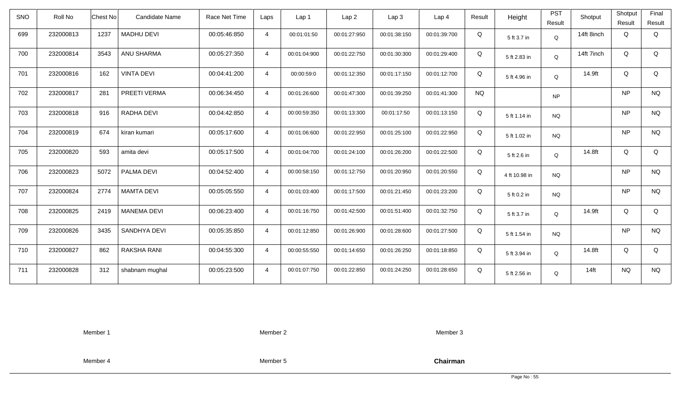| <b>SNO</b> | Roll No   | Candidate Name<br>Chest No | Race Net Time | Laps           | Lap 1        | Lap2         | Lap 3        | Lap <sub>4</sub> | Result    | Height        | <b>PST</b><br>Result | Shotput    | Shotput<br>Result | Final<br>Result |
|------------|-----------|----------------------------|---------------|----------------|--------------|--------------|--------------|------------------|-----------|---------------|----------------------|------------|-------------------|-----------------|
| 699        | 232000813 | 1237<br><b>MADHU DEVI</b>  | 00:05:46:850  | $\overline{4}$ | 00:01:01:50  | 00:01:27:950 | 00:01:38:150 | 00:01:39:700     | Q         | 5 ft 3.7 in   | Q                    | 14ft 8inch | Q                 | Q               |
| 700        | 232000814 | 3543<br>ANU SHARMA         | 00:05:27:350  | $\overline{4}$ | 00:01:04:900 | 00:01:22:750 | 00:01:30:300 | 00:01:29:400     | Q         | 5 ft 2.83 in  | Q                    | 14ft 7inch | Q                 | Q               |
| 701        | 232000816 | <b>VINTA DEVI</b><br>162   | 00:04:41:200  | $\overline{4}$ | 00:00:59:0   | 00:01:12:350 | 00:01:17:150 | 00:01:12:700     | Q         | 5 ft 4.96 in  | Q                    | 14.9ft     | Q                 | Q               |
| 702        | 232000817 | 281<br>PREETI VERMA        | 00:06:34:450  | $\overline{4}$ | 00:01:26:600 | 00:01:47:300 | 00:01:39:250 | 00:01:41:300     | <b>NQ</b> |               | <b>NP</b>            |            | NP                | <b>NQ</b>       |
| 703        | 232000818 | RADHA DEVI<br>916          | 00:04:42:850  | $\overline{4}$ | 00:00:59:350 | 00:01:13:300 | 00:01:17:50  | 00:01:13:150     | Q         | 5 ft 1.14 in  | <b>NQ</b>            |            | <b>NP</b>         | <b>NQ</b>       |
| 704        | 232000819 | 674<br>kiran kumari        | 00:05:17:600  | $\overline{4}$ | 00:01:06:600 | 00:01:22:950 | 00:01:25:100 | 00:01:22:950     | Q         | 5 ft 1.02 in  | <b>NQ</b>            |            | NP                | <b>NQ</b>       |
| 705        | 232000820 | 593<br>amita devi          | 00:05:17:500  | $\overline{4}$ | 00:01:04:700 | 00:01:24:100 | 00:01:26:200 | 00:01:22:500     | Q         | 5 ft 2.6 in   | Q                    | 14.8ft     | Q                 | Q               |
| 706        | 232000823 | 5072<br>PALMA DEVI         | 00:04:52:400  | $\overline{4}$ | 00:00:58:150 | 00:01:12:750 | 00:01:20:950 | 00:01:20:550     | Q         | 4 ft 10.98 in | <b>NQ</b>            |            | <b>NP</b>         | <b>NQ</b>       |
| 707        | 232000824 | 2774<br><b>MAMTA DEVI</b>  | 00:05:05:550  | $\overline{4}$ | 00:01:03:400 | 00:01:17:500 | 00:01:21:450 | 00:01:23:200     | Q         | 5 ft 0.2 in   | <b>NQ</b>            |            | NP                | <b>NQ</b>       |
| 708        | 232000825 | 2419<br><b>MANEMA DEVI</b> | 00:06:23:400  | $\overline{4}$ | 00:01:16:750 | 00:01:42:500 | 00:01:51:400 | 00:01:32:750     | Q         | 5 ft 3.7 in   | Q                    | 14.9ft     | Q                 | Q               |
| 709        | 232000826 | 3435<br>SANDHYA DEVI       | 00:05:35:850  | $\overline{4}$ | 00:01:12:850 | 00:01:26:900 | 00:01:28:600 | 00:01:27:500     | Q         | 5 ft 1.54 in  | <b>NQ</b>            |            | <b>NP</b>         | <b>NQ</b>       |
| 710        | 232000827 | 862<br>RAKSHA RANI         | 00:04:55:300  | $\overline{4}$ | 00:00:55:550 | 00:01:14:650 | 00:01:26:250 | 00:01:18:850     | Q         | 5 ft 3.94 in  | Q                    | 14.8ft     | Q                 | Q               |
| 711        | 232000828 | 312<br>shabnam mughal      | 00:05:23:500  | $\overline{4}$ | 00:01:07:750 | 00:01:22:850 | 00:01:24:250 | 00:01:28:650     | Q         | 5 ft 2.56 in  | Q                    | $14$ ft    | <b>NQ</b>         | <b>NQ</b>       |

Member 2

Member 3

Member 4

Member 5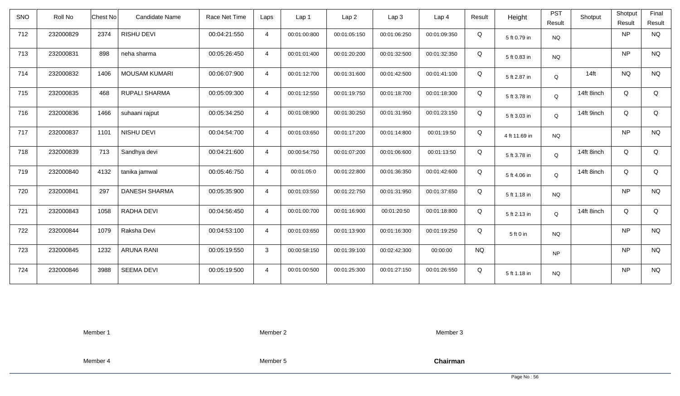| <b>SNO</b> | Roll No   | <b>Chest No</b> | Candidate Name       | Race Net Time | Laps           | Lap 1        | Lap <sub>2</sub> | Lap <sub>3</sub> | Lap <sub>4</sub> | Result    | Height        | <b>PST</b><br>Result | Shotput    | Shotput<br>Result | Final<br>Result |
|------------|-----------|-----------------|----------------------|---------------|----------------|--------------|------------------|------------------|------------------|-----------|---------------|----------------------|------------|-------------------|-----------------|
| 712        | 232000829 | 2374            | RISHU DEVI           | 00:04:21:550  | $\overline{4}$ | 00:01:00:800 | 00:01:05:150     | 00:01:06:250     | 00:01:09:350     | Q         | 5 ft 0.79 in  | <b>NQ</b>            |            | <b>NP</b>         | <b>NQ</b>       |
| 713        | 232000831 | 898             | neha sharma          | 00:05:26:450  | $\overline{4}$ | 00:01:01:400 | 00:01:20:200     | 00:01:32:500     | 00:01:32:350     | Q         | 5 ft 0.83 in  | <b>NQ</b>            |            | <b>NP</b>         | <b>NQ</b>       |
| 714        | 232000832 | 1406            | <b>MOUSAM KUMARI</b> | 00:06:07:900  | $\overline{4}$ | 00:01:12:700 | 00:01:31:600     | 00:01:42:500     | 00:01:41:100     | Q         | 5 ft 2.87 in  | Q                    | $14$ ft    | <b>NQ</b>         | <b>NQ</b>       |
| 715        | 232000835 | 468             | <b>RUPALI SHARMA</b> | 00:05:09:300  | $\overline{4}$ | 00:01:12:550 | 00:01:19:750     | 00:01:18:700     | 00:01:18:300     | Q         | 5 ft 3.78 in  | Q                    | 14ft 8inch | Q                 | Q               |
| 716        | 232000836 | 1466            | suhaani rajput       | 00:05:34:250  | $\overline{4}$ | 00:01:08:900 | 00:01:30:250     | 00:01:31:950     | 00:01:23:150     | Q         | 5 ft 3.03 in  | Q                    | 14ft 9inch | Q                 | Q               |
| 717        | 232000837 | 1101            | NISHU DEVI           | 00:04:54:700  | $\overline{4}$ | 00:01:03:650 | 00:01:17:200     | 00:01:14:800     | 00:01:19:50      | Q         | 4 ft 11.69 in | <b>NQ</b>            |            | <b>NP</b>         | <b>NQ</b>       |
| 718        | 232000839 | 713             | Sandhya devi         | 00:04:21:600  | $\overline{4}$ | 00:00:54:750 | 00:01:07:200     | 00:01:06:600     | 00:01:13:50      | Q         | 5 ft 3.78 in  | Q                    | 14ft 8inch | Q                 | Q               |
| 719        | 232000840 | 4132            | tanika jamwal        | 00:05:46:750  | $\overline{4}$ | 00:01:05:0   | 00:01:22:800     | 00:01:36:350     | 00:01:42:600     | Q         | 5 ft 4.06 in  | Q                    | 14ft 8inch | Q                 | Q               |
| 720        | 232000841 | 297             | <b>DANESH SHARMA</b> | 00:05:35:900  | $\overline{4}$ | 00:01:03:550 | 00:01:22:750     | 00:01:31:950     | 00:01:37:650     | Q         | 5 ft 1.18 in  | <b>NQ</b>            |            | <b>NP</b>         | <b>NQ</b>       |
| 721        | 232000843 | 1058            | RADHA DEVI           | 00:04:56:450  | $\overline{4}$ | 00:01:00:700 | 00:01:16:900     | 00:01:20:50      | 00:01:18:800     | Q         | 5 ft 2.13 in  | Q                    | 14ft 8inch | Q                 | Q               |
| 722        | 232000844 | 1079            | Raksha Devi          | 00:04:53:100  | $\overline{4}$ | 00:01:03:650 | 00:01:13:900     | 00:01:16:300     | 00:01:19:250     | Q         | 5 ft 0 in     | <b>NQ</b>            |            | <b>NP</b>         | <b>NQ</b>       |
| 723        | 232000845 | 1232            | <b>ARUNA RANI</b>    | 00:05:19:550  | $\mathbf{3}$   | 00:00:58:150 | 00:01:39:100     | 00:02:42:300     | 00:00:00         | <b>NQ</b> |               | <b>NP</b>            |            | <b>NP</b>         | <b>NQ</b>       |
| 724        | 232000846 | 3988            | <b>SEEMA DEVI</b>    | 00:05:19:500  | $\overline{4}$ | 00:01:00:500 | 00:01:25:300     | 00:01:27:150     | 00:01:26:550     | Q         | 5 ft 1.18 in  | <b>NQ</b>            |            | <b>NP</b>         | <b>NQ</b>       |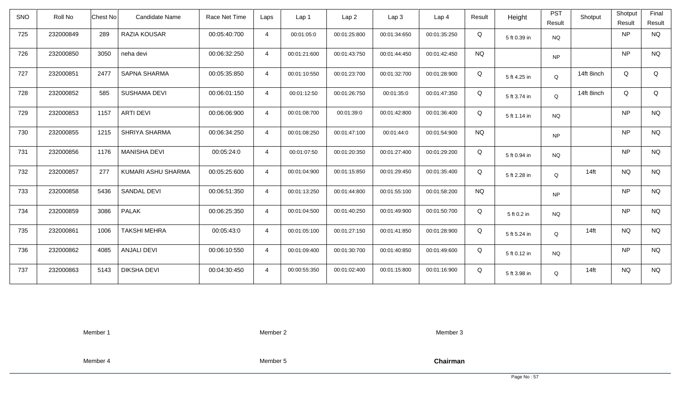| SNO | Roll No   | Chest No | Candidate Name      | Race Net Time | Laps           | Lap <sub>1</sub> | Lap <sub>2</sub> | Lap <sub>3</sub> | Lap <sub>4</sub> | Result    | Height       | <b>PST</b><br>Result | Shotput    | Shotput<br>Result | Final<br>Result |
|-----|-----------|----------|---------------------|---------------|----------------|------------------|------------------|------------------|------------------|-----------|--------------|----------------------|------------|-------------------|-----------------|
| 725 | 232000849 | 289      | RAZIA KOUSAR        | 00:05:40:700  | $\overline{4}$ | 00:01:05:0       | 00:01:25:800     | 00:01:34:650     | 00:01:35:250     | Q         | 5 ft 0.39 in | <b>NQ</b>            |            | <b>NP</b>         | <b>NQ</b>       |
| 726 | 232000850 | 3050     | neha devi           | 00:06:32:250  | $\overline{4}$ | 00:01:21:600     | 00:01:43:750     | 00:01:44:450     | 00:01:42:450     | <b>NQ</b> |              | <b>NP</b>            |            | <b>NP</b>         | <b>NQ</b>       |
| 727 | 232000851 | 2477     | <b>SAPNA SHARMA</b> | 00:05:35:850  | $\overline{4}$ | 00:01:10:550     | 00:01:23:700     | 00:01:32:700     | 00:01:28:900     | Q         | 5 ft 4.25 in | Q                    | 14ft 8inch | Q                 | Q               |
| 728 | 232000852 | 585      | <b>SUSHAMA DEVI</b> | 00:06:01:150  | $\overline{4}$ | 00:01:12:50      | 00:01:26:750     | 00:01:35:0       | 00:01:47:350     | Q         | 5 ft 3.74 in | Q                    | 14ft 8inch | Q                 | Q               |
| 729 | 232000853 | 1157     | <b>ARTI DEVI</b>    | 00:06:06:900  | $\overline{4}$ | 00:01:08:700     | 00:01:39:0       | 00:01:42:800     | 00:01:36:400     | Q         | 5 ft 1.14 in | <b>NQ</b>            |            | <b>NP</b>         | <b>NQ</b>       |
| 730 | 232000855 | 1215     | SHRIYA SHARMA       | 00:06:34:250  | $\overline{4}$ | 00:01:08:250     | 00:01:47:100     | 00:01:44:0       | 00:01:54:900     | <b>NQ</b> |              | <b>NP</b>            |            | <b>NP</b>         | <b>NQ</b>       |
| 731 | 232000856 | 1176     | <b>MANISHA DEVI</b> | 00:05:24:0    | $\overline{4}$ | 00:01:07:50      | 00:01:20:350     | 00:01:27:400     | 00:01:29:200     | Q         | 5 ft 0.94 in | <b>NQ</b>            |            | <b>NP</b>         | <b>NQ</b>       |
| 732 | 232000857 | 277      | KUMARI ASHU SHARMA  | 00:05:25:600  | $\overline{4}$ | 00:01:04:900     | 00:01:15:850     | 00:01:29:450     | 00:01:35:400     | Q         | 5 ft 2.28 in | Q                    | $14$ ft    | <b>NQ</b>         | <b>NQ</b>       |
| 733 | 232000858 | 5436     | <b>SANDAL DEVI</b>  | 00:06:51:350  | $\overline{4}$ | 00:01:13:250     | 00:01:44:800     | 00:01:55:100     | 00:01:58:200     | <b>NQ</b> |              | <b>NP</b>            |            | <b>NP</b>         | <b>NQ</b>       |
| 734 | 232000859 | 3086     | <b>PALAK</b>        | 00:06:25:350  | $\overline{4}$ | 00:01:04:500     | 00:01:40:250     | 00:01:49:900     | 00:01:50:700     | Q         | 5 ft 0.2 in  | <b>NQ</b>            |            | <b>NP</b>         | <b>NQ</b>       |
| 735 | 232000861 | 1006     | <b>TAKSHI MEHRA</b> | 00:05:43:0    | $\overline{4}$ | 00:01:05:100     | 00:01:27:150     | 00:01:41:850     | 00:01:28:900     | Q         | 5 ft 5.24 in | Q                    | $14$ ft    | <b>NQ</b>         | <b>NQ</b>       |
| 736 | 232000862 | 4085     | <b>ANJALI DEVI</b>  | 00:06:10:550  | $\overline{4}$ | 00:01:09:400     | 00:01:30:700     | 00:01:40:850     | 00:01:49:600     | Q         | 5 ft 0.12 in | <b>NQ</b>            |            | <b>NP</b>         | <b>NQ</b>       |
| 737 | 232000863 | 5143     | <b>DIKSHA DEVI</b>  | 00:04:30:450  | $\overline{4}$ | 00:00:55:350     | 00:01:02:400     | 00:01:15:800     | 00:01:16:900     | Q         | 5 ft 3.98 in | Q                    | $14$ ft    | <b>NQ</b>         | <b>NQ</b>       |

Member 2

Member 3

Member 4

Member 5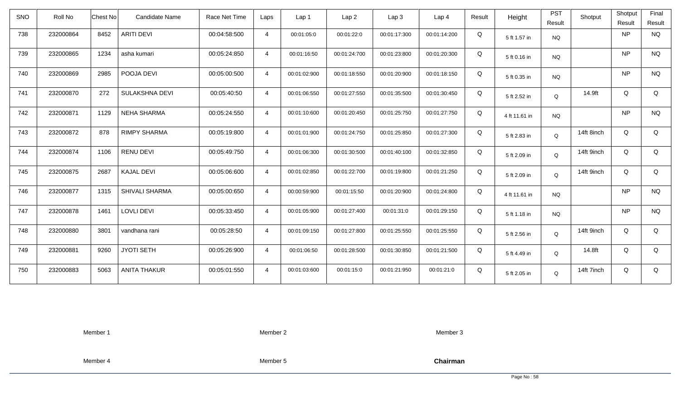| <b>SNO</b> | Roll No   | <b>Chest No</b> | <b>Candidate Name</b> | Race Net Time | Laps           | Lap <sub>1</sub> | Lap <sub>2</sub> | Lap <sub>3</sub> | Lap <sub>4</sub> | Result | Height        | <b>PST</b><br>Result | Shotput    | Shotput<br>Result | Final<br>Result |
|------------|-----------|-----------------|-----------------------|---------------|----------------|------------------|------------------|------------------|------------------|--------|---------------|----------------------|------------|-------------------|-----------------|
| 738        | 232000864 | 8452            | <b>ARITI DEVI</b>     | 00:04:58:500  | $\overline{4}$ | 00:01:05:0       | 00:01:22:0       | 00:01:17:300     | 00:01:14:200     | Q      | 5 ft 1.57 in  | <b>NQ</b>            |            | <b>NP</b>         | <b>NQ</b>       |
| 739        | 232000865 | 1234            | asha kumari           | 00:05:24:850  | $\overline{4}$ | 00:01:16:50      | 00:01:24:700     | 00:01:23:800     | 00:01:20:300     | Q      | 5 ft 0.16 in  | <b>NQ</b>            |            | <b>NP</b>         | <b>NQ</b>       |
| 740        | 232000869 | 2985            | POOJA DEVI            | 00:05:00:500  | $\overline{4}$ | 00:01:02:900     | 00:01:18:550     | 00:01:20:900     | 00:01:18:150     | Q      | 5 ft 0.35 in  | <b>NQ</b>            |            | <b>NP</b>         | <b>NQ</b>       |
| 741        | 232000870 | 272             | SULAKSHNA DEVI        | 00:05:40:50   | $\overline{4}$ | 00:01:06:550     | 00:01:27:550     | 00:01:35:500     | 00:01:30:450     | Q      | 5 ft 2.52 in  | Q                    | 14.9ft     | Q                 | Q               |
| 742        | 232000871 | 1129            | <b>NEHA SHARMA</b>    | 00:05:24:550  | $\overline{4}$ | 00:01:10:600     | 00:01:20:450     | 00:01:25:750     | 00:01:27:750     | Q      | 4 ft 11.61 in | <b>NQ</b>            |            | <b>NP</b>         | <b>NQ</b>       |
| 743        | 232000872 | 878             | <b>RIMPY SHARMA</b>   | 00:05:19:800  | $\overline{4}$ | 00:01:01:900     | 00:01:24:750     | 00:01:25:850     | 00:01:27:300     | Q      | 5 ft 2.83 in  | Q                    | 14ft 8inch | Q                 | Q               |
| 744        | 232000874 | 1106            | <b>RENU DEVI</b>      | 00:05:49:750  | $\overline{4}$ | 00:01:06:300     | 00:01:30:500     | 00:01:40:100     | 00:01:32:850     | Q      | 5 ft 2.09 in  | Q                    | 14ft 9inch | Q                 | Q               |
| 745        | 232000875 | 2687            | <b>KAJAL DEVI</b>     | 00:05:06:600  | $\overline{4}$ | 00:01:02:850     | 00:01:22:700     | 00:01:19:800     | 00:01:21:250     | Q      | 5 ft 2.09 in  | Q                    | 14ft 9inch | Q                 | Q               |
| 746        | 232000877 | 1315            | SHIVALI SHARMA        | 00:05:00:650  | $\overline{4}$ | 00:00:59:900     | 00:01:15:50      | 00:01:20:900     | 00:01:24:800     | Q      | 4 ft 11.61 in | <b>NQ</b>            |            | <b>NP</b>         | <b>NQ</b>       |
| 747        | 232000878 | 1461            | <b>LOVLI DEVI</b>     | 00:05:33:450  | $\overline{4}$ | 00:01:05:900     | 00:01:27:400     | 00:01:31:0       | 00:01:29:150     | Q      | 5 ft 1.18 in  | <b>NQ</b>            |            | <b>NP</b>         | <b>NQ</b>       |
| 748        | 232000880 | 3801            | vandhana rani         | 00:05:28:50   | $\overline{4}$ | 00:01:09:150     | 00:01:27:800     | 00:01:25:550     | 00:01:25:550     | Q      | 5 ft 2.56 in  | Q                    | 14ft 9inch | Q                 | Q               |
| 749        | 232000881 | 9260            | <b>JYOTI SETH</b>     | 00:05:26:900  | $\overline{4}$ | 00:01:06:50      | 00:01:28:500     | 00:01:30:850     | 00:01:21:500     | Q      | 5 ft 4.49 in  | Q                    | 14.8ft     | Q                 | Q               |
| 750        | 232000883 | 5063            | <b>ANITA THAKUR</b>   | 00:05:01:550  | $\overline{4}$ | 00:01:03:600     | 00:01:15:0       | 00:01:21:950     | 00:01:21:0       | Q      | 5 ft 2.05 in  | Q                    | 14ft 7inch | Q                 | Q               |

Member 2

Member 3

Member 4

Member 5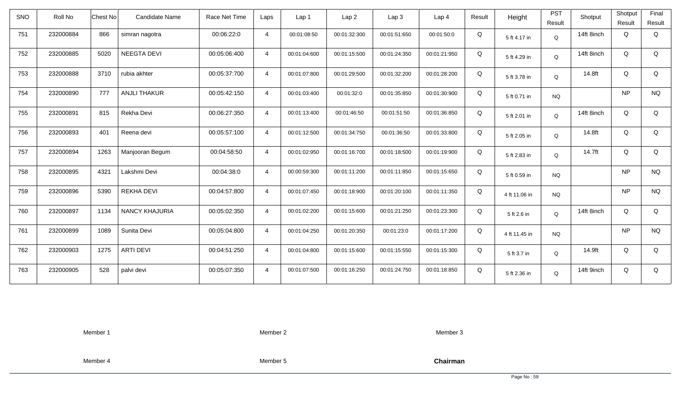| <b>SNO</b> | Roll No   | <b>Chest No</b> | Candidate Name        | Race Net Time | Laps           | Lap 1        | Lap <sub>2</sub> | Lap3         | Lap <sub>4</sub> | Result | Height        | <b>PST</b><br>Result | Shotput    | Shotput<br>Result | Final<br>Result |
|------------|-----------|-----------------|-----------------------|---------------|----------------|--------------|------------------|--------------|------------------|--------|---------------|----------------------|------------|-------------------|-----------------|
| 751        | 232000884 | 866             | simran nagotra        | 00:06:22:0    | $\overline{4}$ | 00:01:08:50  | 00:01:32:300     | 00:01:51:650 | 00:01:50:0       | Q      | 5 ft 4.17 in  | Q                    | 14ft 8inch | Q                 | Q               |
| 752        | 232000885 | 5020            | <b>NEEGTA DEVI</b>    | 00:05:06:400  | $\overline{4}$ | 00:01:04:600 | 00:01:15:500     | 00:01:24:350 | 00:01:21:950     | Q      | 5 ft 4.29 in  | Q                    | 14ft 8inch | Q                 | Q               |
| 753        | 232000888 | 3710            | rubia akhter          | 00:05:37:700  | $\overline{4}$ | 00:01:07:800 | 00:01:29:500     | 00:01:32:200 | 00:01:28:200     | Q      | 5 ft 3.78 in  | Q                    | 14.8ft     | Q                 | Q               |
| 754        | 232000890 | 777             | <b>ANJLI THAKUR</b>   | 00:05:42:150  | $\overline{4}$ | 00:01:03:400 | 00:01:32:0       | 00:01:35:850 | 00:01:30:900     | Q      | 5 ft 0.71 in  | <b>NQ</b>            |            | <b>NP</b>         | <b>NQ</b>       |
| 755        | 232000891 | 815             | Rekha Devi            | 00:06:27:350  | $\overline{4}$ | 00:01:13:400 | 00:01:46:50      | 00:01:51:50  | 00:01:36:850     | Q      | 5 ft 2.01 in  | Q                    | 14ft 8inch | Q                 | Q               |
| 756        | 232000893 | 401             | Reena devi            | 00:05:57:100  | $\overline{4}$ | 00:01:12:500 | 00:01:34:750     | 00:01:36:50  | 00:01:33:800     | Q      | 5 ft 2.05 in  | Q                    | 14.8ft     | Q                 | Q               |
| 757        | 232000894 | 1263            | Manjooran Begum       | 00:04:58:50   | $\overline{4}$ | 00:01:02:950 | 00:01:16:700     | 00:01:18:500 | 00:01:19:900     | Q      | 5 ft 2.83 in  | Q                    | 14.7ft     | Q                 | Q               |
| 758        | 232000895 | 4321            | Lakshmi Devi          | 00:04:38:0    | $\overline{4}$ | 00:00:59:300 | 00:01:11:200     | 00:01:11:850 | 00:01:15:650     | Q      | 5 ft 0.59 in  | <b>NQ</b>            |            | <b>NP</b>         | <b>NQ</b>       |
| 759        | 232000896 | 5390            | <b>REKHA DEVI</b>     | 00:04:57:800  | $\overline{4}$ | 00:01:07:450 | 00:01:18:900     | 00:01:20:100 | 00:01:11:350     | Q      | 4 ft 11.06 in | <b>NQ</b>            |            | <b>NP</b>         | <b>NQ</b>       |
| 760        | 232000897 | 1134            | <b>NANCY KHAJURIA</b> | 00:05:02:350  | $\overline{4}$ | 00:01:02:200 | 00:01:15:600     | 00:01:21:250 | 00:01:23:300     | Q      | 5 ft 2.6 in   | Q                    | 14ft 8inch | Q                 | Q               |
| 761        | 232000899 | 1089            | Sunita Devi           | 00:05:04:800  | $\overline{4}$ | 00:01:04:250 | 00:01:20:350     | 00:01:23:0   | 00:01:17:200     | Q      | 4 ft 11.45 in | <b>NQ</b>            |            | <b>NP</b>         | <b>NQ</b>       |
| 762        | 232000903 | 1275            | <b>ARTI DEVI</b>      | 00:04:51:250  | $\overline{4}$ | 00:01:04:800 | 00:01:15:600     | 00:01:15:550 | 00:01:15:300     | Q      | 5 ft 3.7 in   | Q                    | 14.9ft     | Q                 | Q               |
| 763        | 232000905 | 528             | palvi devi            | 00:05:07:350  | $\overline{4}$ | 00:01:07:500 | 00:01:16:250     | 00:01:24:750 | 00:01:18:850     | Q      | 5 ft 2.36 in  | Q                    | 14ft 9inch | Q                 | Q               |

Member 2

Member 3

Member 4

Member 5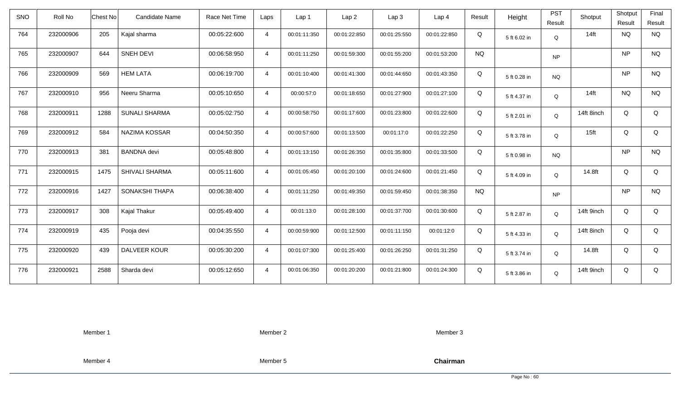| <b>SNO</b> | Roll No   | <b>Chest No</b> | Candidate Name       | Race Net Time | Laps           | Lap 1        | Lap <sub>2</sub> | Lap3         | Lap 4        | Result    | Height       | <b>PST</b><br>Result | Shotput          | Shotput<br>Result | Final<br>Result |
|------------|-----------|-----------------|----------------------|---------------|----------------|--------------|------------------|--------------|--------------|-----------|--------------|----------------------|------------------|-------------------|-----------------|
| 764        | 232000906 | 205             | Kajal sharma         | 00:05:22:600  | $\overline{4}$ | 00:01:11:350 | 00:01:22:850     | 00:01:25:550 | 00:01:22:850 | Q         | 5 ft 6.02 in | Q                    | $14$ ft          | <b>NQ</b>         | <b>NQ</b>       |
| 765        | 232000907 | 644             | <b>SNEH DEVI</b>     | 00:06:58:950  | $\overline{4}$ | 00:01:11:250 | 00:01:59:300     | 00:01:55:200 | 00:01:53:200 | <b>NQ</b> |              | <b>NP</b>            |                  | <b>NP</b>         | <b>NQ</b>       |
| 766        | 232000909 | 569             | <b>HEM LATA</b>      | 00:06:19:700  | $\overline{4}$ | 00:01:10:400 | 00:01:41:300     | 00:01:44:650 | 00:01:43:350 | Q         | 5 ft 0.28 in | <b>NQ</b>            |                  | <b>NP</b>         | <b>NQ</b>       |
| 767        | 232000910 | 956             | Neeru Sharma         | 00:05:10:650  | $\overline{4}$ | 00:00:57:0   | 00:01:18:650     | 00:01:27:900 | 00:01:27:100 | Q         | 5 ft 4.37 in | Q                    | $14$ ft          | <b>NQ</b>         | <b>NQ</b>       |
| 768        | 232000911 | 1288            | <b>SUNALI SHARMA</b> | 00:05:02:750  | $\overline{4}$ | 00:00:58:750 | 00:01:17:600     | 00:01:23:800 | 00:01:22:600 | Q         | 5 ft 2.01 in | Q                    | 14ft 8inch       | Q                 | Q               |
| 769        | 232000912 | 584             | NAZIMA KOSSAR        | 00:04:50:350  | $\overline{4}$ | 00:00:57:600 | 00:01:13:500     | 00:01:17:0   | 00:01:22:250 | Q         | 5 ft 3.78 in | Q                    | 15 <sub>ft</sub> | Q                 | Q               |
| 770        | 232000913 | 381             | <b>BANDNA</b> devi   | 00:05:48:800  | $\overline{4}$ | 00:01:13:150 | 00:01:26:350     | 00:01:35:800 | 00:01:33:500 | Q         | 5 ft 0.98 in | <b>NQ</b>            |                  | <b>NP</b>         | $\rm N\rm Q$    |
| 771        | 232000915 | 1475            | SHIVALI SHARMA       | 00:05:11:600  | $\overline{4}$ | 00:01:05:450 | 00:01:20:100     | 00:01:24:600 | 00:01:21:450 | Q         | 5 ft 4.09 in | Q                    | 14.8ft           | Q                 | Q               |
| 772        | 232000916 | 1427            | SONAKSHI THAPA       | 00:06:38:400  | $\overline{4}$ | 00:01:11:250 | 00:01:49:350     | 00:01:59:450 | 00:01:38:350 | <b>NQ</b> |              | <b>NP</b>            |                  | <b>NP</b>         | <b>NQ</b>       |
| 773        | 232000917 | 308             | Kajal Thakur         | 00:05:49:400  | $\overline{4}$ | 00:01:13:0   | 00:01:28:100     | 00:01:37:700 | 00:01:30:600 | Q         | 5 ft 2.87 in | Q                    | 14ft 9inch       | Q                 | Q               |
| 774        | 232000919 | 435             | Pooja devi           | 00:04:35:550  | $\overline{4}$ | 00:00:59:900 | 00:01:12:500     | 00:01:11:150 | 00:01:12:0   | Q         | 5 ft 4.33 in | Q                    | 14ft 8inch       | Q                 | Q               |
| 775        | 232000920 | 439             | DALVEER KOUR         | 00:05:30:200  | $\overline{4}$ | 00:01:07:300 | 00:01:25:400     | 00:01:26:250 | 00:01:31:250 | Q         | 5 ft 3.74 in | Q                    | 14.8ft           | Q                 | Q               |
| 776        | 232000921 | 2588            | Sharda devi          | 00:05:12:650  | $\overline{4}$ | 00:01:06:350 | 00:01:20:200     | 00:01:21:800 | 00:01:24:300 | Q         | 5 ft 3.86 in | Q                    | 14ft 9inch       | Q                 | Q               |

Member 2

Member 3

Member 4

Member 5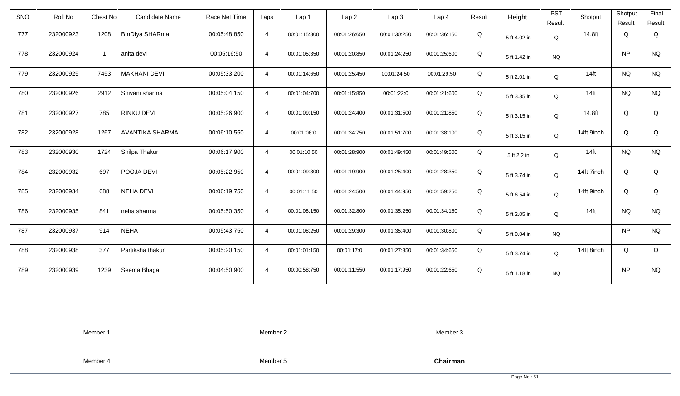| SNO | Roll No   | Chest No       | <b>Candidate Name</b>  | Race Net Time | Laps           | Lap 1        | Lap <sub>2</sub> | Lap <sub>3</sub> | Lap <sub>4</sub> | Result | Height       | <b>PST</b><br>Result | Shotput          | Shotput<br>Result | Final<br>Result |
|-----|-----------|----------------|------------------------|---------------|----------------|--------------|------------------|------------------|------------------|--------|--------------|----------------------|------------------|-------------------|-----------------|
| 777 | 232000923 | 1208           | <b>BlnDlya SHARma</b>  | 00:05:48:850  | $\overline{4}$ | 00:01:15:800 | 00:01:26:650     | 00:01:30:250     | 00:01:36:150     | Q      | 5 ft 4.02 in | Q                    | 14.8ft           | Q                 | Q               |
| 778 | 232000924 | $\overline{1}$ | anita devi             | 00:05:16:50   | $\overline{4}$ | 00:01:05:350 | 00:01:20:850     | 00:01:24:250     | 00:01:25:600     | Q      | 5 ft 1.42 in | <b>NQ</b>            |                  | <b>NP</b>         | <b>NQ</b>       |
| 779 | 232000925 | 7453           | <b>MAKHANI DEVI</b>    | 00:05:33:200  | $\overline{4}$ | 00:01:14:650 | 00:01:25:450     | 00:01:24:50      | 00:01:29:50      | Q      | 5 ft 2.01 in | $\mathsf Q$          | $14$ ft          | <b>NQ</b>         | <b>NQ</b>       |
| 780 | 232000926 | 2912           | Shivani sharma         | 00:05:04:150  | $\overline{4}$ | 00:01:04:700 | 00:01:15:850     | 00:01:22:0       | 00:01:21:600     | Q      | 5 ft 3.35 in | Q                    | 14 <sub>ft</sub> | <b>NQ</b>         | <b>NQ</b>       |
| 781 | 232000927 | 785            | <b>RINKU DEVI</b>      | 00:05:26:900  | $\overline{4}$ | 00:01:09:150 | 00:01:24:400     | 00:01:31:500     | 00:01:21:850     | Q      | 5 ft 3.15 in | Q                    | 14.8ft           | Q                 | Q               |
| 782 | 232000928 | 1267           | <b>AVANTIKA SHARMA</b> | 00:06:10:550  | $\overline{4}$ | 00:01:06:0   | 00:01:34:750     | 00:01:51:700     | 00:01:38:100     | Q      | 5 ft 3.15 in | Q                    | 14ft 9inch       | Q                 | Q               |
| 783 | 232000930 | 1724           | Shilpa Thakur          | 00:06:17:900  | $\overline{4}$ | 00:01:10:50  | 00:01:28:900     | 00:01:49:450     | 00:01:49:500     | Q      | 5 ft 2.2 in  | Q                    | 14 <sub>ft</sub> | <b>NQ</b>         | $\rm N\rm Q$    |
| 784 | 232000932 | 697            | POOJA DEVI             | 00:05:22:950  | $\overline{4}$ | 00:01:09:300 | 00:01:19:900     | 00:01:25:400     | 00:01:28:350     | Q      | 5 ft 3.74 in | Q                    | 14ft 7inch       | Q                 | Q               |
| 785 | 232000934 | 688            | <b>NEHA DEVI</b>       | 00:06:19:750  | $\overline{4}$ | 00:01:11:50  | 00:01:24:500     | 00:01:44:950     | 00:01:59:250     | Q      | 5 ft 6.54 in | Q                    | 14ft 9inch       | Q                 | Q               |
| 786 | 232000935 | 841            | neha sharma            | 00:05:50:350  | $\overline{4}$ | 00:01:08:150 | 00:01:32:800     | 00:01:35:250     | 00:01:34:150     | Q      | 5 ft 2.05 in | Q                    | $14$ ft          | <b>NQ</b>         | <b>NQ</b>       |
| 787 | 232000937 | 914            | <b>NEHA</b>            | 00:05:43:750  | $\overline{4}$ | 00:01:08:250 | 00:01:29:300     | 00:01:35:400     | 00:01:30:800     | Q      | 5 ft 0.04 in | <b>NQ</b>            |                  | <b>NP</b>         | <b>NQ</b>       |
| 788 | 232000938 | 377            | Partiksha thakur       | 00:05:20:150  | $\overline{4}$ | 00:01:01:150 | 00:01:17:0       | 00:01:27:350     | 00:01:34:650     | Q      | 5 ft 3.74 in | Q                    | 14ft 8inch       | Q                 | Q               |
| 789 | 232000939 | 1239           | Seema Bhagat           | 00:04:50:900  | $\overline{4}$ | 00:00:58:750 | 00:01:11:550     | 00:01:17:950     | 00:01:22:650     | Q      | 5 ft 1.18 in | <b>NQ</b>            |                  | <b>NP</b>         | <b>NQ</b>       |

Member 2

Member 3

Member 4

Member 5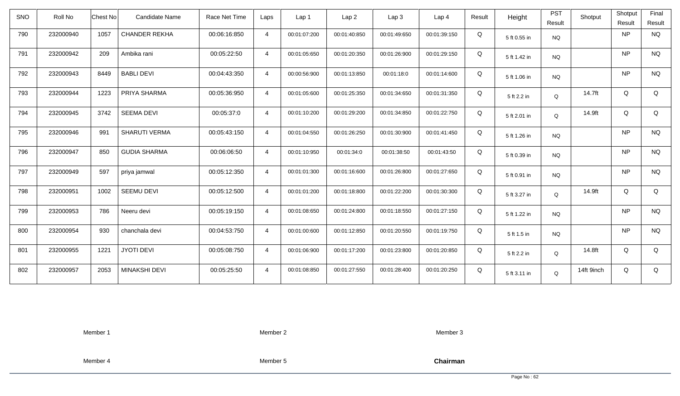| <b>SNO</b> | Roll No   | <b>Candidate Name</b><br>Chest No | Race Net Time | Laps           | Lap <sub>1</sub> | Lap2         | Lap 3        | Lap <sub>4</sub> | Result | Height       | <b>PST</b> | Shotput    | Shotput   | Final     |
|------------|-----------|-----------------------------------|---------------|----------------|------------------|--------------|--------------|------------------|--------|--------------|------------|------------|-----------|-----------|
|            |           |                                   |               |                |                  |              |              |                  |        |              | Result     |            | Result    | Result    |
| 790        | 232000940 | 1057<br><b>CHANDER REKHA</b>      | 00:06:16:850  | $\overline{4}$ | 00:01:07:200     | 00:01:40:850 | 00:01:49:650 | 00:01:39:150     | Q      | 5 ft 0.55 in | <b>NQ</b>  |            | NP        | <b>NQ</b> |
| 791        | 232000942 | Ambika rani<br>209                | 00:05:22:50   | $\overline{4}$ | 00:01:05:650     | 00:01:20:350 | 00:01:26:900 | 00:01:29:150     | Q      | 5 ft 1.42 in | <b>NQ</b>  |            | NP        | <b>NQ</b> |
| 792        | 232000943 | 8449<br><b>BABLI DEVI</b>         | 00:04:43:350  | $\overline{4}$ | 00:00:56:900     | 00:01:13:850 | 00:01:18:0   | 00:01:14:600     | Q      | 5 ft 1.06 in | <b>NQ</b>  |            | NP        | <b>NQ</b> |
| 793        | 232000944 | 1223<br>PRIYA SHARMA              | 00:05:36:950  | $\overline{4}$ | 00:01:05:600     | 00:01:25:350 | 00:01:34:650 | 00:01:31:350     | Q      | 5 ft 2.2 in  | Q          | 14.7ft     | Q         | Q         |
| 794        | 232000945 | 3742<br><b>SEEMA DEVI</b>         | 00:05:37:0    | $\overline{4}$ | 00:01:10:200     | 00:01:29:200 | 00:01:34:850 | 00:01:22:750     | Q      | 5 ft 2.01 in | Q          | 14.9ft     | Q         | Q         |
| 795        | 232000946 | 991<br>SHARUTI VERMA              | 00:05:43:150  | $\overline{4}$ | 00:01:04:550     | 00:01:26:250 | 00:01:30:900 | 00:01:41:450     | Q      | 5 ft 1.26 in | <b>NQ</b>  |            | NP        | <b>NQ</b> |
| 796        | 232000947 | 850<br><b>GUDIA SHARMA</b>        | 00:06:06:50   | $\overline{4}$ | 00:01:10:950     | 00:01:34:0   | 00:01:38:50  | 00:01:43:50      | Q      | 5 ft 0.39 in | <b>NQ</b>  |            | NP        | <b>NQ</b> |
| 797        | 232000949 | 597<br>priya jamwal               | 00:05:12:350  | $\overline{4}$ | 00:01:01:300     | 00:01:16:600 | 00:01:26:800 | 00:01:27:650     | Q      | 5 ft 0.91 in | <b>NQ</b>  |            | <b>NP</b> | <b>NQ</b> |
| 798        | 232000951 | 1002<br><b>SEEMU DEVI</b>         | 00:05:12:500  | $\overline{4}$ | 00:01:01:200     | 00:01:18:800 | 00:01:22:200 | 00:01:30:300     | Q      | 5 ft 3.27 in | Q          | 14.9ft     | Q         | Q         |
| 799        | 232000953 | 786<br>Neeru devi                 | 00:05:19:150  | $\overline{4}$ | 00:01:08:650     | 00:01:24:800 | 00:01:18:550 | 00:01:27:150     | Q      | 5 ft 1.22 in | <b>NQ</b>  |            | NP        | <b>NQ</b> |
| 800        | 232000954 | 930<br>chanchala devi             | 00:04:53:750  | $\overline{4}$ | 00:01:00:600     | 00:01:12:850 | 00:01:20:550 | 00:01:19:750     | Q      | 5 ft 1.5 in  | <b>NQ</b>  |            | NP        | <b>NQ</b> |
| 801        | 232000955 | <b>JYOTI DEVI</b><br>1221         | 00:05:08:750  | $\overline{4}$ | 00:01:06:900     | 00:01:17:200 | 00:01:23:800 | 00:01:20:850     | Q      | 5 ft 2.2 in  | Q          | 14.8ft     | Q         | Q         |
| 802        | 232000957 | 2053<br>MINAKSHI DEVI             | 00:05:25:50   | $\overline{4}$ | 00:01:08:850     | 00:01:27:550 | 00:01:28:400 | 00:01:20:250     | Q      | 5 ft 3.11 in | Q          | 14ft 9inch | Q         | Q         |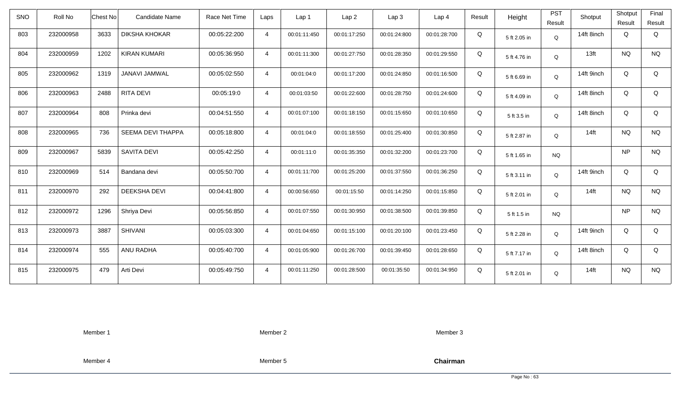| <b>SNO</b> | Roll No   | <b>Chest No</b> | Candidate Name       | Race Net Time | Laps           | Lap 1        | Lap <sub>2</sub> | Lap <sub>3</sub> | Lap <sub>4</sub> | Result | Height       | <b>PST</b><br>Result | Shotput          | Shotput<br>Result | Final<br>Result |
|------------|-----------|-----------------|----------------------|---------------|----------------|--------------|------------------|------------------|------------------|--------|--------------|----------------------|------------------|-------------------|-----------------|
| 803        | 232000958 | 3633            | <b>DIKSHA KHOKAR</b> | 00:05:22:200  | $\overline{4}$ | 00:01:11:450 | 00:01:17:250     | 00:01:24:800     | 00:01:28:700     | Q      | 5 ft 2.05 in | $\mathsf Q$          | 14ft 8inch       | Q                 | Q               |
| 804        | 232000959 | 1202            | <b>KIRAN KUMARI</b>  | 00:05:36:950  | $\overline{4}$ | 00:01:11:300 | 00:01:27:750     | 00:01:28:350     | 00:01:29:550     | Q      | 5 ft 4.76 in | Q                    | 13 <sub>ft</sub> | <b>NQ</b>         | <b>NQ</b>       |
| 805        | 232000962 | 1319            | JANAVI JAMWAL        | 00:05:02:550  | $\overline{4}$ | 00:01:04:0   | 00:01:17:200     | 00:01:24:850     | 00:01:16:500     | Q      | 5 ft 6.69 in | Q                    | 14ft 9inch       | Q                 | Q               |
| 806        | 232000963 | 2488            | RITA DEVI            | 00:05:19:0    | $\overline{4}$ | 00:01:03:50  | 00:01:22:600     | 00:01:28:750     | 00:01:24:600     | Q      | 5 ft 4.09 in | Q                    | 14ft 8inch       | Q                 | Q               |
| 807        | 232000964 | 808             | Prinka devi          | 00:04:51:550  | $\overline{4}$ | 00:01:07:100 | 00:01:18:150     | 00:01:15:650     | 00:01:10:650     | Q      | 5 ft 3.5 in  | Q                    | 14ft 8inch       | Q                 | Q               |
| 808        | 232000965 | 736             | SEEMA DEVI THAPPA    | 00:05:18:800  | $\overline{4}$ | 00:01:04:0   | 00:01:18:550     | 00:01:25:400     | 00:01:30:850     | Q      | 5 ft 2.87 in | Q                    | $14$ ft          | <b>NQ</b>         | <b>NQ</b>       |
| 809        | 232000967 | 5839            | <b>SAVITA DEVI</b>   | 00:05:42:250  | $\overline{4}$ | 00:01:11:0   | 00:01:35:350     | 00:01:32:200     | 00:01:23:700     | Q      | 5 ft 1.65 in | <b>NQ</b>            |                  | <b>NP</b>         | <b>NQ</b>       |
| 810        | 232000969 | 514             | Bandana devi         | 00:05:50:700  | $\overline{4}$ | 00:01:11:700 | 00:01:25:200     | 00:01:37:550     | 00:01:36:250     | Q      | 5 ft 3.11 in | Q                    | 14ft 9inch       | Q                 | Q               |
| 811        | 232000970 | 292             | <b>DEEKSHA DEVI</b>  | 00:04:41:800  | $\overline{4}$ | 00:00:56:650 | 00:01:15:50      | 00:01:14:250     | 00:01:15:850     | Q      | 5 ft 2.01 in | Q                    | $14$ ft          | <b>NQ</b>         | <b>NQ</b>       |
| 812        | 232000972 | 1296            | Shriya Devi          | 00:05:56:850  | $\overline{4}$ | 00:01:07:550 | 00:01:30:950     | 00:01:38:500     | 00:01:39:850     | Q      | 5 ft 1.5 in  | <b>NQ</b>            |                  | <b>NP</b>         | <b>NQ</b>       |
| 813        | 232000973 | 3887            | <b>SHIVANI</b>       | 00:05:03:300  | $\overline{4}$ | 00:01:04:650 | 00:01:15:100     | 00:01:20:100     | 00:01:23:450     | Q      | 5 ft 2.28 in | Q                    | 14ft 9inch       | Q                 | Q               |
| 814        | 232000974 | 555             | ANU RADHA            | 00:05:40:700  | $\overline{4}$ | 00:01:05:900 | 00:01:26:700     | 00:01:39:450     | 00:01:28:650     | Q      | 5 ft 7.17 in | Q                    | 14ft 8inch       | Q                 | Q               |
| 815        | 232000975 | 479             | Arti Devi            | 00:05:49:750  | $\overline{4}$ | 00:01:11:250 | 00:01:28:500     | 00:01:35:50      | 00:01:34:950     | Q      | 5 ft 2.01 in | Q                    | $14$ ft          | <b>NQ</b>         | <b>NQ</b>       |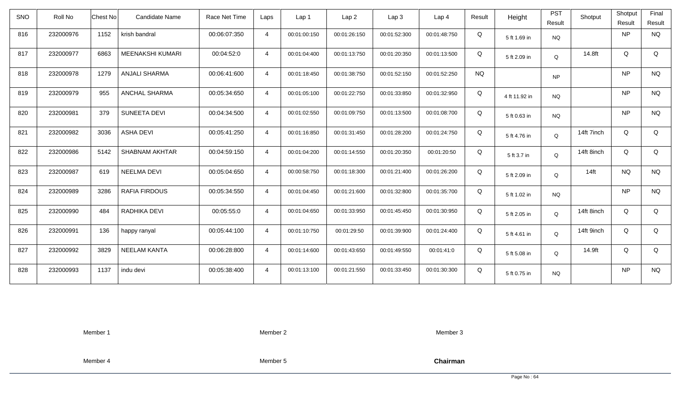| <b>SNO</b> | Roll No   | <b>Chest No</b> | Candidate Name        | Race Net Time | Laps           | Lap <sub>1</sub> | Lap <sub>2</sub> | Lap <sub>3</sub> | Lap <sub>4</sub> | Result    | Height        | <b>PST</b><br>Result | Shotput    | Shotput<br>Result | Final<br>Result |
|------------|-----------|-----------------|-----------------------|---------------|----------------|------------------|------------------|------------------|------------------|-----------|---------------|----------------------|------------|-------------------|-----------------|
| 816        | 232000976 | 1152            | krish bandral         | 00:06:07:350  | $\overline{4}$ | 00:01:00:150     | 00:01:26:150     | 00:01:52:300     | 00:01:48:750     | Q         | 5 ft 1.69 in  | <b>NQ</b>            |            | <b>NP</b>         | <b>NQ</b>       |
| 817        | 232000977 | 6863            | MEENAKSHI KUMARI      | 00:04:52:0    | $\overline{4}$ | 00:01:04:400     | 00:01:13:750     | 00:01:20:350     | 00:01:13:500     | Q         | 5 ft 2.09 in  | Q                    | 14.8ft     | Q                 | Q               |
| 818        | 232000978 | 1279            | <b>ANJALI SHARMA</b>  | 00:06:41:600  | $\overline{4}$ | 00:01:18:450     | 00:01:38:750     | 00:01:52:150     | 00:01:52:250     | <b>NQ</b> |               | <b>NP</b>            |            | <b>NP</b>         | <b>NQ</b>       |
| 819        | 232000979 | 955             | <b>ANCHAL SHARMA</b>  | 00:05:34:650  | $\overline{4}$ | 00:01:05:100     | 00:01:22:750     | 00:01:33:850     | 00:01:32:950     | Q         | 4 ft 11.92 in | <b>NQ</b>            |            | <b>NP</b>         | <b>NQ</b>       |
| 820        | 232000981 | 379             | SUNEETA DEVI          | 00:04:34:500  | $\overline{4}$ | 00:01:02:550     | 00:01:09:750     | 00:01:13:500     | 00:01:08:700     | Q         | 5 ft 0.63 in  | <b>NQ</b>            |            | <b>NP</b>         | <b>NQ</b>       |
| 821        | 232000982 | 3036            | <b>ASHA DEVI</b>      | 00:05:41:250  | $\overline{4}$ | 00:01:16:850     | 00:01:31:450     | 00:01:28:200     | 00:01:24:750     | Q         | 5 ft 4.76 in  | Q                    | 14ft 7inch | Q                 | Q               |
| 822        | 232000986 | 5142            | <b>SHABNAM AKHTAR</b> | 00:04:59:150  | $\overline{4}$ | 00:01:04:200     | 00:01:14:550     | 00:01:20:350     | 00:01:20:50      | Q         | 5 ft 3.7 in   | Q                    | 14ft 8inch | Q                 | Q               |
| 823        | 232000987 | 619             | <b>NEELMA DEVI</b>    | 00:05:04:650  | $\overline{4}$ | 00:00:58:750     | 00:01:18:300     | 00:01:21:400     | 00:01:26:200     | Q         | 5 ft 2.09 in  | Q                    | $14$ ft    | <b>NQ</b>         | <b>NQ</b>       |
| 824        | 232000989 | 3286            | <b>RAFIA FIRDOUS</b>  | 00:05:34:550  | $\overline{4}$ | 00:01:04:450     | 00:01:21:600     | 00:01:32:800     | 00:01:35:700     | Q         | 5 ft 1.02 in  | <b>NQ</b>            |            | <b>NP</b>         | <b>NQ</b>       |
| 825        | 232000990 | 484             | RADHIKA DEVI          | 00:05:55:0    | $\overline{4}$ | 00:01:04:650     | 00:01:33:950     | 00:01:45:450     | 00:01:30:950     | Q         | 5 ft 2.05 in  | Q                    | 14ft 8inch | Q                 | Q               |
| 826        | 232000991 | 136             | happy ranyal          | 00:05:44:100  | $\overline{4}$ | 00:01:10:750     | 00:01:29:50      | 00:01:39:900     | 00:01:24:400     | Q         | 5 ft 4.61 in  | Q                    | 14ft 9inch | Q                 | Q               |
| 827        | 232000992 | 3829            | <b>NEELAM KANTA</b>   | 00:06:28:800  | $\overline{4}$ | 00:01:14:600     | 00:01:43:650     | 00:01:49:550     | 00:01:41:0       | Q         | 5 ft 5.08 in  | Q                    | 14.9ft     | Q                 | Q               |
| 828        | 232000993 | 1137            | indu devi             | 00:05:38:400  | $\overline{4}$ | 00:01:13:100     | 00:01:21:550     | 00:01:33:450     | 00:01:30:300     | Q         | 5 ft 0.75 in  | <b>NQ</b>            |            | <b>NP</b>         | <b>NQ</b>       |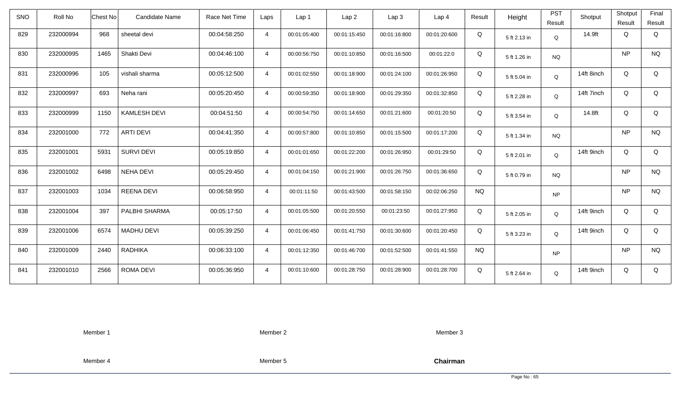| <b>SNO</b> | Roll No   | <b>Chest No</b> | Candidate Name      | Race Net Time | Laps           | Lap <sub>1</sub> | Lap <sub>2</sub> | Lap <sub>3</sub> | Lap <sub>4</sub> | Result    | Height       | <b>PST</b><br>Result | Shotput    | Shotput<br>Result | Final<br>Result |
|------------|-----------|-----------------|---------------------|---------------|----------------|------------------|------------------|------------------|------------------|-----------|--------------|----------------------|------------|-------------------|-----------------|
| 829        | 232000994 | 968             | sheetal devi        | 00:04:58:250  | $\overline{4}$ | 00:01:05:400     | 00:01:15:450     | 00:01:16:800     | 00:01:20:600     | Q         | 5 ft 2.13 in | Q                    | 14.9ft     | Q                 | Q               |
| 830        | 232000995 | 1465            | Shakti Devi         | 00:04:46:100  | $\overline{4}$ | 00:00:56:750     | 00:01:10:850     | 00:01:16:500     | 00:01:22:0       | Q         | 5 ft 1.26 in | <b>NQ</b>            |            | <b>NP</b>         | <b>NQ</b>       |
| 831        | 232000996 | 105             | vishali sharma      | 00:05:12:500  | $\overline{4}$ | 00:01:02:550     | 00:01:18:900     | 00:01:24:100     | 00:01:26:950     | Q         | 5 ft 5.04 in | Q                    | 14ft 8inch | Q                 | Q               |
| 832        | 232000997 | 693             | Neha rani           | 00:05:20:450  | $\overline{4}$ | 00:00:59:350     | 00:01:18:900     | 00:01:29:350     | 00:01:32:850     | Q         | 5 ft 2.28 in | Q                    | 14ft 7inch | Q                 | Q               |
| 833        | 232000999 | 1150            | <b>KAMLESH DEVI</b> | 00:04:51:50   | $\overline{4}$ | 00:00:54:750     | 00:01:14:650     | 00:01:21:600     | 00:01:20:50      | Q         | 5 ft 3.54 in | Q                    | 14.8ft     | Q                 | Q               |
| 834        | 232001000 | 772             | <b>ARTI DEVI</b>    | 00:04:41:350  | $\overline{4}$ | 00:00:57:800     | 00:01:10:850     | 00:01:15:500     | 00:01:17:200     | Q         | 5 ft 1.34 in | <b>NQ</b>            |            | <b>NP</b>         | <b>NQ</b>       |
| 835        | 232001001 | 5931            | <b>SURVI DEVI</b>   | 00:05:19:850  | $\overline{4}$ | 00:01:01:650     | 00:01:22:200     | 00:01:26:950     | 00:01:29:50      | Q         | 5 ft 2.01 in | Q                    | 14ft 9inch | Q                 | Q               |
| 836        | 232001002 | 6498            | <b>NEHA DEVI</b>    | 00:05:29:450  | 4              | 00:01:04:150     | 00:01:21:900     | 00:01:26:750     | 00:01:36:650     | Q         | 5 ft 0.79 in | <b>NQ</b>            |            | <b>NP</b>         | <b>NQ</b>       |
| 837        | 232001003 | 1034            | <b>REENA DEVI</b>   | 00:06:58:950  | $\overline{4}$ | 00:01:11:50      | 00:01:43:500     | 00:01:58:150     | 00:02:06:250     | <b>NQ</b> |              | <b>NP</b>            |            | <b>NP</b>         | <b>NQ</b>       |
| 838        | 232001004 | 397             | PALBHI SHARMA       | 00:05:17:50   | $\overline{4}$ | 00:01:05:500     | 00:01:20:550     | 00:01:23:50      | 00:01:27:950     | Q         | 5 ft 2.05 in | Q                    | 14ft 9inch | Q                 | Q               |
| 839        | 232001006 | 6574            | <b>MADHU DEVI</b>   | 00:05:39:250  | $\overline{4}$ | 00:01:06:450     | 00:01:41:750     | 00:01:30:600     | 00:01:20:450     | Q         | 5 ft 3.23 in | Q                    | 14ft 9inch | Q                 | Q               |
| 840        | 232001009 | 2440            | <b>RADHIKA</b>      | 00:06:33:100  | $\overline{4}$ | 00:01:12:350     | 00:01:46:700     | 00:01:52:500     | 00:01:41:550     | <b>NQ</b> |              | <b>NP</b>            |            | <b>NP</b>         | <b>NQ</b>       |
| 841        | 232001010 | 2566            | ROMA DEVI           | 00:05:36:950  | $\overline{4}$ | 00:01:10:600     | 00:01:28:750     | 00:01:28:900     | 00:01:28:700     | Q         | 5 ft 2.64 in | Q                    | 14ft 9inch | Q                 | Q               |

Member 2

Member 3

Member 4

Member 5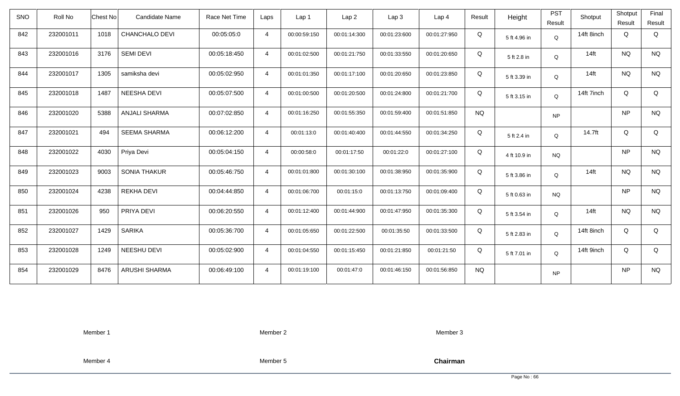| <b>SNO</b> | Roll No   | <b>Chest No</b> | Candidate Name       | Race Net Time | Laps           | Lap <sub>1</sub> | Lap <sub>2</sub> | Lap <sub>3</sub> | Lap <sub>4</sub> | Result    | Height       | <b>PST</b><br>Result | Shotput    | Shotput<br>Result | Final<br>Result |
|------------|-----------|-----------------|----------------------|---------------|----------------|------------------|------------------|------------------|------------------|-----------|--------------|----------------------|------------|-------------------|-----------------|
| 842        | 232001011 | 1018            | CHANCHALO DEVI       | 00:05:05:0    | $\overline{4}$ | 00:00:59:150     | 00:01:14:300     | 00:01:23:600     | 00:01:27:950     | Q         | 5 ft 4.96 in | Q                    | 14ft 8inch | Q                 | Q               |
| 843        | 232001016 | 3176            | <b>SEMI DEVI</b>     | 00:05:18:450  | $\overline{4}$ | 00:01:02:500     | 00:01:21:750     | 00:01:33:550     | 00:01:20:650     | Q         | 5 ft 2.8 in  | Q                    | $14$ ft    | <b>NQ</b>         | <b>NQ</b>       |
| 844        | 232001017 | 1305            | samiksha devi        | 00:05:02:950  | $\overline{4}$ | 00:01:01:350     | 00:01:17:100     | 00:01:20:650     | 00:01:23:850     | Q         | 5 ft 3.39 in | Q                    | $14$ ft    | <b>NQ</b>         | <b>NQ</b>       |
| 845        | 232001018 | 1487            | NEESHA DEVI          | 00:05:07:500  | $\overline{4}$ | 00:01:00:500     | 00:01:20:500     | 00:01:24:800     | 00:01:21:700     | Q         | 5 ft 3.15 in | Q                    | 14ft 7inch | Q                 | Q               |
| 846        | 232001020 | 5388            | <b>ANJALI SHARMA</b> | 00:07:02:850  | $\overline{4}$ | 00:01:16:250     | 00:01:55:350     | 00:01:59:400     | 00:01:51:850     | <b>NQ</b> |              | <b>NP</b>            |            | <b>NP</b>         | <b>NQ</b>       |
| 847        | 232001021 | 494             | <b>SEEMA SHARMA</b>  | 00:06:12:200  | $\overline{4}$ | 00:01:13:0       | 00:01:40:400     | 00:01:44:550     | 00:01:34:250     | Q         | 5 ft 2.4 in  | Q                    | 14.7ft     | Q                 | Q               |
| 848        | 232001022 | 4030            | Priya Devi           | 00:05:04:150  | $\overline{4}$ | 00:00:58:0       | 00:01:17:50      | 00:01:22:0       | 00:01:27:100     | Q         | 4 ft 10.9 in | <b>NQ</b>            |            | <b>NP</b>         | $\rm N\rm Q$    |
| 849        | 232001023 | 9003            | SONIA THAKUR         | 00:05:46:750  | $\overline{4}$ | 00:01:01:800     | 00:01:30:100     | 00:01:38:950     | 00:01:35:900     | Q         | 5 ft 3.86 in | Q                    | $14$ ft    | <b>NQ</b>         | <b>NQ</b>       |
| 850        | 232001024 | 4238            | <b>REKHA DEVI</b>    | 00:04:44:850  | $\overline{4}$ | 00:01:06:700     | 00:01:15:0       | 00:01:13:750     | 00:01:09:400     | Q         | 5 ft 0.63 in | <b>NQ</b>            |            | <b>NP</b>         | <b>NQ</b>       |
| 851        | 232001026 | 950             | PRIYA DEVI           | 00:06:20:550  | $\overline{4}$ | 00:01:12:400     | 00:01:44:900     | 00:01:47:950     | 00:01:35:300     | Q         | 5 ft 3.54 in | Q                    | $14$ ft    | <b>NQ</b>         | <b>NQ</b>       |
| 852        | 232001027 | 1429            | <b>SARIKA</b>        | 00:05:36:700  | $\overline{4}$ | 00:01:05:650     | 00:01:22:500     | 00:01:35:50      | 00:01:33:500     | Q         | 5 ft 2.83 in | Q                    | 14ft 8inch | Q                 | Q               |
| 853        | 232001028 | 1249            | NEESHU DEVI          | 00:05:02:900  | $\overline{4}$ | 00:01:04:550     | 00:01:15:450     | 00:01:21:850     | 00:01:21:50      | Q         | 5 ft 7.01 in | Q                    | 14ft 9inch | Q                 | Q               |
| 854        | 232001029 | 8476            | ARUSHI SHARMA        | 00:06:49:100  | $\overline{4}$ | 00:01:19:100     | 00:01:47:0       | 00:01:46:150     | 00:01:56:850     | <b>NQ</b> |              | <b>NP</b>            |            | <b>NP</b>         | <b>NQ</b>       |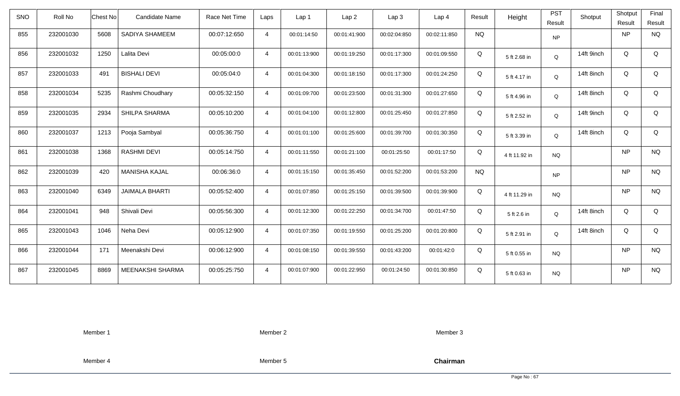| <b>SNO</b> | Roll No   | <b>Chest No</b> | Candidate Name        | Race Net Time | Laps           | Lap 1        | Lap <sub>2</sub> | Lap <sub>3</sub> | Lap <sub>4</sub> | Result    | Height        | <b>PST</b><br>Result | Shotput    | Shotput<br>Result | Final<br>Result |
|------------|-----------|-----------------|-----------------------|---------------|----------------|--------------|------------------|------------------|------------------|-----------|---------------|----------------------|------------|-------------------|-----------------|
| 855        | 232001030 | 5608            | SADIYA SHAMEEM        | 00:07:12:650  | $\overline{4}$ | 00:01:14:50  | 00:01:41:900     | 00:02:04:850     | 00:02:11:850     | <b>NQ</b> |               | NP                   |            | <b>NP</b>         | <b>NQ</b>       |
| 856        | 232001032 | 1250            | Lalita Devi           | 00:05:00:0    | $\overline{4}$ | 00:01:13:900 | 00:01:19:250     | 00:01:17:300     | 00:01:09:550     | Q         | 5 ft 2.68 in  | Q                    | 14ft 9inch | Q                 | Q               |
| 857        | 232001033 | 491             | <b>BISHALI DEVI</b>   | 00:05:04:0    | $\overline{4}$ | 00:01:04:300 | 00:01:18:150     | 00:01:17:300     | 00:01:24:250     | Q         | 5 ft 4.17 in  | Q                    | 14ft 8inch | Q                 | Q               |
| 858        | 232001034 | 5235            | Rashmi Choudhary      | 00:05:32:150  | $\overline{4}$ | 00:01:09:700 | 00:01:23:500     | 00:01:31:300     | 00:01:27:650     | Q         | 5 ft 4.96 in  | Q                    | 14ft 8inch | Q                 | Q               |
| 859        | 232001035 | 2934            | SHILPA SHARMA         | 00:05:10:200  | $\overline{4}$ | 00:01:04:100 | 00:01:12:800     | 00:01:25:450     | 00:01:27:850     | Q         | 5 ft 2.52 in  | Q                    | 14ft 9inch | Q                 | Q               |
| 860        | 232001037 | 1213            | Pooja Sambyal         | 00:05:36:750  | $\overline{4}$ | 00:01:01:100 | 00:01:25:600     | 00:01:39:700     | 00:01:30:350     | Q         | 5 ft 3.39 in  | Q                    | 14ft 8inch | Q                 | Q               |
| 861        | 232001038 | 1368            | <b>RASHMI DEVI</b>    | 00:05:14:750  | $\overline{4}$ | 00:01:11:550 | 00:01:21:100     | 00:01:25:50      | 00:01:17:50      | Q         | 4 ft 11.92 in | <b>NQ</b>            |            | <b>NP</b>         | <b>NQ</b>       |
| 862        | 232001039 | 420             | <b>MANISHA KAJAL</b>  | 00:06:36:0    | $\overline{4}$ | 00:01:15:150 | 00:01:35:450     | 00:01:52:200     | 00:01:53:200     | <b>NQ</b> |               | <b>NP</b>            |            | <b>NP</b>         | <b>NQ</b>       |
| 863        | 232001040 | 6349            | <b>JAIMALA BHARTI</b> | 00:05:52:400  | $\overline{4}$ | 00:01:07:850 | 00:01:25:150     | 00:01:39:500     | 00:01:39:900     | Q         | 4 ft 11.29 in | <b>NQ</b>            |            | <b>NP</b>         | <b>NQ</b>       |
| 864        | 232001041 | 948             | Shivali Devi          | 00:05:56:300  | $\overline{4}$ | 00:01:12:300 | 00:01:22:250     | 00:01:34:700     | 00:01:47:50      | Q         | 5 ft 2.6 in   | Q                    | 14ft 8inch | Q                 | Q               |
| 865        | 232001043 | 1046            | Neha Devi             | 00:05:12:900  | $\overline{4}$ | 00:01:07:350 | 00:01:19:550     | 00:01:25:200     | 00:01:20:800     | Q         | 5 ft 2.91 in  | Q                    | 14ft 8inch | Q                 | Q               |
| 866        | 232001044 | 171             | Meenakshi Devi        | 00:06:12:900  | $\overline{4}$ | 00:01:08:150 | 00:01:39:550     | 00:01:43:200     | 00:01:42:0       | Q         | 5 ft 0.55 in  | <b>NQ</b>            |            | <b>NP</b>         | <b>NQ</b>       |
| 867        | 232001045 | 8869            | MEENAKSHI SHARMA      | 00:05:25:750  | $\overline{4}$ | 00:01:07:900 | 00:01:22:950     | 00:01:24:50      | 00:01:30:850     | Q         | 5 ft 0.63 in  | <b>NQ</b>            |            | <b>NP</b>         | <b>NQ</b>       |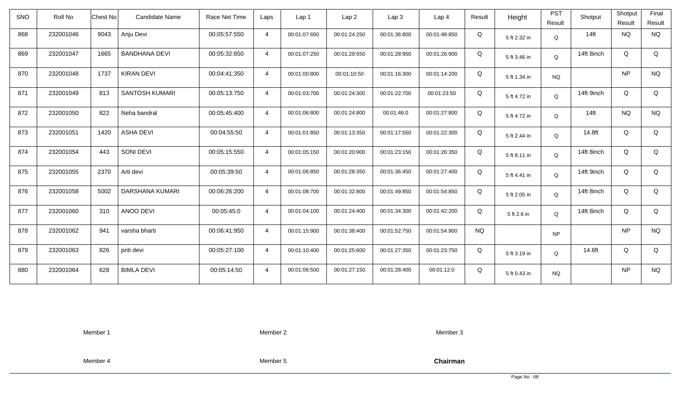| SNO | Roll No   | <b>Chest No</b> | <b>Candidate Name</b> | Race Net Time | Laps           | Lap <sub>1</sub> | Lap <sub>2</sub> | Lap3         | Lap <sub>4</sub> | Result    | Height       | <b>PST</b><br>Result | Shotput    | Shotput<br>Result | Final<br>Result |
|-----|-----------|-----------------|-----------------------|---------------|----------------|------------------|------------------|--------------|------------------|-----------|--------------|----------------------|------------|-------------------|-----------------|
| 868 | 232001046 | 9043            | Anju Devi             | 00:05:57:550  | $\overline{4}$ | 00:01:07:650     | 00:01:24:250     | 00:01:36:800 | 00:01:48:850     | Q         | 5 ft 2.32 in | Q                    | $14$ ft    | <b>NQ</b>         | <b>NQ</b>       |
| 869 | 232001047 | 1665            | <b>BANDHANA DEVI</b>  | 00:05:32:650  | $\overline{4}$ | 00:01:07:250     | 00:01:29:550     | 00:01:28:950 | 00:01:26:900     | Q         | 5 ft 3.46 in | Q                    | 14ft 8inch | Q                 | $\mathsf Q$     |
| 870 | 232001048 | 1737            | <b>KIRAN DEVI</b>     | 00:04:41:350  | $\overline{4}$ | 00:01:00:800     | 00:01:10:50      | 00:01:16:300 | 00:01:14:200     | Q         | 5 ft 1.34 in | <b>NQ</b>            |            | <b>NP</b>         | <b>NQ</b>       |
| 871 | 232001049 | 813             | <b>SANTOSH KUMARI</b> | 00:05:13:750  | $\overline{4}$ | 00:01:03:700     | 00:01:24:300     | 00:01:22:700 | 00:01:23:50      | Q         | 5 ft 4.72 in | Q                    | 14ft 9inch | Q                 | Q               |
| 872 | 232001050 | 822             | Neha bandral          | 00:05:45:400  | $\overline{4}$ | 00:01:06:800     | 00:01:24:800     | 00:01:46:0   | 00:01:27:800     | Q         | 5 ft 4.72 in | Q                    | $14$ ft    | <b>NQ</b>         | <b>NQ</b>       |
| 873 | 232001051 | 1420            | <b>ASHA DEVI</b>      | 00:04:55:50   | $\overline{4}$ | 00:01:01:850     | 00:01:13:350     | 00:01:17:550 | 00:01:22:300     | Q         | 5 ft 2.44 in | Q                    | 14.8ft     | Q                 | Q               |
| 874 | 232001054 | 443             | SONI DEVI             | 00:05:15:550  | $\overline{4}$ | 00:01:05:150     | 00:01:20:900     | 00:01:23:150 | 00:01:26:350     | Q         | 5 ft 8.11 in | Q                    | 14ft 8inch | Q                 | Q               |
| 875 | 232001055 | 2370            | Arti devi             | 00:05:39:50   | 4              | 00:01:06:850     | 00:01:28:350     | 00:01:36:450 | 00:01:27:400     | Q         | 5 ft 4.41 in | Q                    | 14ft 9inch | Q                 | Q               |
| 876 | 232001058 | 5002            | DARSHANA KUMARI       | 00:06:26:200  | $\overline{4}$ | 00:01:08:700     | 00:01:32:800     | 00:01:49:850 | 00:01:54:850     | Q         | 5 ft 2.05 in | Q                    | 14ft 8inch | Q                 | Q               |
| 877 | 232001060 | 310             | ANOO DEVI             | 00:05:45:0    | $\overline{4}$ | 00:01:04:100     | 00:01:24:400     | 00:01:34:300 | 00:01:42:200     | Q         | 5 ft 2.6 in  | Q                    | 14ft 8inch | Q                 | Q               |
| 878 | 232001062 | 941             | varsha bharti         | 00:06:41:950  | $\overline{4}$ | 00:01:15:900     | 00:01:38:400     | 00:01:52:750 | 00:01:54:900     | <b>NQ</b> |              | <b>NP</b>            |            | <b>NP</b>         | <b>NQ</b>       |
| 879 | 232001063 | 826             | priti devi            | 00:05:27:100  | $\overline{4}$ | 00:01:10:400     | 00:01:25:600     | 00:01:27:350 | 00:01:23:750     | Q         | 5 ft 3.19 in | Q                    | 14.6ft     | Q                 | Q               |
| 880 | 232001064 | 628             | <b>BIMLA DEVI</b>     | 00:05:14:50   | $\overline{4}$ | 00:01:06:500     | 00:01:27:150     | 00:01:28:400 | 00:01:12:0       | Q         | 5 ft 0.43 in | <b>NQ</b>            |            | <b>NP</b>         | <b>NQ</b>       |

Member 2

Member 3

Member 4

Member 5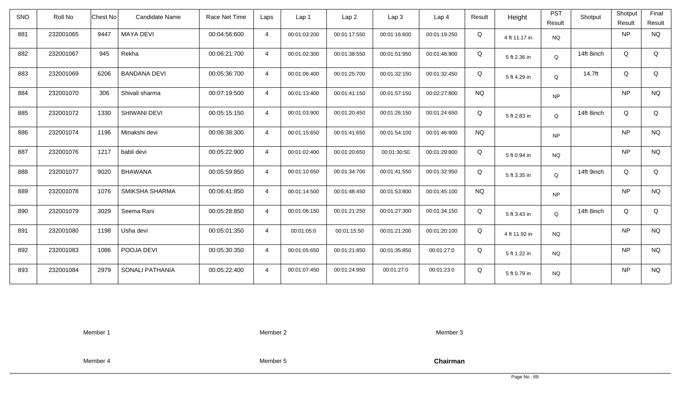| <b>SNO</b> | Roll No   | <b>Chest No</b>          | <b>Candidate Name</b> | Race Net Time | Laps           | Lap 1        | Lap <sub>2</sub> | Lap3         | Lap 4        | Result    | Height        | <b>PST</b><br>Result | Shotput    | Shotput<br>Result | Final<br>Result |
|------------|-----------|--------------------------|-----------------------|---------------|----------------|--------------|------------------|--------------|--------------|-----------|---------------|----------------------|------------|-------------------|-----------------|
| 881        | 232001065 | 9447<br><b>MAYA DEVI</b> |                       | 00:04:56:600  | $\overline{4}$ | 00:01:03:200 | 00:01:17:550     | 00:01:16:600 | 00:01:19:250 | Q         | 4 ft 11.17 in | <b>NQ</b>            |            | <b>NP</b>         | <b>NQ</b>       |
| 882        | 232001067 | Rekha<br>945             |                       | 00:06:21:700  | $\overline{4}$ | 00:01:02:300 | 00:01:38:550     | 00:01:51:950 | 00:01:48:900 | Q         | 5 ft 2.36 in  | Q                    | 14ft 8inch | Q                 | Q               |
| 883        | 232001069 | 6206                     | <b>BANDANA DEVI</b>   | 00:05:36:700  | $\overline{4}$ | 00:01:06:400 | 00:01:25:700     | 00:01:32:150 | 00:01:32:450 | Q         | 5 ft 4.29 in  | Q                    | 14.7ft     | Q                 | Q               |
| 884        | 232001070 | 306                      | Shivali sharma        | 00:07:19:500  | $\overline{4}$ | 00:01:13:400 | 00:01:41:150     | 00:01:57:150 | 00:02:27:800 | <b>NQ</b> |               | <b>NP</b>            |            | <b>NP</b>         | <b>NQ</b>       |
| 885        | 232001072 | 1330                     | <b>SHIWANI DEVI</b>   | 00:05:15:150  | $\overline{4}$ | 00:01:03:900 | 00:01:20:450     | 00:01:26:150 | 00:01:24:650 | Q         | 5 ft 2.83 in  | Q                    | 14ft 8inch | Q                 | Q               |
| 886        | 232001074 | 1196                     | Minakshi devi         | 00:06:38:300  | $\overline{4}$ | 00:01:15:650 | 00:01:41:650     | 00:01:54:100 | 00:01:46:900 | <b>NQ</b> |               | <b>NP</b>            |            | <b>NP</b>         | <b>NQ</b>       |
| 887        | 232001076 | 1217<br>babli devi       |                       | 00:05:22:900  | $\overline{4}$ | 00:01:02:400 | 00:01:20:650     | 00:01:30:50  | 00:01:29:800 | Q         | 5 ft 0.94 in  | <b>NQ</b>            |            | <b>NP</b>         | <b>NQ</b>       |
| 888        | 232001077 | 9020<br><b>BHAWANA</b>   |                       | 00:05:59:850  | $\overline{4}$ | 00:01:10:650 | 00:01:34:700     | 00:01:41:550 | 00:01:32:950 | Q         | 5 ft 3.35 in  | Q                    | 14ft 9inch | Q                 | Q               |
| 889        | 232001078 | 1076                     | SMIKSHA SHARMA        | 00:06:41:850  | $\overline{4}$ | 00:01:14:500 | 00:01:48:450     | 00:01:53:800 | 00:01:45:100 | <b>NQ</b> |               | <b>NP</b>            |            | <b>NP</b>         | <b>NQ</b>       |
| 890        | 232001079 | 3029<br>Seema Rani       |                       | 00:05:28:850  | $\overline{4}$ | 00:01:06:150 | 00:01:21:250     | 00:01:27:300 | 00:01:34:150 | Q         | 5 ft 3.43 in  | Q                    | 14ft 8inch | Q                 | Q               |
| 891        | 232001080 | 1198<br>Usha devi        |                       | 00:05:01:350  | $\overline{4}$ | 00:01:05:0   | 00:01:15:50      | 00:01:21:200 | 00:01:20:100 | Q         | 4 ft 11.92 in | <b>NQ</b>            |            | <b>NP</b>         | <b>NQ</b>       |
| 892        | 232001083 | 1086                     | POOJA DEVI            | 00:05:30:350  | $\overline{4}$ | 00:01:05:650 | 00:01:21:850     | 00:01:35:850 | 00:01:27:0   | Q         | 5 ft 1.22 in  | <b>NQ</b>            |            | <b>NP</b>         | <b>NQ</b>       |
| 893        | 232001084 | 2979                     | SONALI PATHANIA       | 00:05:22:400  | $\overline{4}$ | 00:01:07:450 | 00:01:24:950     | 00:01:27:0   | 00:01:23:0   | Q         | 5 ft 0.79 in  | <b>NQ</b>            |            | <b>NP</b>         | <b>NQ</b>       |

Member 2

Member 3

Member 4

Member 5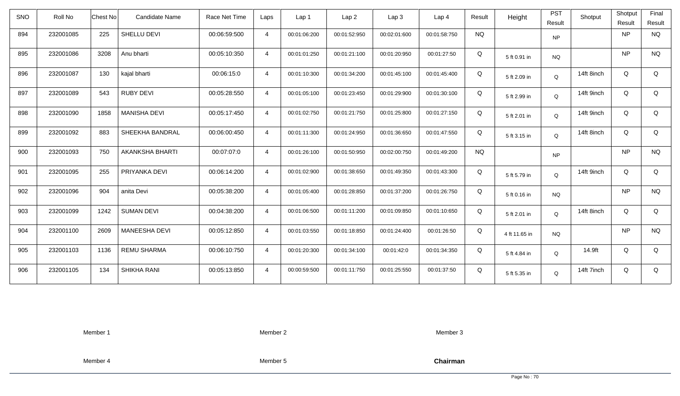| <b>SNO</b> | Roll No   | <b>Chest No</b> | Candidate Name         | Race Net Time | Laps           | Lap <sub>1</sub> | Lap <sub>2</sub> | Lap <sub>3</sub> | Lap <sub>4</sub> | Result    | Height        | <b>PST</b><br>Result | Shotput    | Shotput<br>Result | Final<br>Result |
|------------|-----------|-----------------|------------------------|---------------|----------------|------------------|------------------|------------------|------------------|-----------|---------------|----------------------|------------|-------------------|-----------------|
| 894        | 232001085 | 225             | SHELLU DEVI            | 00:06:59:500  | $\overline{4}$ | 00:01:06:200     | 00:01:52:950     | 00:02:01:600     | 00:01:58:750     | <b>NQ</b> |               | <b>NP</b>            |            | <b>NP</b>         | <b>NQ</b>       |
| 895        | 232001086 | 3208            | Anu bharti             | 00:05:10:350  | $\overline{4}$ | 00:01:01:250     | 00:01:21:100     | 00:01:20:950     | 00:01:27:50      | Q         | 5 ft 0.91 in  | <b>NQ</b>            |            | <b>NP</b>         | <b>NQ</b>       |
| 896        | 232001087 | 130             | kajal bharti           | 00:06:15:0    | $\overline{4}$ | 00:01:10:300     | 00:01:34:200     | 00:01:45:100     | 00:01:45:400     | Q         | 5 ft 2.09 in  | Q                    | 14ft 8inch | Q                 | Q               |
| 897        | 232001089 | 543             | <b>RUBY DEVI</b>       | 00:05:28:550  | $\overline{4}$ | 00:01:05:100     | 00:01:23:450     | 00:01:29:900     | 00:01:30:100     | Q         | 5 ft 2.99 in  | Q                    | 14ft 9inch | Q                 | Q               |
| 898        | 232001090 | 1858            | <b>MANISHA DEVI</b>    | 00:05:17:450  | $\overline{4}$ | 00:01:02:750     | 00:01:21:750     | 00:01:25:800     | 00:01:27:150     | Q         | 5 ft 2.01 in  | Q                    | 14ft 9inch | Q                 | Q               |
| 899        | 232001092 | 883             | SHEEKHA BANDRAL        | 00:06:00:450  | $\overline{4}$ | 00:01:11:300     | 00:01:24:950     | 00:01:36:650     | 00:01:47:550     | Q         | 5 ft 3.15 in  | Q                    | 14ft 8inch | Q                 | Q               |
| 900        | 232001093 | 750             | <b>AKANKSHA BHARTI</b> | 00:07:07:0    | $\overline{4}$ | 00:01:26:100     | 00:01:50:950     | 00:02:00:750     | 00:01:49:200     | <b>NQ</b> |               | <b>NP</b>            |            | <b>NP</b>         | <b>NQ</b>       |
| 901        | 232001095 | 255             | PRIYANKA DEVI          | 00:06:14:200  | $\overline{4}$ | 00:01:02:900     | 00:01:38:650     | 00:01:49:350     | 00:01:43:300     | Q         | 5 ft 5.79 in  | Q                    | 14ft 9inch | Q                 | Q               |
| 902        | 232001096 | 904             | anita Devi             | 00:05:38:200  | $\overline{4}$ | 00:01:05:400     | 00:01:28:850     | 00:01:37:200     | 00:01:26:750     | Q         | 5 ft 0.16 in  | <b>NQ</b>            |            | <b>NP</b>         | <b>NQ</b>       |
| 903        | 232001099 | 1242            | <b>SUMAN DEVI</b>      | 00:04:38:200  | $\overline{4}$ | 00:01:06:500     | 00:01:11:200     | 00:01:09:850     | 00:01:10:650     | Q         | 5 ft 2.01 in  | Q                    | 14ft 8inch | Q                 | Q               |
| 904        | 232001100 | 2609            | MANEESHA DEVI          | 00:05:12:850  | $\overline{4}$ | 00:01:03:550     | 00:01:18:850     | 00:01:24:400     | 00:01:26:50      | Q         | 4 ft 11.65 in | <b>NQ</b>            |            | <b>NP</b>         | <b>NQ</b>       |
| 905        | 232001103 | 1136            | <b>REMU SHARMA</b>     | 00:06:10:750  | $\overline{4}$ | 00:01:20:300     | 00:01:34:100     | 00:01:42:0       | 00:01:34:350     | Q         | 5 ft 4.84 in  | Q                    | 14.9ft     | Q                 | Q               |
| 906        | 232001105 | 134             | SHIKHA RANI            | 00:05:13:850  | $\overline{4}$ | 00:00:59:500     | 00:01:11:750     | 00:01:25:550     | 00:01:37:50      | Q         | 5 ft 5.35 in  | Q                    | 14ft 7inch | Q                 | Q               |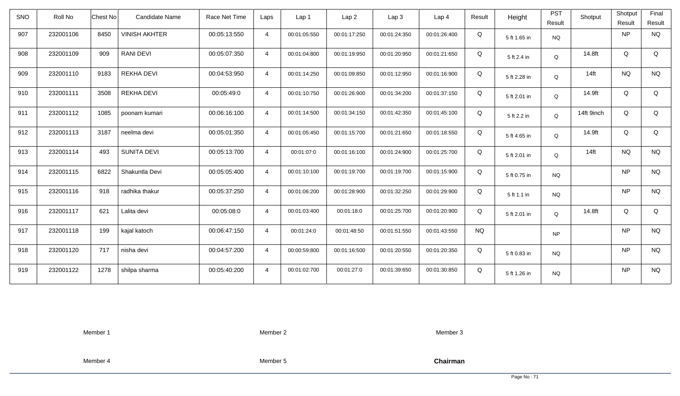| <b>SNO</b> | Roll No   | <b>Chest No</b> | Candidate Name       | Race Net Time | Laps           | Lap 1        | Lap <sub>2</sub> | Lap <sub>3</sub> | Lap <sub>4</sub> | Result    | Height       | <b>PST</b><br>Result | Shotput    | Shotput<br>Result | Final<br>Result |
|------------|-----------|-----------------|----------------------|---------------|----------------|--------------|------------------|------------------|------------------|-----------|--------------|----------------------|------------|-------------------|-----------------|
| 907        | 232001106 | 8450            | <b>VINISH AKHTER</b> | 00:05:13:550  | $\overline{4}$ | 00:01:05:550 | 00:01:17:250     | 00:01:24:350     | 00:01:26:400     | Q         | 5 ft 1.65 in | <b>NQ</b>            |            | <b>NP</b>         | <b>NQ</b>       |
| 908        | 232001109 | 909             | <b>RANI DEVI</b>     | 00:05:07:350  | $\overline{4}$ | 00:01:04:800 | 00:01:19:950     | 00:01:20:950     | 00:01:21:650     | Q         | 5 ft 2.4 in  | Q                    | 14.8ft     | Q                 | Q               |
| 909        | 232001110 | 9183            | <b>REKHA DEVI</b>    | 00:04:53:950  | $\overline{4}$ | 00:01:14:250 | 00:01:09:850     | 00:01:12:950     | 00:01:16:900     | Q         | 5 ft 2.28 in | Q                    | $14$ ft    | <b>NQ</b>         | <b>NQ</b>       |
| 910        | 232001111 | 3508            | <b>REKHA DEVI</b>    | 00:05:49:0    | $\overline{4}$ | 00:01:10:750 | 00:01:26:900     | 00:01:34:200     | 00:01:37:150     | Q         | 5 ft 2.01 in | Q                    | 14.9ft     | Q                 | Q               |
| 911        | 232001112 | 1085            | poonam kumari        | 00:06:16:100  | $\overline{4}$ | 00:01:14:500 | 00:01:34:150     | 00:01:42:350     | 00:01:45:100     | Q         | 5 ft 2.2 in  | Q                    | 14ft 9inch | Q                 | Q               |
| 912        | 232001113 | 3187            | neelma devi          | 00:05:01:350  | $\overline{4}$ | 00:01:05:450 | 00:01:15:700     | 00:01:21:650     | 00:01:18:550     | Q         | 5 ft 4.65 in | Q                    | 14.9ft     | Q                 | Q               |
| 913        | 232001114 | 493             | <b>SUNITA DEVI</b>   | 00:05:13:700  | $\overline{4}$ | 00:01:07:0   | 00:01:16:100     | 00:01:24:900     | 00:01:25:700     | Q         | 5 ft 2.01 in | Q                    | $14$ ft    | <b>NQ</b>         | <b>NQ</b>       |
| 914        | 232001115 | 6822            | Shakuntla Devi       | 00:05:05:400  | $\overline{4}$ | 00:01:10:100 | 00:01:19:700     | 00:01:19:700     | 00:01:15:900     | Q         | 5 ft 0.75 in | <b>NQ</b>            |            | <b>NP</b>         | <b>NQ</b>       |
| 915        | 232001116 | 918             | radhika thakur       | 00:05:37:250  | $\overline{4}$ | 00:01:06:200 | 00:01:28:900     | 00:01:32:250     | 00:01:29:900     | Q         | 5 ft 1.1 in  | <b>NQ</b>            |            | <b>NP</b>         | <b>NQ</b>       |
| 916        | 232001117 | 621             | Lalita devi          | 00:05:08:0    | $\overline{4}$ | 00:01:03:400 | 00:01:18:0       | 00:01:25:700     | 00:01:20:900     | Q         | 5 ft 2.01 in | Q                    | 14.8ft     | Q                 | Q               |
| 917        | 232001118 | 199             | kajal katoch         | 00:06:47:150  | $\overline{4}$ | 00:01:24:0   | 00:01:48:50      | 00:01:51:550     | 00:01:43:550     | <b>NQ</b> |              | NP                   |            | <b>NP</b>         | <b>NQ</b>       |
| 918        | 232001120 | 717             | nisha devi           | 00:04:57:200  | $\overline{4}$ | 00:00:59:800 | 00:01:16:500     | 00:01:20:550     | 00:01:20:350     | Q         | 5 ft 0.83 in | <b>NQ</b>            |            | <b>NP</b>         | <b>NQ</b>       |
| 919        | 232001122 | 1278            | shilpa sharma        | 00:05:40:200  | $\overline{4}$ | 00:01:02:700 | 00:01:27:0       | 00:01:39:650     | 00:01:30:850     | Q         | 5 ft 1.26 in | <b>NQ</b>            |            | <b>NP</b>         | <b>NQ</b>       |

Member 2

Member 3

Member 4

Member 5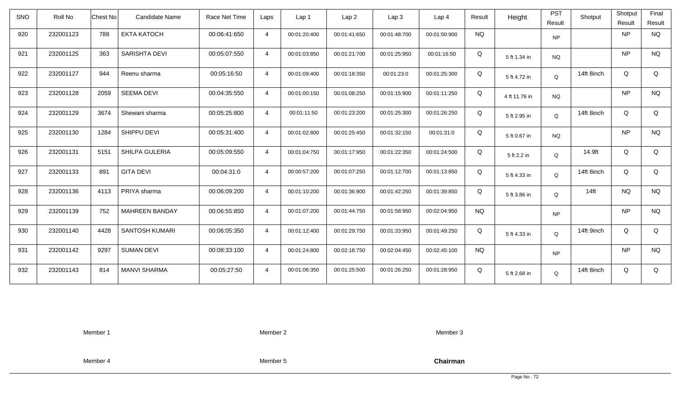| <b>SNO</b> | Roll No   | Chest No<br><b>Candidate Name</b> | Race Net Time | Laps           | Lap 1        | Lap <sub>2</sub> | Lap3         | Lap <sub>4</sub> | Result    | Height        | <b>PST</b><br>Result | Shotput    | Shotput<br>Result | Final<br>Result |
|------------|-----------|-----------------------------------|---------------|----------------|--------------|------------------|--------------|------------------|-----------|---------------|----------------------|------------|-------------------|-----------------|
| 920        | 232001123 | 788<br><b>EKTA KATOCH</b>         | 00:06:41:650  | $\overline{4}$ | 00:01:20:400 | 00:01:41:650     | 00:01:48:700 | 00:01:50:900     | <b>NQ</b> |               | <b>NP</b>            |            | <b>NP</b>         | <b>NQ</b>       |
| 921        | 232001125 | <b>SARISHTA DEVI</b><br>363       | 00:05:07:550  | $\overline{4}$ | 00:01:03:850 | 00:01:21:700     | 00:01:25:950 | 00:01:16:50      | Q         | 5 ft 1.34 in  | <b>NQ</b>            |            | <b>NP</b>         | <b>NQ</b>       |
| 922        | 232001127 | 944<br>Reenu sharma               | 00:05:16:50   | $\overline{4}$ | 00:01:09:400 | 00:01:18:350     | 00:01:23:0   | 00:01:25:300     | Q         | 5 ft 4.72 in  | Q                    | 14ft 8inch | Q                 | Q               |
| 923        | 232001128 | 2059<br><b>SEEMA DEVI</b>         | 00:04:35:550  | $\overline{4}$ | 00:01:00:150 | 00:01:08:250     | 00:01:15:900 | 00:01:11:250     | Q         | 4 ft 11.76 in | <b>NQ</b>            |            | <b>NP</b>         | <b>NQ</b>       |
| 924        | 232001129 | 3674<br>Shewani sharma            | 00:05:25:800  | $\overline{4}$ | 00:01:11:50  | 00:01:23:200     | 00:01:25:300 | 00:01:26:250     | Q         | 5 ft 2.95 in  | Q                    | 14ft 8inch | Q                 | Q               |
| 925        | 232001130 | SHIPPU DEVI<br>1284               | 00:05:31:400  | $\overline{4}$ | 00:01:02:800 | 00:01:25:450     | 00:01:32:150 | 00:01:31:0       | Q         | 5 ft 0.67 in  | <b>NQ</b>            |            | <b>NP</b>         | <b>NQ</b>       |
| 926        | 232001131 | 5151<br>SHILPA GULERIA            | 00:05:09:550  | $\overline{4}$ | 00:01:04:750 | 00:01:17:950     | 00:01:22:350 | 00:01:24:500     | Q         | 5 ft 2.2 in   | Q                    | 14.9ft     | Q                 | Q               |
| 927        | 232001133 | <b>GITA DEVI</b><br>891           | 00:04:31:0    | $\overline{4}$ | 00:00:57:200 | 00:01:07:250     | 00:01:12:700 | 00:01:13:850     | Q         | 5 ft 4.33 in  | Q                    | 14ft 8inch | Q                 | Q               |
| 928        | 232001136 | PRIYA sharma<br>4113              | 00:06:09:200  | $\overline{4}$ | 00:01:10:200 | 00:01:36:900     | 00:01:42:250 | 00:01:39:850     | Q         | 5 ft 3.86 in  | Q                    | $14$ ft    | <b>NQ</b>         | <b>NQ</b>       |
| 929        | 232001139 | 752<br><b>MAHREEN BANDAY</b>      | 00:06:55:850  | $\overline{4}$ | 00:01:07:200 | 00:01:44:750     | 00:01:58:950 | 00:02:04:950     | <b>NQ</b> |               | <b>NP</b>            |            | <b>NP</b>         | <b>NQ</b>       |
| 930        | 232001140 | 4428<br>SANTOSH KUMARI            | 00:06:05:350  | $\overline{4}$ | 00:01:12:400 | 00:01:29:750     | 00:01:33:950 | 00:01:49:250     | Q         | 5 ft 4.33 in  | Q                    | 14ft 9inch | Q                 | Q               |
| 931        | 232001142 | 9297<br><b>SUMAN DEVI</b>         | 00:08:33:100  | $\overline{4}$ | 00:01:24:800 | 00:02:18:750     | 00:02:04:450 | 00:02:45:100     | <b>NQ</b> |               | <b>NP</b>            |            | <b>NP</b>         | <b>NQ</b>       |
| 932        | 232001143 | 814<br><b>MANVI SHARMA</b>        | 00:05:27:50   | $\overline{4}$ | 00:01:06:350 | 00:01:25:500     | 00:01:26:250 | 00:01:28:950     | Q         | 5 ft 2.68 in  | Q                    | 14ft 8inch | Q                 | Q               |

Member 2

Member 3

Member 4

Member 5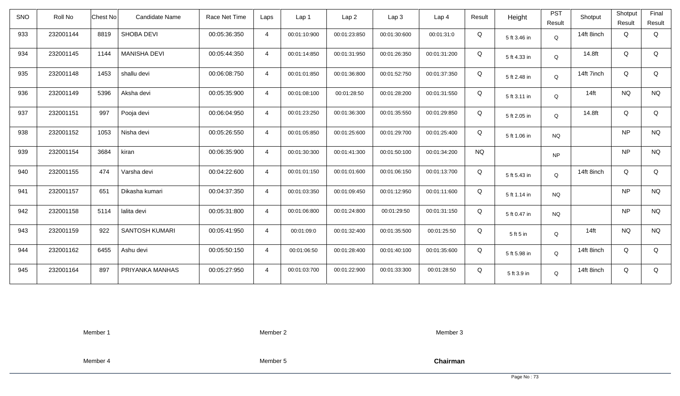| <b>SNO</b> | Roll No   | <b>Chest No</b>              | Candidate Name | Race Net Time | Laps           | Lap 1        | Lap <sub>2</sub> | Lap3         | Lap 4        | Result    | Height       | <b>PST</b><br>Result | Shotput    | Shotput<br>Result | Final<br>Result |
|------------|-----------|------------------------------|----------------|---------------|----------------|--------------|------------------|--------------|--------------|-----------|--------------|----------------------|------------|-------------------|-----------------|
| 933        | 232001144 | <b>SHOBA DEVI</b><br>8819    |                | 00:05:36:350  | $\overline{4}$ | 00:01:10:900 | 00:01:23:850     | 00:01:30:600 | 00:01:31:0   | Q         | 5 ft 3.46 in | Q                    | 14ft 8inch | Q                 | Q               |
| 934        | 232001145 | <b>MANISHA DEVI</b><br>1144  |                | 00:05:44:350  | $\overline{4}$ | 00:01:14:850 | 00:01:31:950     | 00:01:26:350 | 00:01:31:200 | Q         | 5 ft 4.33 in | Q                    | 14.8ft     | Q                 | Q               |
| 935        | 232001148 | 1453<br>shallu devi          |                | 00:06:08:750  | $\overline{4}$ | 00:01:01:850 | 00:01:36:800     | 00:01:52:750 | 00:01:37:350 | Q         | 5 ft 2.48 in | Q                    | 14ft 7inch | Q                 | Q               |
| 936        | 232001149 | 5396<br>Aksha devi           |                | 00:05:35:900  | $\overline{4}$ | 00:01:08:100 | 00:01:28:50      | 00:01:28:200 | 00:01:31:550 | Q         | 5 ft 3.11 in | Q                    | $14$ ft    | <b>NQ</b>         | <b>NQ</b>       |
| 937        | 232001151 | Pooja devi<br>997            |                | 00:06:04:950  | $\overline{4}$ | 00:01:23:250 | 00:01:36:300     | 00:01:35:550 | 00:01:29:850 | Q         | 5 ft 2.05 in | Q                    | 14.8ft     | Q                 | Q               |
| 938        | 232001152 | 1053<br>Nisha devi           |                | 00:05:26:550  | $\overline{4}$ | 00:01:05:850 | 00:01:25:600     | 00:01:29:700 | 00:01:25:400 | Q         | 5 ft 1.06 in | <b>NQ</b>            |            | <b>NP</b>         | <b>NQ</b>       |
| 939        | 232001154 | 3684<br>kiran                |                | 00:06:35:900  | $\overline{4}$ | 00:01:30:300 | 00:01:41:300     | 00:01:50:100 | 00:01:34:200 | <b>NQ</b> |              | <b>NP</b>            |            | <b>NP</b>         | <b>NQ</b>       |
| 940        | 232001155 | 474<br>Varsha devi           |                | 00:04:22:600  | $\overline{4}$ | 00:01:01:150 | 00:01:01:600     | 00:01:06:150 | 00:01:13:700 | Q         | 5 ft 5.43 in | Q                    | 14ft 8inch | Q                 | Q               |
| 941        | 232001157 | 651<br>Dikasha kumari        |                | 00:04:37:350  | $\overline{4}$ | 00:01:03:350 | 00:01:09:450     | 00:01:12:950 | 00:01:11:600 | Q         | 5 ft 1.14 in | <b>NQ</b>            |            | <b>NP</b>         | <b>NQ</b>       |
| 942        | 232001158 | 5114<br>lalita devi          |                | 00:05:31:800  | $\overline{4}$ | 00:01:06:800 | 00:01:24:800     | 00:01:29:50  | 00:01:31:150 | Q         | 5 ft 0.47 in | <b>NQ</b>            |            | <b>NP</b>         | <b>NQ</b>       |
| 943        | 232001159 | 922<br><b>SANTOSH KUMARI</b> |                | 00:05:41:950  | $\overline{4}$ | 00:01:09:0   | 00:01:32:400     | 00:01:35:500 | 00:01:25:50  | Q         | 5 ft 5 in    | Q                    | $14$ ft    | <b>NQ</b>         | <b>NQ</b>       |
| 944        | 232001162 | 6455<br>Ashu devi            |                | 00:05:50:150  | $\overline{4}$ | 00:01:06:50  | 00:01:28:400     | 00:01:40:100 | 00:01:35:600 | Q         | 5 ft 5.98 in | Q                    | 14ft 8inch | Q                 | Q               |
| 945        | 232001164 | 897<br>PRIYANKA MANHAS       |                | 00:05:27:950  | $\overline{4}$ | 00:01:03:700 | 00:01:22:900     | 00:01:33:300 | 00:01:28:50  | Q         | 5 ft 3.9 in  | Q                    | 14ft 8inch | Q                 | Q               |

Member 2

Member 3

Member 4

Member 5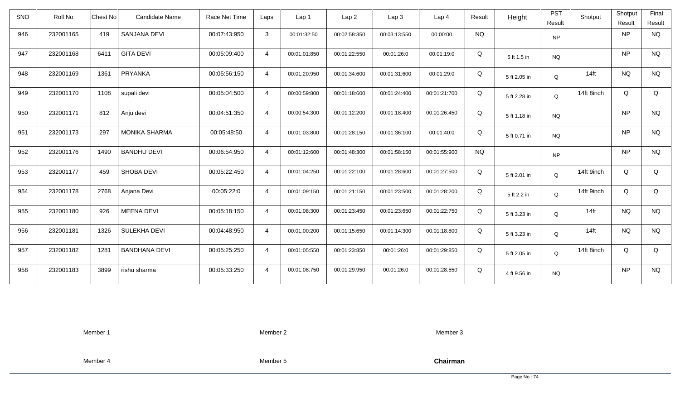| <b>SNO</b> | Roll No   | <b>Chest No</b> | Candidate Name       | Race Net Time | Laps           | Lap 1        | Lap <sub>2</sub> | Lap <sub>3</sub> | Lap <sub>4</sub> | Result    | Height       | <b>PST</b><br>Result | Shotput    | Shotput<br>Result | Final<br>Result |
|------------|-----------|-----------------|----------------------|---------------|----------------|--------------|------------------|------------------|------------------|-----------|--------------|----------------------|------------|-------------------|-----------------|
| 946        | 232001165 | 419             | SANJANA DEVI         | 00:07:43:950  | $\mathbf{3}$   | 00:01:32:50  | 00:02:58:350     | 00:03:13:550     | 00:00:00         | <b>NQ</b> |              | <b>NP</b>            |            | <b>NP</b>         | <b>NQ</b>       |
| 947        | 232001168 | 6411            | <b>GITA DEVI</b>     | 00:05:09:400  | $\overline{4}$ | 00:01:01:850 | 00:01:22:550     | 00:01:26:0       | 00:01:19:0       | Q         | 5 ft 1.5 in  | <b>NQ</b>            |            | <b>NP</b>         | <b>NQ</b>       |
| 948        | 232001169 | 1361            | PRYANKA              | 00:05:56:150  | $\overline{4}$ | 00:01:20:950 | 00:01:34:600     | 00:01:31:600     | 00:01:29:0       | Q         | 5 ft 2.05 in | Q                    | $14$ ft    | <b>NQ</b>         | <b>NQ</b>       |
| 949        | 232001170 | 1108            | supali devi          | 00:05:04:500  | $\overline{4}$ | 00:00:59:800 | 00:01:18:600     | 00:01:24:400     | 00:01:21:700     | Q         | 5 ft 2.28 in | Q                    | 14ft 8inch | Q                 | Q               |
| 950        | 232001171 | 812             | Anju devi            | 00:04:51:350  | $\overline{4}$ | 00:00:54:300 | 00:01:12:200     | 00:01:18:400     | 00:01:26:450     | Q         | 5 ft 1.18 in | <b>NQ</b>            |            | <b>NP</b>         | <b>NQ</b>       |
| 951        | 232001173 | 297             | <b>MONIKA SHARMA</b> | 00:05:48:50   | $\overline{4}$ | 00:01:03:800 | 00:01:28:150     | 00:01:36:100     | 00:01:40:0       | Q         | 5 ft 0.71 in | <b>NQ</b>            |            | <b>NP</b>         | <b>NQ</b>       |
| 952        | 232001176 | 1490            | <b>BANDHU DEVI</b>   | 00:06:54:950  | $\overline{4}$ | 00:01:12:600 | 00:01:48:300     | 00:01:58:150     | 00:01:55:900     | <b>NQ</b> |              | <b>NP</b>            |            | <b>NP</b>         | <b>NQ</b>       |
| 953        | 232001177 | 459             | <b>SHOBA DEVI</b>    | 00:05:22:450  | $\overline{4}$ | 00:01:04:250 | 00:01:22:100     | 00:01:28:600     | 00:01:27:500     | Q         | 5 ft 2.01 in | Q                    | 14ft 9inch | Q                 | Q               |
| 954        | 232001178 | 2768            | Anjana Devi          | 00:05:22:0    | $\overline{4}$ | 00:01:09:150 | 00:01:21:150     | 00:01:23:500     | 00:01:28:200     | Q         | 5 ft 2.2 in  | Q                    | 14ft 9inch | Q                 | Q               |
| 955        | 232001180 | 926             | <b>MEENA DEVI</b>    | 00:05:18:150  | $\overline{4}$ | 00:01:08:300 | 00:01:23:450     | 00:01:23:650     | 00:01:22:750     | Q         | 5 ft 3.23 in | Q                    | $14$ ft    | <b>NQ</b>         | <b>NQ</b>       |
| 956        | 232001181 | 1326            | SULEKHA DEVI         | 00:04:48:950  | $\overline{4}$ | 00:01:00:200 | 00:01:15:650     | 00:01:14:300     | 00:01:18:800     | Q         | 5 ft 3.23 in | Q                    | $14$ ft    | <b>NQ</b>         | <b>NQ</b>       |
| 957        | 232001182 | 1281            | <b>BANDHANA DEVI</b> | 00:05:25:250  | $\overline{4}$ | 00:01:05:550 | 00:01:23:850     | 00:01:26:0       | 00:01:29:850     | Q         | 5 ft 2.05 in | Q                    | 14ft 8inch | Q                 | Q               |
| 958        | 232001183 | 3899            | rishu sharma         | 00:05:33:250  | $\overline{4}$ | 00:01:08:750 | 00:01:29:950     | 00:01:26:0       | 00:01:28:550     | Q         | 4 ft 9.56 in | <b>NQ</b>            |            | <b>NP</b>         | <b>NQ</b>       |

Member 2

Member 3

Member 4

Member 5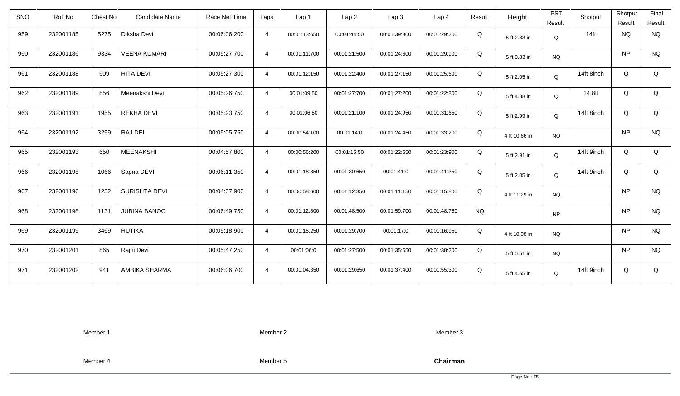| SNO | Roll No   | <b>Chest No</b> | <b>Candidate Name</b> | Race Net Time | Laps           | Lap <sub>1</sub> | Lap <sub>2</sub> | Lap3         | Lap <sub>4</sub> | Result    | Height        | <b>PST</b><br>Result | Shotput    | Shotput<br>Result | Final<br>Result |
|-----|-----------|-----------------|-----------------------|---------------|----------------|------------------|------------------|--------------|------------------|-----------|---------------|----------------------|------------|-------------------|-----------------|
| 959 | 232001185 | 5275            | Diksha Devi           | 00:06:06:200  | $\overline{4}$ | 00:01:13:650     | 00:01:44:50      | 00:01:39:300 | 00:01:29:200     | Q         | 5 ft 2.83 in  | Q                    | $14$ ft    | <b>NQ</b>         | <b>NQ</b>       |
| 960 | 232001186 | 9334            | <b>VEENA KUMARI</b>   | 00:05:27:700  | $\overline{4}$ | 00:01:11:700     | 00:01:21:500     | 00:01:24:600 | 00:01:29:900     | Q         | 5 ft 0.83 in  | <b>NQ</b>            |            | <b>NP</b>         | <b>NQ</b>       |
| 961 | 232001188 | 609             | RITA DEVI             | 00:05:27:300  | $\overline{4}$ | 00:01:12:150     | 00:01:22:400     | 00:01:27:150 | 00:01:25:600     | Q         | 5 ft 2.05 in  | Q                    | 14ft 8inch | Q                 | Q               |
| 962 | 232001189 | 856             | Meenakshi Devi        | 00:05:26:750  | $\overline{4}$ | 00:01:09:50      | 00:01:27:700     | 00:01:27:200 | 00:01:22:800     | Q         | 5 ft 4.88 in  | Q                    | 14.8ft     | Q                 | Q               |
| 963 | 232001191 | 1955            | <b>REKHA DEVI</b>     | 00:05:23:750  | $\overline{4}$ | 00:01:06:50      | 00:01:21:100     | 00:01:24:950 | 00:01:31:650     | Q         | 5 ft 2.99 in  | Q                    | 14ft 8inch | Q                 | Q               |
| 964 | 232001192 | 3299            | RAJ DEI               | 00:05:05:750  | $\overline{4}$ | 00:00:54:100     | 00:01:14:0       | 00:01:24:450 | 00:01:33:200     | Q         | 4 ft 10.66 in | <b>NQ</b>            |            | <b>NP</b>         | <b>NQ</b>       |
| 965 | 232001193 | 650             | <b>MEENAKSHI</b>      | 00:04:57:800  | $\overline{4}$ | 00:00:56:200     | 00:01:15:50      | 00:01:22:650 | 00:01:23:900     | Q         | 5 ft 2.91 in  | Q                    | 14ft 9inch | Q                 | Q               |
| 966 | 232001195 | 1066            | Sapna DEVI            | 00:06:11:350  | $\overline{4}$ | 00:01:18:350     | 00:01:30:650     | 00:01:41:0   | 00:01:41:350     | Q         | 5 ft 2.05 in  | Q                    | 14ft 9inch | Q                 | Q               |
| 967 | 232001196 | 1252            | <b>SURISHTA DEVI</b>  | 00:04:37:900  | $\overline{4}$ | 00:00:58:600     | 00:01:12:350     | 00:01:11:150 | 00:01:15:800     | Q         | 4 ft 11.29 in | <b>NQ</b>            |            | <b>NP</b>         | <b>NQ</b>       |
| 968 | 232001198 | 1131            | <b>JUBINA BANOO</b>   | 00:06:49:750  | $\overline{4}$ | 00:01:12:800     | 00:01:48:500     | 00:01:59:700 | 00:01:48:750     | <b>NQ</b> |               | <b>NP</b>            |            | <b>NP</b>         | <b>NQ</b>       |
| 969 | 232001199 | 3469            | <b>RUTIKA</b>         | 00:05:18:900  | $\overline{4}$ | 00:01:15:250     | 00:01:29:700     | 00:01:17:0   | 00:01:16:950     | Q         | 4 ft 10.98 in | <b>NQ</b>            |            | <b>NP</b>         | <b>NQ</b>       |
| 970 | 232001201 | 865             | Rajni Devi            | 00:05:47:250  | $\overline{4}$ | 00:01:06:0       | 00:01:27:500     | 00:01:35:550 | 00:01:38:200     | Q         | 5 ft 0.51 in  | <b>NQ</b>            |            | <b>NP</b>         | <b>NQ</b>       |
| 971 | 232001202 | 941             | AMBIKA SHARMA         | 00:06:06:700  | $\overline{4}$ | 00:01:04:350     | 00:01:29:650     | 00:01:37:400 | 00:01:55:300     | Q         | 5 ft 4.65 in  | Q                    | 14ft 9inch | Q                 | Q               |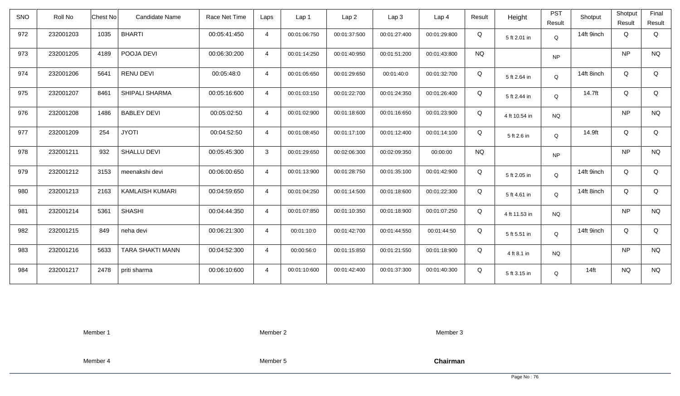| <b>SNO</b> | Roll No   | <b>Chest No</b> | <b>Candidate Name</b>   | Race Net Time | Laps           | Lap <sub>1</sub> | Lap <sub>2</sub> | Lap <sub>3</sub> | Lap <sub>4</sub> | Result    | Height        | <b>PST</b><br>Result | Shotput    | Shotput<br>Result | Final<br>Result |
|------------|-----------|-----------------|-------------------------|---------------|----------------|------------------|------------------|------------------|------------------|-----------|---------------|----------------------|------------|-------------------|-----------------|
| 972        | 232001203 | 1035            | <b>BHARTI</b>           | 00:05:41:450  | $\overline{4}$ | 00:01:06:750     | 00:01:37:500     | 00:01:27:400     | 00:01:29:800     | Q         | 5 ft 2.01 in  | Q                    | 14ft 9inch | Q                 | Q               |
| 973        | 232001205 | 4189            | POOJA DEVI              | 00:06:30:200  | $\overline{4}$ | 00:01:14:250     | 00:01:40:950     | 00:01:51:200     | 00:01:43:800     | <b>NQ</b> |               | <b>NP</b>            |            | <b>NP</b>         | <b>NQ</b>       |
| 974        | 232001206 | 5641            | <b>RENU DEVI</b>        | 00:05:48:0    | $\overline{4}$ | 00:01:05:650     | 00:01:29:650     | 00:01:40:0       | 00:01:32:700     | Q         | 5 ft 2.64 in  | Q                    | 14ft 8inch | Q                 | Q               |
| 975        | 232001207 | 8461            | SHIPALI SHARMA          | 00:05:16:600  | $\overline{4}$ | 00:01:03:150     | 00:01:22:700     | 00:01:24:350     | 00:01:26:400     | Q         | 5 ft 2.44 in  | Q                    | 14.7ft     | Q                 | Q               |
| 976        | 232001208 | 1486            | <b>BABLEY DEVI</b>      | 00:05:02:50   | $\overline{4}$ | 00:01:02:900     | 00:01:18:600     | 00:01:16:650     | 00:01:23:900     | Q         | 4 ft 10.54 in | <b>NQ</b>            |            | <b>NP</b>         | <b>NQ</b>       |
| 977        | 232001209 | 254             | <b>JYOTI</b>            | 00:04:52:50   | $\overline{4}$ | 00:01:08:450     | 00:01:17:100     | 00:01:12:400     | 00:01:14:100     | Q         | 5 ft 2.6 in   | Q                    | 14.9ft     | Q                 | Q               |
| 978        | 232001211 | 932             | SHALLU DEVI             | 00:05:45:300  | $\mathbf{3}$   | 00:01:29:650     | 00:02:06:300     | 00:02:09:350     | 00:00:00         | <b>NQ</b> |               | <b>NP</b>            |            | <b>NP</b>         | $\rm N\rm Q$    |
| 979        | 232001212 | 3153            | meenakshi devi          | 00:06:00:650  | $\overline{4}$ | 00:01:13:900     | 00:01:28:750     | 00:01:35:100     | 00:01:42:900     | Q         | 5 ft 2.05 in  | Q                    | 14ft 9inch | Q                 | Q               |
| 980        | 232001213 | 2163            | <b>KAMLAISH KUMARI</b>  | 00:04:59:650  | $\overline{4}$ | 00:01:04:250     | 00:01:14:500     | 00:01:18:600     | 00:01:22:300     | Q         | 5 ft 4.61 in  | Q                    | 14ft 8inch | Q                 | Q               |
| 981        | 232001214 | 5361            | <b>SHASHI</b>           | 00:04:44:350  | $\overline{4}$ | 00:01:07:850     | 00:01:10:350     | 00:01:18:900     | 00:01:07:250     | Q         | 4 ft 11.53 in | <b>NQ</b>            |            | <b>NP</b>         | <b>NQ</b>       |
| 982        | 232001215 | 849             | neha devi               | 00:06:21:300  | $\overline{4}$ | 00:01:10:0       | 00:01:42:700     | 00:01:44:550     | 00:01:44:50      | Q         | 5 ft 5.51 in  | Q                    | 14ft 9inch | Q                 | Q               |
| 983        | 232001216 | 5633            | <b>TARA SHAKTI MANN</b> | 00:04:52:300  | $\overline{4}$ | 00:00:56:0       | 00:01:15:850     | 00:01:21:550     | 00:01:18:900     | Q         | 4 ft 8.1 in   | <b>NQ</b>            |            | <b>NP</b>         | <b>NQ</b>       |
| 984        | 232001217 | 2478            | priti sharma            | 00:06:10:600  | $\overline{4}$ | 00:01:10:600     | 00:01:42:400     | 00:01:37:300     | 00:01:40:300     | Q         | 5 ft 3.15 in  | Q                    | $14$ ft    | <b>NQ</b>         | <b>NQ</b>       |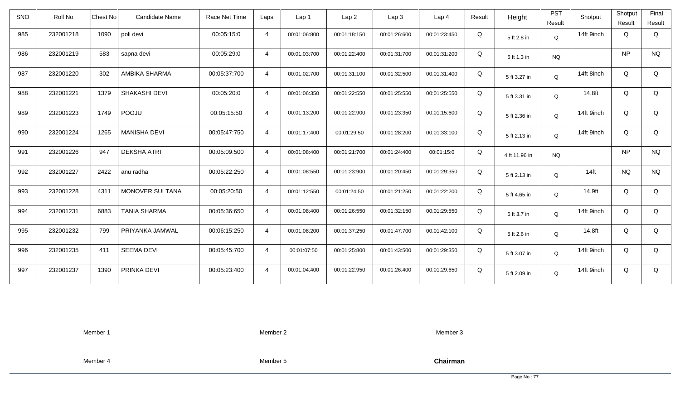| <b>SNO</b> | Roll No   | <b>Chest No</b> | <b>Candidate Name</b> | Race Net Time | Laps           | Lap <sub>1</sub> | Lap <sub>2</sub> | Lap <sub>3</sub> | Lap <sub>4</sub> | Result | Height        | <b>PST</b><br>Result | Shotput    | Shotput<br>Result | Final<br>Result |
|------------|-----------|-----------------|-----------------------|---------------|----------------|------------------|------------------|------------------|------------------|--------|---------------|----------------------|------------|-------------------|-----------------|
| 985        | 232001218 | 1090            | poli devi             | 00:05:15:0    | $\overline{4}$ | 00:01:06:800     | 00:01:18:150     | 00:01:26:600     | 00:01:23:450     | Q      | 5 ft 2.8 in   | Q                    | 14ft 9inch | Q                 | Q               |
| 986        | 232001219 | 583             | sapna devi            | 00:05:29:0    | $\overline{4}$ | 00:01:03:700     | 00:01:22:400     | 00:01:31:700     | 00:01:31:200     | Q      | 5 ft 1.3 in   | <b>NQ</b>            |            | <b>NP</b>         | <b>NQ</b>       |
| 987        | 232001220 | 302             | AMBIKA SHARMA         | 00:05:37:700  | $\overline{4}$ | 00:01:02:700     | 00:01:31:100     | 00:01:32:500     | 00:01:31:400     | Q      | 5 ft 3.27 in  | Q                    | 14ft 8inch | Q                 | Q               |
| 988        | 232001221 | 1379            | SHAKASHI DEVI         | 00:05:20:0    | $\overline{4}$ | 00:01:06:350     | 00:01:22:550     | 00:01:25:550     | 00:01:25:550     | Q      | 5 ft 3.31 in  | Q                    | 14.8ft     | Q                 | Q               |
| 989        | 232001223 | 1749            | POOJU                 | 00:05:15:50   | $\overline{4}$ | 00:01:13:200     | 00:01:22:900     | 00:01:23:350     | 00:01:15:600     | Q      | 5 ft 2.36 in  | Q                    | 14ft 9inch | Q                 | Q               |
| 990        | 232001224 | 1265            | <b>MANISHA DEVI</b>   | 00:05:47:750  | $\overline{4}$ | 00:01:17:400     | 00:01:29:50      | 00:01:28:200     | 00:01:33:100     | Q      | 5 ft 2.13 in  | Q                    | 14ft 9inch | Q                 | Q               |
| 991        | 232001226 | 947             | <b>DEKSHA ATRI</b>    | 00:05:09:500  | $\overline{4}$ | 00:01:08:400     | 00:01:21:700     | 00:01:24:400     | 00:01:15:0       | Q      | 4 ft 11.96 in | <b>NQ</b>            |            | <b>NP</b>         | $\rm N\rm Q$    |
| 992        | 232001227 | 2422            | anu radha             | 00:05:22:250  | $\overline{4}$ | 00:01:08:550     | 00:01:23:900     | 00:01:20:450     | 00:01:29:350     | Q      | 5 ft 2.13 in  | Q                    | $14$ ft    | <b>NQ</b>         | <b>NQ</b>       |
| 993        | 232001228 | 4311            | MONOVER SULTANA       | 00:05:20:50   | $\overline{a}$ | 00:01:12:550     | 00:01:24:50      | 00:01:21:250     | 00:01:22:200     | Q      | 5 ft 4.65 in  | Q                    | 14.9ft     | Q                 | Q               |
| 994        | 232001231 | 6883            | <b>TANIA SHARMA</b>   | 00:05:36:650  | $\overline{4}$ | 00:01:08:400     | 00:01:26:550     | 00:01:32:150     | 00:01:29:550     | Q      | 5 ft 3.7 in   | Q                    | 14ft 9inch | Q                 | Q               |
| 995        | 232001232 | 799             | PRIYANKA JAMWAL       | 00:06:15:250  | $\overline{4}$ | 00:01:08:200     | 00:01:37:250     | 00:01:47:700     | 00:01:42:100     | Q      | 5 ft 2.6 in   | Q                    | 14.8ft     | Q                 | Q               |
| 996        | 232001235 | 411             | <b>SEEMA DEVI</b>     | 00:05:45:700  | $\overline{4}$ | 00:01:07:50      | 00:01:25:800     | 00:01:43:500     | 00:01:29:350     | Q      | 5 ft 3.07 in  | Q                    | 14ft 9inch | Q                 | Q               |
| 997        | 232001237 | 1390            | PRINKA DEVI           | 00:05:23:400  | $\overline{4}$ | 00:01:04:400     | 00:01:22:950     | 00:01:26:400     | 00:01:29:650     | Q      | 5 ft 2.09 in  | Q                    | 14ft 9inch | Q                 | Q               |

Member 2

Member 3

Member 4

Member 5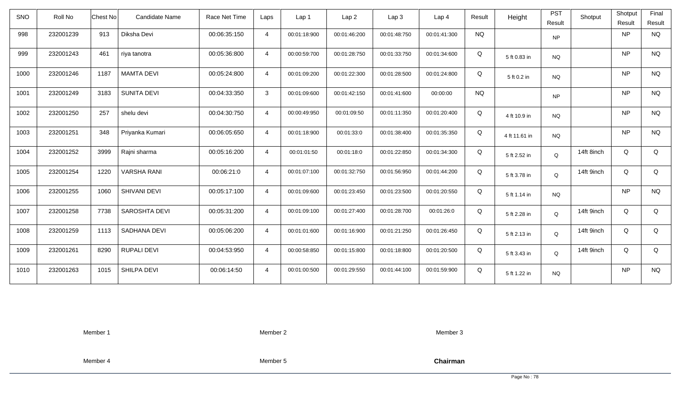| SNO  | Roll No   | Chest No | Candidate Name       | Race Net Time | Laps           | Lap <sub>1</sub> | Lap <sub>2</sub> | Lap3         | Lap <sub>4</sub> | Result    | Height        | <b>PST</b><br>Result | Shotput    | Shotput<br>Result | Final<br>Result |
|------|-----------|----------|----------------------|---------------|----------------|------------------|------------------|--------------|------------------|-----------|---------------|----------------------|------------|-------------------|-----------------|
| 998  | 232001239 | 913      | Diksha Devi          | 00:06:35:150  | $\overline{4}$ | 00:01:18:900     | 00:01:46:200     | 00:01:48:750 | 00:01:41:300     | <b>NQ</b> |               | <b>NP</b>            |            | <b>NP</b>         | <b>NQ</b>       |
| 999  | 232001243 | 461      | riya tanotra         | 00:05:36:800  | $\overline{4}$ | 00:00:59:700     | 00:01:28:750     | 00:01:33:750 | 00:01:34:600     | Q         | 5 ft 0.83 in  | <b>NQ</b>            |            | <b>NP</b>         | <b>NQ</b>       |
| 1000 | 232001246 | 1187     | <b>MAMTA DEVI</b>    | 00:05:24:800  | $\overline{4}$ | 00:01:09:200     | 00:01:22:300     | 00:01:28:500 | 00:01:24:800     | Q         | 5 ft 0.2 in   | <b>NQ</b>            |            | <b>NP</b>         | <b>NQ</b>       |
| 1001 | 232001249 | 3183     | <b>SUNITA DEVI</b>   | 00:04:33:350  | $\mathbf{3}$   | 00:01:09:600     | 00:01:42:150     | 00:01:41:600 | 00:00:00         | <b>NQ</b> |               | <b>NP</b>            |            | <b>NP</b>         | <b>NQ</b>       |
| 1002 | 232001250 | 257      | shelu devi           | 00:04:30:750  | $\overline{4}$ | 00:00:49:950     | 00:01:09:50      | 00:01:11:350 | 00:01:20:400     | Q         | 4 ft 10.9 in  | <b>NQ</b>            |            | <b>NP</b>         | <b>NQ</b>       |
| 1003 | 232001251 | 348      | Priyanka Kumari      | 00:06:05:650  | $\overline{4}$ | 00:01:18:900     | 00:01:33:0       | 00:01:38:400 | 00:01:35:350     | Q         | 4 ft 11.61 in | <b>NQ</b>            |            | <b>NP</b>         | <b>NQ</b>       |
| 1004 | 232001252 | 3999     | Rajni sharma         | 00:05:16:200  | $\overline{4}$ | 00:01:01:50      | 00:01:18:0       | 00:01:22:850 | 00:01:34:300     | Q         | 5 ft 2.52 in  | Q                    | 14ft 8inch | Q                 | Q               |
| 1005 | 232001254 | 1220     | <b>VARSHA RANI</b>   | 00:06:21:0    | $\overline{4}$ | 00:01:07:100     | 00:01:32:750     | 00:01:56:950 | 00:01:44:200     | Q         | 5 ft 3.78 in  | Q                    | 14ft 9inch | Q                 | Q               |
| 1006 | 232001255 | 1060     | SHIVANI DEVI         | 00:05:17:100  | $\overline{4}$ | 00:01:09:600     | 00:01:23:450     | 00:01:23:500 | 00:01:20:550     | Q         | 5 ft 1.14 in  | <b>NQ</b>            |            | <b>NP</b>         | <b>NQ</b>       |
| 1007 | 232001258 | 7738     | <b>SAROSHTA DEVI</b> | 00:05:31:200  | $\overline{4}$ | 00:01:09:100     | 00:01:27:400     | 00:01:28:700 | 00:01:26:0       | Q         | 5 ft 2.28 in  | Q                    | 14ft 9inch | Q                 | Q               |
| 1008 | 232001259 | 1113     | SADHANA DEVI         | 00:05:06:200  | $\overline{4}$ | 00:01:01:600     | 00:01:16:900     | 00:01:21:250 | 00:01:26:450     | Q         | 5 ft 2.13 in  | Q                    | 14ft 9inch | Q                 | Q               |
| 1009 | 232001261 | 8290     | <b>RUPALI DEVI</b>   | 00:04:53:950  | $\overline{4}$ | 00:00:58:850     | 00:01:15:800     | 00:01:18:800 | 00:01:20:500     | Q         | 5 ft 3.43 in  | Q                    | 14ft 9inch | Q                 | Q               |
| 1010 | 232001263 | 1015     | SHILPA DEVI          | 00:06:14:50   | $\overline{4}$ | 00:01:00:500     | 00:01:29:550     | 00:01:44:100 | 00:01:59:900     | Q         | 5 ft 1.22 in  | <b>NQ</b>            |            | <b>NP</b>         | <b>NQ</b>       |

Member 2

Member 3

Member 4

Member 5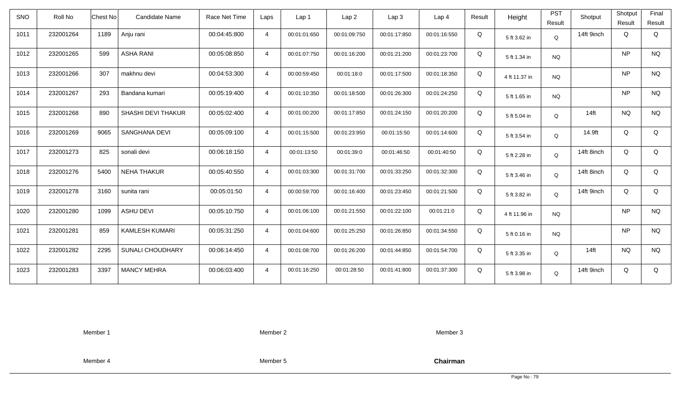| <b>SNO</b> | Roll No   | <b>Candidate Name</b><br>Chest No | Race Net Time | Laps           | Lap <sub>1</sub> | Lap2         | Lap 3        | Lap <sub>4</sub> | Result | Height        | <b>PST</b><br>Result | Shotput          | Shotput<br>Result | Final<br>Result |
|------------|-----------|-----------------------------------|---------------|----------------|------------------|--------------|--------------|------------------|--------|---------------|----------------------|------------------|-------------------|-----------------|
| 1011       | 232001264 |                                   |               |                |                  |              |              |                  |        |               |                      | 14ft 9inch       | Q                 |                 |
|            |           | 1189<br>Anju rani                 | 00:04:45:800  | $\overline{4}$ | 00:01:01:650     | 00:01:09:750 | 00:01:17:850 | 00:01:16:550     | Q      | 5 ft 3.62 in  | Q                    |                  |                   | Q               |
| 1012       | 232001265 | <b>ASHA RANI</b><br>599           | 00:05:08:850  | $\overline{4}$ | 00:01:07:750     | 00:01:16:200 | 00:01:21:200 | 00:01:23:700     | Q      | 5 ft 1.34 in  | <b>NQ</b>            |                  | NP                | <b>NQ</b>       |
| 1013       | 232001266 | 307<br>makhnu devi                | 00:04:53:300  | $\overline{4}$ | 00:00:59:450     | 00:01:18:0   | 00:01:17:500 | 00:01:18:350     | Q      | 4 ft 11.37 in | <b>NQ</b>            |                  | <b>NP</b>         | <b>NQ</b>       |
| 1014       | 232001267 | 293<br>Bandana kumari             | 00:05:19:400  | $\overline{4}$ | 00:01:10:350     | 00:01:18:500 | 00:01:26:300 | 00:01:24:250     | Q      | 5 ft 1.65 in  | <b>NQ</b>            |                  | <b>NP</b>         | <b>NQ</b>       |
| 1015       | 232001268 | SHASHI DEVI THAKUR<br>890         | 00:05:02:400  | $\overline{4}$ | 00:01:00:200     | 00:01:17:850 | 00:01:24:150 | 00:01:20:200     | Q      | 5 ft 5.04 in  | Q                    | 14 <sub>ft</sub> | <b>NQ</b>         | <b>NQ</b>       |
| 1016       | 232001269 | 9065<br>SANGHANA DEVI             | 00:05:09:100  | $\overline{4}$ | 00:01:15:500     | 00:01:23:950 | 00:01:15:50  | 00:01:14:600     | Q      | 5 ft 3.54 in  | Q                    | 14.9ft           | Q                 | Q               |
| 1017       | 232001273 | 825<br>sonali devi                | 00:06:18:150  | $\overline{4}$ | 00:01:13:50      | 00:01:39:0   | 00:01:46:50  | 00:01:40:50      | Q      | 5 ft 2.28 in  | Q                    | 14ft 8inch       | Q                 | Q               |
| 1018       | 232001276 | 5400<br><b>NEHA THAKUR</b>        | 00:05:40:550  | $\overline{4}$ | 00:01:03:300     | 00:01:31:700 | 00:01:33:250 | 00:01:32:300     | Q      | 5 ft 3.46 in  | Q                    | 14ft 8inch       | Q                 | Q               |
| 1019       | 232001278 | 3160<br>sunita rani               | 00:05:01:50   | $\overline{4}$ | 00:00:59:700     | 00:01:16:400 | 00:01:23:450 | 00:01:21:500     | Q      | 5 ft 3.82 in  | Q                    | 14ft 9inch       | Q                 | Q               |
| 1020       | 232001280 | 1099<br><b>ASHU DEVI</b>          | 00:05:10:750  | $\overline{4}$ | 00:01:06:100     | 00:01:21:550 | 00:01:22:100 | 00:01:21:0       | Q      | 4 ft 11.96 in | <b>NQ</b>            |                  | <b>NP</b>         | <b>NQ</b>       |
| 1021       | 232001281 | 859<br><b>KAMLESH KUMARI</b>      | 00:05:31:250  | $\overline{4}$ | 00:01:04:600     | 00:01:25:250 | 00:01:26:850 | 00:01:34:550     | Q      | 5 ft 0.16 in  | <b>NQ</b>            |                  | NP                | <b>NQ</b>       |
| 1022       | 232001282 | 2295<br>SUNALI CHOUDHARY          | 00:06:14:450  | $\overline{4}$ | 00:01:08:700     | 00:01:26:200 | 00:01:44:850 | 00:01:54:700     | Q      | 5 ft 3.35 in  | Q                    | $14$ ft          | <b>NQ</b>         | <b>NQ</b>       |
| 1023       | 232001283 | 3397<br><b>MANCY MEHRA</b>        | 00:06:03:400  | $\overline{4}$ | 00:01:16:250     | 00:01:28:50  | 00:01:41:800 | 00:01:37:300     | Q      | 5 ft 3.98 in  | Q                    | 14ft 9inch       | Q                 | Q               |

Member 2

Member 3

Member 4

Member 5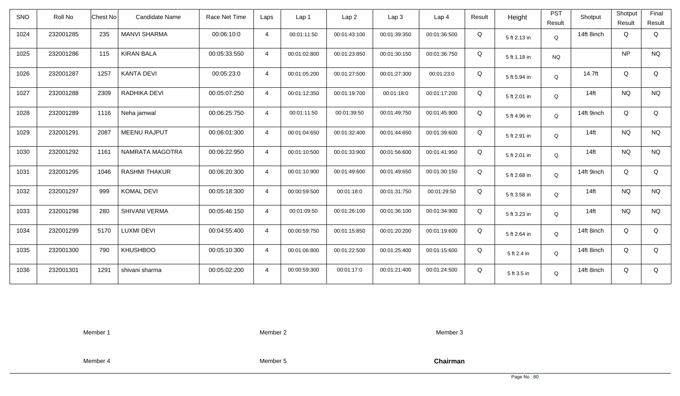| <b>SNO</b> | Roll No   | <b>Chest No</b> | Candidate Name       | Race Net Time | Laps           | Lap <sub>1</sub> | Lap <sub>2</sub> | Lap <sub>3</sub> | Lap <sub>4</sub> | Result | Height       | <b>PST</b><br>Result | Shotput    | Shotput<br>Result | Final<br>Result |
|------------|-----------|-----------------|----------------------|---------------|----------------|------------------|------------------|------------------|------------------|--------|--------------|----------------------|------------|-------------------|-----------------|
| 1024       | 232001285 | 235             | <b>MANVI SHARMA</b>  | 00:06:10:0    | $\overline{4}$ | 00:01:11:50      | 00:01:43:100     | 00:01:39:350     | 00:01:36:500     | Q      | 5 ft 2.13 in | Q                    | 14ft 8inch | Q                 | Q               |
| 1025       | 232001286 | 115             | <b>KIRAN BALA</b>    | 00:05:33:550  | $\overline{4}$ | 00:01:02:800     | 00:01:23:850     | 00:01:30:150     | 00:01:36:750     | Q      | 5 ft 1.18 in | <b>NQ</b>            |            | <b>NP</b>         | <b>NQ</b>       |
| 1026       | 232001287 | 1257            | <b>KANTA DEVI</b>    | 00:05:23:0    | $\overline{4}$ | 00:01:05:200     | 00:01:27:500     | 00:01:27:300     | 00:01:23:0       | Q      | 5 ft 5.94 in | Q                    | 14.7ft     | Q                 | Q               |
| 1027       | 232001288 | 2309            | RADHIKA DEVI         | 00:05:07:250  | $\overline{4}$ | 00:01:12:350     | 00:01:19:700     | 00:01:18:0       | 00:01:17:200     | Q      | 5 ft 2.01 in | Q                    | $14$ ft    | <b>NQ</b>         | <b>NQ</b>       |
| 1028       | 232001289 | 1116            | Neha jamwal          | 00:06:25:750  | $\overline{4}$ | 00:01:11:50      | 00:01:39:50      | 00:01:49:750     | 00:01:45:900     | Q      | 5 ft 4.96 in | Q                    | 14ft 9inch | Q                 | Q               |
| 1029       | 232001291 | 2087            | <b>MEENU RAJPUT</b>  | 00:06:01:300  | $\overline{4}$ | 00:01:04:650     | 00:01:32:400     | 00:01:44:650     | 00:01:39:600     | Q      | 5 ft 2.91 in | Q                    | $14$ ft    | <b>NQ</b>         | <b>NQ</b>       |
| 1030       | 232001292 | 1161            | NAMRATA MAGOTRA      | 00:06:22:950  | $\overline{4}$ | 00:01:10:500     | 00:01:33:900     | 00:01:56:600     | 00:01:41:950     | Q      | 5 ft 2.01 in | Q                    | $14$ ft    | <b>NQ</b>         | <b>NQ</b>       |
| 1031       | 232001295 | 1046            | <b>RASHMI THAKUR</b> | 00:06:20:300  | $\overline{4}$ | 00:01:10:900     | 00:01:49:600     | 00:01:49:650     | 00:01:30:150     | Q      | 5 ft 2.68 in | Q                    | 14ft 9inch | Q                 | Q               |
| 1032       | 232001297 | 999             | <b>KOMAL DEVI</b>    | 00:05:18:300  | $\overline{4}$ | 00:00:59:500     | 00:01:18:0       | 00:01:31:750     | 00:01:29:50      | Q      | 5 ft 3.58 in | Q                    | $14$ ft    | <b>NQ</b>         | <b>NQ</b>       |
| 1033       | 232001298 | 280             | SHIVANI VERMA        | 00:05:46:150  | $\overline{4}$ | 00:01:09:50      | 00:01:26:100     | 00:01:36:100     | 00:01:34:900     | Q      | 5 ft 3.23 in | Q                    | $14$ ft    | <b>NQ</b>         | <b>NQ</b>       |
| 1034       | 232001299 | 5170            | <b>LUXMI DEVI</b>    | 00:04:55:400  | $\overline{4}$ | 00:00:59:750     | 00:01:15:850     | 00:01:20:200     | 00:01:19:600     | Q      | 5 ft 2.64 in | Q                    | 14ft 8inch | Q                 | Q               |
| 1035       | 232001300 | 790             | <b>KHUSHBOO</b>      | 00:05:10:300  | $\overline{4}$ | 00:01:06:800     | 00:01:22:500     | 00:01:25:400     | 00:01:15:600     | Q      | 5 ft 2.4 in  | Q                    | 14ft 8inch | Q                 | Q               |
| 1036       | 232001301 | 1291            | shivani sharma       | 00:05:02:200  | $\overline{4}$ | 00:00:59:300     | 00:01:17:0       | 00:01:21:400     | 00:01:24:500     | Q      | 5 ft 3.5 in  | Q                    | 14ft 8inch | Q                 | Q               |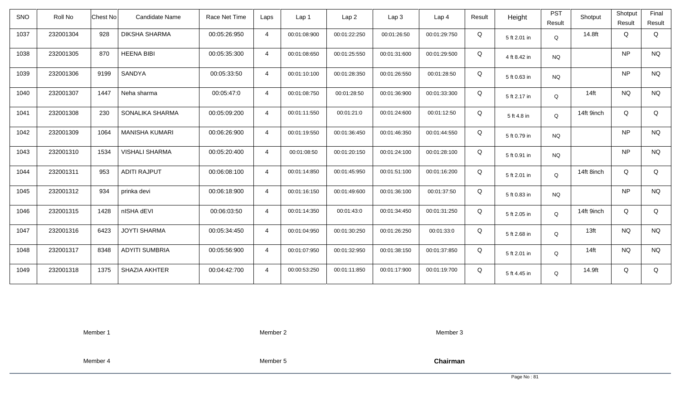| SNO  | Roll No   | Chest No | <b>Candidate Name</b> | Race Net Time | Laps           | Lap <sub>1</sub> | Lap <sub>2</sub> | Lap <sub>3</sub> | Lap <sub>4</sub> | Result | Height       | <b>PST</b><br>Result | Shotput          | Shotput<br>Result | Final<br>Result |
|------|-----------|----------|-----------------------|---------------|----------------|------------------|------------------|------------------|------------------|--------|--------------|----------------------|------------------|-------------------|-----------------|
| 1037 | 232001304 | 928      | <b>DIKSHA SHARMA</b>  | 00:05:26:950  | $\overline{4}$ | 00:01:08:900     | 00:01:22:250     | 00:01:26:50      | 00:01:29:750     | Q      | 5 ft 2.01 in | Q                    | 14.8ft           | Q                 | Q               |
| 1038 | 232001305 | 870      | <b>HEENA BIBI</b>     | 00:05:35:300  | $\overline{4}$ | 00:01:08:650     | 00:01:25:550     | 00:01:31:600     | 00:01:29:500     | Q      | 4 ft 8.42 in | <b>NQ</b>            |                  | <b>NP</b>         | <b>NQ</b>       |
| 1039 | 232001306 | 9199     | SANDYA                | 00:05:33:50   | $\overline{4}$ | 00:01:10:100     | 00:01:28:350     | 00:01:26:550     | 00:01:28:50      | Q      | 5 ft 0.63 in | <b>NQ</b>            |                  | <b>NP</b>         | <b>NQ</b>       |
| 1040 | 232001307 | 1447     | Neha sharma           | 00:05:47:0    | $\overline{4}$ | 00:01:08:750     | 00:01:28:50      | 00:01:36:900     | 00:01:33:300     | Q      | 5 ft 2.17 in | Q                    | $14$ ft          | <b>NQ</b>         | <b>NQ</b>       |
| 1041 | 232001308 | 230      | SONALIKA SHARMA       | 00:05:09:200  | $\overline{4}$ | 00:01:11:550     | 00:01:21:0       | 00:01:24:600     | 00:01:12:50      | Q      | 5 ft 4.8 in  | Q                    | 14ft 9inch       | Q                 | Q               |
| 1042 | 232001309 | 1064     | <b>MANISHA KUMARI</b> | 00:06:26:900  | $\overline{4}$ | 00:01:19:550     | 00:01:36:450     | 00:01:46:350     | 00:01:44:550     | Q      | 5 ft 0.79 in | <b>NQ</b>            |                  | <b>NP</b>         | <b>NQ</b>       |
| 1043 | 232001310 | 1534     | <b>VISHALI SHARMA</b> | 00:05:20:400  | $\overline{4}$ | 00:01:08:50      | 00:01:20:150     | 00:01:24:100     | 00:01:28:100     | Q      | 5 ft 0.91 in | <b>NQ</b>            |                  | <b>NP</b>         | <b>NQ</b>       |
| 1044 | 232001311 | 953      | <b>ADITI RAJPUT</b>   | 00:06:08:100  | $\overline{4}$ | 00:01:14:850     | 00:01:45:950     | 00:01:51:100     | 00:01:16:200     | Q      | 5 ft 2.01 in | Q                    | 14ft 8inch       | Q                 | Q               |
| 1045 | 232001312 | 934      | prinka devi           | 00:06:18:900  | $\overline{4}$ | 00:01:16:150     | 00:01:49:600     | 00:01:36:100     | 00:01:37:50      | Q      | 5 ft 0.83 in | <b>NQ</b>            |                  | <b>NP</b>         | <b>NQ</b>       |
| 1046 | 232001315 | 1428     | nISHA dEVI            | 00:06:03:50   | $\overline{4}$ | 00:01:14:350     | 00:01:43:0       | 00:01:34:450     | 00:01:31:250     | Q      | 5 ft 2.05 in | Q                    | 14ft 9inch       | Q                 | Q               |
| 1047 | 232001316 | 6423     | <b>JOYTI SHARMA</b>   | 00:05:34:450  | $\overline{4}$ | 00:01:04:950     | 00:01:30:250     | 00:01:26:250     | 00:01:33:0       | Q      | 5 ft 2.68 in | Q                    | 13 <sub>ft</sub> | <b>NQ</b>         | <b>NQ</b>       |
| 1048 | 232001317 | 8348     | <b>ADYITI SUMBRIA</b> | 00:05:56:900  | $\overline{4}$ | 00:01:07:950     | 00:01:32:950     | 00:01:38:150     | 00:01:37:850     | Q      | 5 ft 2.01 in | Q                    | $14$ ft          | <b>NQ</b>         | <b>NQ</b>       |
| 1049 | 232001318 | 1375     | SHAZIA AKHTER         | 00:04:42:700  | $\overline{4}$ | 00:00:53:250     | 00:01:11:850     | 00:01:17:900     | 00:01:19:700     | Q      | 5 ft 4.45 in | Q                    | 14.9ft           | Q                 | Q               |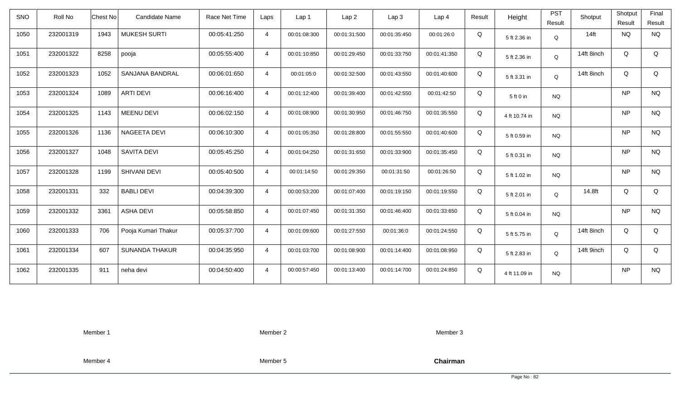| <b>SNO</b> | Roll No   | <b>Chest No</b> | Candidate Name        | Race Net Time | Laps           | Lap 1        | Lap <sub>2</sub> | Lap <sub>3</sub> | Lap <sub>4</sub> | Result | Height        | <b>PST</b><br>Result | Shotput    | Shotput<br>Result | Final<br>Result |
|------------|-----------|-----------------|-----------------------|---------------|----------------|--------------|------------------|------------------|------------------|--------|---------------|----------------------|------------|-------------------|-----------------|
| 1050       | 232001319 | 1943            | <b>MUKESH SURTI</b>   | 00:05:41:250  | $\overline{4}$ | 00:01:08:300 | 00:01:31:500     | 00:01:35:450     | 00:01:26:0       | Q      | 5 ft 2.36 in  | Q                    | $14$ ft    | <b>NQ</b>         | <b>NQ</b>       |
| 1051       | 232001322 | 8258            | pooja                 | 00:05:55:400  | $\overline{4}$ | 00:01:10:850 | 00:01:29:450     | 00:01:33:750     | 00:01:41:350     | Q      | 5 ft 2.36 in  | Q                    | 14ft 8inch | Q                 | Q               |
| 1052       | 232001323 | 1052            | SANJANA BANDRAL       | 00:06:01:650  | $\overline{4}$ | 00:01:05:0   | 00:01:32:500     | 00:01:43:550     | 00:01:40:600     | Q      | 5 ft 3.31 in  | Q                    | 14ft 8inch | Q                 | Q               |
| 1053       | 232001324 | 1089            | <b>ARTI DEVI</b>      | 00:06:16:400  | $\overline{4}$ | 00:01:12:400 | 00:01:39:400     | 00:01:42:550     | 00:01:42:50      | Q      | 5 ft 0 in     | <b>NQ</b>            |            | <b>NP</b>         | <b>NQ</b>       |
| 1054       | 232001325 | 1143            | <b>MEENU DEVI</b>     | 00:06:02:150  | $\overline{4}$ | 00:01:08:900 | 00:01:30:950     | 00:01:46:750     | 00:01:35:550     | Q      | 4 ft 10.74 in | <b>NQ</b>            |            | <b>NP</b>         | <b>NQ</b>       |
| 1055       | 232001326 | 1136            | NAGEETA DEVI          | 00:06:10:300  | $\overline{4}$ | 00:01:05:350 | 00:01:28:800     | 00:01:55:550     | 00:01:40:600     | Q      | 5 ft 0.59 in  | <b>NQ</b>            |            | <b>NP</b>         | <b>NQ</b>       |
| 1056       | 232001327 | 1048            | <b>SAVITA DEVI</b>    | 00:05:45:250  | $\overline{4}$ | 00:01:04:250 | 00:01:31:650     | 00:01:33:900     | 00:01:35:450     | Q      | 5 ft 0.31 in  | <b>NQ</b>            |            | <b>NP</b>         | <b>NQ</b>       |
| 1057       | 232001328 | 1199            | SHIVANI DEVI          | 00:05:40:500  | $\overline{4}$ | 00:01:14:50  | 00:01:29:350     | 00:01:31:50      | 00:01:26:50      | Q      | 5 ft 1.02 in  | <b>NQ</b>            |            | <b>NP</b>         | <b>NQ</b>       |
| 1058       | 232001331 | 332             | <b>BABLI DEVI</b>     | 00:04:39:300  | $\overline{4}$ | 00:00:53:200 | 00:01:07:400     | 00:01:19:150     | 00:01:19:550     | Q      | 5 ft 2.01 in  | Q                    | 14.8ft     | Q                 | Q               |
| 1059       | 232001332 | 3361            | <b>ASHA DEVI</b>      | 00:05:58:850  | $\overline{4}$ | 00:01:07:450 | 00:01:31:350     | 00:01:46:400     | 00:01:33:650     | Q      | 5 ft 0.04 in  | <b>NQ</b>            |            | <b>NP</b>         | <b>NQ</b>       |
| 1060       | 232001333 | 706             | Pooja Kumari Thakur   | 00:05:37:700  | $\overline{4}$ | 00:01:09:600 | 00:01:27:550     | 00:01:36:0       | 00:01:24:550     | Q      | 5 ft 5.75 in  | Q                    | 14ft 8inch | Q                 | Q               |
| 1061       | 232001334 | 607             | <b>SUNANDA THAKUR</b> | 00:04:35:950  | $\overline{4}$ | 00:01:03:700 | 00:01:08:900     | 00:01:14:400     | 00:01:08:950     | Q      | 5 ft 2.83 in  | Q                    | 14ft 9inch | Q                 | Q               |
| 1062       | 232001335 | 911             | neha devi             | 00:04:50:400  | $\overline{4}$ | 00:00:57:450 | 00:01:13:400     | 00:01:14:700     | 00:01:24:850     | Q      | 4 ft 11.09 in | <b>NQ</b>            |            | <b>NP</b>         | <b>NQ</b>       |

Member 2

Member 3

Member 4

Member 5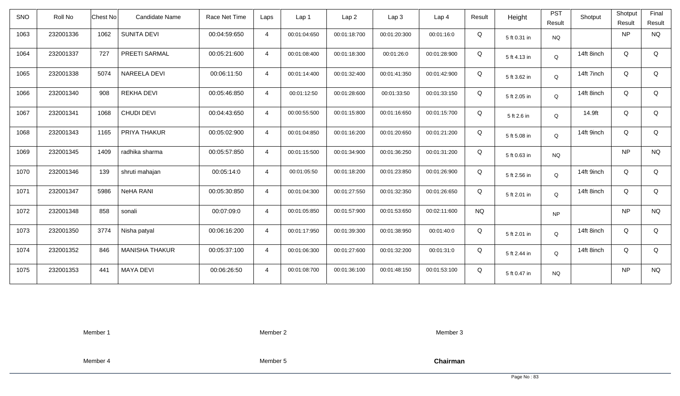| SNO  | Roll No   | <b>Chest No</b> | <b>Candidate Name</b> | Race Net Time | Laps           | Lap <sub>1</sub> | Lap2         | Lap3         | Lap <sub>4</sub> | Result    | Height       | <b>PST</b>  | Shotput    | Shotput   | Final       |
|------|-----------|-----------------|-----------------------|---------------|----------------|------------------|--------------|--------------|------------------|-----------|--------------|-------------|------------|-----------|-------------|
|      |           |                 |                       |               |                |                  |              |              |                  |           |              | Result      |            | Result    | Result      |
| 1063 | 232001336 | 1062            | <b>SUNITA DEVI</b>    | 00:04:59:650  | $\overline{4}$ | 00:01:04:650     | 00:01:18:700 | 00:01:20:300 | 00:01:16:0       | Q         | 5 ft 0.31 in | <b>NQ</b>   |            | <b>NP</b> | <b>NQ</b>   |
| 1064 | 232001337 | 727             | PREETI SARMAL         | 00:05:21:600  | $\overline{4}$ | 00:01:08:400     | 00:01:18:300 | 00:01:26:0   | 00:01:28:900     | Q         | 5 ft 4.13 in | Q           | 14ft 8inch | Q         | $\mathsf Q$ |
| 1065 | 232001338 | 5074            | <b>NAREELA DEVI</b>   | 00:06:11:50   | $\overline{4}$ | 00:01:14:400     | 00:01:32:400 | 00:01:41:350 | 00:01:42:900     | Q         | 5 ft 3.62 in | Q           | 14ft 7inch | Q         | Q           |
| 1066 | 232001340 | 908             | <b>REKHA DEVI</b>     | 00:05:46:850  | $\overline{4}$ | 00:01:12:50      | 00:01:28:600 | 00:01:33:50  | 00:01:33:150     | Q         | 5 ft 2.05 in | Q           | 14ft 8inch | Q         | Q           |
| 1067 | 232001341 | 1068            | <b>CHUDI DEVI</b>     | 00:04:43:650  | $\overline{4}$ | 00:00:55:500     | 00:01:15:800 | 00:01:16:650 | 00:01:15:700     | Q         | 5 ft 2.6 in  | Q           | 14.9ft     | Q         | Q           |
| 1068 | 232001343 | 1165            | PRIYA THAKUR          | 00:05:02:900  | $\overline{4}$ | 00:01:04:850     | 00:01:16:200 | 00:01:20:650 | 00:01:21:200     | Q         | 5 ft 5.08 in | Q           | 14ft 9inch | Q         | Q           |
| 1069 | 232001345 | 1409            | radhika sharma        | 00:05:57:850  | $\overline{4}$ | 00:01:15:500     | 00:01:34:900 | 00:01:36:250 | 00:01:31:200     | Q         | 5 ft 0.63 in | NQ          |            | <b>NP</b> | <b>NQ</b>   |
| 1070 | 232001346 | 139             | shruti mahajan        | 00:05:14:0    | $\overline{4}$ | 00:01:05:50      | 00:01:18:200 | 00:01:23:850 | 00:01:26:900     | Q         | 5 ft 2.56 in | Q           | 14ft 9inch | Q         | Q           |
| 1071 | 232001347 | 5986            | <b>NeHA RANI</b>      | 00:05:30:850  | $\overline{4}$ | 00:01:04:300     | 00:01:27:550 | 00:01:32:350 | 00:01:26:650     | Q         | 5 ft 2.01 in | Q           | 14ft 8inch | Q         | Q           |
| 1072 | 232001348 | 858             | sonali                | 00:07:09:0    | $\overline{4}$ | 00:01:05:850     | 00:01:57:900 | 00:01:53:650 | 00:02:11:600     | <b>NQ</b> |              | <b>NP</b>   |            | <b>NP</b> | <b>NQ</b>   |
| 1073 | 232001350 | 3774            | Nisha patyal          | 00:06:16:200  | $\overline{4}$ | 00:01:17:950     | 00:01:39:300 | 00:01:38:950 | 00:01:40:0       | Q         | 5 ft 2.01 in | Q           | 14ft 8inch | Q         | Q           |
| 1074 | 232001352 | 846             | <b>MANISHA THAKUR</b> | 00:05:37:100  | $\overline{4}$ | 00:01:06:300     | 00:01:27:600 | 00:01:32:200 | 00:01:31:0       | Q         | 5 ft 2.44 in | $\mathsf Q$ | 14ft 8inch | Q         | Q           |
| 1075 | 232001353 | 441             | <b>MAYA DEVI</b>      | 00:06:26:50   | $\overline{4}$ | 00:01:08:700     | 00:01:36:100 | 00:01:48:150 | 00:01:53:100     | Q         | 5 ft 0.47 in | <b>NQ</b>   |            | <b>NP</b> | <b>NQ</b>   |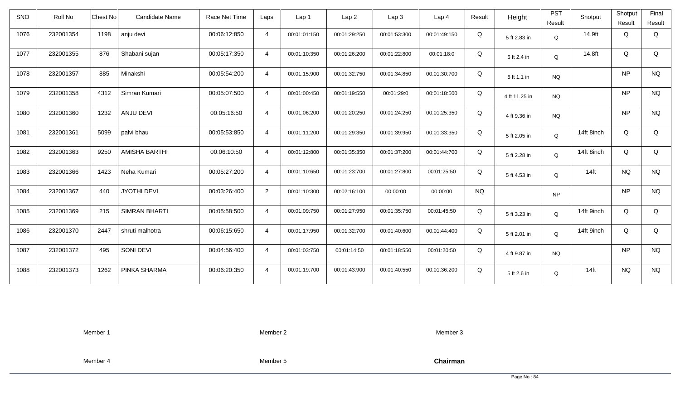| <b>SNO</b> | Roll No   | <b>Chest No</b> | <b>Candidate Name</b> | Race Net Time | Laps           | Lap <sub>1</sub> | Lap <sub>2</sub> | Lap <sub>3</sub> | Lap <sub>4</sub> | Result    | Height        | <b>PST</b><br>Result | Shotput    | Shotput<br>Result | Final<br>Result |
|------------|-----------|-----------------|-----------------------|---------------|----------------|------------------|------------------|------------------|------------------|-----------|---------------|----------------------|------------|-------------------|-----------------|
| 1076       | 232001354 | 1198            | anju devi             | 00:06:12:850  | $\overline{4}$ | 00:01:01:150     | 00:01:29:250     | 00:01:53:300     | 00:01:49:150     | Q         | 5 ft 2.83 in  | Q                    | 14.9ft     | Q                 | Q               |
| 1077       | 232001355 | 876             | Shabani sujan         | 00:05:17:350  | $\overline{4}$ | 00:01:10:350     | 00:01:26:200     | 00:01:22:800     | 00:01:18:0       | Q         | 5 ft 2.4 in   | Q                    | 14.8ft     | Q                 | Q               |
| 1078       | 232001357 | 885             | Minakshi              | 00:05:54:200  | $\overline{4}$ | 00:01:15:900     | 00:01:32:750     | 00:01:34:850     | 00:01:30:700     | Q         | 5 ft 1.1 in   | <b>NQ</b>            |            | <b>NP</b>         | <b>NQ</b>       |
| 1079       | 232001358 | 4312            | Simran Kumari         | 00:05:07:500  | $\overline{4}$ | 00:01:00:450     | 00:01:19:550     | 00:01:29:0       | 00:01:18:500     | Q         | 4 ft 11.25 in | <b>NQ</b>            |            | <b>NP</b>         | <b>NQ</b>       |
| 1080       | 232001360 | 1232            | ANJU DEVI             | 00:05:16:50   | $\overline{4}$ | 00:01:06:200     | 00:01:20:250     | 00:01:24:250     | 00:01:25:350     | Q         | 4 ft 9.36 in  | <b>NQ</b>            |            | <b>NP</b>         | <b>NQ</b>       |
| 1081       | 232001361 | 5099            | palvi bhau            | 00:05:53:850  | $\overline{4}$ | 00:01:11:200     | 00:01:29:350     | 00:01:39:950     | 00:01:33:350     | Q         | 5 ft 2.05 in  | Q                    | 14ft 8inch | Q                 | Q               |
| 1082       | 232001363 | 9250            | <b>AMISHA BARTHI</b>  | 00:06:10:50   | $\overline{4}$ | 00:01:12:800     | 00:01:35:350     | 00:01:37:200     | 00:01:44:700     | Q         | 5 ft 2.28 in  | Q                    | 14ft 8inch | Q                 | Q               |
| 1083       | 232001366 | 1423            | Neha Kumari           | 00:05:27:200  | $\overline{4}$ | 00:01:10:650     | 00:01:23:700     | 00:01:27:800     | 00:01:25:50      | Q         | 5 ft 4.53 in  | Q                    | $14$ ft    | <b>NQ</b>         | <b>NQ</b>       |
| 1084       | 232001367 | 440             | <b>JYOTHI DEVI</b>    | 00:03:26:400  | $\overline{2}$ | 00:01:10:300     | 00:02:16:100     | 00:00:00         | 00:00:00         | <b>NQ</b> |               | <b>NP</b>            |            | <b>NP</b>         | <b>NQ</b>       |
| 1085       | 232001369 | 215             | <b>SIMRAN BHARTI</b>  | 00:05:58:500  | $\overline{4}$ | 00:01:09:750     | 00:01:27:950     | 00:01:35:750     | 00:01:45:50      | Q         | 5 ft 3.23 in  | Q                    | 14ft 9inch | Q                 | Q               |
| 1086       | 232001370 | 2447            | shruti malhotra       | 00:06:15:650  | $\overline{4}$ | 00:01:17:950     | 00:01:32:700     | 00:01:40:600     | 00:01:44:400     | Q         | 5 ft 2.01 in  | Q                    | 14ft 9inch | Q                 | Q               |
| 1087       | 232001372 | 495             | SONI DEVI             | 00:04:56:400  | $\overline{4}$ | 00:01:03:750     | 00:01:14:50      | 00:01:18:550     | 00:01:20:50      | Q         | 4 ft 9.87 in  | <b>NQ</b>            |            | <b>NP</b>         | <b>NQ</b>       |
| 1088       | 232001373 | 1262            | PINKA SHARMA          | 00:06:20:350  | $\overline{4}$ | 00:01:19:700     | 00:01:43:900     | 00:01:40:550     | 00:01:36:200     | Q         | 5 ft 2.6 in   | Q                    | $14$ ft    | <b>NQ</b>         | <b>NQ</b>       |

Member 2

Member 3

Member 4

Member 5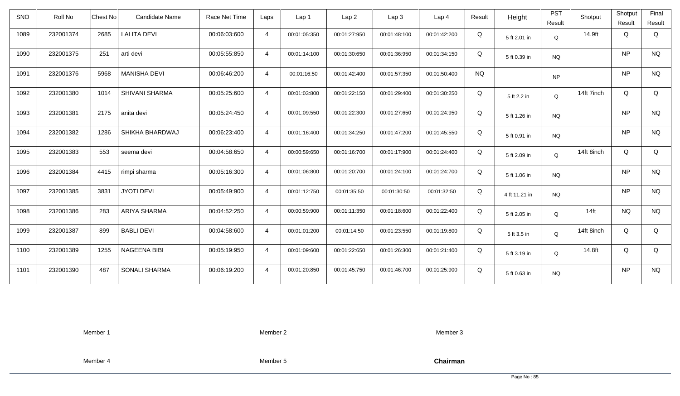| <b>SNO</b> | Roll No   | <b>Chest No</b> | <b>Candidate Name</b> | Race Net Time | Laps           | Lap <sub>1</sub> | Lap <sub>2</sub> | Lap <sub>3</sub> | Lap <sub>4</sub> | Result    | Height        | <b>PST</b><br>Result | Shotput    | Shotput<br>Result | Final<br>Result |
|------------|-----------|-----------------|-----------------------|---------------|----------------|------------------|------------------|------------------|------------------|-----------|---------------|----------------------|------------|-------------------|-----------------|
| 1089       | 232001374 | 2685            | <b>LALITA DEVI</b>    | 00:06:03:600  | $\overline{4}$ | 00:01:05:350     | 00:01:27:950     | 00:01:48:100     | 00:01:42:200     | Q         | 5 ft 2.01 in  | Q                    | 14.9ft     | Q                 | Q               |
| 1090       | 232001375 | 251             | arti devi             | 00:05:55:850  | $\overline{4}$ | 00:01:14:100     | 00:01:30:650     | 00:01:36:950     | 00:01:34:150     | Q         | 5 ft 0.39 in  | <b>NQ</b>            |            | <b>NP</b>         | <b>NQ</b>       |
| 1091       | 232001376 | 5968            | <b>MANISHA DEVI</b>   | 00:06:46:200  | $\overline{4}$ | 00:01:16:50      | 00:01:42:400     | 00:01:57:350     | 00:01:50:400     | <b>NQ</b> |               | <b>NP</b>            |            | <b>NP</b>         | <b>NQ</b>       |
| 1092       | 232001380 | 1014            | <b>SHIVANI SHARMA</b> | 00:05:25:600  | $\overline{4}$ | 00:01:03:800     | 00:01:22:150     | 00:01:29:400     | 00:01:30:250     | Q         | 5 ft 2.2 in   | Q                    | 14ft 7inch | Q                 | Q               |
| 1093       | 232001381 | 2175            | anita devi            | 00:05:24:450  | $\overline{4}$ | 00:01:09:550     | 00:01:22:300     | 00:01:27:650     | 00:01:24:950     | Q         | 5 ft 1.26 in  | <b>NQ</b>            |            | <b>NP</b>         | <b>NQ</b>       |
| 1094       | 232001382 | 1286            | SHIKHA BHARDWAJ       | 00:06:23:400  | 4              | 00:01:16:400     | 00:01:34:250     | 00:01:47:200     | 00:01:45:550     | Q         | 5 ft 0.91 in  | <b>NQ</b>            |            | <b>NP</b>         | <b>NQ</b>       |
| 1095       | 232001383 | 553             | seema devi            | 00:04:58:650  | $\overline{4}$ | 00:00:59:650     | 00:01:16:700     | 00:01:17:900     | 00:01:24:400     | Q         | 5 ft 2.09 in  | Q                    | 14ft 8inch | Q                 | Q               |
| 1096       | 232001384 | 4415            | rimpi sharma          | 00:05:16:300  | 4              | 00:01:06:800     | 00:01:20:700     | 00:01:24:100     | 00:01:24:700     | Q         | 5 ft 1.06 in  | <b>NQ</b>            |            | <b>NP</b>         | <b>NQ</b>       |
| 1097       | 232001385 | 3831            | <b>JYOTI DEVI</b>     | 00:05:49:900  | $\overline{4}$ | 00:01:12:750     | 00:01:35:50      | 00:01:30:50      | 00:01:32:50      | Q         | 4 ft 11.21 in | <b>NQ</b>            |            | <b>NP</b>         | <b>NQ</b>       |
| 1098       | 232001386 | 283             | ARIYA SHARMA          | 00:04:52:250  | $\overline{4}$ | 00:00:59:900     | 00:01:11:350     | 00:01:18:600     | 00:01:22:400     | Q         | 5 ft 2.05 in  | Q                    | $14$ ft    | <b>NQ</b>         | <b>NQ</b>       |
| 1099       | 232001387 | 899             | <b>BABLI DEVI</b>     | 00:04:58:600  | 4              | 00:01:01:200     | 00:01:14:50      | 00:01:23:550     | 00:01:19:800     | Q         | 5 ft 3.5 in   | Q                    | 14ft 8inch | Q                 | Q               |
| 1100       | 232001389 | 1255            | NAGEENA BIBI          | 00:05:19:950  | $\overline{4}$ | 00:01:09:600     | 00:01:22:650     | 00:01:26:300     | 00:01:21:400     | Q         | 5 ft 3.19 in  | Q                    | 14.8ft     | Q                 | Q               |
| 1101       | 232001390 | 487             | <b>SONALI SHARMA</b>  | 00:06:19:200  | $\overline{4}$ | 00:01:20:850     | 00:01:45:750     | 00:01:46:700     | 00:01:25:900     | Q         | 5 ft 0.63 in  | <b>NQ</b>            |            | <b>NP</b>         | <b>NQ</b>       |

Member 2

Member 3

Member 4

Member 5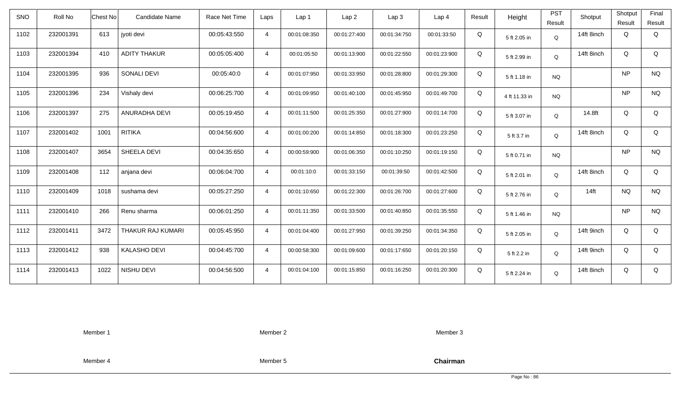| SNO  | Roll No   | Chest No | Candidate Name      | Race Net Time | Laps           | Lap <sub>1</sub> | Lap <sub>2</sub> | Lap <sub>3</sub> | Lap <sub>4</sub> | Result | Height        | <b>PST</b><br>Result | Shotput    | Shotput<br>Result | Final<br>Result |
|------|-----------|----------|---------------------|---------------|----------------|------------------|------------------|------------------|------------------|--------|---------------|----------------------|------------|-------------------|-----------------|
| 1102 | 232001391 | 613      | jyoti devi          | 00:05:43:550  | $\overline{4}$ | 00:01:08:350     | 00:01:27:400     | 00:01:34:750     | 00:01:33:50      | Q      | 5 ft 2.05 in  | Q                    | 14ft 8inch | Q                 | Q               |
| 1103 | 232001394 | 410      | <b>ADITY THAKUR</b> | 00:05:05:400  | $\overline{4}$ | 00:01:05:50      | 00:01:13:900     | 00:01:22:550     | 00:01:23:900     | Q      | 5 ft 2.99 in  | Q                    | 14ft 8inch | Q                 | Q               |
| 1104 | 232001395 | 936      | SONALI DEVI         | 00:05:40:0    | $\overline{4}$ | 00:01:07:950     | 00:01:33:950     | 00:01:28:800     | 00:01:29:300     | Q      | 5 ft 1.18 in  | <b>NQ</b>            |            | <b>NP</b>         | <b>NQ</b>       |
| 1105 | 232001396 | 234      | Vishaly devi        | 00:06:25:700  | $\overline{4}$ | 00:01:09:950     | 00:01:40:100     | 00:01:45:950     | 00:01:49:700     | Q      | 4 ft 11.33 in | <b>NQ</b>            |            | <b>NP</b>         | <b>NQ</b>       |
| 1106 | 232001397 | 275      | ANURADHA DEVI       | 00:05:19:450  | $\overline{4}$ | 00:01:11:500     | 00:01:25:350     | 00:01:27:900     | 00:01:14:700     | Q      | 5 ft 3.07 in  | Q                    | 14.8ft     | Q                 | Q               |
| 1107 | 232001402 | 1001     | <b>RITIKA</b>       | 00:04:56:600  | $\overline{4}$ | 00:01:00:200     | 00:01:14:850     | 00:01:18:300     | 00:01:23:250     | Q      | 5 ft 3.7 in   | Q                    | 14ft 8inch | Q                 | Q               |
| 1108 | 232001407 | 3654     | SHEELA DEVI         | 00:04:35:650  | $\overline{4}$ | 00:00:59:900     | 00:01:06:350     | 00:01:10:250     | 00:01:19:150     | Q      | 5 ft 0.71 in  | <b>NQ</b>            |            | NP                | $\rm N\rm Q$    |
| 1109 | 232001408 | 112      | anjana devi         | 00:06:04:700  | $\overline{4}$ | 00:01:10:0       | 00:01:33:150     | 00:01:39:50      | 00:01:42:500     | Q      | 5 ft 2.01 in  | Q                    | 14ft 8inch | Q                 | Q               |
| 1110 | 232001409 | 1018     | sushama devi        | 00:05:27:250  | $\overline{4}$ | 00:01:10:650     | 00:01:22:300     | 00:01:26:700     | 00:01:27:600     | Q      | 5 ft 2.76 in  | Q                    | $14$ ft    | <b>NQ</b>         | <b>NQ</b>       |
| 1111 | 232001410 | 266      | Renu sharma         | 00:06:01:250  | $\overline{4}$ | 00:01:11:350     | 00:01:33:500     | 00:01:40:850     | 00:01:35:550     | Q      | 5 ft 1.46 in  | <b>NQ</b>            |            | <b>NP</b>         | $\rm N\rm Q$    |
| 1112 | 232001411 | 3472     | THAKUR RAJ KUMARI   | 00:05:45:950  | $\overline{4}$ | 00:01:04:400     | 00:01:27:950     | 00:01:39:250     | 00:01:34:350     | Q      | 5 ft 2.05 in  | Q                    | 14ft 9inch | Q                 | Q               |
| 1113 | 232001412 | 938      | <b>KALASHO DEVI</b> | 00:04:45:700  | $\overline{4}$ | 00:00:58:300     | 00:01:09:600     | 00:01:17:650     | 00:01:20:150     | Q      | 5 ft 2.2 in   | Q                    | 14ft 9inch | Q                 | Q               |
| 1114 | 232001413 | 1022     | NISHU DEVI          | 00:04:56:500  | $\overline{4}$ | 00:01:04:100     | 00:01:15:850     | 00:01:16:250     | 00:01:20:300     | Q      | 5 ft 2.24 in  | Q                    | 14ft 8inch | Q                 | Q               |

Member 2

Member 3

Member 4

Member 5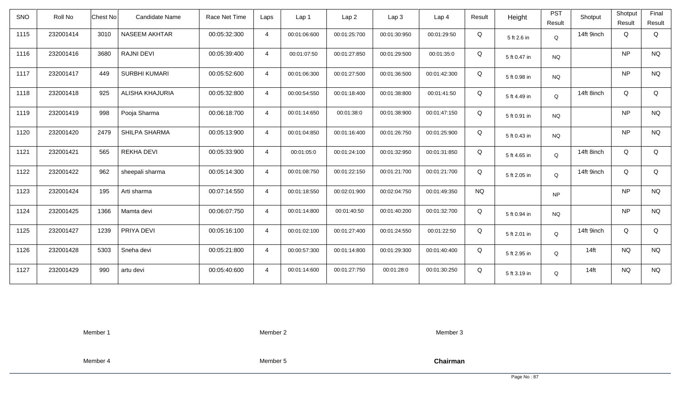| SNO  | Roll No   | Chest No | <b>Candidate Name</b>  | Race Net Time | Laps           | Lap 1        | Lap <sub>2</sub> | Lap 3        | Lap <sub>4</sub> | Result    | Height       | <b>PST</b><br>Result | Shotput    | Shotput<br>Result | Final<br>Result |
|------|-----------|----------|------------------------|---------------|----------------|--------------|------------------|--------------|------------------|-----------|--------------|----------------------|------------|-------------------|-----------------|
| 1115 | 232001414 | 3010     | NASEEM AKHTAR          | 00:05:32:300  | $\overline{4}$ | 00:01:06:600 | 00:01:25:700     | 00:01:30:950 | 00:01:29:50      | Q         | 5 ft 2.6 in  | $\mathsf Q$          | 14ft 9inch | Q                 | Q               |
| 1116 | 232001416 | 3680     | <b>RAJNI DEVI</b>      | 00:05:39:400  | $\overline{4}$ | 00:01:07:50  | 00:01:27:850     | 00:01:29:500 | 00:01:35:0       | Q         | 5 ft 0.47 in | <b>NQ</b>            |            | <b>NP</b>         | <b>NQ</b>       |
| 1117 | 232001417 | 449      | <b>SURBHI KUMARI</b>   | 00:05:52:600  | $\overline{4}$ | 00:01:06:300 | 00:01:27:500     | 00:01:36:500 | 00:01:42:300     | Q         | 5 ft 0.98 in | <b>NQ</b>            |            | <b>NP</b>         | <b>NQ</b>       |
| 1118 | 232001418 | 925      | <b>ALISHA KHAJURIA</b> | 00:05:32:800  | $\overline{4}$ | 00:00:54:550 | 00:01:18:400     | 00:01:38:800 | 00:01:41:50      | Q         | 5 ft 4.49 in | Q                    | 14ft 8inch | Q                 | Q               |
| 1119 | 232001419 | 998      | Pooja Sharma           | 00:06:18:700  | $\overline{4}$ | 00:01:14:650 | 00:01:38:0       | 00:01:38:900 | 00:01:47:150     | Q         | 5 ft 0.91 in | <b>NQ</b>            |            | <b>NP</b>         | <b>NQ</b>       |
| 1120 | 232001420 | 2479     | SHILPA SHARMA          | 00:05:13:900  | $\overline{4}$ | 00:01:04:850 | 00:01:16:400     | 00:01:26:750 | 00:01:25:900     | Q         | 5 ft 0.43 in | <b>NQ</b>            |            | <b>NP</b>         | <b>NQ</b>       |
| 1121 | 232001421 | 565      | <b>REKHA DEVI</b>      | 00:05:33:900  | $\overline{4}$ | 00:01:05:0   | 00:01:24:100     | 00:01:32:950 | 00:01:31:850     | Q         | 5 ft 4.65 in | Q                    | 14ft 8inch | Q                 | Q               |
| 1122 | 232001422 | 962      | sheepali sharma        | 00:05:14:300  | $\overline{4}$ | 00:01:08:750 | 00:01:22:150     | 00:01:21:700 | 00:01:21:700     | Q         | 5 ft 2.05 in | Q                    | 14ft 9inch | Q                 | Q               |
| 1123 | 232001424 | 195      | Arti sharma            | 00:07:14:550  | $\overline{4}$ | 00:01:18:550 | 00:02:01:900     | 00:02:04:750 | 00:01:49:350     | <b>NQ</b> |              | <b>NP</b>            |            | <b>NP</b>         | <b>NQ</b>       |
| 1124 | 232001425 | 1366     | Mamta devi             | 00:06:07:750  | $\overline{4}$ | 00:01:14:800 | 00:01:40:50      | 00:01:40:200 | 00:01:32:700     | Q         | 5 ft 0.94 in | <b>NQ</b>            |            | <b>NP</b>         | <b>NQ</b>       |
| 1125 | 232001427 | 1239     | PRIYA DEVI             | 00:05:16:100  | $\overline{4}$ | 00:01:02:100 | 00:01:27:400     | 00:01:24:550 | 00:01:22:50      | Q         | 5 ft 2.01 in | Q                    | 14ft 9inch | Q                 | Q               |
| 1126 | 232001428 | 5303     | Sneha devi             | 00:05:21:800  | $\overline{4}$ | 00:00:57:300 | 00:01:14:800     | 00:01:29:300 | 00:01:40:400     | Q         | 5 ft 2.95 in | Q                    | $14$ ft    | <b>NQ</b>         | <b>NQ</b>       |
| 1127 | 232001429 | 990      | artu devi              | 00:05:40:600  | $\overline{4}$ | 00:01:14:600 | 00:01:27:750     | 00:01:28:0   | 00:01:30:250     | Q         | 5 ft 3.19 in | Q                    | $14$ ft    | <b>NQ</b>         | <b>NQ</b>       |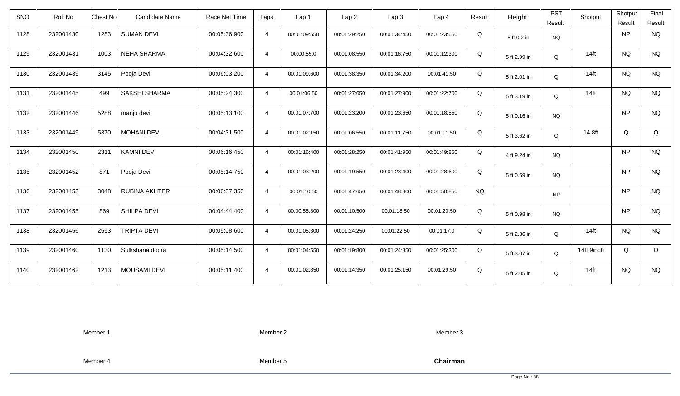| <b>SNO</b> | Roll No   | Chest No | Candidate Name      | Race Net Time | Laps           | Lap 1        | Lap <sub>2</sub> | Lap <sub>3</sub> | Lap <sub>4</sub> | Result    | Height       | <b>PST</b><br>Result | Shotput    | Shotput<br>Result | Final<br>Result |
|------------|-----------|----------|---------------------|---------------|----------------|--------------|------------------|------------------|------------------|-----------|--------------|----------------------|------------|-------------------|-----------------|
| 1128       | 232001430 | 1283     | <b>SUMAN DEVI</b>   | 00:05:36:900  | $\overline{4}$ | 00:01:09:550 | 00:01:29:250     | 00:01:34:450     | 00:01:23:650     | Q         | 5 ft 0.2 in  | <b>NQ</b>            |            | <b>NP</b>         | <b>NQ</b>       |
| 1129       | 232001431 | 1003     | <b>NEHA SHARMA</b>  | 00:04:32:600  | $\overline{4}$ | 00:00:55:0   | 00:01:08:550     | 00:01:16:750     | 00:01:12:300     | Q         | 5 ft 2.99 in | Q                    | $14$ ft    | <b>NQ</b>         | <b>NQ</b>       |
| 1130       | 232001439 | 3145     | Pooja Devi          | 00:06:03:200  | $\overline{4}$ | 00:01:09:600 | 00:01:38:350     | 00:01:34:200     | 00:01:41:50      | Q         | 5 ft 2.01 in | Q                    | $14$ ft    | <b>NQ</b>         | <b>NQ</b>       |
| 1131       | 232001445 | 499      | SAKSHI SHARMA       | 00:05:24:300  | $\overline{4}$ | 00:01:06:50  | 00:01:27:650     | 00:01:27:900     | 00:01:22:700     | Q         | 5 ft 3.19 in | Q                    | $14$ ft    | <b>NQ</b>         | <b>NQ</b>       |
| 1132       | 232001446 | 5288     | manju devi          | 00:05:13:100  | $\overline{4}$ | 00:01:07:700 | 00:01:23:200     | 00:01:23:650     | 00:01:18:550     | Q         | 5 ft 0.16 in | <b>NQ</b>            |            | <b>NP</b>         | <b>NQ</b>       |
| 1133       | 232001449 | 5370     | <b>MOHANI DEVI</b>  | 00:04:31:500  | $\overline{4}$ | 00:01:02:150 | 00:01:06:550     | 00:01:11:750     | 00:01:11:50      | Q         | 5 ft 3.62 in | Q                    | 14.8ft     | Q                 | Q               |
| 1134       | 232001450 | 2311     | <b>KAMNI DEVI</b>   | 00:06:16:450  | $\overline{4}$ | 00:01:16:400 | 00:01:28:250     | 00:01:41:950     | 00:01:49:850     | Q         | 4 ft 9.24 in | <b>NQ</b>            |            | <b>NP</b>         | <b>NQ</b>       |
| 1135       | 232001452 | 871      | Pooja Devi          | 00:05:14:750  | $\overline{4}$ | 00:01:03:200 | 00:01:19:550     | 00:01:23:400     | 00:01:28:600     | Q         | 5 ft 0.59 in | <b>NQ</b>            |            | <b>NP</b>         | <b>NQ</b>       |
| 1136       | 232001453 | 3048     | RUBINA AKHTER       | 00:06:37:350  | $\overline{4}$ | 00:01:10:50  | 00:01:47:650     | 00:01:48:800     | 00:01:50:850     | <b>NQ</b> |              | <b>NP</b>            |            | <b>NP</b>         | <b>NQ</b>       |
| 1137       | 232001455 | 869      | SHILPA DEVI         | 00:04:44:400  | $\overline{4}$ | 00:00:55:800 | 00:01:10:500     | 00:01:18:50      | 00:01:20:50      | Q         | 5 ft 0.98 in | <b>NQ</b>            |            | <b>NP</b>         | <b>NQ</b>       |
| 1138       | 232001456 | 2553     | <b>TRIPTA DEVI</b>  | 00:05:08:600  | $\overline{4}$ | 00:01:05:300 | 00:01:24:250     | 00:01:22:50      | 00:01:17:0       | Q         | 5 ft 2.36 in | Q                    | $14$ ft    | <b>NQ</b>         | <b>NQ</b>       |
| 1139       | 232001460 | 1130     | Sulkshana dogra     | 00:05:14:500  | $\overline{4}$ | 00:01:04:550 | 00:01:19:800     | 00:01:24:850     | 00:01:25:300     | Q         | 5 ft 3.07 in | Q                    | 14ft 9inch | Q                 | Q               |
| 1140       | 232001462 | 1213     | <b>MOUSAMI DEVI</b> | 00:05:11:400  | $\overline{4}$ | 00:01:02:850 | 00:01:14:350     | 00:01:25:150     | 00:01:29:50      | Q         | 5 ft 2.05 in | Q                    | $14$ ft    | <b>NQ</b>         | <b>NQ</b>       |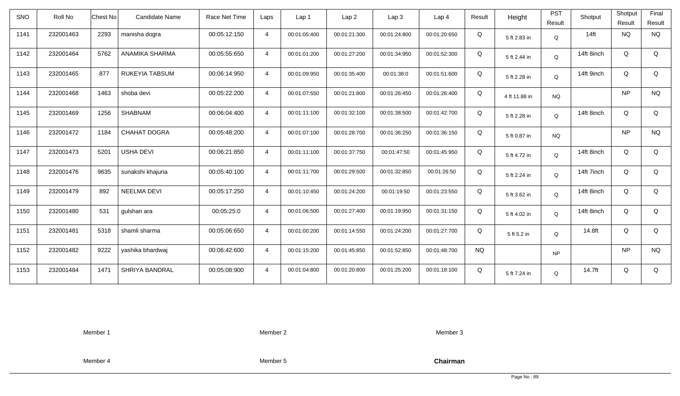| <b>SNO</b> | Roll No   | <b>Chest No</b> | Candidate Name    | Race Net Time | Laps           | Lap 1        | Lap <sub>2</sub> | Lap <sub>3</sub> | Lap <sub>4</sub> | Result    | Height        | <b>PST</b><br>Result | Shotput    | Shotput<br>Result | Final<br>Result |
|------------|-----------|-----------------|-------------------|---------------|----------------|--------------|------------------|------------------|------------------|-----------|---------------|----------------------|------------|-------------------|-----------------|
| 1141       | 232001463 | 2293            | manisha dogra     | 00:05:12:150  | $\overline{4}$ | 00:01:05:400 | 00:01:21:300     | 00:01:24:800     | 00:01:20:650     | Q         | 5 ft 2.83 in  | Q                    | $14$ ft    | <b>NQ</b>         | <b>NQ</b>       |
| 1142       | 232001464 | 5762            | ANAMIKA SHARMA    | 00:05:55:650  | $\overline{4}$ | 00:01:01:200 | 00:01:27:200     | 00:01:34:950     | 00:01:52:300     | Q         | 5 ft 2.44 in  | Q                    | 14ft 8inch | Q                 | Q               |
| 1143       | 232001465 | 877             | RUKEYIA TABSUM    | 00:06:14:950  | $\overline{4}$ | 00:01:09:950 | 00:01:35:400     | 00:01:38:0       | 00:01:51:600     | Q         | 5 ft 2.28 in  | Q                    | 14ft 9inch | Q                 | Q               |
| 1144       | 232001468 | 1463            | shoba devi        | 00:05:22:200  | $\overline{4}$ | 00:01:07:550 | 00:01:21:800     | 00:01:26:450     | 00:01:26:400     | Q         | 4 ft 11.88 in | <b>NQ</b>            |            | <b>NP</b>         | <b>NQ</b>       |
| 1145       | 232001469 | 1256            | SHABNAM           | 00:06:04:400  | $\overline{4}$ | 00:01:11:100 | 00:01:32:100     | 00:01:38:500     | 00:01:42:700     | Q         | 5 ft 2.28 in  | Q                    | 14ft 8inch | Q                 | Q               |
| 1146       | 232001472 | 1184            | CHAHAT DOGRA      | 00:05:48:200  | $\overline{4}$ | 00:01:07:100 | 00:01:28:700     | 00:01:36:250     | 00:01:36:150     | Q         | 5 ft 0.87 in  | <b>NQ</b>            |            | <b>NP</b>         | <b>NQ</b>       |
| 1147       | 232001473 | 5201            | <b>USHA DEVI</b>  | 00:06:21:850  | $\overline{4}$ | 00:01:11:100 | 00:01:37:750     | 00:01:47:50      | 00:01:45:950     | Q         | 5 ft 4.72 in  | Q                    | 14ft 8inch | Q                 | Q               |
| 1148       | 232001476 | 9635            | sunakshi khajuria | 00:05:40:100  | $\overline{4}$ | 00:01:11:700 | 00:01:29:500     | 00:01:32:850     | 00:01:26:50      | Q         | 5 ft 2.24 in  | Q                    | 14ft 7inch | Q                 | Q               |
| 1149       | 232001479 | 892             | NEELMA DEVI       | 00:05:17:250  | $\overline{4}$ | 00:01:10:450 | 00:01:24:200     | 00:01:19:50      | 00:01:23:550     | Q         | 5 ft 3.62 in  | Q                    | 14ft 8inch | Q                 | Q               |
| 1150       | 232001480 | 531             | gulshan ara       | 00:05:25:0    | $\overline{4}$ | 00:01:06:500 | 00:01:27:400     | 00:01:19:950     | 00:01:31:150     | Q         | 5 ft 4.02 in  | Q                    | 14ft 8inch | Q                 | Q               |
| 1151       | 232001481 | 5318            | shamli sharma     | 00:05:06:650  | $\overline{4}$ | 00:01:00:200 | 00:01:14:550     | 00:01:24:200     | 00:01:27:700     | Q         | 5 ft 5.2 in   | Q                    | 14.8ft     | Q                 | Q               |
| 1152       | 232001482 | 9222            | yashika bhardwaj  | 00:06:42:600  | $\overline{4}$ | 00:01:15:200 | 00:01:45:850     | 00:01:52:850     | 00:01:48:700     | <b>NQ</b> |               | <b>NP</b>            |            | <b>NP</b>         | <b>NQ</b>       |
| 1153       | 232001484 | 1471            | SHRIYA BANDRAL    | 00:05:08:900  | $\overline{4}$ | 00:01:04:800 | 00:01:20:800     | 00:01:25:200     | 00:01:18:100     | Q         | 5 ft 7.24 in  | Q                    | 14.7ft     | Q                 | Q               |